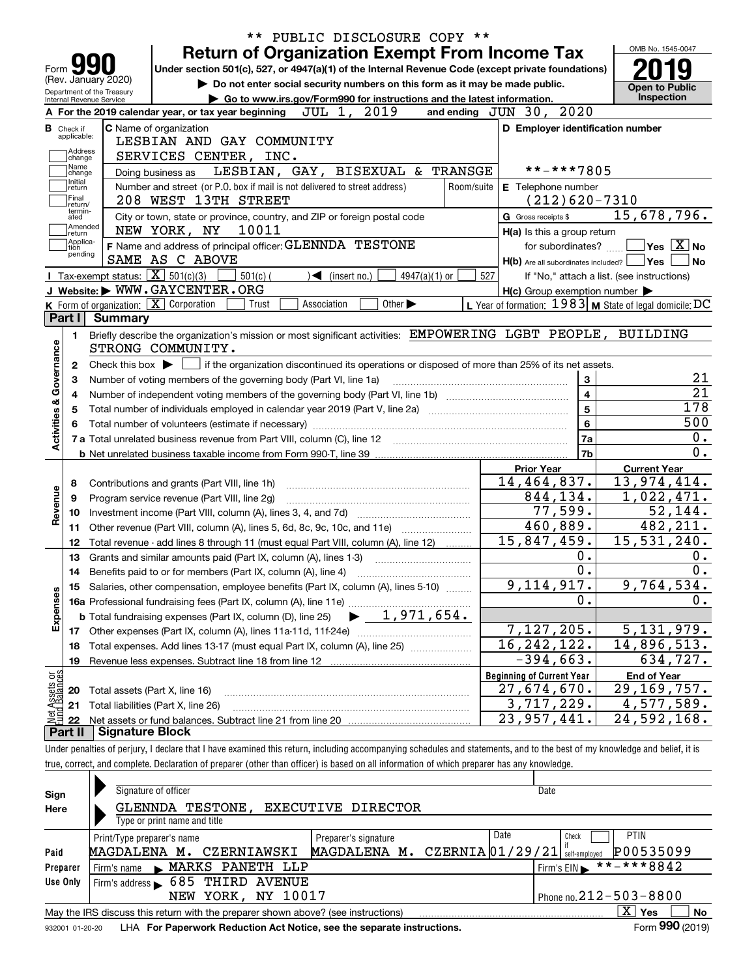|                                                                                                                                                          | <b>Return of Organization Exempt From Income Tax</b>      | OMB No. 1545-0047                                                                                                          |
|----------------------------------------------------------------------------------------------------------------------------------------------------------|-----------------------------------------------------------|----------------------------------------------------------------------------------------------------------------------------|
| Form <b>Y</b><br>Under section 501(c), 527, or 4947(a)(1) of the Internal Revenue Code (except private foundations)                                      |                                                           |                                                                                                                            |
| (Rev. January 2020)<br>Do not enter social security numbers on this form as it may be made public.<br>Department of the Treasury                         |                                                           | <b>Open to Public</b>                                                                                                      |
| Go to www.irs.gov/Form990 for instructions and the latest information.<br>Internal Revenue Service                                                       |                                                           | Inspection                                                                                                                 |
| 2019<br>JUL 1,<br>A For the 2019 calendar year, or tax year beginning                                                                                    | and ending JUN 30, 2020                                   |                                                                                                                            |
| <b>C</b> Name of organization<br><b>B</b> Check if<br>applicable:                                                                                        | D Employer identification number                          |                                                                                                                            |
| LESBIAN AND GAY COMMUNITY<br>Address                                                                                                                     |                                                           |                                                                                                                            |
| SERVICES CENTER, INC.<br>change<br>Name<br>LESBIAN, GAY, BISEXUAL & TRANSGE                                                                              | **-***7805                                                |                                                                                                                            |
| Doing business as<br>change<br>Initial<br>Number and street (or P.O. box if mail is not delivered to street address)                                     |                                                           |                                                                                                                            |
| Room/suite<br>return<br> Final<br>208 WEST 13TH STREET                                                                                                   | E Telephone number<br>$(212)620 - 7310$                   |                                                                                                                            |
| return/<br>termin-<br>City or town, state or province, country, and ZIP or foreign postal code                                                           | G Gross receipts \$                                       | 15,678,796.                                                                                                                |
| ated<br>Amended<br>10011<br>NEW YORK, NY                                                                                                                 |                                                           |                                                                                                                            |
| ∣return<br> Applica-<br>F Name and address of principal officer: GLENNDA TESTONE                                                                         | H(a) Is this a group return<br>for subordinates?          | $\sqrt{}$ Yes $\sqrt{}$ X $\sqrt{}$ No                                                                                     |
| tion<br>pending<br>SAME AS C ABOVE                                                                                                                       | $H(b)$ Are all subordinates included? $\Box$ Yes          | No                                                                                                                         |
| Tax-exempt status: $\boxed{\mathbf{X}}$ 501(c)(3)<br>$4947(a)(1)$ or<br>$501(c)$ (<br>$\blacktriangleleft$ (insert no.)                                  | 527                                                       | If "No," attach a list. (see instructions)                                                                                 |
| J Website: WWW.GAYCENTER.ORG                                                                                                                             | $H(c)$ Group exemption number $\blacktriangleright$       |                                                                                                                            |
| K Form of organization:   X Corporation<br>Other $\blacktriangleright$<br>Trust<br>Association                                                           | L Year of formation: $1983$ M State of legal domicile: DC |                                                                                                                            |
| Part I<br><b>Summary</b>                                                                                                                                 |                                                           |                                                                                                                            |
| Briefly describe the organization's mission or most significant activities: EMPOWERING LGBT PEOPLE, BUILDING<br>1.                                       |                                                           |                                                                                                                            |
| STRONG COMMUNITY.                                                                                                                                        |                                                           |                                                                                                                            |
| Check this box $\blacktriangleright$ $\blacksquare$ if the organization discontinued its operations or disposed of more than 25% of its net assets.<br>2 |                                                           |                                                                                                                            |
| Number of voting members of the governing body (Part VI, line 1a)<br>З                                                                                   | 3                                                         |                                                                                                                            |
| 4                                                                                                                                                        | 4                                                         | 21<br>$\overline{21}$                                                                                                      |
|                                                                                                                                                          | 5                                                         | 178                                                                                                                        |
| 5                                                                                                                                                        |                                                           |                                                                                                                            |
|                                                                                                                                                          |                                                           |                                                                                                                            |
|                                                                                                                                                          | 6                                                         |                                                                                                                            |
| Activities & Governance                                                                                                                                  | 7a                                                        |                                                                                                                            |
|                                                                                                                                                          | 7b                                                        |                                                                                                                            |
|                                                                                                                                                          | <b>Prior Year</b>                                         | <b>Current Year</b>                                                                                                        |
| Contributions and grants (Part VIII, line 1h)<br>8                                                                                                       | 14,464,837.                                               |                                                                                                                            |
| Program service revenue (Part VIII, line 2g)<br>9                                                                                                        | 844,134.                                                  | 500<br>0.<br>0.<br>$\overline{13}$ , 974, 414.<br>1,022,471.                                                               |
| Revenue<br>10                                                                                                                                            | 77,599.                                                   |                                                                                                                            |
| Other revenue (Part VIII, column (A), lines 5, 6d, 8c, 9c, 10c, and 11e)<br>11                                                                           | 460,889.                                                  |                                                                                                                            |
| Total revenue - add lines 8 through 11 (must equal Part VIII, column (A), line 12)<br>12                                                                 | 15,847,459.                                               |                                                                                                                            |
| 13<br>Grants and similar amounts paid (Part IX, column (A), lines 1-3)                                                                                   | 0.                                                        |                                                                                                                            |
| 14                                                                                                                                                       | 0.                                                        |                                                                                                                            |
| 15 Salaries, other compensation, employee benefits (Part IX, column (A), lines 5-10)                                                                     | 9,114,917.<br>q                                           |                                                                                                                            |
|                                                                                                                                                          | 0.                                                        |                                                                                                                            |
| 1,971,654.<br><b>b</b> Total fundraising expenses (Part IX, column (D), line 25)                                                                         |                                                           |                                                                                                                            |
| Expenses<br>17                                                                                                                                           | 7,127,205.                                                |                                                                                                                            |
| Total expenses. Add lines 13-17 (must equal Part IX, column (A), line 25)<br>18                                                                          | $\overline{16, 242, 122}$ .                               |                                                                                                                            |
| Revenue less expenses. Subtract line 18 from line 12<br>19                                                                                               | $-394,663.$                                               |                                                                                                                            |
|                                                                                                                                                          | <b>Beginning of Current Year</b>                          | <b>End of Year</b>                                                                                                         |
| Total assets (Part X, line 16)<br>20                                                                                                                     | $\overline{27,674,670}$ .                                 | 52,144.<br>482,211.<br>15,531,240.<br>0.<br>0.<br>9,764,534.<br>0.<br>5,131,979.<br>14,896,513.<br>634,727.<br>29,169,757. |
| t Assets or<br>d Balances<br>Total liabilities (Part X, line 26)<br>21                                                                                   | 3,717,229.                                                | 4,577,589.                                                                                                                 |
| 22<br>Part II<br><b>Signature Block</b>                                                                                                                  | 23,957,441.                                               | 24,592,168.                                                                                                                |

| Signature of officer<br>Date<br>GLENNDA TESTONE,<br>EXECUTIVE DIRECTOR                               |           |  |  |  |  |  |  |  |  |  |  |
|------------------------------------------------------------------------------------------------------|-----------|--|--|--|--|--|--|--|--|--|--|
| Type or print name and title                                                                         |           |  |  |  |  |  |  |  |  |  |  |
| Date<br><b>PTIN</b><br>Check<br>Preparer's signature<br>Print/Type preparer's name                   |           |  |  |  |  |  |  |  |  |  |  |
| P00535099<br>CZERNIA01/29/21<br>MAGDALENA M.<br>MAGDALENA M.<br>CZERNIAWSKI<br>Paid<br>self-emploved |           |  |  |  |  |  |  |  |  |  |  |
| **-***8842<br>MARKS PANETH LLP<br>Firm's EIN<br>Preparer<br>Firm's name<br>$\blacksquare$            |           |  |  |  |  |  |  |  |  |  |  |
| 685 THIRD AVENUE<br>Use Only<br>Firm's address                                                       |           |  |  |  |  |  |  |  |  |  |  |
| Phone no. $212 - 503 - 8800$<br>NEW YORK, NY 10017                                                   |           |  |  |  |  |  |  |  |  |  |  |
| x<br>Yes<br>May the IRS discuss this return with the preparer shown above? (see instructions)        | No<br>--- |  |  |  |  |  |  |  |  |  |  |

932001 01-20-20 LHA **For Paperwork Reduction Act Notice, see the separate instructions. Form 990 (2019)** 

**990**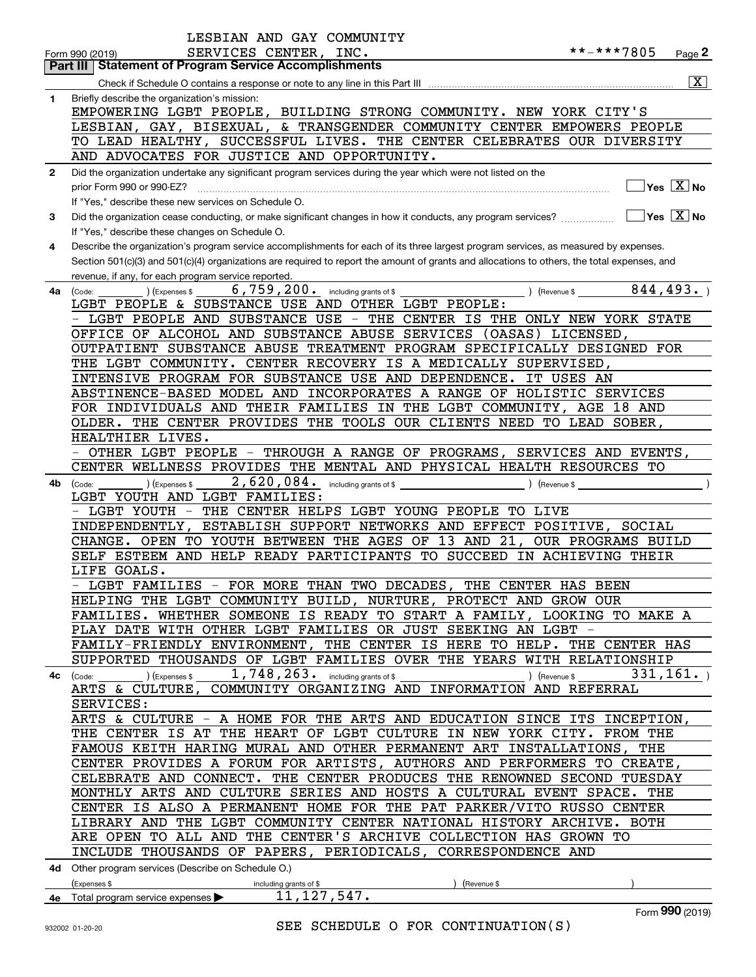|              | LESBIAN AND GAY COMMUNITY                                                                                                                    |
|--------------|----------------------------------------------------------------------------------------------------------------------------------------------|
|              | **-***7805<br>SERVICES CENTER, INC.<br>Page 2<br>Form 990 (2019)                                                                             |
|              | <b>Part III   Statement of Program Service Accomplishments</b>                                                                               |
|              | $\boxed{\text{X}}$<br>Check if Schedule O contains a response or note to any line in this Part III                                           |
| 1            | Briefly describe the organization's mission:                                                                                                 |
|              | EMPOWERING LGBT PEOPLE, BUILDING STRONG COMMUNITY. NEW YORK CITY'S                                                                           |
|              | LESBIAN, GAY, BISEXUAL, & TRANSGENDER COMMUNITY CENTER EMPOWERS PEOPLE                                                                       |
|              | TO LEAD HEALTHY, SUCCESSFUL LIVES. THE CENTER CELEBRATES OUR DIVERSITY                                                                       |
|              | AND ADVOCATES FOR JUSTICE AND OPPORTUNITY.                                                                                                   |
|              | Did the organization undertake any significant program services during the year which were not listed on the                                 |
| $\mathbf{2}$ | $\Box$ Yes $[\,\overline{\mathrm{X}}\,]$ No                                                                                                  |
|              | prior Form 990 or 990-EZ?                                                                                                                    |
|              | If "Yes," describe these new services on Schedule O.                                                                                         |
| 3            |                                                                                                                                              |
|              | If "Yes," describe these changes on Schedule O.                                                                                              |
| 4            | Describe the organization's program service accomplishments for each of its three largest program services, as measured by expenses.         |
|              | Section 501(c)(3) and 501(c)(4) organizations are required to report the amount of grants and allocations to others, the total expenses, and |
|              | revenue, if any, for each program service reported.                                                                                          |
| 4a           | (Revenue \$ _____ 844, 493.)<br>$6,759,200$ a including grants of \$<br>(Expenses \$<br>(Code:                                               |
|              | LGBT PEOPLE & SUBSTANCE USE AND OTHER LGBT PEOPLE:                                                                                           |
|              | - LGBT PEOPLE AND SUBSTANCE USE - THE CENTER IS THE ONLY NEW YORK STATE                                                                      |
|              | OFFICE OF ALCOHOL AND SUBSTANCE ABUSE SERVICES (OASAS) LICENSED,                                                                             |
|              | OUTPATIENT SUBSTANCE ABUSE TREATMENT PROGRAM SPECIFICALLY DESIGNED FOR                                                                       |
|              | THE LGBT COMMUNITY. CENTER RECOVERY IS A MEDICALLY SUPERVISED,                                                                               |
|              | INTENSIVE PROGRAM FOR SUBSTANCE USE AND DEPENDENCE. IT USES AN                                                                               |
|              | ABSTINENCE-BASED MODEL AND INCORPORATES A RANGE OF HOLISTIC SERVICES                                                                         |
|              | FOR INDIVIDUALS AND THEIR FAMILIES IN THE LGBT COMMUNITY, AGE 18 AND                                                                         |
|              | OLDER. THE CENTER PROVIDES THE TOOLS OUR CLIENTS NEED TO LEAD SOBER,                                                                         |
|              | HEALTHIER LIVES.                                                                                                                             |
|              | - OTHER LGBT PEOPLE - THROUGH A RANGE OF PROGRAMS, SERVICES AND EVENTS,                                                                      |
|              |                                                                                                                                              |
|              | CENTER WELLNESS PROVIDES THE MENTAL AND PHYSICAL HEALTH RESOURCES TO                                                                         |
| 4b           | (Expenses \$<br>(Code:                                                                                                                       |
|              | LGBT YOUTH AND LGBT FAMILIES:                                                                                                                |
|              | - LGBT YOUTH - THE CENTER HELPS LGBT YOUNG PEOPLE TO LIVE                                                                                    |
|              | INDEPENDENTLY, ESTABLISH SUPPORT NETWORKS AND EFFECT POSITIVE, SOCIAL                                                                        |
|              | CHANGE. OPEN TO YOUTH BETWEEN THE AGES OF 13 AND 21, OUR PROGRAMS BUILD                                                                      |
|              | SELF ESTEEM AND HELP READY PARTICIPANTS TO SUCCEED IN ACHIEVING THEIR                                                                        |
|              | LIFE GOALS.                                                                                                                                  |
|              | - LGBT FAMILIES - FOR MORE THAN TWO DECADES, THE CENTER HAS BEEN                                                                             |
|              | HELPING THE LGBT COMMUNITY BUILD, NURTURE, PROTECT AND GROW OUR                                                                              |
|              | FAMILIES. WHETHER SOMEONE IS READY TO START A FAMILY, LOOKING TO MAKE A                                                                      |
|              | PLAY DATE WITH OTHER LGBT FAMILIES OR JUST SEEKING AN LGBT -                                                                                 |
|              | FAMILY-FRIENDLY ENVIRONMENT, THE CENTER IS HERE TO HELP. THE CENTER HAS                                                                      |
|              | SUPPORTED THOUSANDS OF LGBT FAMILIES OVER THE YEARS WITH RELATIONSHIP                                                                        |
|              | 331, 161.<br>(Expenses \$<br>) (Revenue \$<br>4c (Code:                                                                                      |
|              | ARTS & CULTURE, COMMUNITY ORGANIZING AND INFORMATION AND REFERRAL                                                                            |
|              | SERVICES:                                                                                                                                    |
|              | ARTS & CULTURE - A HOME FOR THE ARTS AND EDUCATION SINCE ITS INCEPTION,                                                                      |
|              | THE CENTER IS AT THE HEART OF LGBT CULTURE IN NEW YORK CITY. FROM THE                                                                        |
|              | FAMOUS KEITH HARING MURAL AND OTHER PERMANENT ART INSTALLATIONS, THE                                                                         |
|              | CENTER PROVIDES A FORUM FOR ARTISTS, AUTHORS AND PERFORMERS TO CREATE,                                                                       |
|              | CELEBRATE AND CONNECT. THE CENTER PRODUCES THE RENOWNED SECOND TUESDAY                                                                       |
|              | MONTHLY ARTS AND CULTURE SERIES AND HOSTS A CULTURAL EVENT SPACE. THE                                                                        |
|              | CENTER IS ALSO A PERMANENT HOME FOR THE PAT PARKER/VITO RUSSO CENTER                                                                         |
|              | LIBRARY AND THE LGBT COMMUNITY CENTER NATIONAL HISTORY ARCHIVE. BOTH                                                                         |
|              | ARE OPEN TO ALL AND THE CENTER'S ARCHIVE COLLECTION HAS GROWN TO                                                                             |
|              |                                                                                                                                              |
|              | INCLUDE THOUSANDS OF PAPERS, PERIODICALS, CORRESPONDENCE AND                                                                                 |
|              | 4d Other program services (Describe on Schedule O.)                                                                                          |
|              | (Expenses \$<br>including grants of \$<br>(Revenue \$                                                                                        |
|              | 11, 127, 547.<br>4e Total program service expenses                                                                                           |

Form (2019) **990**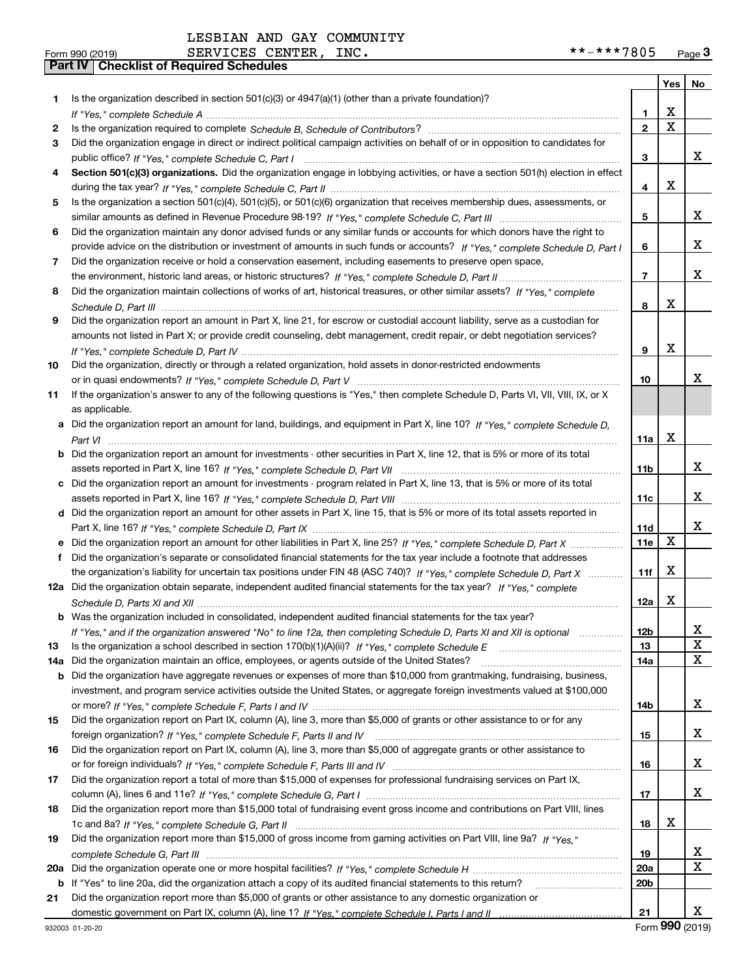| LESBIAN AND GAY COMMUNITY |  |  |
|---------------------------|--|--|
|---------------------------|--|--|

|     |                                                                                                                                                                                                                                                   |                 | Yes         | No                      |
|-----|---------------------------------------------------------------------------------------------------------------------------------------------------------------------------------------------------------------------------------------------------|-----------------|-------------|-------------------------|
| 1   | Is the organization described in section 501(c)(3) or 4947(a)(1) (other than a private foundation)?                                                                                                                                               |                 |             |                         |
|     |                                                                                                                                                                                                                                                   | 1               | х           |                         |
| 2   |                                                                                                                                                                                                                                                   | $\mathbf{2}$    | $\mathbf X$ |                         |
| 3   | Did the organization engage in direct or indirect political campaign activities on behalf of or in opposition to candidates for                                                                                                                   |                 |             |                         |
|     |                                                                                                                                                                                                                                                   | 3               |             | X.                      |
| 4   | Section 501(c)(3) organizations. Did the organization engage in lobbying activities, or have a section 501(h) election in effect                                                                                                                  |                 |             |                         |
|     |                                                                                                                                                                                                                                                   | 4               | X           |                         |
| 5   | Is the organization a section 501(c)(4), 501(c)(5), or 501(c)(6) organization that receives membership dues, assessments, or                                                                                                                      |                 |             |                         |
|     |                                                                                                                                                                                                                                                   | 5               |             | X.                      |
| 6   | Did the organization maintain any donor advised funds or any similar funds or accounts for which donors have the right to                                                                                                                         |                 |             |                         |
|     | provide advice on the distribution or investment of amounts in such funds or accounts? If "Yes," complete Schedule D, Part I                                                                                                                      | 6               |             | X.                      |
| 7   | Did the organization receive or hold a conservation easement, including easements to preserve open space,                                                                                                                                         |                 |             |                         |
|     |                                                                                                                                                                                                                                                   | 7               |             | X.                      |
| 8   | Did the organization maintain collections of works of art, historical treasures, or other similar assets? If "Yes," complete                                                                                                                      |                 |             |                         |
|     |                                                                                                                                                                                                                                                   | 8               | X           |                         |
| 9   | Did the organization report an amount in Part X, line 21, for escrow or custodial account liability, serve as a custodian for                                                                                                                     |                 |             |                         |
|     | amounts not listed in Part X; or provide credit counseling, debt management, credit repair, or debt negotiation services?                                                                                                                         |                 |             |                         |
|     |                                                                                                                                                                                                                                                   | 9               | х           |                         |
| 10  | Did the organization, directly or through a related organization, hold assets in donor-restricted endowments                                                                                                                                      |                 |             |                         |
|     |                                                                                                                                                                                                                                                   | 10              |             | х                       |
| 11  | If the organization's answer to any of the following questions is "Yes," then complete Schedule D, Parts VI, VIII, VIII, IX, or X                                                                                                                 |                 |             |                         |
|     | as applicable.                                                                                                                                                                                                                                    |                 |             |                         |
|     | a Did the organization report an amount for land, buildings, and equipment in Part X, line 10? If "Yes," complete Schedule D,                                                                                                                     |                 |             |                         |
|     |                                                                                                                                                                                                                                                   | 11a             | X           |                         |
|     | <b>b</b> Did the organization report an amount for investments - other securities in Part X, line 12, that is 5% or more of its total                                                                                                             |                 |             |                         |
|     |                                                                                                                                                                                                                                                   | 11b             |             | X.                      |
|     | c Did the organization report an amount for investments - program related in Part X, line 13, that is 5% or more of its total                                                                                                                     |                 |             |                         |
|     |                                                                                                                                                                                                                                                   | 11c             |             | X.                      |
|     | d Did the organization report an amount for other assets in Part X, line 15, that is 5% or more of its total assets reported in                                                                                                                   |                 |             | X.                      |
|     |                                                                                                                                                                                                                                                   | 11d             | X           |                         |
|     | e Did the organization report an amount for other liabilities in Part X, line 25? If "Yes," complete Schedule D, Part X                                                                                                                           | <b>11e</b>      |             |                         |
| f   | Did the organization's separate or consolidated financial statements for the tax year include a footnote that addresses<br>the organization's liability for uncertain tax positions under FIN 48 (ASC 740)? If "Yes," complete Schedule D, Part X | 11f             | X           |                         |
|     | 12a Did the organization obtain separate, independent audited financial statements for the tax year? If "Yes," complete                                                                                                                           |                 |             |                         |
|     |                                                                                                                                                                                                                                                   | 12a             | х           |                         |
|     | <b>b</b> Was the organization included in consolidated, independent audited financial statements for the tax year?                                                                                                                                |                 |             |                         |
|     | If "Yes," and if the organization answered "No" to line 12a, then completing Schedule D, Parts XI and XII is optional                                                                                                                             | 12 <sub>b</sub> |             | X                       |
| 13  |                                                                                                                                                                                                                                                   | 13              |             | X                       |
| 14a | Did the organization maintain an office, employees, or agents outside of the United States?                                                                                                                                                       | 14a             |             | X                       |
| b   | Did the organization have aggregate revenues or expenses of more than \$10,000 from grantmaking, fundraising, business,                                                                                                                           |                 |             |                         |
|     | investment, and program service activities outside the United States, or aggregate foreign investments valued at \$100,000                                                                                                                        |                 |             |                         |
|     |                                                                                                                                                                                                                                                   | 14b             |             | X.                      |
| 15  | Did the organization report on Part IX, column (A), line 3, more than \$5,000 of grants or other assistance to or for any                                                                                                                         |                 |             |                         |
|     |                                                                                                                                                                                                                                                   | 15              |             | X.                      |
| 16  | Did the organization report on Part IX, column (A), line 3, more than \$5,000 of aggregate grants or other assistance to                                                                                                                          |                 |             |                         |
|     |                                                                                                                                                                                                                                                   | 16              |             | X.                      |
| 17  | Did the organization report a total of more than \$15,000 of expenses for professional fundraising services on Part IX,                                                                                                                           |                 |             |                         |
|     |                                                                                                                                                                                                                                                   | 17              |             | X.                      |
| 18  | Did the organization report more than \$15,000 total of fundraising event gross income and contributions on Part VIII, lines                                                                                                                      |                 |             |                         |
|     |                                                                                                                                                                                                                                                   | 18              | X           |                         |
| 19  | Did the organization report more than \$15,000 of gross income from gaming activities on Part VIII, line 9a? If "Yes."                                                                                                                            |                 |             |                         |
|     |                                                                                                                                                                                                                                                   | 19              |             | X.                      |
| 20a |                                                                                                                                                                                                                                                   | 20a             |             | $\overline{\mathbf{x}}$ |
|     | b If "Yes" to line 20a, did the organization attach a copy of its audited financial statements to this return?                                                                                                                                    | 20 <sub>b</sub> |             |                         |
| 21  | Did the organization report more than \$5,000 of grants or other assistance to any domestic organization or                                                                                                                                       |                 |             |                         |
|     |                                                                                                                                                                                                                                                   | 21              |             | x                       |

Form (2019) **990**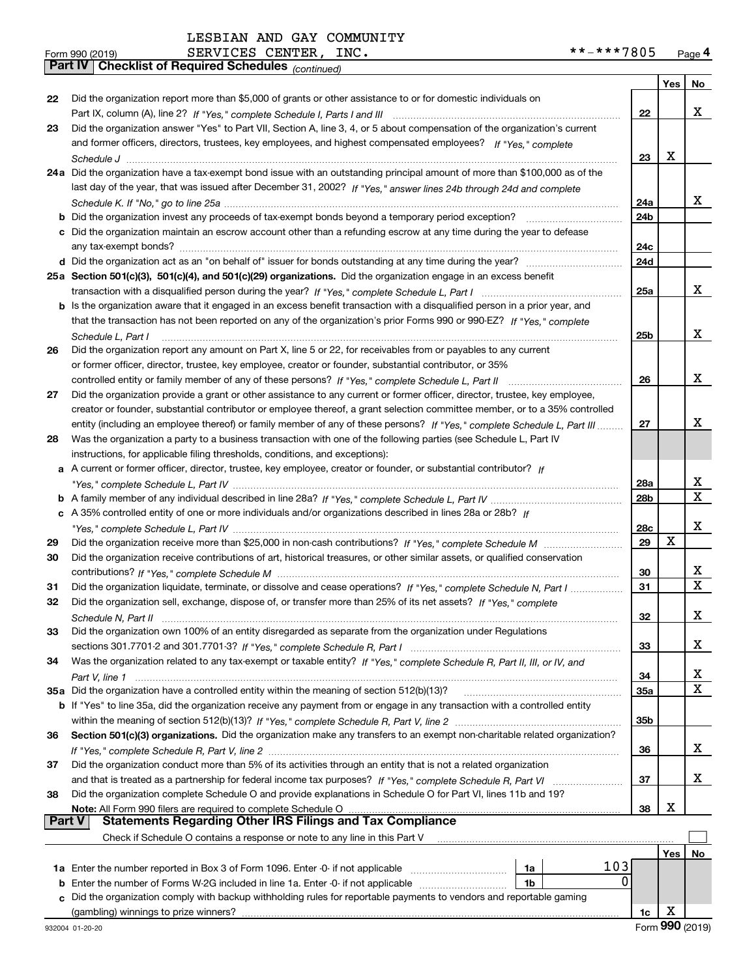| 22            | Did the organization report more than \$5,000 of grants or other assistance to or for domestic individuals on                     |                 |     |             |  |  |  |  |  |  |
|---------------|-----------------------------------------------------------------------------------------------------------------------------------|-----------------|-----|-------------|--|--|--|--|--|--|
|               |                                                                                                                                   | 22              |     | х           |  |  |  |  |  |  |
| 23            | Did the organization answer "Yes" to Part VII, Section A, line 3, 4, or 5 about compensation of the organization's current        |                 |     |             |  |  |  |  |  |  |
|               | and former officers, directors, trustees, key employees, and highest compensated employees? If "Yes," complete                    |                 |     |             |  |  |  |  |  |  |
|               |                                                                                                                                   | 23              | X   |             |  |  |  |  |  |  |
|               | 24a Did the organization have a tax-exempt bond issue with an outstanding principal amount of more than \$100,000 as of the       |                 |     |             |  |  |  |  |  |  |
|               | last day of the year, that was issued after December 31, 2002? If "Yes," answer lines 24b through 24d and complete                |                 |     |             |  |  |  |  |  |  |
|               |                                                                                                                                   | 24a             |     | x           |  |  |  |  |  |  |
|               |                                                                                                                                   | 24 <sub>b</sub> |     |             |  |  |  |  |  |  |
|               | c Did the organization maintain an escrow account other than a refunding escrow at any time during the year to defease            |                 |     |             |  |  |  |  |  |  |
|               |                                                                                                                                   | 24c             |     |             |  |  |  |  |  |  |
|               |                                                                                                                                   | 24d             |     |             |  |  |  |  |  |  |
|               | 25a Section 501(c)(3), 501(c)(4), and 501(c)(29) organizations. Did the organization engage in an excess benefit                  |                 |     |             |  |  |  |  |  |  |
|               |                                                                                                                                   | 25a             |     | х           |  |  |  |  |  |  |
|               |                                                                                                                                   |                 |     |             |  |  |  |  |  |  |
|               | b Is the organization aware that it engaged in an excess benefit transaction with a disqualified person in a prior year, and      |                 |     |             |  |  |  |  |  |  |
|               | that the transaction has not been reported on any of the organization's prior Forms 990 or 990-EZ? If "Yes," complete             |                 |     |             |  |  |  |  |  |  |
|               | Schedule L. Part I                                                                                                                | 25 <sub>b</sub> |     | х           |  |  |  |  |  |  |
| 26            | Did the organization report any amount on Part X, line 5 or 22, for receivables from or payables to any current                   |                 |     |             |  |  |  |  |  |  |
|               | or former officer, director, trustee, key employee, creator or founder, substantial contributor, or 35%                           |                 |     |             |  |  |  |  |  |  |
|               | controlled entity or family member of any of these persons? If "Yes," complete Schedule L, Part II                                | 26              |     | X           |  |  |  |  |  |  |
| 27            | Did the organization provide a grant or other assistance to any current or former officer, director, trustee, key employee,       |                 |     |             |  |  |  |  |  |  |
|               | creator or founder, substantial contributor or employee thereof, a grant selection committee member, or to a 35% controlled       |                 |     |             |  |  |  |  |  |  |
|               | entity (including an employee thereof) or family member of any of these persons? If "Yes," complete Schedule L, Part III          | 27              |     | х           |  |  |  |  |  |  |
| 28            | Was the organization a party to a business transaction with one of the following parties (see Schedule L, Part IV                 |                 |     |             |  |  |  |  |  |  |
|               | instructions, for applicable filing thresholds, conditions, and exceptions):                                                      |                 |     |             |  |  |  |  |  |  |
|               | a A current or former officer, director, trustee, key employee, creator or founder, or substantial contributor? If                |                 |     |             |  |  |  |  |  |  |
|               |                                                                                                                                   |                 |     |             |  |  |  |  |  |  |
|               | 28b                                                                                                                               |                 |     |             |  |  |  |  |  |  |
|               | c A 35% controlled entity of one or more individuals and/or organizations described in lines 28a or 28b? If                       |                 |     |             |  |  |  |  |  |  |
|               |                                                                                                                                   | 28c             |     | х           |  |  |  |  |  |  |
| 29            |                                                                                                                                   | 29              | X   |             |  |  |  |  |  |  |
| 30            | Did the organization receive contributions of art, historical treasures, or other similar assets, or qualified conservation       |                 |     |             |  |  |  |  |  |  |
|               |                                                                                                                                   | 30              |     | х           |  |  |  |  |  |  |
| 31            | Did the organization liquidate, terminate, or dissolve and cease operations? If "Yes," complete Schedule N, Part I                | 31              |     | $\mathbf X$ |  |  |  |  |  |  |
| 32            | Did the organization sell, exchange, dispose of, or transfer more than 25% of its net assets? If "Yes." complete                  |                 |     |             |  |  |  |  |  |  |
|               | Schedule N. Part II                                                                                                               | 32              |     | х           |  |  |  |  |  |  |
| 33            | Did the organization own 100% of an entity disregarded as separate from the organization under Regulations                        |                 |     |             |  |  |  |  |  |  |
|               |                                                                                                                                   | 33              |     | ▵           |  |  |  |  |  |  |
| 34            | Was the organization related to any tax-exempt or taxable entity? If "Yes," complete Schedule R, Part II, III, or IV, and         |                 |     |             |  |  |  |  |  |  |
|               |                                                                                                                                   | 34              |     | х           |  |  |  |  |  |  |
|               | 35a Did the organization have a controlled entity within the meaning of section 512(b)(13)?                                       | <b>35a</b>      |     | X           |  |  |  |  |  |  |
|               | b If "Yes" to line 35a, did the organization receive any payment from or engage in any transaction with a controlled entity       |                 |     |             |  |  |  |  |  |  |
|               |                                                                                                                                   | 35b             |     |             |  |  |  |  |  |  |
|               | Section 501(c)(3) organizations. Did the organization make any transfers to an exempt non-charitable related organization?        |                 |     |             |  |  |  |  |  |  |
| 36            |                                                                                                                                   |                 |     | x           |  |  |  |  |  |  |
|               |                                                                                                                                   | 36              |     |             |  |  |  |  |  |  |
| 37            | Did the organization conduct more than 5% of its activities through an entity that is not a related organization                  |                 |     |             |  |  |  |  |  |  |
|               |                                                                                                                                   | 37              |     | x           |  |  |  |  |  |  |
| 38            | Did the organization complete Schedule O and provide explanations in Schedule O for Part VI, lines 11b and 19?                    |                 |     |             |  |  |  |  |  |  |
| <b>Part V</b> | Note: All Form 990 filers are required to complete Schedule O<br><b>Statements Regarding Other IRS Filings and Tax Compliance</b> | 38              | х   |             |  |  |  |  |  |  |
|               |                                                                                                                                   |                 |     |             |  |  |  |  |  |  |
|               | Check if Schedule O contains a response or note to any line in this Part V                                                        |                 |     |             |  |  |  |  |  |  |
|               |                                                                                                                                   |                 | Yes | No          |  |  |  |  |  |  |
|               | 103<br>1a Enter the number reported in Box 3 of Form 1096. Enter -0- if not applicable<br>1a                                      |                 |     |             |  |  |  |  |  |  |
|               | 0<br><b>b</b> Enter the number of Forms W-2G included in line 1a. Enter -0- if not applicable<br>1b                               |                 |     |             |  |  |  |  |  |  |

 ${\bf c}$  Did the organization comply with backup withholding rules for reportable payments to vendors and reportable gaming (gambling) winnings to prize winners?

X

**1c**

#### *(continued)* **4Part IV Checklist of Required Schedules** Form 990 (2019) SERVICES CENTER, INC. \* \* – \* \* \* 7 8 0 5 <sub>Page</sub>

**Yes No**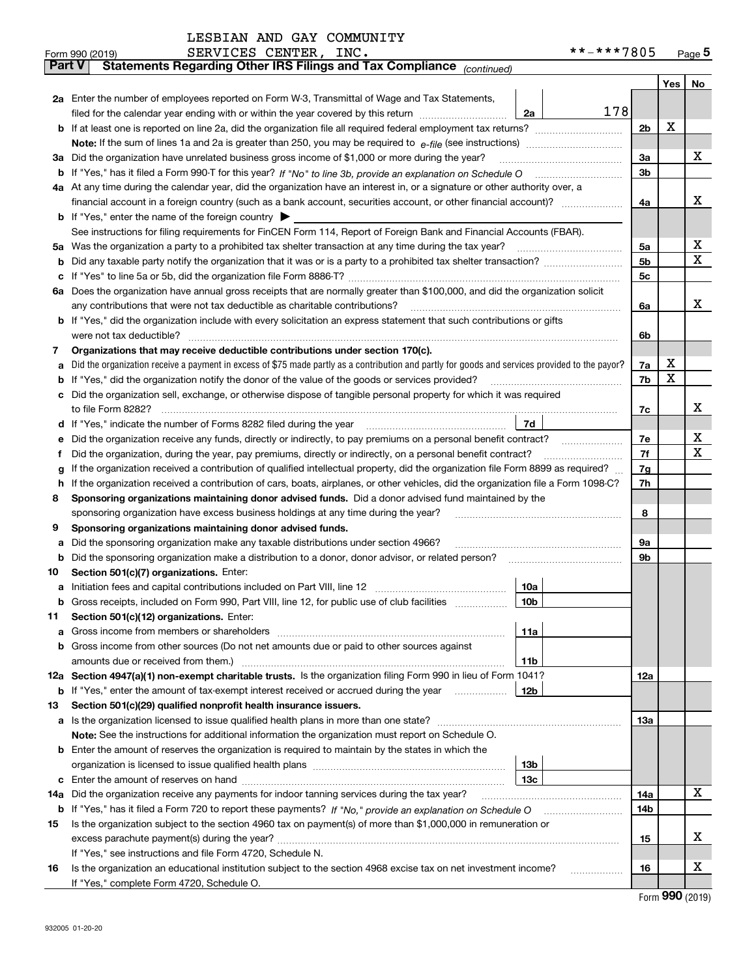|  | LESBIAN AND GAY COMMUNITY |
|--|---------------------------|
|  |                           |

|               |                                                                                                                                                                                                                                                                             | SERVICES CENTER, INC.<br>Form 990 (2019)                                                                                                        |                 | **-***7805 |            |     | Page $5$    |  |  |  |  |  |  |
|---------------|-----------------------------------------------------------------------------------------------------------------------------------------------------------------------------------------------------------------------------------------------------------------------------|-------------------------------------------------------------------------------------------------------------------------------------------------|-----------------|------------|------------|-----|-------------|--|--|--|--|--|--|
| <b>Part V</b> |                                                                                                                                                                                                                                                                             | Statements Regarding Other IRS Filings and Tax Compliance (continued)                                                                           |                 |            |            |     |             |  |  |  |  |  |  |
|               |                                                                                                                                                                                                                                                                             |                                                                                                                                                 |                 |            |            | Yes | No          |  |  |  |  |  |  |
|               |                                                                                                                                                                                                                                                                             | 2a Enter the number of employees reported on Form W-3, Transmittal of Wage and Tax Statements,                                                  |                 |            |            |     |             |  |  |  |  |  |  |
|               |                                                                                                                                                                                                                                                                             | filed for the calendar year ending with or within the year covered by this return                                                               | 2a              | 178        |            | х   |             |  |  |  |  |  |  |
|               |                                                                                                                                                                                                                                                                             |                                                                                                                                                 |                 |            |            |     |             |  |  |  |  |  |  |
|               |                                                                                                                                                                                                                                                                             |                                                                                                                                                 |                 |            |            |     |             |  |  |  |  |  |  |
|               | 3a Did the organization have unrelated business gross income of \$1,000 or more during the year?                                                                                                                                                                            |                                                                                                                                                 |                 |            |            |     |             |  |  |  |  |  |  |
|               |                                                                                                                                                                                                                                                                             |                                                                                                                                                 |                 |            | 3b         |     |             |  |  |  |  |  |  |
|               |                                                                                                                                                                                                                                                                             | 4a At any time during the calendar year, did the organization have an interest in, or a signature or other authority over, a                    |                 |            |            |     |             |  |  |  |  |  |  |
|               |                                                                                                                                                                                                                                                                             |                                                                                                                                                 |                 |            | 4a         |     | x           |  |  |  |  |  |  |
|               |                                                                                                                                                                                                                                                                             | <b>b</b> If "Yes," enter the name of the foreign country $\blacktriangleright$                                                                  |                 |            |            |     |             |  |  |  |  |  |  |
|               | See instructions for filing requirements for FinCEN Form 114, Report of Foreign Bank and Financial Accounts (FBAR).                                                                                                                                                         |                                                                                                                                                 |                 |            |            |     |             |  |  |  |  |  |  |
| 5a            | Was the organization a party to a prohibited tax shelter transaction at any time during the tax year?                                                                                                                                                                       |                                                                                                                                                 |                 |            |            |     |             |  |  |  |  |  |  |
| b             |                                                                                                                                                                                                                                                                             |                                                                                                                                                 |                 |            | 5b         |     | $\mathbf X$ |  |  |  |  |  |  |
| с             |                                                                                                                                                                                                                                                                             |                                                                                                                                                 |                 |            | 5c         |     |             |  |  |  |  |  |  |
|               |                                                                                                                                                                                                                                                                             | 6a Does the organization have annual gross receipts that are normally greater than \$100,000, and did the organization solicit                  |                 |            |            |     |             |  |  |  |  |  |  |
|               |                                                                                                                                                                                                                                                                             | any contributions that were not tax deductible as charitable contributions?                                                                     |                 |            | 6a         |     | x           |  |  |  |  |  |  |
|               |                                                                                                                                                                                                                                                                             | b If "Yes," did the organization include with every solicitation an express statement that such contributions or gifts                          |                 |            |            |     |             |  |  |  |  |  |  |
|               |                                                                                                                                                                                                                                                                             | were not tax deductible?                                                                                                                        |                 |            | 6b         |     |             |  |  |  |  |  |  |
| 7             |                                                                                                                                                                                                                                                                             | Organizations that may receive deductible contributions under section 170(c).                                                                   |                 |            |            |     |             |  |  |  |  |  |  |
| a             |                                                                                                                                                                                                                                                                             | Did the organization receive a payment in excess of \$75 made partly as a contribution and partly for goods and services provided to the payor? |                 |            | 7a         | х   |             |  |  |  |  |  |  |
| b             |                                                                                                                                                                                                                                                                             | If "Yes," did the organization notify the donor of the value of the goods or services provided?                                                 |                 |            | 7b         | х   |             |  |  |  |  |  |  |
|               |                                                                                                                                                                                                                                                                             | Did the organization sell, exchange, or otherwise dispose of tangible personal property for which it was required                               |                 |            |            |     | х           |  |  |  |  |  |  |
|               |                                                                                                                                                                                                                                                                             |                                                                                                                                                 |                 |            | 7c         |     |             |  |  |  |  |  |  |
| d             |                                                                                                                                                                                                                                                                             | If "Yes," indicate the number of Forms 8282 filed during the year [11] [11] Wes," indicate the number of Forms 8282 filed during the year       | 7d              |            |            |     | x           |  |  |  |  |  |  |
| е             |                                                                                                                                                                                                                                                                             | Did the organization receive any funds, directly or indirectly, to pay premiums on a personal benefit contract?                                 |                 |            | 7e<br>7f   |     | X           |  |  |  |  |  |  |
|               | Did the organization, during the year, pay premiums, directly or indirectly, on a personal benefit contract?<br>f                                                                                                                                                           |                                                                                                                                                 |                 |            |            |     |             |  |  |  |  |  |  |
| h.            | If the organization received a contribution of qualified intellectual property, did the organization file Form 8899 as required?<br>g<br>If the organization received a contribution of cars, boats, airplanes, or other vehicles, did the organization file a Form 1098-C? |                                                                                                                                                 |                 |            |            |     |             |  |  |  |  |  |  |
| 8             |                                                                                                                                                                                                                                                                             | Sponsoring organizations maintaining donor advised funds. Did a donor advised fund maintained by the                                            |                 |            | 7h         |     |             |  |  |  |  |  |  |
|               |                                                                                                                                                                                                                                                                             | sponsoring organization have excess business holdings at any time during the year?                                                              |                 |            | 8          |     |             |  |  |  |  |  |  |
| 9             |                                                                                                                                                                                                                                                                             | Sponsoring organizations maintaining donor advised funds.                                                                                       |                 |            |            |     |             |  |  |  |  |  |  |
| a             |                                                                                                                                                                                                                                                                             | Did the sponsoring organization make any taxable distributions under section 4966?                                                              |                 |            | 9а         |     |             |  |  |  |  |  |  |
| b             |                                                                                                                                                                                                                                                                             | Did the sponsoring organization make a distribution to a donor, donor advisor, or related person?                                               |                 |            | 9b         |     |             |  |  |  |  |  |  |
| 10            |                                                                                                                                                                                                                                                                             | Section 501(c)(7) organizations. Enter:                                                                                                         |                 |            |            |     |             |  |  |  |  |  |  |
|               |                                                                                                                                                                                                                                                                             |                                                                                                                                                 | 10a             |            |            |     |             |  |  |  |  |  |  |
|               |                                                                                                                                                                                                                                                                             | Gross receipts, included on Form 990, Part VIII, line 12, for public use of club facilities                                                     | 10b             |            |            |     |             |  |  |  |  |  |  |
| 11            |                                                                                                                                                                                                                                                                             | Section 501(c)(12) organizations. Enter:                                                                                                        |                 |            |            |     |             |  |  |  |  |  |  |
| a             |                                                                                                                                                                                                                                                                             | Gross income from members or shareholders                                                                                                       | 11a             |            |            |     |             |  |  |  |  |  |  |
|               |                                                                                                                                                                                                                                                                             | b Gross income from other sources (Do not net amounts due or paid to other sources against                                                      |                 |            |            |     |             |  |  |  |  |  |  |
|               |                                                                                                                                                                                                                                                                             |                                                                                                                                                 | 11b             |            |            |     |             |  |  |  |  |  |  |
|               |                                                                                                                                                                                                                                                                             | 12a Section 4947(a)(1) non-exempt charitable trusts. Is the organization filing Form 990 in lieu of Form 1041?                                  |                 |            | 12a        |     |             |  |  |  |  |  |  |
|               |                                                                                                                                                                                                                                                                             | <b>b</b> If "Yes," enter the amount of tax-exempt interest received or accrued during the year <i>manument</i>                                  | 12 <sub>b</sub> |            |            |     |             |  |  |  |  |  |  |
| 13            |                                                                                                                                                                                                                                                                             | Section 501(c)(29) qualified nonprofit health insurance issuers.                                                                                |                 |            |            |     |             |  |  |  |  |  |  |
|               |                                                                                                                                                                                                                                                                             | a Is the organization licensed to issue qualified health plans in more than one state?                                                          |                 |            | <b>13a</b> |     |             |  |  |  |  |  |  |
|               |                                                                                                                                                                                                                                                                             | Note: See the instructions for additional information the organization must report on Schedule O.                                               |                 |            |            |     |             |  |  |  |  |  |  |
|               |                                                                                                                                                                                                                                                                             | <b>b</b> Enter the amount of reserves the organization is required to maintain by the states in which the                                       |                 |            |            |     |             |  |  |  |  |  |  |
|               |                                                                                                                                                                                                                                                                             |                                                                                                                                                 | 13 <sub>b</sub> |            |            |     |             |  |  |  |  |  |  |
|               |                                                                                                                                                                                                                                                                             |                                                                                                                                                 | 13c             |            |            |     |             |  |  |  |  |  |  |
| 14a           |                                                                                                                                                                                                                                                                             | Did the organization receive any payments for indoor tanning services during the tax year?                                                      |                 |            | 14a        |     | х           |  |  |  |  |  |  |
|               |                                                                                                                                                                                                                                                                             | <b>b</b> If "Yes," has it filed a Form 720 to report these payments? If "No," provide an explanation on Schedule O                              |                 |            | 14b        |     |             |  |  |  |  |  |  |
| 15            |                                                                                                                                                                                                                                                                             | Is the organization subject to the section 4960 tax on payment(s) of more than \$1,000,000 in remuneration or                                   |                 |            |            |     |             |  |  |  |  |  |  |
|               |                                                                                                                                                                                                                                                                             |                                                                                                                                                 |                 |            | 15         |     | X           |  |  |  |  |  |  |
|               |                                                                                                                                                                                                                                                                             | If "Yes," see instructions and file Form 4720, Schedule N.                                                                                      |                 |            |            |     |             |  |  |  |  |  |  |
| 16            |                                                                                                                                                                                                                                                                             | Is the organization an educational institution subject to the section 4968 excise tax on net investment income?                                 |                 |            | 16         |     | X           |  |  |  |  |  |  |
|               |                                                                                                                                                                                                                                                                             | If "Yes," complete Form 4720, Schedule O.                                                                                                       |                 |            |            |     |             |  |  |  |  |  |  |

Form (2019) **990**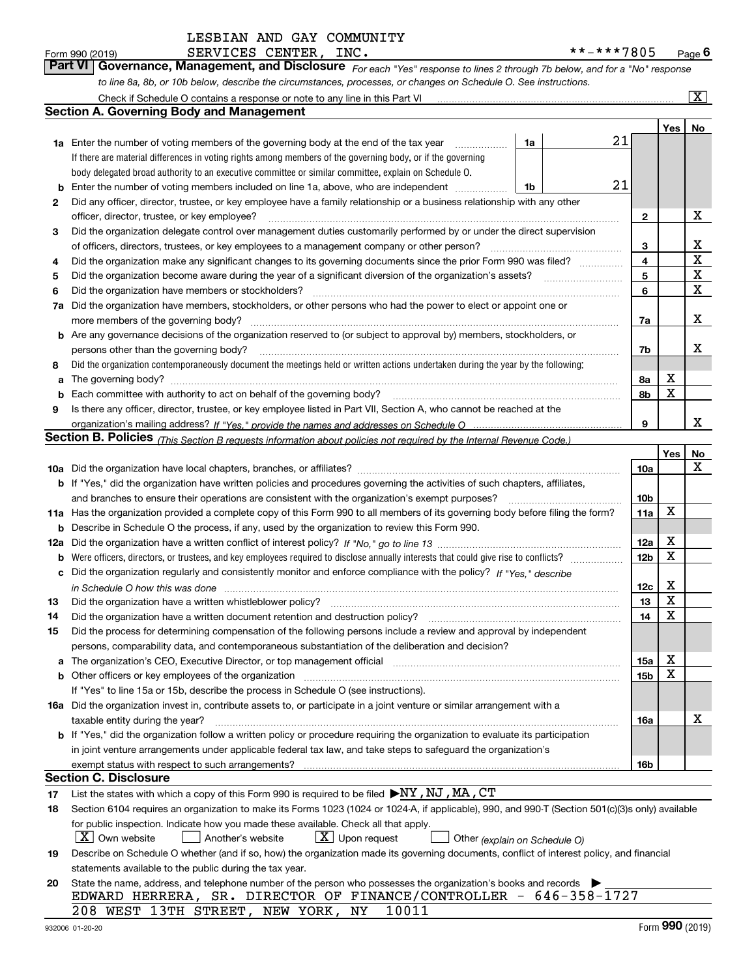*For each "Yes" response to lines 2 through 7b below, and for a "No" response to line 8a, 8b, or 10b below, describe the circumstances, processes, or changes on Schedule O. See instructions.* Form 990 (2019) **EXERVICES CENTER, INC.** \*\*-\*\*\*7805 Page 6<br>**Part VI** | Governance, Management, and Disclosure *For each "Yes" response to lines 2 through 7b below, and for a "No" response* 

|     | x<br>Check if Schedule O contains a response or note to any line in this Part VI                                                                                                                                 |                               |                        |        |             |  |  |  |  |  |  |  |
|-----|------------------------------------------------------------------------------------------------------------------------------------------------------------------------------------------------------------------|-------------------------------|------------------------|--------|-------------|--|--|--|--|--|--|--|
|     | <b>Section A. Governing Body and Management</b>                                                                                                                                                                  |                               |                        |        |             |  |  |  |  |  |  |  |
|     |                                                                                                                                                                                                                  |                               |                        | Yes    | No          |  |  |  |  |  |  |  |
|     | 1a Enter the number of voting members of the governing body at the end of the tax year                                                                                                                           | 1a                            | 21                     |        |             |  |  |  |  |  |  |  |
|     | If there are material differences in voting rights among members of the governing body, or if the governing                                                                                                      |                               |                        |        |             |  |  |  |  |  |  |  |
|     | body delegated broad authority to an executive committee or similar committee, explain on Schedule O.                                                                                                            |                               |                        |        |             |  |  |  |  |  |  |  |
| b   | Enter the number of voting members included on line 1a, above, who are independent                                                                                                                               | 1b                            | 21                     |        |             |  |  |  |  |  |  |  |
| 2   | Did any officer, director, trustee, or key employee have a family relationship or a business relationship with any other                                                                                         |                               |                        |        |             |  |  |  |  |  |  |  |
|     | officer, director, trustee, or key employee?                                                                                                                                                                     |                               | $\mathbf{2}$           |        | X           |  |  |  |  |  |  |  |
| 3   | Did the organization delegate control over management duties customarily performed by or under the direct supervision                                                                                            |                               |                        |        |             |  |  |  |  |  |  |  |
|     | of officers, directors, trustees, or key employees to a management company or other person?                                                                                                                      |                               | 3                      |        | x           |  |  |  |  |  |  |  |
| 4   | Did the organization make any significant changes to its governing documents since the prior Form 990 was filed?                                                                                                 |                               | $\overline{4}$         |        | $\mathbf X$ |  |  |  |  |  |  |  |
| 5   |                                                                                                                                                                                                                  |                               | 5                      |        | $\mathbf X$ |  |  |  |  |  |  |  |
| 6   | Did the organization have members or stockholders?                                                                                                                                                               |                               | 6                      |        | $\mathbf X$ |  |  |  |  |  |  |  |
| 7a  | Did the organization have members, stockholders, or other persons who had the power to elect or appoint one or                                                                                                   |                               |                        |        |             |  |  |  |  |  |  |  |
|     | more members of the governing body?                                                                                                                                                                              |                               | 7a                     |        | х           |  |  |  |  |  |  |  |
|     | <b>b</b> Are any governance decisions of the organization reserved to (or subject to approval by) members, stockholders, or                                                                                      |                               |                        |        |             |  |  |  |  |  |  |  |
|     | persons other than the governing body?                                                                                                                                                                           |                               | 7b                     |        | x           |  |  |  |  |  |  |  |
| 8   | Did the organization contemporaneously document the meetings held or written actions undertaken during the year by the following:                                                                                |                               |                        |        |             |  |  |  |  |  |  |  |
| a   | The governing body?                                                                                                                                                                                              |                               | 8a                     | х      |             |  |  |  |  |  |  |  |
| b   |                                                                                                                                                                                                                  |                               | 8b                     | X      |             |  |  |  |  |  |  |  |
| 9   | Is there any officer, director, trustee, or key employee listed in Part VII, Section A, who cannot be reached at the                                                                                             |                               |                        |        |             |  |  |  |  |  |  |  |
|     |                                                                                                                                                                                                                  |                               | 9                      |        | x           |  |  |  |  |  |  |  |
|     | <b>Section B. Policies</b> (This Section B requests information about policies not required by the Internal Revenue Code.)                                                                                       |                               |                        |        |             |  |  |  |  |  |  |  |
|     |                                                                                                                                                                                                                  |                               |                        | Yes    | No          |  |  |  |  |  |  |  |
|     |                                                                                                                                                                                                                  |                               | 10a                    |        | х           |  |  |  |  |  |  |  |
|     | <b>b</b> If "Yes," did the organization have written policies and procedures governing the activities of such chapters, affiliates,                                                                              |                               |                        |        |             |  |  |  |  |  |  |  |
|     | and branches to ensure their operations are consistent with the organization's exempt purposes?                                                                                                                  |                               | 10 <sub>b</sub><br>11a | X      |             |  |  |  |  |  |  |  |
|     | 11a Has the organization provided a complete copy of this Form 990 to all members of its governing body before filing the form?                                                                                  |                               |                        |        |             |  |  |  |  |  |  |  |
| b   | Describe in Schedule O the process, if any, used by the organization to review this Form 990.                                                                                                                    |                               |                        |        |             |  |  |  |  |  |  |  |
| 12a |                                                                                                                                                                                                                  |                               | 12a                    | X      |             |  |  |  |  |  |  |  |
| b   |                                                                                                                                                                                                                  |                               | 12 <sub>b</sub>        | X      |             |  |  |  |  |  |  |  |
| с   | Did the organization regularly and consistently monitor and enforce compliance with the policy? If "Yes." describe                                                                                               |                               |                        |        |             |  |  |  |  |  |  |  |
|     | in Schedule O how this was done www.communication.com/www.communications.com/www.communications.com/                                                                                                             |                               | 12c                    | х      |             |  |  |  |  |  |  |  |
| 13  | Did the organization have a written whistleblower policy?                                                                                                                                                        |                               | 13                     | X      |             |  |  |  |  |  |  |  |
| 14  | Did the organization have a written document retention and destruction policy?                                                                                                                                   |                               | 14                     | X      |             |  |  |  |  |  |  |  |
| 15  | Did the process for determining compensation of the following persons include a review and approval by independent                                                                                               |                               |                        |        |             |  |  |  |  |  |  |  |
|     | persons, comparability data, and contemporaneous substantiation of the deliberation and decision?                                                                                                                |                               |                        |        |             |  |  |  |  |  |  |  |
| a   | The organization's CEO, Executive Director, or top management official manufactured content of the organization's CEO, Executive Director, or top management official                                            |                               | 15a                    | х<br>X |             |  |  |  |  |  |  |  |
|     |                                                                                                                                                                                                                  |                               | 15b                    |        |             |  |  |  |  |  |  |  |
|     | If "Yes" to line 15a or 15b, describe the process in Schedule O (see instructions).<br>16a Did the organization invest in, contribute assets to, or participate in a joint venture or similar arrangement with a |                               |                        |        |             |  |  |  |  |  |  |  |
|     | taxable entity during the year?                                                                                                                                                                                  |                               | 16a                    |        | х           |  |  |  |  |  |  |  |
|     | b If "Yes," did the organization follow a written policy or procedure requiring the organization to evaluate its participation                                                                                   |                               |                        |        |             |  |  |  |  |  |  |  |
|     | in joint venture arrangements under applicable federal tax law, and take steps to safeguard the organization's                                                                                                   |                               |                        |        |             |  |  |  |  |  |  |  |
|     | exempt status with respect to such arrangements?                                                                                                                                                                 |                               |                        |        |             |  |  |  |  |  |  |  |
|     | <b>Section C. Disclosure</b>                                                                                                                                                                                     |                               | 16b                    |        |             |  |  |  |  |  |  |  |
| 17  | List the states with which a copy of this Form 990 is required to be filed $\blacktriangleright$ NY, NJ, MA, CT                                                                                                  |                               |                        |        |             |  |  |  |  |  |  |  |
| 18  | Section 6104 requires an organization to make its Forms 1023 (1024 or 1024-A, if applicable), 990, and 990-T (Section 501(c)(3)s only) available                                                                 |                               |                        |        |             |  |  |  |  |  |  |  |
|     | for public inspection. Indicate how you made these available. Check all that apply.                                                                                                                              |                               |                        |        |             |  |  |  |  |  |  |  |
|     | $X$ Own website<br>$X$ Upon request<br>Another's website                                                                                                                                                         | Other (explain on Schedule O) |                        |        |             |  |  |  |  |  |  |  |
| 19  | Describe on Schedule O whether (and if so, how) the organization made its governing documents, conflict of interest policy, and financial                                                                        |                               |                        |        |             |  |  |  |  |  |  |  |
|     | statements available to the public during the tax year.                                                                                                                                                          |                               |                        |        |             |  |  |  |  |  |  |  |
| 20  | State the name, address, and telephone number of the person who possesses the organization's books and records                                                                                                   |                               |                        |        |             |  |  |  |  |  |  |  |
|     | EDWARD HERRERA, SR. DIRECTOR OF FINANCE/CONTROLLER - 646-358-1727                                                                                                                                                |                               |                        |        |             |  |  |  |  |  |  |  |
|     | 208 WEST 13TH STREET, NEW YORK, NY<br>10011                                                                                                                                                                      |                               |                        |        |             |  |  |  |  |  |  |  |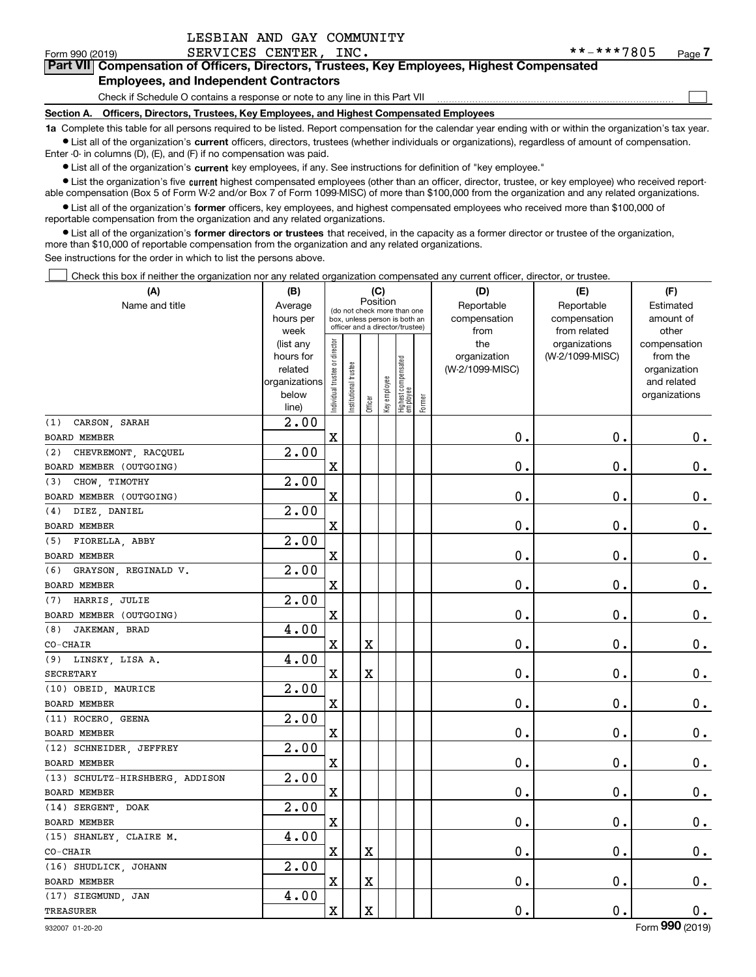$\mathcal{L}^{\text{max}}$ 

#### Form 990 (2019) SERVICES CENTER, INC. \* \* – \* \* \* 7 8 0 5 <sub>Page</sub> **7Part VII Compensation of Officers, Directors, Trustees, Key Employees, Highest Compensated Employees, and Independent Contractors**

Check if Schedule O contains a response or note to any line in this Part VII

**Section A. Officers, Directors, Trustees, Key Employees, and Highest Compensated Employees**

**1a**  Complete this table for all persons required to be listed. Report compensation for the calendar year ending with or within the organization's tax year. **•** List all of the organization's current officers, directors, trustees (whether individuals or organizations), regardless of amount of compensation.

Enter -0- in columns (D), (E), and (F) if no compensation was paid.

 $\bullet$  List all of the organization's  $\,$ current key employees, if any. See instructions for definition of "key employee."

**•** List the organization's five current highest compensated employees (other than an officer, director, trustee, or key employee) who received reportable compensation (Box 5 of Form W-2 and/or Box 7 of Form 1099-MISC) of more than \$100,000 from the organization and any related organizations.

**•** List all of the organization's former officers, key employees, and highest compensated employees who received more than \$100,000 of reportable compensation from the organization and any related organizations.

**former directors or trustees**  ¥ List all of the organization's that received, in the capacity as a former director or trustee of the organization, more than \$10,000 of reportable compensation from the organization and any related organizations.

See instructions for the order in which to list the persons above.

Check this box if neither the organization nor any related organization compensated any current officer, director, or trustee.  $\mathcal{L}^{\text{max}}$ 

| (A)                             | (B)               | (C)<br>Position               |                                                                  |             |              |                                   |                    | (D)             | (E)                           | (F)           |  |  |
|---------------------------------|-------------------|-------------------------------|------------------------------------------------------------------|-------------|--------------|-----------------------------------|--------------------|-----------------|-------------------------------|---------------|--|--|
| Name and title                  | Average           |                               | (do not check more than one                                      |             |              |                                   |                    | Reportable      | Reportable                    | Estimated     |  |  |
|                                 | hours per<br>week |                               | box, unless person is both an<br>officer and a director/trustee) |             | compensation | compensation                      | amount of<br>other |                 |                               |               |  |  |
|                                 | (list any         |                               |                                                                  |             |              |                                   |                    | from<br>the     | from related<br>organizations | compensation  |  |  |
|                                 | hours for         |                               |                                                                  |             |              |                                   |                    | organization    | (W-2/1099-MISC)               | from the      |  |  |
|                                 | related           |                               |                                                                  |             |              |                                   |                    | (W-2/1099-MISC) |                               | organization  |  |  |
|                                 | organizations     |                               |                                                                  |             |              |                                   |                    |                 |                               | and related   |  |  |
|                                 | below             | ndividual trustee or director | nstitutional trustee                                             | Officer     | Key employee | Highest compensated<br>  employee | Former             |                 |                               | organizations |  |  |
| (1) CARSON, SARAH               | line)<br>2.00     |                               |                                                                  |             |              |                                   |                    |                 |                               |               |  |  |
| BOARD MEMBER                    |                   | $\overline{\textbf{X}}$       |                                                                  |             |              |                                   |                    | 0.              | $\mathbf 0$ .                 | $0_{.}$       |  |  |
| CHEVREMONT, RACQUEL<br>(2)      | 2.00              |                               |                                                                  |             |              |                                   |                    |                 |                               |               |  |  |
| BOARD MEMBER (OUTGOING)         |                   | X                             |                                                                  |             |              |                                   |                    | 0.              | $\mathbf 0$ .                 | $0_{.}$       |  |  |
| (3) CHOW, TIMOTHY               | 2.00              |                               |                                                                  |             |              |                                   |                    |                 |                               |               |  |  |
| BOARD MEMBER (OUTGOING)         |                   | X                             |                                                                  |             |              |                                   |                    | 0.              | $\mathbf 0$ .                 | $\mathbf 0$ . |  |  |
| (4) DIEZ, DANIEL                | 2.00              |                               |                                                                  |             |              |                                   |                    |                 |                               |               |  |  |
| BOARD MEMBER                    |                   | $\mathbf X$                   |                                                                  |             |              |                                   |                    | 0.              | $\mathbf 0$ .                 | $\mathbf 0$ . |  |  |
| (5) FIORELLA, ABBY              | 2.00              |                               |                                                                  |             |              |                                   |                    |                 |                               |               |  |  |
| BOARD MEMBER                    |                   | $\mathbf X$                   |                                                                  |             |              |                                   |                    | 0.              | $\mathbf 0$ .                 | $\mathbf 0$ . |  |  |
| (6) GRAYSON, REGINALD V.        | 2.00              |                               |                                                                  |             |              |                                   |                    |                 |                               |               |  |  |
| BOARD MEMBER                    |                   | $\mathbf X$                   |                                                                  |             |              |                                   |                    | 0.              | $\mathbf 0$ .                 | $\mathbf 0$ . |  |  |
| (7) HARRIS, JULIE               | 2.00              |                               |                                                                  |             |              |                                   |                    |                 |                               |               |  |  |
| BOARD MEMBER (OUTGOING)         |                   | $\mathbf X$                   |                                                                  |             |              |                                   |                    | 0.              | $\mathbf 0$ .                 | $\mathbf 0$ . |  |  |
| (8) JAKEMAN, BRAD               | 4.00              |                               |                                                                  |             |              |                                   |                    |                 |                               |               |  |  |
| CO-CHAIR                        |                   | $\mathbf X$                   |                                                                  | X           |              |                                   |                    | 0.              | $\mathbf 0$ .                 | $\mathbf 0$ . |  |  |
| (9) LINSKY, LISA A.             | 4.00              |                               |                                                                  |             |              |                                   |                    |                 |                               |               |  |  |
| SECRETARY                       |                   | $\mathbf X$                   |                                                                  | $\mathbf X$ |              |                                   |                    | 0.              | $\mathbf 0$ .                 | 0.            |  |  |
| (10) OBEID, MAURICE             | 2.00              |                               |                                                                  |             |              |                                   |                    |                 |                               |               |  |  |
| BOARD MEMBER                    |                   | $\mathbf X$                   |                                                                  |             |              |                                   |                    | 0.              | $\mathbf 0$ .                 | $\mathbf 0$ . |  |  |
| (11) ROCERO, GEENA              | 2.00              |                               |                                                                  |             |              |                                   |                    |                 |                               |               |  |  |
| BOARD MEMBER                    |                   | $\mathbf X$                   |                                                                  |             |              |                                   |                    | 0.              | $\mathbf 0$ .                 | $\mathbf 0$ . |  |  |
| (12) SCHNEIDER, JEFFREY         | 2.00              |                               |                                                                  |             |              |                                   |                    |                 |                               |               |  |  |
| BOARD MEMBER                    |                   | $\mathbf X$                   |                                                                  |             |              |                                   |                    | 0.              | $\mathbf 0$ .                 | $\mathbf 0$ . |  |  |
| (13) SCHULTZ-HIRSHBERG, ADDISON | 2.00              |                               |                                                                  |             |              |                                   |                    |                 |                               |               |  |  |
| BOARD MEMBER                    |                   | $\mathbf X$                   |                                                                  |             |              |                                   |                    | 0.              | $\mathbf 0$ .                 | $0_{\cdot}$   |  |  |
| (14) SERGENT, DOAK              | 2.00              |                               |                                                                  |             |              |                                   |                    |                 |                               |               |  |  |
| BOARD MEMBER                    |                   | $\mathbf X$                   |                                                                  |             |              |                                   |                    | 0.              | $\mathbf 0$ .                 | $\mathbf 0$ . |  |  |
| (15) SHANLEY, CLAIRE M.         | 4.00              |                               |                                                                  |             |              |                                   |                    |                 |                               |               |  |  |
| $CO-CHAIR$                      |                   | $\mathbf X$                   |                                                                  | $\mathbf X$ |              |                                   |                    | 0.              | $\mathbf 0$ .                 | $\mathbf 0$ . |  |  |
| (16) SHUDLICK, JOHANN           | 2.00              |                               |                                                                  |             |              |                                   |                    |                 |                               |               |  |  |
| BOARD MEMBER                    |                   | $\mathbf X$                   |                                                                  | X           |              |                                   |                    | 0.              | $\mathbf 0$ .                 | $\mathbf 0$ . |  |  |
| (17) SIEGMUND, JAN              | 4.00              |                               |                                                                  |             |              |                                   |                    |                 |                               |               |  |  |
| TREASURER                       |                   | $\mathbf x$                   |                                                                  | $\rm X$     |              |                                   |                    | 0.              | $\mathbf 0$ .                 | $\mathbf 0$ . |  |  |

932007 01-20-20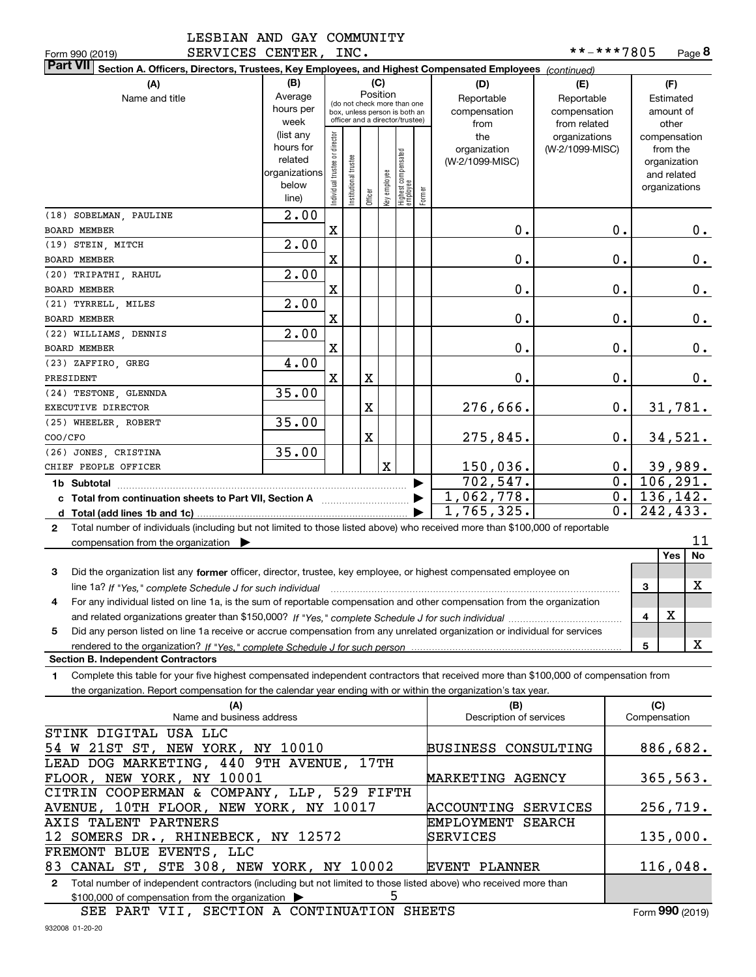SERVICES CENTER, INC.

| SERVICES CENTER,<br>Form 990 (2019)                                                                                                             |                |                                | INC.                 |          |              |                                                              |        |                         | **-****/805     |       |              | Page <b>ö</b> |
|-------------------------------------------------------------------------------------------------------------------------------------------------|----------------|--------------------------------|----------------------|----------|--------------|--------------------------------------------------------------|--------|-------------------------|-----------------|-------|--------------|---------------|
| <b>Part VII</b><br>Section A. Officers, Directors, Trustees, Key Employees, and Highest Compensated Employees (continued)                       |                |                                |                      |          |              |                                                              |        |                         |                 |       |              |               |
| (A)                                                                                                                                             | (B)            |                                |                      | (C)      |              |                                                              |        | (D)                     | (E)             |       |              | (F)           |
| Name and title                                                                                                                                  | Average        |                                |                      | Position |              |                                                              |        | Reportable              | Reportable      |       |              | Estimated     |
|                                                                                                                                                 | hours per      |                                |                      |          |              | (do not check more than one<br>box, unless person is both an |        | compensation            | compensation    |       |              | amount of     |
|                                                                                                                                                 | week           |                                |                      |          |              | officer and a director/trustee)                              |        | from                    | from related    |       |              | other         |
|                                                                                                                                                 | (list any      |                                |                      |          |              |                                                              |        | the                     | organizations   |       |              | compensation  |
|                                                                                                                                                 | hours for      |                                |                      |          |              |                                                              |        | organization            | (W-2/1099-MISC) |       |              | from the      |
|                                                                                                                                                 | related        |                                |                      |          |              |                                                              |        | (W-2/1099-MISC)         |                 |       |              | organization  |
|                                                                                                                                                 | organizations  |                                |                      |          |              |                                                              |        |                         |                 |       |              | and related   |
|                                                                                                                                                 | below<br>line) | Individual trustee or director | nstitutional trustee | Officer  | Key employee | Highest compensated<br> employee                             | Former |                         |                 |       |              | organizations |
|                                                                                                                                                 |                |                                |                      |          |              |                                                              |        |                         |                 |       |              |               |
| (18) SOBELMAN, PAULINE                                                                                                                          | 2.00           |                                |                      |          |              |                                                              |        |                         |                 |       |              |               |
| <b>BOARD MEMBER</b>                                                                                                                             |                | $\mathbf X$                    |                      |          |              |                                                              |        | 0.                      |                 | 0.    |              | 0.            |
| (19) STEIN, MITCH                                                                                                                               | 2.00           |                                |                      |          |              |                                                              |        |                         |                 |       |              |               |
| BOARD MEMBER                                                                                                                                    |                | X                              |                      |          |              |                                                              |        | 0.                      |                 | 0.    |              | $0_{.}$       |
| (20) TRIPATHI, RAHUL                                                                                                                            | 2.00           |                                |                      |          |              |                                                              |        |                         |                 |       |              |               |
| BOARD MEMBER                                                                                                                                    |                | X                              |                      |          |              |                                                              |        | 0.                      |                 | 0.    |              | $0_{.}$       |
| (21) TYRRELL, MILES                                                                                                                             | 2.00           |                                |                      |          |              |                                                              |        |                         |                 |       |              |               |
| BOARD MEMBER                                                                                                                                    |                | X                              |                      |          |              |                                                              |        | 0.                      |                 | 0.    |              | $0_{.}$       |
| (22) WILLIAMS, DENNIS                                                                                                                           | 2.00           |                                |                      |          |              |                                                              |        |                         |                 |       |              |               |
| BOARD MEMBER                                                                                                                                    |                | $\mathbf X$                    |                      |          |              |                                                              |        | 0.                      |                 | 0.    |              | 0.            |
| (23) ZAFFIRO, GREG                                                                                                                              | 4.00           |                                |                      |          |              |                                                              |        |                         |                 |       |              |               |
| PRESIDENT                                                                                                                                       |                | X                              |                      | X        |              |                                                              |        | 0.                      |                 | 0.    |              | 0.            |
| (24) TESTONE, GLENNDA                                                                                                                           | 35.00          |                                |                      |          |              |                                                              |        |                         |                 |       |              |               |
| EXECUTIVE DIRECTOR                                                                                                                              |                |                                |                      | X        |              |                                                              |        | 276,666.                |                 | 0.    |              | 31,781.       |
| (25) WHEELER, ROBERT                                                                                                                            | 35.00          |                                |                      |          |              |                                                              |        |                         |                 |       |              |               |
| COO/CFO                                                                                                                                         |                |                                |                      | X        |              |                                                              |        | 275,845.                |                 | 0.    |              | 34,521.       |
| (26) JONES, CRISTINA                                                                                                                            | 35.00          |                                |                      |          |              |                                                              |        |                         |                 |       |              |               |
| CHIEF PEOPLE OFFICER                                                                                                                            |                |                                |                      |          | X            |                                                              |        | 150,036.                |                 | $0$ . |              | 39,989.       |
|                                                                                                                                                 |                |                                |                      |          |              |                                                              |        | 702,547.                |                 | 0.    |              | 106, 291.     |
| c Total from continuation sheets to Part VII, Section A [111] [120] [20]                                                                        |                |                                |                      |          |              |                                                              |        | 1,062,778.              |                 | $0$ . |              | 136,142.      |
|                                                                                                                                                 |                |                                |                      |          |              |                                                              |        | 1,765,325.              |                 | 0.    |              | 242,433.      |
| Total number of individuals (including but not limited to those listed above) who received more than \$100,000 of reportable<br>$\mathbf{2}$    |                |                                |                      |          |              |                                                              |        |                         |                 |       |              |               |
| compensation from the organization $\blacktriangleright$                                                                                        |                |                                |                      |          |              |                                                              |        |                         |                 |       |              | 11            |
|                                                                                                                                                 |                |                                |                      |          |              |                                                              |        |                         |                 |       |              | Yes<br>No     |
| 3<br>Did the organization list any former officer, director, trustee, key employee, or highest compensated employee on                          |                |                                |                      |          |              |                                                              |        |                         |                 |       |              |               |
| line 1a? If "Yes," complete Schedule J for such individual manufactured contained and the 1a? If "Yes," complete Schedule J for such individual |                |                                |                      |          |              |                                                              |        |                         |                 |       | 3            | х             |
| For any individual listed on line 1a, is the sum of reportable compensation and other compensation from the organization<br>4                   |                |                                |                      |          |              |                                                              |        |                         |                 |       |              |               |
|                                                                                                                                                 |                |                                |                      |          |              |                                                              |        |                         |                 |       | 4            | х             |
| Did any person listed on line 1a receive or accrue compensation from any unrelated organization or individual for services<br>5                 |                |                                |                      |          |              |                                                              |        |                         |                 |       |              |               |
|                                                                                                                                                 |                |                                |                      |          |              |                                                              |        |                         |                 |       | 5            | x             |
| <b>Section B. Independent Contractors</b>                                                                                                       |                |                                |                      |          |              |                                                              |        |                         |                 |       |              |               |
| Complete this table for your five highest compensated independent contractors that received more than \$100,000 of compensation from<br>1       |                |                                |                      |          |              |                                                              |        |                         |                 |       |              |               |
| the organization. Report compensation for the calendar year ending with or within the organization's tax year.                                  |                |                                |                      |          |              |                                                              |        |                         |                 |       |              |               |
| (A)                                                                                                                                             |                |                                |                      |          |              |                                                              |        | (B)                     |                 |       | (C)          |               |
| Name and business address                                                                                                                       |                |                                |                      |          |              |                                                              |        | Description of services |                 |       | Compensation |               |
| STINK DIGITAL USA LLC                                                                                                                           |                |                                |                      |          |              |                                                              |        |                         |                 |       |              |               |
| 54 W 21ST ST, NEW YORK, NY 10010                                                                                                                |                |                                |                      |          |              |                                                              |        | BUSINESS CONSULTING     |                 |       |              | 886,682.      |
| LEAD DOG MARKETING, 440 9TH AVENUE, 17TH                                                                                                        |                |                                |                      |          |              |                                                              |        |                         |                 |       |              |               |
| FLOOR, NEW YORK, NY 10001                                                                                                                       |                |                                |                      |          |              |                                                              |        | MARKETING AGENCY        |                 |       |              | 365,563.      |
| CITRIN COOPERMAN & COMPANY, LLP, 529 FIFTH                                                                                                      |                |                                |                      |          |              |                                                              |        |                         |                 |       |              |               |
| AVENUE, 10TH FLOOR, NEW YORK, NY 10017                                                                                                          |                |                                |                      |          |              |                                                              |        | ACCOUNTING SERVICES     |                 |       |              | 256,719.      |
| AXIS TALENT PARTNERS                                                                                                                            |                |                                |                      |          |              |                                                              |        | EMPLOYMENT SEARCH       |                 |       |              |               |
| 12 SOMERS DR., RHINEBECK, NY 12572                                                                                                              |                |                                |                      |          |              |                                                              |        | SERVICES                |                 |       |              | 135,000.      |
| FREMONT BLUE EVENTS, LLC                                                                                                                        |                |                                |                      |          |              |                                                              |        |                         |                 |       |              |               |
|                                                                                                                                                 |                |                                |                      |          |              |                                                              |        |                         |                 |       |              |               |

**2**Total number of independent contractors (including but not limited to those listed above) who received more than \$100,000 of compensation from the organization 83 CANAL ST, STE 308, NEW YORK, NY 10002 5 EVENT PLANNER

116,048.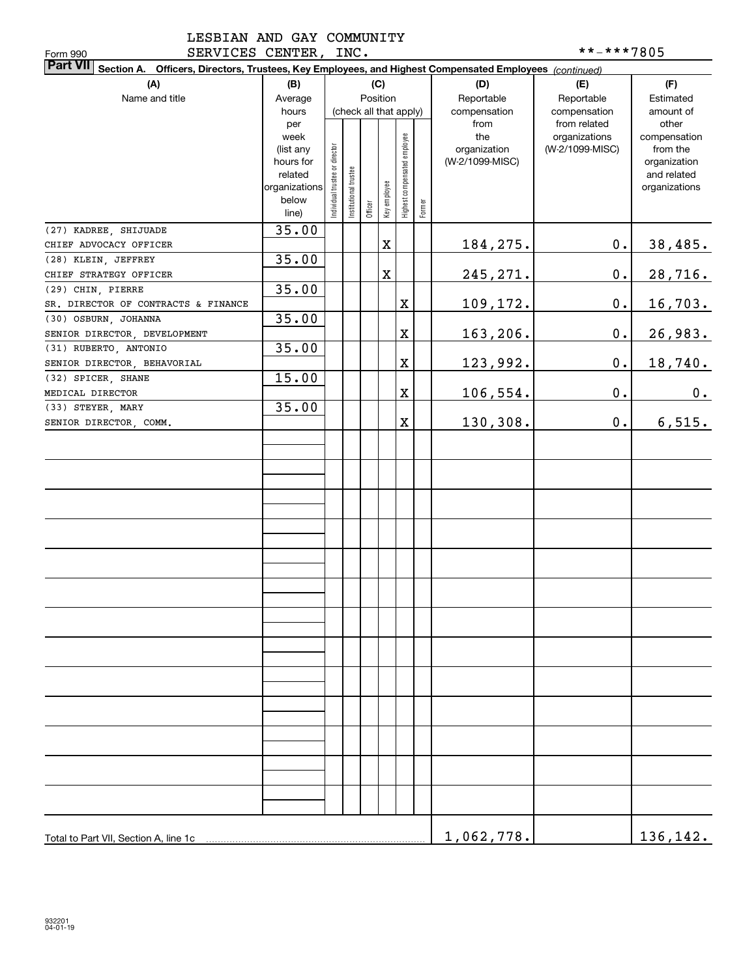SERVICES CENTER, INC. \*\*-\*\*\*7805

| SERVICES CENTER, INC.<br>Form 990                                                                               |                                                                                     |                                |                       |                                    |              |                              |                            |                                                | **-***7805                                       |                                                                                   |
|-----------------------------------------------------------------------------------------------------------------|-------------------------------------------------------------------------------------|--------------------------------|-----------------------|------------------------------------|--------------|------------------------------|----------------------------|------------------------------------------------|--------------------------------------------------|-----------------------------------------------------------------------------------|
| Part VII Section A. Officers, Directors, Trustees, Key Employees, and Highest Compensated Employees (continued) |                                                                                     |                                |                       |                                    |              |                              |                            |                                                |                                                  |                                                                                   |
| (A)                                                                                                             | (B)                                                                                 |                                |                       |                                    | (C)          |                              |                            | (D)                                            | (F)                                              |                                                                                   |
| Name and title                                                                                                  | Average<br>hours                                                                    |                                |                       | Position<br>(check all that apply) |              |                              | Reportable<br>compensation | Reportable<br>compensation                     | Estimated<br>amount of                           |                                                                                   |
|                                                                                                                 | per<br>week<br>(list any<br>hours for<br>related<br>organizations<br>below<br>line) | Individual trustee or director | Institutional trustee | Officer                            | Key employee | Highest compensated employee | Former                     | from<br>the<br>organization<br>(W-2/1099-MISC) | from related<br>organizations<br>(W-2/1099-MISC) | other<br>compensation<br>from the<br>organization<br>and related<br>organizations |
| (27) KADREE, SHIJUADE                                                                                           | 35.00                                                                               |                                |                       |                                    |              |                              |                            |                                                |                                                  |                                                                                   |
| CHIEF ADVOCACY OFFICER                                                                                          |                                                                                     |                                |                       |                                    | $\mathbf X$  |                              |                            | 184, 275.                                      | $0$ .                                            | 38,485.                                                                           |
| (28) KLEIN, JEFFREY                                                                                             | 35.00                                                                               |                                |                       |                                    |              |                              |                            |                                                |                                                  |                                                                                   |
| CHIEF STRATEGY OFFICER                                                                                          |                                                                                     |                                |                       |                                    | $\mathbf X$  |                              |                            | 245, 271.                                      | 0.                                               | 28,716.                                                                           |
| (29) CHIN, PIERRE                                                                                               | 35.00                                                                               |                                |                       |                                    |              |                              |                            |                                                |                                                  |                                                                                   |
| SR. DIRECTOR OF CONTRACTS & FINANCE                                                                             |                                                                                     |                                |                       |                                    |              | $\mathbf X$                  |                            | 109,172.                                       | 0.                                               | 16,703.                                                                           |
| (30) OSBURN, JOHANNA                                                                                            | 35.00                                                                               |                                |                       |                                    |              |                              |                            |                                                |                                                  |                                                                                   |
| SENIOR DIRECTOR, DEVELOPMENT                                                                                    |                                                                                     |                                |                       |                                    |              | $\mathbf X$                  |                            | 163,206.                                       | 0.                                               | 26,983.                                                                           |
| (31) RUBERTO, ANTONIO                                                                                           | 35.00                                                                               |                                |                       |                                    |              |                              |                            |                                                |                                                  |                                                                                   |
| SENIOR DIRECTOR, BEHAVORIAL                                                                                     |                                                                                     |                                |                       |                                    |              | $\mathbf X$                  |                            | 123,992.                                       | 0.                                               | 18,740.                                                                           |
| (32) SPICER, SHANE                                                                                              | 15.00                                                                               |                                |                       |                                    |              |                              |                            |                                                |                                                  |                                                                                   |
| MEDICAL DIRECTOR                                                                                                |                                                                                     |                                |                       |                                    |              | $\mathbf X$                  |                            | 106,554.                                       | $\mathbf 0$ .                                    | 0.                                                                                |
| (33) STEYER, MARY                                                                                               | 35.00                                                                               |                                |                       |                                    |              |                              |                            |                                                |                                                  |                                                                                   |
| SENIOR DIRECTOR, COMM.                                                                                          |                                                                                     |                                |                       |                                    |              | $\mathbf X$                  |                            | 130,308.                                       | 0.                                               | 6,515.                                                                            |
|                                                                                                                 |                                                                                     |                                |                       |                                    |              |                              |                            |                                                |                                                  |                                                                                   |
|                                                                                                                 |                                                                                     |                                |                       |                                    |              |                              |                            |                                                |                                                  |                                                                                   |
|                                                                                                                 |                                                                                     |                                |                       |                                    |              |                              |                            |                                                |                                                  |                                                                                   |
|                                                                                                                 |                                                                                     |                                |                       |                                    |              |                              |                            |                                                |                                                  |                                                                                   |
|                                                                                                                 |                                                                                     |                                |                       |                                    |              |                              |                            |                                                |                                                  |                                                                                   |
|                                                                                                                 |                                                                                     |                                |                       |                                    |              |                              |                            |                                                |                                                  |                                                                                   |
|                                                                                                                 |                                                                                     |                                |                       |                                    |              |                              |                            |                                                |                                                  |                                                                                   |
|                                                                                                                 |                                                                                     |                                |                       |                                    |              |                              |                            |                                                |                                                  |                                                                                   |
|                                                                                                                 |                                                                                     |                                |                       |                                    |              |                              |                            | 1,062,778.                                     |                                                  | 136,142.                                                                          |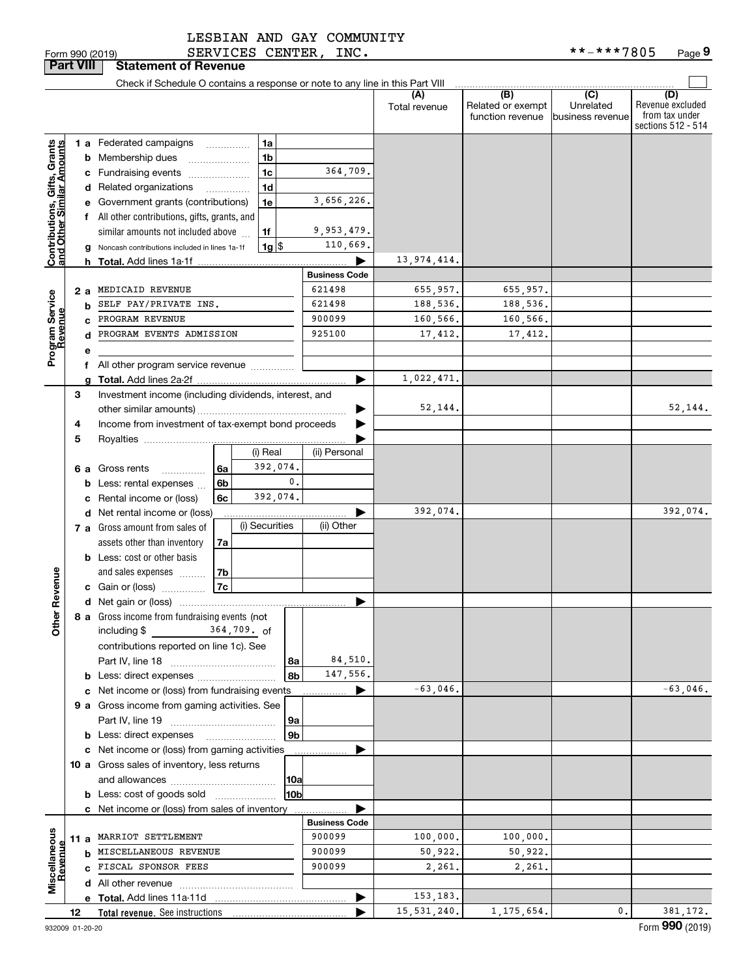## SERVICES CENTER, INC. LESBIAN AND GAY COMMUNITY

|                                                           | <b>Part VIII</b> |                                                                            | <b>Statement of Revenue</b>                                                   |                      |                      |                                              |                                                 |                                                                 |
|-----------------------------------------------------------|------------------|----------------------------------------------------------------------------|-------------------------------------------------------------------------------|----------------------|----------------------|----------------------------------------------|-------------------------------------------------|-----------------------------------------------------------------|
|                                                           |                  |                                                                            | Check if Schedule O contains a response or note to any line in this Part VIII |                      |                      |                                              |                                                 |                                                                 |
|                                                           |                  |                                                                            |                                                                               |                      | (A)<br>Total revenue | (B)<br>Related or exempt<br>function revenue | $\overline{C}$<br>Unrelated<br>business revenue | (D)<br>Revenue excluded<br>from tax under<br>sections 512 - 514 |
|                                                           |                  |                                                                            | 1 a Federated campaigns<br>1a                                                 |                      |                      |                                              |                                                 |                                                                 |
|                                                           |                  |                                                                            | <b>b</b> Membership dues<br>1b                                                |                      |                      |                                              |                                                 |                                                                 |
|                                                           |                  |                                                                            | 1 <sub>c</sub><br>c Fundraising events                                        | 364,709.             |                      |                                              |                                                 |                                                                 |
|                                                           |                  |                                                                            | 1 <sub>d</sub><br>d Related organizations<br>$\overline{\phantom{a}}$         |                      |                      |                                              |                                                 |                                                                 |
|                                                           |                  |                                                                            | e Government grants (contributions)<br>1e                                     | 3,656,226.           |                      |                                              |                                                 |                                                                 |
|                                                           |                  |                                                                            | f All other contributions, gifts, grants, and                                 |                      |                      |                                              |                                                 |                                                                 |
|                                                           |                  |                                                                            | similar amounts not included above<br>1f                                      | 9,953,479.           |                      |                                              |                                                 |                                                                 |
| Contributions, Gifts, Grants<br>and Other Similar Amounts |                  |                                                                            | 1g <br>Noncash contributions included in lines 1a-1f                          | 110,669.             |                      |                                              |                                                 |                                                                 |
|                                                           |                  | h.                                                                         | <b>Total.</b> Add lines 1a-1f                                                 |                      | 13, 974, 414.        |                                              |                                                 |                                                                 |
|                                                           |                  |                                                                            |                                                                               | <b>Business Code</b> |                      |                                              |                                                 |                                                                 |
|                                                           | 2 a              |                                                                            | MEDICAID REVENUE                                                              | 621498               | 655,957.             | 655,957.                                     |                                                 |                                                                 |
| Program Service<br>Revenue                                |                  | b                                                                          | SELF PAY/PRIVATE INS.                                                         | 621498               | 188,536.             | 188,536.                                     |                                                 |                                                                 |
|                                                           |                  |                                                                            | PROGRAM REVENUE                                                               | 900099               | 160,566.             | 160,566.                                     |                                                 |                                                                 |
|                                                           |                  |                                                                            | PROGRAM EVENTS ADMISSION                                                      | 925100               | 17,412.              | 17,412.                                      |                                                 |                                                                 |
|                                                           |                  | е                                                                          |                                                                               |                      |                      |                                              |                                                 |                                                                 |
|                                                           |                  |                                                                            | f All other program service revenue                                           |                      |                      |                                              |                                                 |                                                                 |
|                                                           |                  |                                                                            |                                                                               | ▶                    | 1,022,471.           |                                              |                                                 |                                                                 |
|                                                           | 3                |                                                                            | Investment income (including dividends, interest, and                         |                      |                      |                                              |                                                 |                                                                 |
|                                                           |                  |                                                                            |                                                                               |                      | 52,144.              |                                              |                                                 | 52,144.                                                         |
|                                                           | 4                |                                                                            | Income from investment of tax-exempt bond proceeds                            |                      |                      |                                              |                                                 |                                                                 |
|                                                           | 5                |                                                                            | (i) Real                                                                      | (ii) Personal        |                      |                                              |                                                 |                                                                 |
|                                                           |                  |                                                                            | 392,074.                                                                      |                      |                      |                                              |                                                 |                                                                 |
|                                                           |                  |                                                                            | 6 a Gross rents<br>6a<br>.<br>0.<br>Less: rental expenses<br>6b               |                      |                      |                                              |                                                 |                                                                 |
|                                                           |                  | b<br>с                                                                     | 392,074.<br>Rental income or (loss)<br>6c                                     |                      |                      |                                              |                                                 |                                                                 |
|                                                           |                  |                                                                            | d Net rental income or (loss)                                                 |                      | 392,074.             |                                              |                                                 | 392,074.                                                        |
|                                                           |                  |                                                                            | (i) Securities                                                                | (ii) Other           |                      |                                              |                                                 |                                                                 |
|                                                           |                  | <b>7 a</b> Gross amount from sales of<br>assets other than inventory<br>7a |                                                                               |                      |                      |                                              |                                                 |                                                                 |
|                                                           |                  |                                                                            | <b>b</b> Less: cost or other basis                                            |                      |                      |                                              |                                                 |                                                                 |
|                                                           |                  |                                                                            | 7b<br>and sales expenses                                                      |                      |                      |                                              |                                                 |                                                                 |
| Revenue                                                   |                  |                                                                            | 7c<br>c Gain or (loss)                                                        |                      |                      |                                              |                                                 |                                                                 |
|                                                           |                  |                                                                            |                                                                               | ▶                    |                      |                                              |                                                 |                                                                 |
| <b>Other</b>                                              |                  |                                                                            | 8 a Gross income from fundraising events (not<br>364,709. of<br>including \$  |                      |                      |                                              |                                                 |                                                                 |
|                                                           |                  |                                                                            | contributions reported on line 1c). See                                       |                      |                      |                                              |                                                 |                                                                 |
|                                                           |                  |                                                                            | 8а                                                                            | 84,510.              |                      |                                              |                                                 |                                                                 |
|                                                           |                  |                                                                            | 8b<br><b>b</b> Less: direct expenses                                          | 147,556.             |                      |                                              |                                                 |                                                                 |
|                                                           |                  |                                                                            | c Net income or (loss) from fundraising events                                | ▶                    | $-63,046$ .          |                                              |                                                 | $-63,046$ .                                                     |
|                                                           |                  |                                                                            | 9 a Gross income from gaming activities. See                                  |                      |                      |                                              |                                                 |                                                                 |
|                                                           |                  |                                                                            | 9а                                                                            |                      |                      |                                              |                                                 |                                                                 |
|                                                           |                  |                                                                            | 9 <sub>b</sub><br><b>b</b> Less: direct expenses                              |                      |                      |                                              |                                                 |                                                                 |
|                                                           |                  |                                                                            | c Net income or (loss) from gaming activities                                 |                      |                      |                                              |                                                 |                                                                 |
|                                                           |                  |                                                                            | 10 a Gross sales of inventory, less returns                                   |                      |                      |                                              |                                                 |                                                                 |
|                                                           |                  |                                                                            | 10a                                                                           |                      |                      |                                              |                                                 |                                                                 |
|                                                           |                  |                                                                            | 10bl<br><b>b</b> Less: cost of goods sold                                     |                      |                      |                                              |                                                 |                                                                 |
|                                                           |                  |                                                                            | c Net income or (loss) from sales of inventory                                |                      |                      |                                              |                                                 |                                                                 |
|                                                           |                  |                                                                            |                                                                               | <b>Business Code</b> |                      |                                              |                                                 |                                                                 |
|                                                           |                  |                                                                            | 11 a MARRIOT SETTLEMENT                                                       | 900099               | 100,000.             | 100,000.                                     |                                                 |                                                                 |
|                                                           |                  |                                                                            | <b>b</b> MISCELLANEOUS REVENUE<br>c FISCAL SPONSOR FEES                       | 900099<br>900099     | 50,922.              | 50,922.                                      |                                                 |                                                                 |
| Miscellaneous<br>Revenue                                  |                  |                                                                            |                                                                               |                      | 2,261.               | 2,261.                                       |                                                 |                                                                 |
|                                                           |                  |                                                                            |                                                                               |                      | 153,183.             |                                              |                                                 |                                                                 |
|                                                           | 12               |                                                                            | e Total. Add lines 11a-11d                                                    |                      | 15, 531, 240.        | 1, 175, 654.                                 | 0.                                              | 381, 172.                                                       |
|                                                           |                  |                                                                            |                                                                               |                      |                      |                                              |                                                 |                                                                 |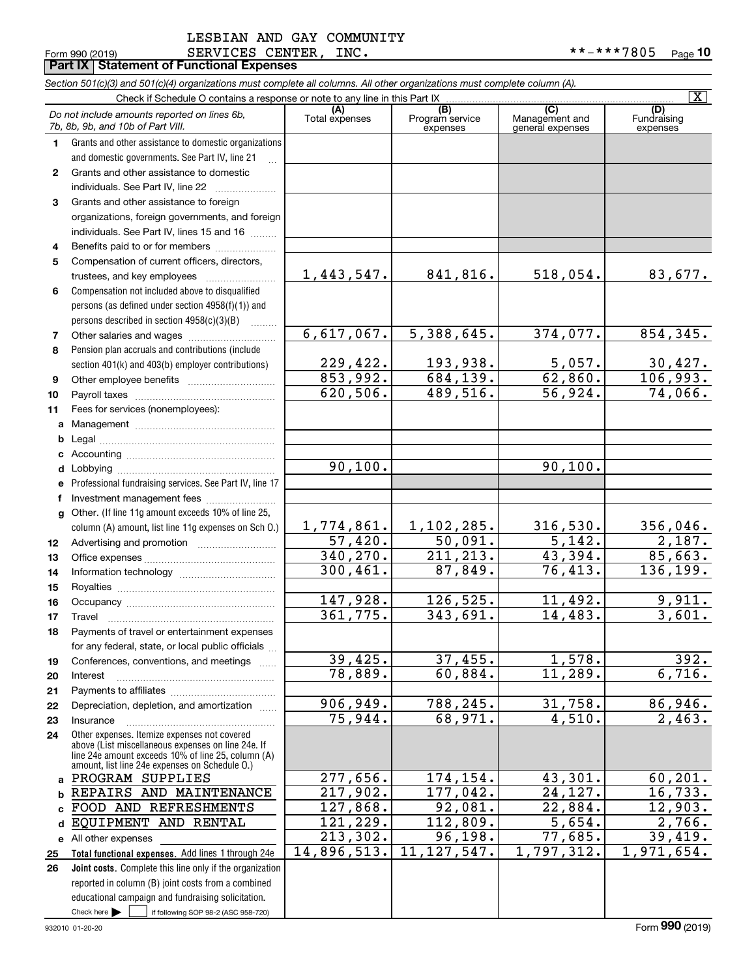**Part IX Statement of Functional Expenses**

|              | Section 501(c)(3) and 501(c)(4) organizations must complete all columns. All other organizations must complete column (A). |                            |                                    |                                                      |                                |  |  |  |  |  |
|--------------|----------------------------------------------------------------------------------------------------------------------------|----------------------------|------------------------------------|------------------------------------------------------|--------------------------------|--|--|--|--|--|
|              | $\overline{\mathbf{X}}$<br>Check if Schedule O contains a response or note to any line in this Part IX                     |                            |                                    |                                                      |                                |  |  |  |  |  |
|              | Do not include amounts reported on lines 6b,<br>7b, 8b, 9b, and 10b of Part VIII.                                          | (A)<br>Total expenses      | (B)<br>Program service<br>expenses | $\overline{C}$<br>Management and<br>general expenses | (D)<br>Fundraising<br>expenses |  |  |  |  |  |
| 1.           | Grants and other assistance to domestic organizations                                                                      |                            |                                    |                                                      |                                |  |  |  |  |  |
|              | and domestic governments. See Part IV, line 21                                                                             |                            |                                    |                                                      |                                |  |  |  |  |  |
| $\mathbf{2}$ | Grants and other assistance to domestic                                                                                    |                            |                                    |                                                      |                                |  |  |  |  |  |
|              | individuals. See Part IV, line 22                                                                                          |                            |                                    |                                                      |                                |  |  |  |  |  |
| 3            | Grants and other assistance to foreign                                                                                     |                            |                                    |                                                      |                                |  |  |  |  |  |
|              | organizations, foreign governments, and foreign                                                                            |                            |                                    |                                                      |                                |  |  |  |  |  |
|              | individuals. See Part IV, lines 15 and 16                                                                                  |                            |                                    |                                                      |                                |  |  |  |  |  |
| 4            | Benefits paid to or for members                                                                                            |                            |                                    |                                                      |                                |  |  |  |  |  |
| 5            | Compensation of current officers, directors,                                                                               |                            |                                    |                                                      |                                |  |  |  |  |  |
|              | trustees, and key employees                                                                                                | 1,443,547.                 | 841,816.                           | 518,054.                                             | 83,677.                        |  |  |  |  |  |
| 6            | Compensation not included above to disqualified                                                                            |                            |                                    |                                                      |                                |  |  |  |  |  |
|              | persons (as defined under section 4958(f)(1)) and                                                                          |                            |                                    |                                                      |                                |  |  |  |  |  |
|              | persons described in section 4958(c)(3)(B)<br>$\sim$                                                                       |                            |                                    |                                                      |                                |  |  |  |  |  |
| 7            |                                                                                                                            | 6,617,067.                 | 5,388,645.                         | 374,077.                                             | 854, 345.                      |  |  |  |  |  |
| 8            | Pension plan accruals and contributions (include                                                                           |                            |                                    |                                                      |                                |  |  |  |  |  |
|              | section 401(k) and 403(b) employer contributions)                                                                          | $\frac{229,422}{853,992}$  | 193,938.<br>684,139.               | $\frac{5,057.}{62,860.}$                             | $\frac{30,427}{106,993}$       |  |  |  |  |  |
| 9            |                                                                                                                            |                            |                                    |                                                      |                                |  |  |  |  |  |
| 10           |                                                                                                                            | 620, 506.                  | 489,516.                           | 56,924.                                              | 74,066.                        |  |  |  |  |  |
| 11           | Fees for services (nonemployees):                                                                                          |                            |                                    |                                                      |                                |  |  |  |  |  |
| a            |                                                                                                                            |                            |                                    |                                                      |                                |  |  |  |  |  |
| b            |                                                                                                                            |                            |                                    |                                                      |                                |  |  |  |  |  |
| c            |                                                                                                                            |                            |                                    |                                                      |                                |  |  |  |  |  |
| d            |                                                                                                                            | 90,100.                    |                                    | 90, 100.                                             |                                |  |  |  |  |  |
|              | Professional fundraising services. See Part IV, line 17                                                                    |                            |                                    |                                                      |                                |  |  |  |  |  |
| f            | Investment management fees                                                                                                 |                            |                                    |                                                      |                                |  |  |  |  |  |
| $\mathbf{q}$ | Other. (If line 11g amount exceeds 10% of line 25,                                                                         |                            |                                    |                                                      |                                |  |  |  |  |  |
|              | column (A) amount, list line 11g expenses on Sch O.)                                                                       | $\frac{1,774,861}{57,420}$ | <u>1,102,285.</u>                  | 316,530.                                             | 356,046.                       |  |  |  |  |  |
| 12           |                                                                                                                            | 340,270.                   | $\overline{50,091}$ .<br>211, 213. | 5,142.<br>43,394.                                    | 2,187.<br>85,663.              |  |  |  |  |  |
| 13           |                                                                                                                            | 300, 461.                  | 87,849.                            | 76,413.                                              | 136, 199.                      |  |  |  |  |  |
| 14           |                                                                                                                            |                            |                                    |                                                      |                                |  |  |  |  |  |
| 15           |                                                                                                                            | 147,928.                   | 126,525.                           | 11,492.                                              | 9,911.                         |  |  |  |  |  |
| 16           |                                                                                                                            | 361,775.                   | 343,691.                           | 14, 483.                                             | 3,601.                         |  |  |  |  |  |
| 17           | Payments of travel or entertainment expenses                                                                               |                            |                                    |                                                      |                                |  |  |  |  |  |
| 18           |                                                                                                                            |                            |                                    |                                                      |                                |  |  |  |  |  |
| 19           | for any federal, state, or local public officials<br>Conferences, conventions, and meetings                                | 39,425.                    | 37,455.                            | 1,578.                                               | 392.                           |  |  |  |  |  |
| 20           | Interest                                                                                                                   | $\overline{78}$ , 889.     | 60,884.                            | $11,289$ .                                           | 6,716.                         |  |  |  |  |  |
| 21           |                                                                                                                            |                            |                                    |                                                      |                                |  |  |  |  |  |
| 22           | Depreciation, depletion, and amortization                                                                                  | 906,949.                   | 788,245.                           | 31,758.                                              | 86,946.                        |  |  |  |  |  |
| 23           | Insurance                                                                                                                  | 75,944.                    | 68,971.                            | 4,510.                                               | $\overline{2}$ , 463.          |  |  |  |  |  |
| 24           | Other expenses. Itemize expenses not covered                                                                               |                            |                                    |                                                      |                                |  |  |  |  |  |
|              | above (List miscellaneous expenses on line 24e. If<br>line 24e amount exceeds 10% of line 25, column (A)                   |                            |                                    |                                                      |                                |  |  |  |  |  |
|              | amount, list line 24e expenses on Schedule O.)<br>PROGRAM SUPPLIES                                                         | 277,656.                   | 174,154.                           | 43,301.                                              | 60, 201.                       |  |  |  |  |  |
| a            | REPAIRS AND MAINTENANCE                                                                                                    | 217,902.                   | 177,042.                           | 24, 127.                                             | 16,733.                        |  |  |  |  |  |
|              | FOOD AND REFRESHMENTS                                                                                                      | 127,868.                   | 92,081.                            | 22,884.                                              | 12,903.                        |  |  |  |  |  |
| d            | EQUIPMENT AND RENTAL                                                                                                       | 121,229.                   | 112,809.                           | 5,654.                                               | 2,766.                         |  |  |  |  |  |
|              | e All other expenses                                                                                                       | 213,302.                   | 96,198.                            | 77,685.                                              | 39,419.                        |  |  |  |  |  |
| 25           | Total functional expenses. Add lines 1 through 24e                                                                         | 14,896,513.                | 11, 127, 547.                      | 1,797,312.                                           | 1,971,654.                     |  |  |  |  |  |
| 26           | Joint costs. Complete this line only if the organization                                                                   |                            |                                    |                                                      |                                |  |  |  |  |  |
|              | reported in column (B) joint costs from a combined                                                                         |                            |                                    |                                                      |                                |  |  |  |  |  |
|              | educational campaign and fundraising solicitation.                                                                         |                            |                                    |                                                      |                                |  |  |  |  |  |
|              | Check here $\blacktriangleright$<br>if following SOP 98-2 (ASC 958-720)                                                    |                            |                                    |                                                      |                                |  |  |  |  |  |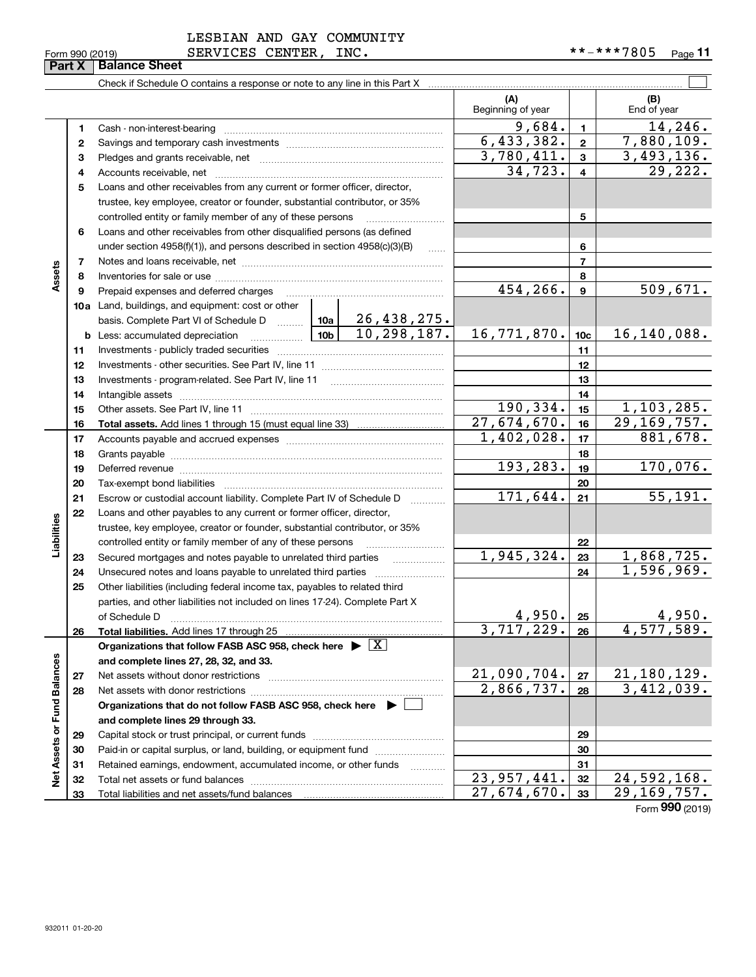|                 |  | LESBIAN AND GAY COMMUNITY |  |
|-----------------|--|---------------------------|--|
| anniiraa animno |  | <b>TNTA</b>               |  |

Form 990 (2019) SERVICES CENTER, INC. \* \* - \* \* \* 7805 <sub>Page</sub> **11**

| $\mathbf{u}$ and $\mathbf{v}$ |    |                                                                                    |           |                |                          |                 |                       |
|-------------------------------|----|------------------------------------------------------------------------------------|-----------|----------------|--------------------------|-----------------|-----------------------|
|                               |    |                                                                                    |           |                |                          |                 |                       |
|                               |    |                                                                                    |           |                | (A)<br>Beginning of year |                 | (B)<br>End of year    |
|                               | 1  | Cash - non-interest-bearing                                                        |           |                | 9,684.                   | $\mathbf{1}$    | 14, 246.              |
|                               | 2  |                                                                                    |           |                | 6,433,382.               | $\overline{2}$  | 7,880,109.            |
|                               | 3  |                                                                                    |           |                | 3,780,411.               | $\overline{3}$  | 3,493,136.            |
|                               | 4  |                                                                                    |           |                | 34,723.                  | $\overline{4}$  | 29,222.               |
|                               | 5  | Loans and other receivables from any current or former officer, director,          |           |                |                          |                 |                       |
|                               |    | trustee, key employee, creator or founder, substantial contributor, or 35%         |           |                |                          |                 |                       |
|                               |    | controlled entity or family member of any of these persons                         |           |                |                          | 5               |                       |
|                               | 6  | Loans and other receivables from other disqualified persons (as defined            |           |                |                          |                 |                       |
|                               |    | under section 4958(f)(1)), and persons described in section 4958(c)(3)(B)          |           | 6              |                          |                 |                       |
|                               | 7  |                                                                                    |           | $\overline{7}$ |                          |                 |                       |
| Assets                        | 8  |                                                                                    |           |                |                          | 8               |                       |
|                               | 9  | Prepaid expenses and deferred charges                                              |           | 454,266.       | $\boldsymbol{9}$         | 509,671.        |                       |
|                               |    | 10a Land, buildings, and equipment: cost or other                                  |           |                |                          |                 |                       |
|                               |    | basis. Complete Part VI of Schedule D  10a                                         |           | 26, 438, 275.  |                          |                 |                       |
|                               |    |                                                                                    |           | 10, 298, 187.  | 16,771,870.              | 10 <sub>c</sub> | 16, 140, 088.         |
|                               | 11 |                                                                                    |           |                |                          | 11              |                       |
|                               | 12 |                                                                                    |           |                |                          | 12              |                       |
|                               | 13 |                                                                                    |           | 13             |                          |                 |                       |
|                               | 14 |                                                                                    |           | 14             |                          |                 |                       |
|                               | 15 | Other assets. See Part IV, line 11                                                 |           | 190,334.       | 15                       | 1, 103, 285.    |                       |
|                               | 16 |                                                                                    |           |                | 27,674,670.              | 16              | 29, 169, 757.         |
|                               | 17 |                                                                                    |           | 1,402,028.     | 17                       | 881,678.        |                       |
|                               | 18 |                                                                                    |           |                | 18                       |                 |                       |
|                               | 19 |                                                                                    | 193, 283. | 19             | 170,076.                 |                 |                       |
|                               | 20 | Tax-exempt bond liabilities                                                        |           |                |                          | 20              |                       |
|                               | 21 | Escrow or custodial account liability. Complete Part IV of Schedule D              |           |                | 171,644.                 | 21              | $\overline{55,191}$ . |
|                               | 22 | Loans and other payables to any current or former officer, director,               |           |                |                          |                 |                       |
| Liabilities                   |    | trustee, key employee, creator or founder, substantial contributor, or 35%         |           |                |                          |                 |                       |
|                               |    | controlled entity or family member of any of these persons                         |           |                |                          | 22              |                       |
|                               | 23 | Secured mortgages and notes payable to unrelated third parties                     |           |                | 1,945,324.               | 23              | 1,868,725.            |
|                               | 24 | Unsecured notes and loans payable to unrelated third parties                       |           |                |                          | 24              | 1,596,969.            |
|                               | 25 | Other liabilities (including federal income tax, payables to related third         |           |                |                          |                 |                       |
|                               |    | parties, and other liabilities not included on lines 17-24). Complete Part X       |           |                |                          |                 |                       |
|                               |    | of Schedule D                                                                      |           |                | 4,950.                   | 25              | 4,950.                |
|                               | 26 | Total liabilities. Add lines 17 through 25                                         |           |                | 3,717,229.               | 26              | 4,577,589.            |
|                               |    | Organizations that follow FASB ASC 958, check here $\blacktriangleright \boxed{X}$ |           |                |                          |                 |                       |
|                               |    | and complete lines 27, 28, 32, and 33.                                             |           |                |                          |                 |                       |
|                               | 27 | Net assets without donor restrictions                                              |           |                | 21,090,704.              | 27              | 21, 180, 129.         |
|                               | 28 | Net assets with donor restrictions                                                 |           |                | 2,866,737.               | 28              | 3,412,039.            |
|                               |    | Organizations that do not follow FASB ASC 958, check here $\blacktriangleright$    |           |                |                          |                 |                       |
|                               |    | and complete lines 29 through 33.                                                  |           |                |                          |                 |                       |
| Net Assets or Fund Balances   | 29 |                                                                                    |           |                |                          | 29              |                       |
|                               | 30 | Paid-in or capital surplus, or land, building, or equipment fund                   |           |                |                          | 30              |                       |
|                               | 31 |                                                                                    |           |                |                          | 31              |                       |
|                               | 32 | Retained earnings, endowment, accumulated income, or other funds                   |           |                | 23,957,441.              | 32              | 24, 592, 168.         |
|                               | 33 |                                                                                    |           |                | 27,674,670.              | 33              | 29, 169, 757.         |
|                               |    |                                                                                    |           |                |                          |                 |                       |

Form (2019) **990**

**Part X Balance Sheet**<br>**Part X Balance Sheet**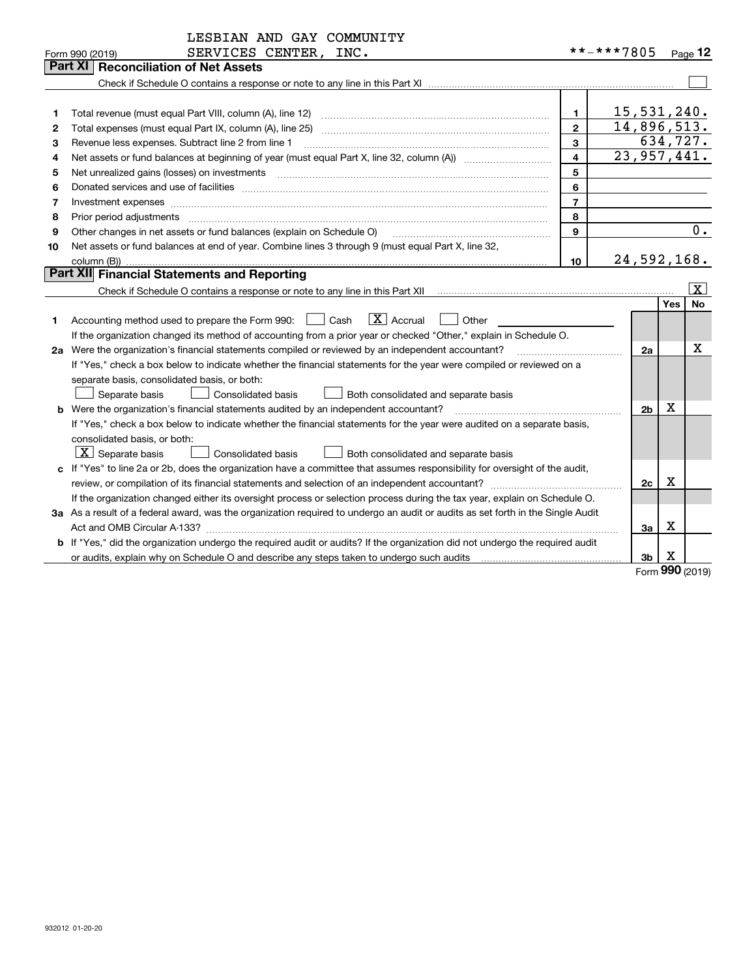|              | LESBIAN AND GAY COMMUNITY                                                                                                                                                                                                     |                |             |                            |            |           |
|--------------|-------------------------------------------------------------------------------------------------------------------------------------------------------------------------------------------------------------------------------|----------------|-------------|----------------------------|------------|-----------|
|              | SERVICES CENTER, INC.<br>Form 990 (2019)                                                                                                                                                                                      |                | **-***7805  |                            |            | Page 12   |
|              | Part XI   Reconciliation of Net Assets                                                                                                                                                                                        |                |             |                            |            |           |
|              |                                                                                                                                                                                                                               |                |             |                            |            |           |
|              |                                                                                                                                                                                                                               |                |             |                            |            |           |
| 1            |                                                                                                                                                                                                                               | 1.             | 15,531,240. |                            |            |           |
| $\mathbf{2}$ | Total expenses (must equal Part IX, column (A), line 25)                                                                                                                                                                      | $\mathbf{2}$   | 14,896,513. |                            |            |           |
| 3            | Revenue less expenses. Subtract line 2 from line 1                                                                                                                                                                            | 3              |             | $\sqrt{634,727}$ .         |            |           |
| 4            |                                                                                                                                                                                                                               | 4              | 23,957,441. |                            |            |           |
| 5            | Net unrealized gains (losses) on investments                                                                                                                                                                                  | 5              |             |                            |            |           |
| 6            |                                                                                                                                                                                                                               | 6              |             |                            |            |           |
| 7            | Investment expenses www.communication.com/www.communication.com/www.communication.com/www.com                                                                                                                                 | $\overline{7}$ |             |                            |            |           |
| 8            | Prior period adjustments                                                                                                                                                                                                      | 8              |             |                            |            |           |
| 9            | Other changes in net assets or fund balances (explain on Schedule O)                                                                                                                                                          | 9              |             |                            |            | 0.        |
| 10           | Net assets or fund balances at end of year. Combine lines 3 through 9 (must equal Part X, line 32,                                                                                                                            |                |             |                            |            |           |
|              | column (B))                                                                                                                                                                                                                   | 10             | 24,592,168. |                            |            |           |
|              | <b>Part XII</b> Financial Statements and Reporting                                                                                                                                                                            |                |             |                            |            |           |
|              |                                                                                                                                                                                                                               |                |             |                            |            | X         |
|              |                                                                                                                                                                                                                               |                |             |                            | <b>Yes</b> | <b>No</b> |
| 1            | $\boxed{\textbf{X}}$ Accrual<br>Accounting method used to prepare the Form 990: <u>[16</u> ] Cash<br>Other                                                                                                                    |                |             |                            |            |           |
|              | If the organization changed its method of accounting from a prior year or checked "Other," explain in Schedule O.                                                                                                             |                |             |                            |            |           |
|              | 2a Were the organization's financial statements compiled or reviewed by an independent accountant?                                                                                                                            |                |             | 2a                         |            | X         |
|              | If "Yes," check a box below to indicate whether the financial statements for the year were compiled or reviewed on a                                                                                                          |                |             |                            |            |           |
|              | separate basis, consolidated basis, or both:                                                                                                                                                                                  |                |             |                            |            |           |
|              | Separate basis<br><b>Consolidated basis</b><br>Both consolidated and separate basis                                                                                                                                           |                |             |                            |            |           |
|              | b Were the organization's financial statements audited by an independent accountant?                                                                                                                                          |                |             | х<br>2 <sub>b</sub>        |            |           |
|              | If "Yes," check a box below to indicate whether the financial statements for the year were audited on a separate basis,                                                                                                       |                |             |                            |            |           |
|              | consolidated basis, or both:                                                                                                                                                                                                  |                |             |                            |            |           |
|              | $\boxed{\textbf{X}}$ Separate basis<br>Consolidated basis<br>Both consolidated and separate basis                                                                                                                             |                |             |                            |            |           |
|              | c If "Yes" to line 2a or 2b, does the organization have a committee that assumes responsibility for oversight of the audit,                                                                                                   |                |             |                            |            |           |
|              |                                                                                                                                                                                                                               |                |             | Х<br>2c                    |            |           |
|              | If the organization changed either its oversight process or selection process during the tax year, explain on Schedule O.                                                                                                     |                |             |                            |            |           |
|              | 3a As a result of a federal award, was the organization required to undergo an audit or audits as set forth in the Single Audit                                                                                               |                |             |                            |            |           |
|              |                                                                                                                                                                                                                               |                |             | Х<br>3a                    |            |           |
|              | b If "Yes," did the organization undergo the required audit or audits? If the organization did not undergo the required audit                                                                                                 |                |             |                            |            |           |
|              | or audits, explain why on Schedule O and describe any steps taken to undergo such audits [11] contains the school of audits [11] or audits [11] or audits [11] or audits [11] or audits [11] or audits [11] or audits [11] or |                |             | х<br>3 <sub>b</sub><br>nnn |            |           |

Form (2019) **990**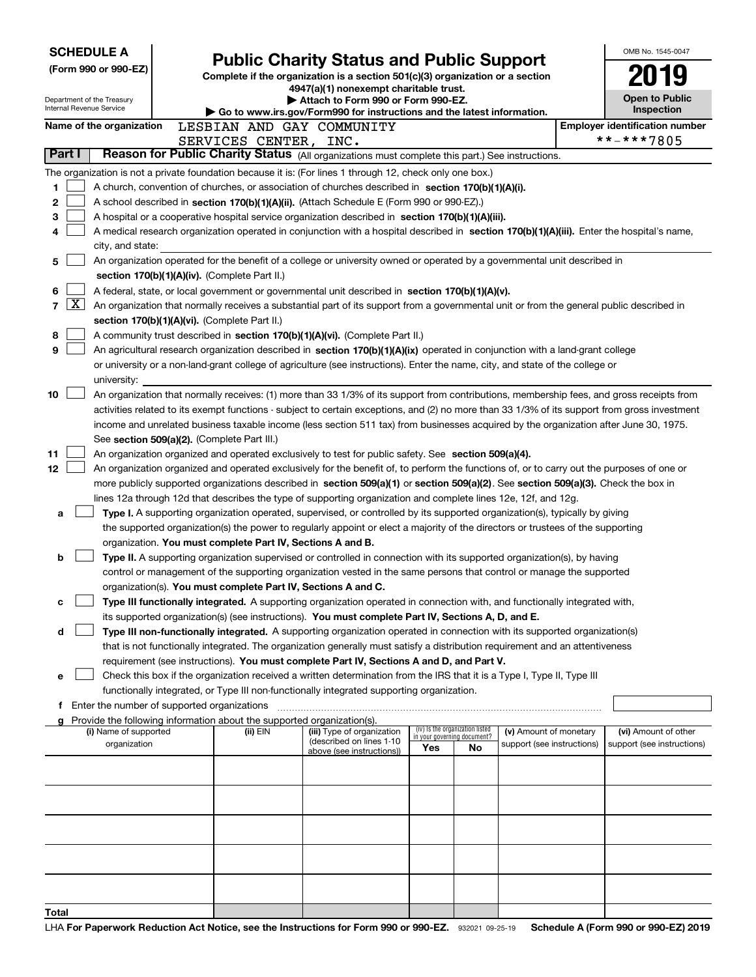| <b>SCHEDULE A</b><br><b>Public Charity Status and Public Support</b> |                                                                                                                                                                                                                                |  |                                                                                                                     |                                                                                                                                                                                                                                               |                       |     |  | OMB No. 1545-0047 |                                       |  |
|----------------------------------------------------------------------|--------------------------------------------------------------------------------------------------------------------------------------------------------------------------------------------------------------------------------|--|---------------------------------------------------------------------------------------------------------------------|-----------------------------------------------------------------------------------------------------------------------------------------------------------------------------------------------------------------------------------------------|-----------------------|-----|--|-------------------|---------------------------------------|--|
|                                                                      | (Form 990 or 990-EZ)                                                                                                                                                                                                           |  |                                                                                                                     | Complete if the organization is a section 501(c)(3) organization or a section                                                                                                                                                                 |                       |     |  |                   |                                       |  |
|                                                                      |                                                                                                                                                                                                                                |  |                                                                                                                     | 4947(a)(1) nonexempt charitable trust.                                                                                                                                                                                                        |                       |     |  |                   |                                       |  |
| Internal Revenue Service                                             | Department of the Treasury                                                                                                                                                                                                     |  | Attach to Form 990 or Form 990-EZ.                                                                                  |                                                                                                                                                                                                                                               | <b>Open to Public</b> |     |  |                   |                                       |  |
|                                                                      |                                                                                                                                                                                                                                |  |                                                                                                                     | $\blacktriangleright$ Go to www.irs.gov/Form990 for instructions and the latest information.                                                                                                                                                  |                       |     |  |                   | Inspection                            |  |
|                                                                      | Name of the organization                                                                                                                                                                                                       |  |                                                                                                                     | LESBIAN AND GAY COMMUNITY                                                                                                                                                                                                                     |                       |     |  |                   | <b>Employer identification number</b> |  |
| Part I                                                               |                                                                                                                                                                                                                                |  | SERVICES CENTER, INC.                                                                                               | Reason for Public Charity Status (All organizations must complete this part.) See instructions.                                                                                                                                               |                       |     |  |                   | **-***7805                            |  |
|                                                                      |                                                                                                                                                                                                                                |  |                                                                                                                     |                                                                                                                                                                                                                                               |                       |     |  |                   |                                       |  |
|                                                                      |                                                                                                                                                                                                                                |  |                                                                                                                     | The organization is not a private foundation because it is: (For lines 1 through 12, check only one box.)                                                                                                                                     |                       |     |  |                   |                                       |  |
| 1                                                                    |                                                                                                                                                                                                                                |  |                                                                                                                     | A church, convention of churches, or association of churches described in section 170(b)(1)(A)(i).                                                                                                                                            |                       |     |  |                   |                                       |  |
| 2<br>з                                                               |                                                                                                                                                                                                                                |  |                                                                                                                     | A school described in section 170(b)(1)(A)(ii). (Attach Schedule E (Form 990 or 990-EZ).)<br>A hospital or a cooperative hospital service organization described in section 170(b)(1)(A)(iii).                                                |                       |     |  |                   |                                       |  |
|                                                                      |                                                                                                                                                                                                                                |  |                                                                                                                     | A medical research organization operated in conjunction with a hospital described in section 170(b)(1)(A)(iii). Enter the hospital's name,                                                                                                    |                       |     |  |                   |                                       |  |
|                                                                      | city, and state:                                                                                                                                                                                                               |  |                                                                                                                     |                                                                                                                                                                                                                                               |                       |     |  |                   |                                       |  |
| 5                                                                    |                                                                                                                                                                                                                                |  |                                                                                                                     | An organization operated for the benefit of a college or university owned or operated by a governmental unit described in                                                                                                                     |                       |     |  |                   |                                       |  |
|                                                                      |                                                                                                                                                                                                                                |  | section 170(b)(1)(A)(iv). (Complete Part II.)                                                                       |                                                                                                                                                                                                                                               |                       |     |  |                   |                                       |  |
| 6                                                                    |                                                                                                                                                                                                                                |  |                                                                                                                     | A federal, state, or local government or governmental unit described in section 170(b)(1)(A)(v).                                                                                                                                              |                       |     |  |                   |                                       |  |
| $\mathbf{X}$<br>7                                                    |                                                                                                                                                                                                                                |  |                                                                                                                     | An organization that normally receives a substantial part of its support from a governmental unit or from the general public described in                                                                                                     |                       |     |  |                   |                                       |  |
|                                                                      |                                                                                                                                                                                                                                |  | section 170(b)(1)(A)(vi). (Complete Part II.)                                                                       |                                                                                                                                                                                                                                               |                       |     |  |                   |                                       |  |
| 8                                                                    |                                                                                                                                                                                                                                |  |                                                                                                                     | A community trust described in section 170(b)(1)(A)(vi). (Complete Part II.)                                                                                                                                                                  |                       |     |  |                   |                                       |  |
| 9                                                                    |                                                                                                                                                                                                                                |  |                                                                                                                     | An agricultural research organization described in section 170(b)(1)(A)(ix) operated in conjunction with a land-grant college                                                                                                                 |                       |     |  |                   |                                       |  |
|                                                                      |                                                                                                                                                                                                                                |  |                                                                                                                     | or university or a non-land-grant college of agriculture (see instructions). Enter the name, city, and state of the college or                                                                                                                |                       |     |  |                   |                                       |  |
|                                                                      | university:                                                                                                                                                                                                                    |  |                                                                                                                     |                                                                                                                                                                                                                                               |                       |     |  |                   |                                       |  |
| 10                                                                   |                                                                                                                                                                                                                                |  |                                                                                                                     | An organization that normally receives: (1) more than 33 1/3% of its support from contributions, membership fees, and gross receipts from                                                                                                     |                       |     |  |                   |                                       |  |
|                                                                      |                                                                                                                                                                                                                                |  |                                                                                                                     | activities related to its exempt functions - subject to certain exceptions, and (2) no more than 33 1/3% of its support from gross investment                                                                                                 |                       |     |  |                   |                                       |  |
|                                                                      |                                                                                                                                                                                                                                |  |                                                                                                                     | income and unrelated business taxable income (less section 511 tax) from businesses acquired by the organization after June 30, 1975.                                                                                                         |                       |     |  |                   |                                       |  |
|                                                                      |                                                                                                                                                                                                                                |  | See section 509(a)(2). (Complete Part III.)                                                                         |                                                                                                                                                                                                                                               |                       |     |  |                   |                                       |  |
| 11                                                                   |                                                                                                                                                                                                                                |  |                                                                                                                     | An organization organized and operated exclusively to test for public safety. See section 509(a)(4).                                                                                                                                          |                       |     |  |                   |                                       |  |
| 12                                                                   |                                                                                                                                                                                                                                |  |                                                                                                                     | An organization organized and operated exclusively for the benefit of, to perform the functions of, or to carry out the purposes of one or                                                                                                    |                       |     |  |                   |                                       |  |
|                                                                      |                                                                                                                                                                                                                                |  |                                                                                                                     | more publicly supported organizations described in section 509(a)(1) or section 509(a)(2). See section 509(a)(3). Check the box in                                                                                                            |                       |     |  |                   |                                       |  |
|                                                                      |                                                                                                                                                                                                                                |  |                                                                                                                     | lines 12a through 12d that describes the type of supporting organization and complete lines 12e, 12f, and 12g.<br>Type I. A supporting organization operated, supervised, or controlled by its supported organization(s), typically by giving |                       |     |  |                   |                                       |  |
| а                                                                    |                                                                                                                                                                                                                                |  |                                                                                                                     | the supported organization(s) the power to regularly appoint or elect a majority of the directors or trustees of the supporting                                                                                                               |                       |     |  |                   |                                       |  |
|                                                                      |                                                                                                                                                                                                                                |  | organization. You must complete Part IV, Sections A and B.                                                          |                                                                                                                                                                                                                                               |                       |     |  |                   |                                       |  |
| b                                                                    |                                                                                                                                                                                                                                |  |                                                                                                                     | Type II. A supporting organization supervised or controlled in connection with its supported organization(s), by having                                                                                                                       |                       |     |  |                   |                                       |  |
|                                                                      |                                                                                                                                                                                                                                |  |                                                                                                                     | control or management of the supporting organization vested in the same persons that control or manage the supported                                                                                                                          |                       |     |  |                   |                                       |  |
|                                                                      |                                                                                                                                                                                                                                |  | organization(s). You must complete Part IV, Sections A and C.                                                       |                                                                                                                                                                                                                                               |                       |     |  |                   |                                       |  |
| с                                                                    |                                                                                                                                                                                                                                |  |                                                                                                                     | Type III functionally integrated. A supporting organization operated in connection with, and functionally integrated with,                                                                                                                    |                       |     |  |                   |                                       |  |
|                                                                      |                                                                                                                                                                                                                                |  |                                                                                                                     | its supported organization(s) (see instructions). You must complete Part IV, Sections A, D, and E.                                                                                                                                            |                       |     |  |                   |                                       |  |
| d                                                                    |                                                                                                                                                                                                                                |  |                                                                                                                     | Type III non-functionally integrated. A supporting organization operated in connection with its supported organization(s)                                                                                                                     |                       |     |  |                   |                                       |  |
|                                                                      |                                                                                                                                                                                                                                |  |                                                                                                                     | that is not functionally integrated. The organization generally must satisfy a distribution requirement and an attentiveness                                                                                                                  |                       |     |  |                   |                                       |  |
|                                                                      |                                                                                                                                                                                                                                |  |                                                                                                                     | requirement (see instructions). You must complete Part IV, Sections A and D, and Part V.                                                                                                                                                      |                       |     |  |                   |                                       |  |
| е                                                                    |                                                                                                                                                                                                                                |  |                                                                                                                     | Check this box if the organization received a written determination from the IRS that it is a Type I, Type II, Type III                                                                                                                       |                       |     |  |                   |                                       |  |
|                                                                      |                                                                                                                                                                                                                                |  |                                                                                                                     | functionally integrated, or Type III non-functionally integrated supporting organization.                                                                                                                                                     |                       |     |  |                   |                                       |  |
|                                                                      | f Enter the number of supported organizations                                                                                                                                                                                  |  |                                                                                                                     |                                                                                                                                                                                                                                               |                       |     |  |                   |                                       |  |
|                                                                      | Provide the following information about the supported organization(s).<br>(iv) Is the organization listed<br>(i) Name of supported<br>(iii) Type of organization<br>(v) Amount of monetary<br>(ii) EIN<br>(vi) Amount of other |  |                                                                                                                     |                                                                                                                                                                                                                                               |                       |     |  |                   |                                       |  |
|                                                                      | organization                                                                                                                                                                                                                   |  | in your governing document?<br>(described on lines 1-10<br>support (see instructions)<br>support (see instructions) |                                                                                                                                                                                                                                               |                       |     |  |                   |                                       |  |
|                                                                      |                                                                                                                                                                                                                                |  |                                                                                                                     | above (see instructions))                                                                                                                                                                                                                     | Yes                   | No. |  |                   |                                       |  |
|                                                                      |                                                                                                                                                                                                                                |  |                                                                                                                     |                                                                                                                                                                                                                                               |                       |     |  |                   |                                       |  |
|                                                                      |                                                                                                                                                                                                                                |  |                                                                                                                     |                                                                                                                                                                                                                                               |                       |     |  |                   |                                       |  |
|                                                                      |                                                                                                                                                                                                                                |  |                                                                                                                     |                                                                                                                                                                                                                                               |                       |     |  |                   |                                       |  |
|                                                                      |                                                                                                                                                                                                                                |  |                                                                                                                     |                                                                                                                                                                                                                                               |                       |     |  |                   |                                       |  |
|                                                                      |                                                                                                                                                                                                                                |  |                                                                                                                     |                                                                                                                                                                                                                                               |                       |     |  |                   |                                       |  |
|                                                                      |                                                                                                                                                                                                                                |  |                                                                                                                     |                                                                                                                                                                                                                                               |                       |     |  |                   |                                       |  |
|                                                                      |                                                                                                                                                                                                                                |  |                                                                                                                     |                                                                                                                                                                                                                                               |                       |     |  |                   |                                       |  |
|                                                                      |                                                                                                                                                                                                                                |  |                                                                                                                     |                                                                                                                                                                                                                                               |                       |     |  |                   |                                       |  |
|                                                                      |                                                                                                                                                                                                                                |  |                                                                                                                     |                                                                                                                                                                                                                                               |                       |     |  |                   |                                       |  |
| Total                                                                |                                                                                                                                                                                                                                |  |                                                                                                                     |                                                                                                                                                                                                                                               |                       |     |  |                   |                                       |  |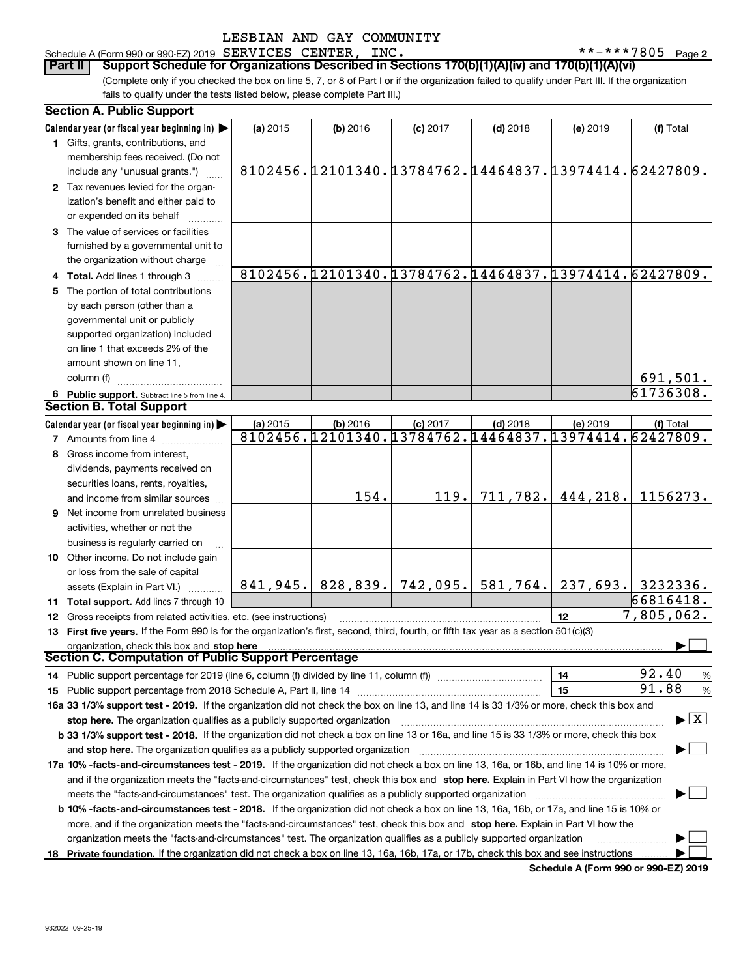| Schedule A (Form 990 or 990-EZ) 2019 $\,$ SERVICES $\,$ CENTER , $\,$ . |  |  |  |  | INC. |  | **-***7805 | Page 2 |
|-------------------------------------------------------------------------|--|--|--|--|------|--|------------|--------|
|                                                                         |  |  |  |  |      |  |            |        |

(Complete only if you checked the box on line 5, 7, or 8 of Part I or if the organization failed to qualify under Part III. If the organization fails to qualify under the tests listed below, please complete Part III.) **Part II Support Schedule for Organizations Described in Sections 170(b)(1)(A)(iv) and 170(b)(1)(A)(vi)**

|     | <b>Section A. Public Support</b>                                                                                                                                                                                                                                    |          |            |                                                         |            |           |                     |  |  |
|-----|---------------------------------------------------------------------------------------------------------------------------------------------------------------------------------------------------------------------------------------------------------------------|----------|------------|---------------------------------------------------------|------------|-----------|---------------------|--|--|
|     | Calendar year (or fiscal year beginning in)                                                                                                                                                                                                                         | (a) 2015 | (b) 2016   | $(c)$ 2017                                              | $(d)$ 2018 | (e) 2019  | (f) Total           |  |  |
|     | 1 Gifts, grants, contributions, and                                                                                                                                                                                                                                 |          |            |                                                         |            |           |                     |  |  |
|     | membership fees received. (Do not                                                                                                                                                                                                                                   |          |            |                                                         |            |           |                     |  |  |
|     | include any "unusual grants.")                                                                                                                                                                                                                                      |          |            | $8102456.12101340.13784762.14464837.13974414.62427809.$ |            |           |                     |  |  |
|     | 2 Tax revenues levied for the organ-                                                                                                                                                                                                                                |          |            |                                                         |            |           |                     |  |  |
|     | ization's benefit and either paid to                                                                                                                                                                                                                                |          |            |                                                         |            |           |                     |  |  |
|     | or expended on its behalf                                                                                                                                                                                                                                           |          |            |                                                         |            |           |                     |  |  |
|     | 3 The value of services or facilities                                                                                                                                                                                                                               |          |            |                                                         |            |           |                     |  |  |
|     | furnished by a governmental unit to                                                                                                                                                                                                                                 |          |            |                                                         |            |           |                     |  |  |
|     | the organization without charge                                                                                                                                                                                                                                     |          |            |                                                         |            |           |                     |  |  |
|     | 4 Total. Add lines 1 through 3                                                                                                                                                                                                                                      |          |            | 8102456.12101340.13784762.14464837.13974414.62427809.   |            |           |                     |  |  |
| 5.  | The portion of total contributions                                                                                                                                                                                                                                  |          |            |                                                         |            |           |                     |  |  |
|     | by each person (other than a                                                                                                                                                                                                                                        |          |            |                                                         |            |           |                     |  |  |
|     | governmental unit or publicly                                                                                                                                                                                                                                       |          |            |                                                         |            |           |                     |  |  |
|     | supported organization) included                                                                                                                                                                                                                                    |          |            |                                                         |            |           |                     |  |  |
|     | on line 1 that exceeds 2% of the                                                                                                                                                                                                                                    |          |            |                                                         |            |           |                     |  |  |
|     | amount shown on line 11,                                                                                                                                                                                                                                            |          |            |                                                         |            |           |                     |  |  |
|     | column (f)                                                                                                                                                                                                                                                          |          |            |                                                         |            |           | 691,501.            |  |  |
|     | 6 Public support. Subtract line 5 from line 4.                                                                                                                                                                                                                      |          |            |                                                         |            |           | 61736308.           |  |  |
|     | <b>Section B. Total Support</b>                                                                                                                                                                                                                                     |          |            |                                                         |            |           |                     |  |  |
|     | Calendar year (or fiscal year beginning in)                                                                                                                                                                                                                         | (a) 2015 | $(b)$ 2016 | $(c)$ 2017                                              | $(d)$ 2018 | (e) 2019  | (f) Total           |  |  |
|     | 7 Amounts from line 4                                                                                                                                                                                                                                               |          |            | 8102456.12101340.13784762.14464837.13974414.62427809.   |            |           |                     |  |  |
|     | 8 Gross income from interest,                                                                                                                                                                                                                                       |          |            |                                                         |            |           |                     |  |  |
|     | dividends, payments received on                                                                                                                                                                                                                                     |          |            |                                                         |            |           |                     |  |  |
|     | securities loans, rents, royalties,                                                                                                                                                                                                                                 |          |            |                                                         |            |           |                     |  |  |
|     | and income from similar sources                                                                                                                                                                                                                                     |          | 154.       | 119.                                                    | 711, 782.  | 444, 218. | 1156273.            |  |  |
|     | <b>9</b> Net income from unrelated business                                                                                                                                                                                                                         |          |            |                                                         |            |           |                     |  |  |
|     | activities, whether or not the                                                                                                                                                                                                                                      |          |            |                                                         |            |           |                     |  |  |
|     | business is regularly carried on                                                                                                                                                                                                                                    |          |            |                                                         |            |           |                     |  |  |
|     | 10 Other income. Do not include gain                                                                                                                                                                                                                                |          |            |                                                         |            |           |                     |  |  |
|     | or loss from the sale of capital                                                                                                                                                                                                                                    |          |            | $841, 945.$   828, 839.   742, 095.   581, 764.         |            |           | $237,693.$ 3232336. |  |  |
|     | assets (Explain in Part VI.)                                                                                                                                                                                                                                        |          |            |                                                         |            |           | 66816418.           |  |  |
|     | 11 Total support. Add lines 7 through 10                                                                                                                                                                                                                            |          |            |                                                         |            |           | 7,805,062.          |  |  |
|     | 12 Gross receipts from related activities, etc. (see instructions)                                                                                                                                                                                                  |          |            |                                                         |            | 12        |                     |  |  |
|     | 13 First five years. If the Form 990 is for the organization's first, second, third, fourth, or fifth tax year as a section 501(c)(3)                                                                                                                               |          |            |                                                         |            |           |                     |  |  |
|     | Section C. Computation of Public Support Percentage                                                                                                                                                                                                                 |          |            |                                                         |            |           |                     |  |  |
|     |                                                                                                                                                                                                                                                                     |          |            |                                                         |            | 14        | 92.40<br>%          |  |  |
| 15  |                                                                                                                                                                                                                                                                     |          |            |                                                         |            | 15        | 91.88<br>%          |  |  |
|     |                                                                                                                                                                                                                                                                     |          |            |                                                         |            |           |                     |  |  |
|     | 16a 33 1/3% support test - 2019. If the organization did not check the box on line 13, and line 14 is 33 1/3% or more, check this box and<br>$\blacktriangleright$ $\boxed{\text{X}}$<br>stop here. The organization qualifies as a publicly supported organization |          |            |                                                         |            |           |                     |  |  |
|     | b 33 1/3% support test - 2018. If the organization did not check a box on line 13 or 16a, and line 15 is 33 1/3% or more, check this box                                                                                                                            |          |            |                                                         |            |           |                     |  |  |
|     | and stop here. The organization qualifies as a publicly supported organization                                                                                                                                                                                      |          |            |                                                         |            |           |                     |  |  |
|     | 17a 10% -facts-and-circumstances test - 2019. If the organization did not check a box on line 13, 16a, or 16b, and line 14 is 10% or more,                                                                                                                          |          |            |                                                         |            |           |                     |  |  |
|     | and if the organization meets the "facts-and-circumstances" test, check this box and stop here. Explain in Part VI how the organization                                                                                                                             |          |            |                                                         |            |           |                     |  |  |
|     |                                                                                                                                                                                                                                                                     |          |            |                                                         |            |           |                     |  |  |
|     | <b>b 10% -facts-and-circumstances test - 2018.</b> If the organization did not check a box on line 13, 16a, 16b, or 17a, and line 15 is 10% or                                                                                                                      |          |            |                                                         |            |           |                     |  |  |
|     | more, and if the organization meets the "facts-and-circumstances" test, check this box and stop here. Explain in Part VI how the                                                                                                                                    |          |            |                                                         |            |           |                     |  |  |
|     | organization meets the "facts-and-circumstances" test. The organization qualifies as a publicly supported organization                                                                                                                                              |          |            |                                                         |            |           |                     |  |  |
| 18. | Private foundation. If the organization did not check a box on line 13, 16a, 16b, 17a, or 17b, check this box and see instructions                                                                                                                                  |          |            |                                                         |            |           |                     |  |  |

**Schedule A (Form 990 or 990-EZ) 2019**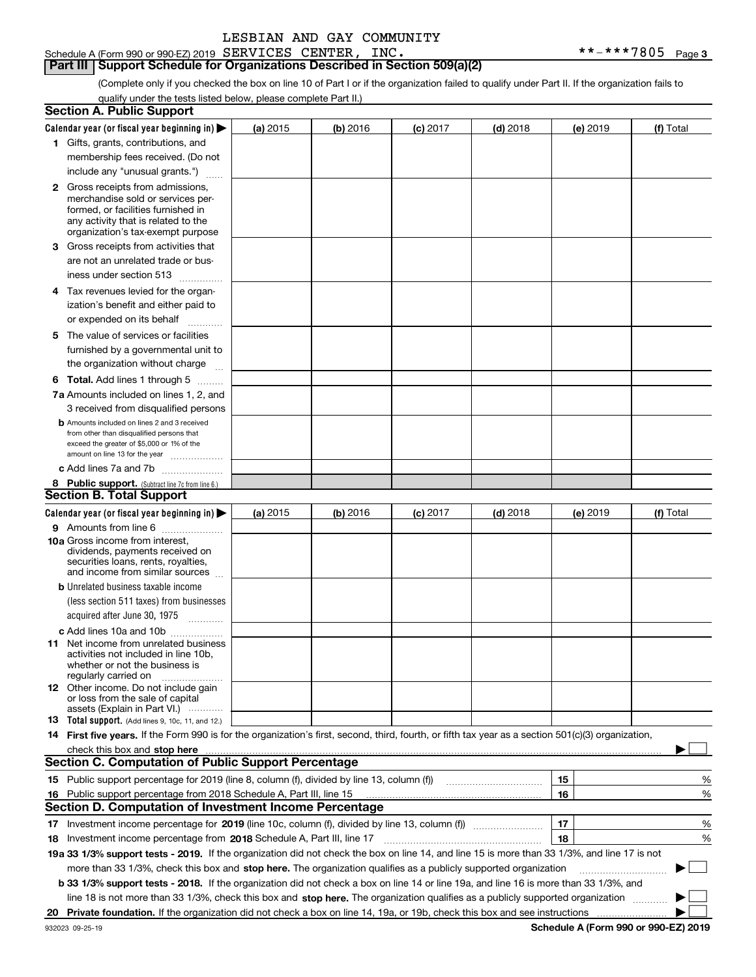## **Part III** | Support Schedule for Organizations Described in Section 509(a)(2)

(Complete only if you checked the box on line 10 of Part I or if the organization failed to qualify under Part II. If the organization fails to qualify under the tests listed below, please complete Part II.)

|    | <b>Section A. Public Support</b>                                                                                                                    |          |          |            |            |          |           |
|----|-----------------------------------------------------------------------------------------------------------------------------------------------------|----------|----------|------------|------------|----------|-----------|
|    | Calendar year (or fiscal year beginning in) $\blacktriangleright$                                                                                   | (a) 2015 | (b) 2016 | $(c)$ 2017 | $(d)$ 2018 | (e) 2019 | (f) Total |
|    | 1 Gifts, grants, contributions, and                                                                                                                 |          |          |            |            |          |           |
|    | membership fees received. (Do not                                                                                                                   |          |          |            |            |          |           |
|    | include any "unusual grants.")                                                                                                                      |          |          |            |            |          |           |
|    | <b>2</b> Gross receipts from admissions,                                                                                                            |          |          |            |            |          |           |
|    | merchandise sold or services per-                                                                                                                   |          |          |            |            |          |           |
|    | formed, or facilities furnished in                                                                                                                  |          |          |            |            |          |           |
|    | any activity that is related to the<br>organization's tax-exempt purpose                                                                            |          |          |            |            |          |           |
|    | 3 Gross receipts from activities that                                                                                                               |          |          |            |            |          |           |
|    | are not an unrelated trade or bus-                                                                                                                  |          |          |            |            |          |           |
|    |                                                                                                                                                     |          |          |            |            |          |           |
|    | iness under section 513                                                                                                                             |          |          |            |            |          |           |
|    | 4 Tax revenues levied for the organ-                                                                                                                |          |          |            |            |          |           |
|    | ization's benefit and either paid to                                                                                                                |          |          |            |            |          |           |
|    | or expended on its behalf<br>.                                                                                                                      |          |          |            |            |          |           |
|    | 5 The value of services or facilities                                                                                                               |          |          |            |            |          |           |
|    | furnished by a governmental unit to                                                                                                                 |          |          |            |            |          |           |
|    | the organization without charge                                                                                                                     |          |          |            |            |          |           |
|    | <b>6 Total.</b> Add lines 1 through 5                                                                                                               |          |          |            |            |          |           |
|    | 7a Amounts included on lines 1, 2, and                                                                                                              |          |          |            |            |          |           |
|    | 3 received from disqualified persons                                                                                                                |          |          |            |            |          |           |
|    | <b>b</b> Amounts included on lines 2 and 3 received                                                                                                 |          |          |            |            |          |           |
|    | from other than disqualified persons that<br>exceed the greater of \$5,000 or 1% of the                                                             |          |          |            |            |          |           |
|    | amount on line 13 for the year                                                                                                                      |          |          |            |            |          |           |
|    | c Add lines 7a and 7b                                                                                                                               |          |          |            |            |          |           |
|    | 8 Public support. (Subtract line 7c from line 6.)                                                                                                   |          |          |            |            |          |           |
|    | <b>Section B. Total Support</b>                                                                                                                     |          |          |            |            |          |           |
|    | Calendar year (or fiscal year beginning in)                                                                                                         | (a) 2015 | (b) 2016 | $(c)$ 2017 | $(d)$ 2018 | (e) 2019 | (f) Total |
|    | 9 Amounts from line 6                                                                                                                               |          |          |            |            |          |           |
|    | <b>10a</b> Gross income from interest,                                                                                                              |          |          |            |            |          |           |
|    | dividends, payments received on                                                                                                                     |          |          |            |            |          |           |
|    | securities loans, rents, royalties,<br>and income from similar sources                                                                              |          |          |            |            |          |           |
|    | <b>b</b> Unrelated business taxable income                                                                                                          |          |          |            |            |          |           |
|    | (less section 511 taxes) from businesses                                                                                                            |          |          |            |            |          |           |
|    | acquired after June 30, 1975 [10001]                                                                                                                |          |          |            |            |          |           |
|    |                                                                                                                                                     |          |          |            |            |          |           |
|    | c Add lines 10a and 10b<br>11 Net income from unrelated business                                                                                    |          |          |            |            |          |           |
|    | activities not included in line 10b,                                                                                                                |          |          |            |            |          |           |
|    | whether or not the business is                                                                                                                      |          |          |            |            |          |           |
|    | regularly carried on                                                                                                                                |          |          |            |            |          |           |
|    | <b>12</b> Other income. Do not include gain<br>or loss from the sale of capital                                                                     |          |          |            |            |          |           |
|    | assets (Explain in Part VI.)                                                                                                                        |          |          |            |            |          |           |
|    | <b>13</b> Total support. (Add lines 9, 10c, 11, and 12.)                                                                                            |          |          |            |            |          |           |
|    | 14 First five years. If the Form 990 is for the organization's first, second, third, fourth, or fifth tax year as a section 501(c)(3) organization, |          |          |            |            |          |           |
|    | check this box and stop here measurements are constructed as the state of the state of the state of the state o                                     |          |          |            |            |          |           |
|    | <b>Section C. Computation of Public Support Percentage</b>                                                                                          |          |          |            |            |          |           |
|    | 15 Public support percentage for 2019 (line 8, column (f), divided by line 13, column (f))                                                          |          |          |            |            | 15       | %         |
|    | 16 Public support percentage from 2018 Schedule A, Part III, line 15                                                                                |          |          |            |            | 16       | %         |
|    | <b>Section D. Computation of Investment Income Percentage</b>                                                                                       |          |          |            |            |          |           |
|    | 17 Investment income percentage for 2019 (line 10c, column (f), divided by line 13, column (f))                                                     |          |          |            |            | 17       | %         |
|    | <b>18</b> Investment income percentage from <b>2018</b> Schedule A, Part III, line 17                                                               |          |          |            |            | 18       | %         |
|    | 19a 33 1/3% support tests - 2019. If the organization did not check the box on line 14, and line 15 is more than 33 1/3%, and line 17 is not        |          |          |            |            |          |           |
|    | more than 33 1/3%, check this box and stop here. The organization qualifies as a publicly supported organization                                    |          |          |            |            |          | ▶         |
|    | b 33 1/3% support tests - 2018. If the organization did not check a box on line 14 or line 19a, and line 16 is more than 33 1/3%, and               |          |          |            |            |          |           |
|    | line 18 is not more than 33 1/3%, check this box and stop here. The organization qualifies as a publicly supported organization                     |          |          |            |            |          |           |
| 20 |                                                                                                                                                     |          |          |            |            |          |           |
|    |                                                                                                                                                     |          |          |            |            |          |           |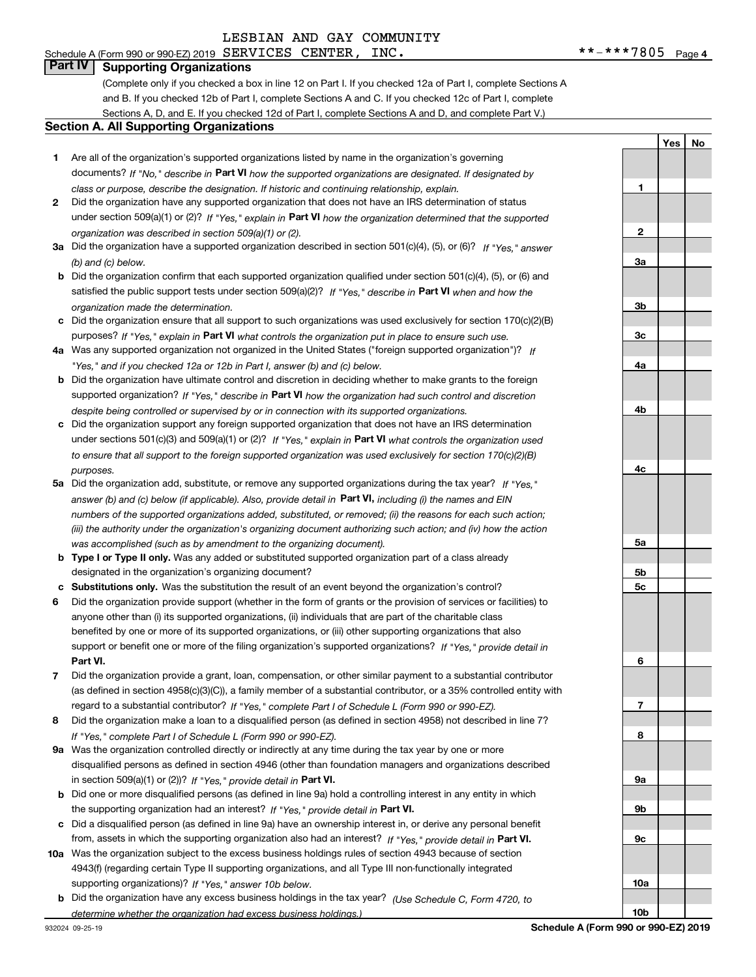## Schedule A (Form 990 or 990-EZ) 2019  $\texttt{SERVICES}\ \texttt{CBNTER}$  ,  $\texttt{INC.}$   $\texttt{[1]}$  ,  $\texttt{[1]}$  ,  $\texttt{[1]}$  ,  $\texttt{[1]}$  ,  $\texttt{[2]}$  ,  $\texttt{[2]}$  and

## **Part IV Supporting Organizations**

(Complete only if you checked a box in line 12 on Part I. If you checked 12a of Part I, complete Sections A and B. If you checked 12b of Part I, complete Sections A and C. If you checked 12c of Part I, complete Sections A, D, and E. If you checked 12d of Part I, complete Sections A and D, and complete Part V.)

#### **Section A. All Supporting Organizations**

- **1** Are all of the organization's supported organizations listed by name in the organization's governing documents? If "No," describe in **Part VI** how the supported organizations are designated. If designated by *class or purpose, describe the designation. If historic and continuing relationship, explain.*
- **2** Did the organization have any supported organization that does not have an IRS determination of status under section 509(a)(1) or (2)? If "Yes," explain in Part VI how the organization determined that the supported *organization was described in section 509(a)(1) or (2).*
- **3a** Did the organization have a supported organization described in section 501(c)(4), (5), or (6)? If "Yes," answer *(b) and (c) below.*
- **b** Did the organization confirm that each supported organization qualified under section 501(c)(4), (5), or (6) and satisfied the public support tests under section 509(a)(2)? If "Yes," describe in **Part VI** when and how the *organization made the determination.*
- **c**Did the organization ensure that all support to such organizations was used exclusively for section 170(c)(2)(B) purposes? If "Yes," explain in **Part VI** what controls the organization put in place to ensure such use.
- **4a***If* Was any supported organization not organized in the United States ("foreign supported organization")? *"Yes," and if you checked 12a or 12b in Part I, answer (b) and (c) below.*
- **b** Did the organization have ultimate control and discretion in deciding whether to make grants to the foreign supported organization? If "Yes," describe in **Part VI** how the organization had such control and discretion *despite being controlled or supervised by or in connection with its supported organizations.*
- **c** Did the organization support any foreign supported organization that does not have an IRS determination under sections 501(c)(3) and 509(a)(1) or (2)? If "Yes," explain in **Part VI** what controls the organization used *to ensure that all support to the foreign supported organization was used exclusively for section 170(c)(2)(B) purposes.*
- **5a***If "Yes,"* Did the organization add, substitute, or remove any supported organizations during the tax year? answer (b) and (c) below (if applicable). Also, provide detail in **Part VI,** including (i) the names and EIN *numbers of the supported organizations added, substituted, or removed; (ii) the reasons for each such action; (iii) the authority under the organization's organizing document authorizing such action; and (iv) how the action was accomplished (such as by amendment to the organizing document).*
- **b** Type I or Type II only. Was any added or substituted supported organization part of a class already designated in the organization's organizing document?
- **cSubstitutions only.**  Was the substitution the result of an event beyond the organization's control?
- **6** Did the organization provide support (whether in the form of grants or the provision of services or facilities) to **Part VI.** *If "Yes," provide detail in* support or benefit one or more of the filing organization's supported organizations? anyone other than (i) its supported organizations, (ii) individuals that are part of the charitable class benefited by one or more of its supported organizations, or (iii) other supporting organizations that also
- **7**Did the organization provide a grant, loan, compensation, or other similar payment to a substantial contributor *If "Yes," complete Part I of Schedule L (Form 990 or 990-EZ).* regard to a substantial contributor? (as defined in section 4958(c)(3)(C)), a family member of a substantial contributor, or a 35% controlled entity with
- **8** Did the organization make a loan to a disqualified person (as defined in section 4958) not described in line 7? *If "Yes," complete Part I of Schedule L (Form 990 or 990-EZ).*
- **9a** Was the organization controlled directly or indirectly at any time during the tax year by one or more in section 509(a)(1) or (2))? If "Yes," *provide detail in* <code>Part VI.</code> disqualified persons as defined in section 4946 (other than foundation managers and organizations described
- **b** Did one or more disqualified persons (as defined in line 9a) hold a controlling interest in any entity in which the supporting organization had an interest? If "Yes," provide detail in P**art VI**.
- **c**Did a disqualified person (as defined in line 9a) have an ownership interest in, or derive any personal benefit from, assets in which the supporting organization also had an interest? If "Yes," provide detail in P**art VI.**
- **10a** Was the organization subject to the excess business holdings rules of section 4943 because of section supporting organizations)? If "Yes," answer 10b below. 4943(f) (regarding certain Type II supporting organizations, and all Type III non-functionally integrated
- **b** Did the organization have any excess business holdings in the tax year? (Use Schedule C, Form 4720, to *determine whether the organization had excess business holdings.)*

**1**

**2**

**3a**

**3b**

**3c**

**4a**

**4b**

**4c**

**5a**

**5b5c**

**6**

**7**

**8**

**9a**

**9b**

**9c**

**10a**

**YesNo**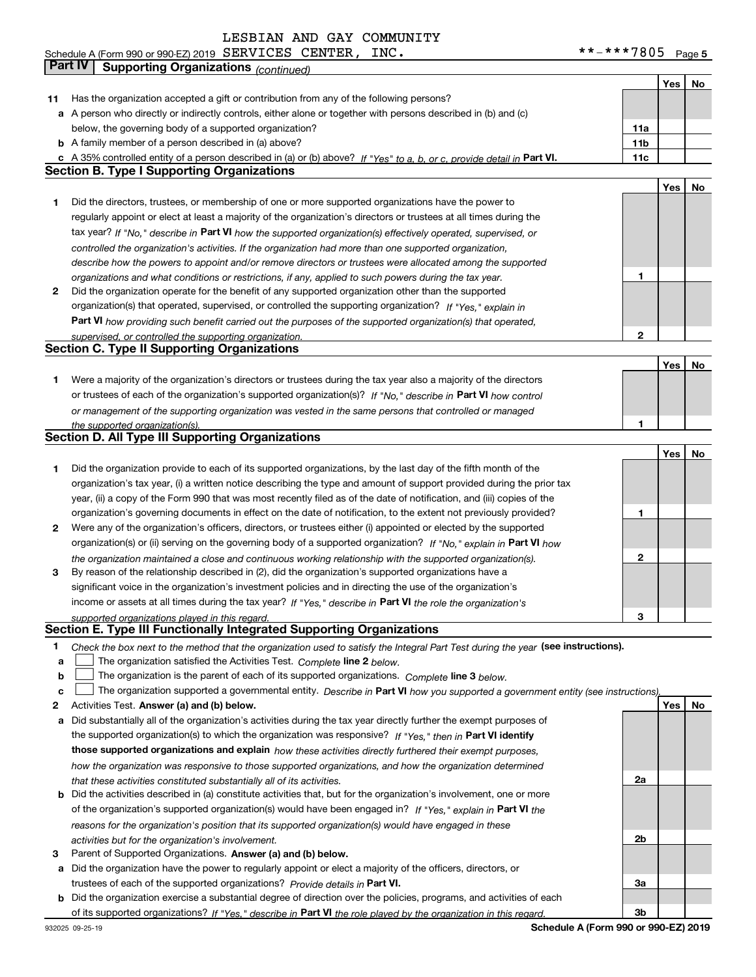Schedule A (Form 990 or 990-EZ) 2019  $\texttt{SERVICES}\ \texttt{CBNTER}$  ,  $\texttt{INC.}$   $\texttt{[1]}$  ,  $\texttt{[1]}$  ,  $\texttt{[1]}$  ,  $\texttt{[1]}$  ,  $\texttt{[2]}$  ,  $\texttt{[2]}$  and

| Yes<br>No<br>Has the organization accepted a gift or contribution from any of the following persons?<br>11<br>a A person who directly or indirectly controls, either alone or together with persons described in (b) and (c)<br>below, the governing body of a supported organization?<br>11a<br><b>b</b> A family member of a person described in (a) above?<br>11 <sub>b</sub><br>c A 35% controlled entity of a person described in (a) or (b) above? If "Yes" to a, b, or c, provide detail in Part VI.<br>11c<br><b>Section B. Type I Supporting Organizations</b><br>Yes<br>No<br>Did the directors, trustees, or membership of one or more supported organizations have the power to<br>1<br>regularly appoint or elect at least a majority of the organization's directors or trustees at all times during the<br>tax year? If "No," describe in Part VI how the supported organization(s) effectively operated, supervised, or<br>controlled the organization's activities. If the organization had more than one supported organization,<br>describe how the powers to appoint and/or remove directors or trustees were allocated among the supported<br>1<br>organizations and what conditions or restrictions, if any, applied to such powers during the tax year.<br>2<br>Did the organization operate for the benefit of any supported organization other than the supported<br>organization(s) that operated, supervised, or controlled the supporting organization? If "Yes," explain in<br>Part VI how providing such benefit carried out the purposes of the supported organization(s) that operated,<br>2<br>supervised, or controlled the supporting organization.<br><b>Section C. Type II Supporting Organizations</b><br>Yes<br>No<br>Were a majority of the organization's directors or trustees during the tax year also a majority of the directors<br>1<br>or trustees of each of the organization's supported organization(s)? If "No," describe in Part VI how control<br>or management of the supporting organization was vested in the same persons that controlled or managed<br>1<br>the supported organization(s)<br><b>Section D. All Type III Supporting Organizations</b><br>Yes<br>No<br>Did the organization provide to each of its supported organizations, by the last day of the fifth month of the<br>1<br>organization's tax year, (i) a written notice describing the type and amount of support provided during the prior tax<br>year, (ii) a copy of the Form 990 that was most recently filed as of the date of notification, and (iii) copies of the<br>organization's governing documents in effect on the date of notification, to the extent not previously provided?<br>1<br>Were any of the organization's officers, directors, or trustees either (i) appointed or elected by the supported<br>2<br>organization(s) or (ii) serving on the governing body of a supported organization? If "No," explain in Part VI how<br>2<br>the organization maintained a close and continuous working relationship with the supported organization(s).<br>By reason of the relationship described in (2), did the organization's supported organizations have a<br>3<br>significant voice in the organization's investment policies and in directing the use of the organization's<br>income or assets at all times during the tax year? If "Yes," describe in Part VI the role the organization's<br>З<br>supported organizations played in this regard.<br>Section E. Type III Functionally Integrated Supporting Organizations<br>Check the box next to the method that the organization used to satisfy the Integral Part Test during the year (see instructions).<br>1<br>The organization satisfied the Activities Test. Complete line 2 below.<br>а<br>The organization is the parent of each of its supported organizations. Complete line 3 below.<br>b<br>The organization supported a governmental entity. Describe in Part VI how you supported a government entity (see instructions)<br>c<br>Yes<br>Activities Test. Answer (a) and (b) below.<br>No<br>2<br>Did substantially all of the organization's activities during the tax year directly further the exempt purposes of<br>а<br>the supported organization(s) to which the organization was responsive? If "Yes," then in Part VI identify<br>those supported organizations and explain how these activities directly furthered their exempt purposes,<br>how the organization was responsive to those supported organizations, and how the organization determined<br>2a<br>that these activities constituted substantially all of its activities.<br><b>b</b> Did the activities described in (a) constitute activities that, but for the organization's involvement, one or more<br>of the organization's supported organization(s) would have been engaged in? If "Yes," explain in Part VI the<br>reasons for the organization's position that its supported organization(s) would have engaged in these<br>2 <sub>b</sub><br>activities but for the organization's involvement.<br>Parent of Supported Organizations. Answer (a) and (b) below.<br>з<br>a Did the organization have the power to regularly appoint or elect a majority of the officers, directors, or | <b>Part IV</b><br><b>Supporting Organizations (continued)</b>                |    |  |
|----------------------------------------------------------------------------------------------------------------------------------------------------------------------------------------------------------------------------------------------------------------------------------------------------------------------------------------------------------------------------------------------------------------------------------------------------------------------------------------------------------------------------------------------------------------------------------------------------------------------------------------------------------------------------------------------------------------------------------------------------------------------------------------------------------------------------------------------------------------------------------------------------------------------------------------------------------------------------------------------------------------------------------------------------------------------------------------------------------------------------------------------------------------------------------------------------------------------------------------------------------------------------------------------------------------------------------------------------------------------------------------------------------------------------------------------------------------------------------------------------------------------------------------------------------------------------------------------------------------------------------------------------------------------------------------------------------------------------------------------------------------------------------------------------------------------------------------------------------------------------------------------------------------------------------------------------------------------------------------------------------------------------------------------------------------------------------------------------------------------------------------------------------------------------------------------------------------------------------------------------------------------------------------------------------------------------------------------------------------------------------------------------------------------------------------------------------------------------------------------------------------------------------------------------------------------------------------------------------------------------------------------------------------------------------------------------------------------------------------------------------------------------------------------------------------------------------------------------------------------------------------------------------------------------------------------------------------------------------------------------------------------------------------------------------------------------------------------------------------------------------------------------------------------------------------------------------------------------------------------------------------------------------------------------------------------------------------------------------------------------------------------------------------------------------------------------------------------------------------------------------------------------------------------------------------------------------------------------------------------------------------------------------------------------------------------------------------------------------------------------------------------------------------------------------------------------------------------------------------------------------------------------------------------------------------------------------------------------------------------------------------------------------------------------------------------------------------------------------------------------------------------------------------------------------------------------------------------------------------------------------------------------------------------------------------------------------------------------------------------------------------------------------------------------------------------------------------------------------------------------------------------------------------------------------------------------------------------------------------------------------------------------------------------------------------------------------------------------------------------------------------------------------------------------------------------------------------------------------------------------------------------------------------------------------------------------------------------------------------------------------------------------------------------------------------------------------------------------------------------------------------------------------------------------------------------------------------------------------------------------------------------------------------------|------------------------------------------------------------------------------|----|--|
|                                                                                                                                                                                                                                                                                                                                                                                                                                                                                                                                                                                                                                                                                                                                                                                                                                                                                                                                                                                                                                                                                                                                                                                                                                                                                                                                                                                                                                                                                                                                                                                                                                                                                                                                                                                                                                                                                                                                                                                                                                                                                                                                                                                                                                                                                                                                                                                                                                                                                                                                                                                                                                                                                                                                                                                                                                                                                                                                                                                                                                                                                                                                                                                                                                                                                                                                                                                                                                                                                                                                                                                                                                                                                                                                                                                                                                                                                                                                                                                                                                                                                                                                                                                                                                                                                                                                                                                                                                                                                                                                                                                                                                                                                                                                                                                                                                                                                                                                                                                                                                                                                                                                                                                                                                                                                              |                                                                              |    |  |
|                                                                                                                                                                                                                                                                                                                                                                                                                                                                                                                                                                                                                                                                                                                                                                                                                                                                                                                                                                                                                                                                                                                                                                                                                                                                                                                                                                                                                                                                                                                                                                                                                                                                                                                                                                                                                                                                                                                                                                                                                                                                                                                                                                                                                                                                                                                                                                                                                                                                                                                                                                                                                                                                                                                                                                                                                                                                                                                                                                                                                                                                                                                                                                                                                                                                                                                                                                                                                                                                                                                                                                                                                                                                                                                                                                                                                                                                                                                                                                                                                                                                                                                                                                                                                                                                                                                                                                                                                                                                                                                                                                                                                                                                                                                                                                                                                                                                                                                                                                                                                                                                                                                                                                                                                                                                                              |                                                                              |    |  |
|                                                                                                                                                                                                                                                                                                                                                                                                                                                                                                                                                                                                                                                                                                                                                                                                                                                                                                                                                                                                                                                                                                                                                                                                                                                                                                                                                                                                                                                                                                                                                                                                                                                                                                                                                                                                                                                                                                                                                                                                                                                                                                                                                                                                                                                                                                                                                                                                                                                                                                                                                                                                                                                                                                                                                                                                                                                                                                                                                                                                                                                                                                                                                                                                                                                                                                                                                                                                                                                                                                                                                                                                                                                                                                                                                                                                                                                                                                                                                                                                                                                                                                                                                                                                                                                                                                                                                                                                                                                                                                                                                                                                                                                                                                                                                                                                                                                                                                                                                                                                                                                                                                                                                                                                                                                                                              |                                                                              |    |  |
|                                                                                                                                                                                                                                                                                                                                                                                                                                                                                                                                                                                                                                                                                                                                                                                                                                                                                                                                                                                                                                                                                                                                                                                                                                                                                                                                                                                                                                                                                                                                                                                                                                                                                                                                                                                                                                                                                                                                                                                                                                                                                                                                                                                                                                                                                                                                                                                                                                                                                                                                                                                                                                                                                                                                                                                                                                                                                                                                                                                                                                                                                                                                                                                                                                                                                                                                                                                                                                                                                                                                                                                                                                                                                                                                                                                                                                                                                                                                                                                                                                                                                                                                                                                                                                                                                                                                                                                                                                                                                                                                                                                                                                                                                                                                                                                                                                                                                                                                                                                                                                                                                                                                                                                                                                                                                              |                                                                              |    |  |
|                                                                                                                                                                                                                                                                                                                                                                                                                                                                                                                                                                                                                                                                                                                                                                                                                                                                                                                                                                                                                                                                                                                                                                                                                                                                                                                                                                                                                                                                                                                                                                                                                                                                                                                                                                                                                                                                                                                                                                                                                                                                                                                                                                                                                                                                                                                                                                                                                                                                                                                                                                                                                                                                                                                                                                                                                                                                                                                                                                                                                                                                                                                                                                                                                                                                                                                                                                                                                                                                                                                                                                                                                                                                                                                                                                                                                                                                                                                                                                                                                                                                                                                                                                                                                                                                                                                                                                                                                                                                                                                                                                                                                                                                                                                                                                                                                                                                                                                                                                                                                                                                                                                                                                                                                                                                                              |                                                                              |    |  |
|                                                                                                                                                                                                                                                                                                                                                                                                                                                                                                                                                                                                                                                                                                                                                                                                                                                                                                                                                                                                                                                                                                                                                                                                                                                                                                                                                                                                                                                                                                                                                                                                                                                                                                                                                                                                                                                                                                                                                                                                                                                                                                                                                                                                                                                                                                                                                                                                                                                                                                                                                                                                                                                                                                                                                                                                                                                                                                                                                                                                                                                                                                                                                                                                                                                                                                                                                                                                                                                                                                                                                                                                                                                                                                                                                                                                                                                                                                                                                                                                                                                                                                                                                                                                                                                                                                                                                                                                                                                                                                                                                                                                                                                                                                                                                                                                                                                                                                                                                                                                                                                                                                                                                                                                                                                                                              |                                                                              |    |  |
|                                                                                                                                                                                                                                                                                                                                                                                                                                                                                                                                                                                                                                                                                                                                                                                                                                                                                                                                                                                                                                                                                                                                                                                                                                                                                                                                                                                                                                                                                                                                                                                                                                                                                                                                                                                                                                                                                                                                                                                                                                                                                                                                                                                                                                                                                                                                                                                                                                                                                                                                                                                                                                                                                                                                                                                                                                                                                                                                                                                                                                                                                                                                                                                                                                                                                                                                                                                                                                                                                                                                                                                                                                                                                                                                                                                                                                                                                                                                                                                                                                                                                                                                                                                                                                                                                                                                                                                                                                                                                                                                                                                                                                                                                                                                                                                                                                                                                                                                                                                                                                                                                                                                                                                                                                                                                              |                                                                              |    |  |
|                                                                                                                                                                                                                                                                                                                                                                                                                                                                                                                                                                                                                                                                                                                                                                                                                                                                                                                                                                                                                                                                                                                                                                                                                                                                                                                                                                                                                                                                                                                                                                                                                                                                                                                                                                                                                                                                                                                                                                                                                                                                                                                                                                                                                                                                                                                                                                                                                                                                                                                                                                                                                                                                                                                                                                                                                                                                                                                                                                                                                                                                                                                                                                                                                                                                                                                                                                                                                                                                                                                                                                                                                                                                                                                                                                                                                                                                                                                                                                                                                                                                                                                                                                                                                                                                                                                                                                                                                                                                                                                                                                                                                                                                                                                                                                                                                                                                                                                                                                                                                                                                                                                                                                                                                                                                                              |                                                                              |    |  |
|                                                                                                                                                                                                                                                                                                                                                                                                                                                                                                                                                                                                                                                                                                                                                                                                                                                                                                                                                                                                                                                                                                                                                                                                                                                                                                                                                                                                                                                                                                                                                                                                                                                                                                                                                                                                                                                                                                                                                                                                                                                                                                                                                                                                                                                                                                                                                                                                                                                                                                                                                                                                                                                                                                                                                                                                                                                                                                                                                                                                                                                                                                                                                                                                                                                                                                                                                                                                                                                                                                                                                                                                                                                                                                                                                                                                                                                                                                                                                                                                                                                                                                                                                                                                                                                                                                                                                                                                                                                                                                                                                                                                                                                                                                                                                                                                                                                                                                                                                                                                                                                                                                                                                                                                                                                                                              |                                                                              |    |  |
|                                                                                                                                                                                                                                                                                                                                                                                                                                                                                                                                                                                                                                                                                                                                                                                                                                                                                                                                                                                                                                                                                                                                                                                                                                                                                                                                                                                                                                                                                                                                                                                                                                                                                                                                                                                                                                                                                                                                                                                                                                                                                                                                                                                                                                                                                                                                                                                                                                                                                                                                                                                                                                                                                                                                                                                                                                                                                                                                                                                                                                                                                                                                                                                                                                                                                                                                                                                                                                                                                                                                                                                                                                                                                                                                                                                                                                                                                                                                                                                                                                                                                                                                                                                                                                                                                                                                                                                                                                                                                                                                                                                                                                                                                                                                                                                                                                                                                                                                                                                                                                                                                                                                                                                                                                                                                              |                                                                              |    |  |
|                                                                                                                                                                                                                                                                                                                                                                                                                                                                                                                                                                                                                                                                                                                                                                                                                                                                                                                                                                                                                                                                                                                                                                                                                                                                                                                                                                                                                                                                                                                                                                                                                                                                                                                                                                                                                                                                                                                                                                                                                                                                                                                                                                                                                                                                                                                                                                                                                                                                                                                                                                                                                                                                                                                                                                                                                                                                                                                                                                                                                                                                                                                                                                                                                                                                                                                                                                                                                                                                                                                                                                                                                                                                                                                                                                                                                                                                                                                                                                                                                                                                                                                                                                                                                                                                                                                                                                                                                                                                                                                                                                                                                                                                                                                                                                                                                                                                                                                                                                                                                                                                                                                                                                                                                                                                                              |                                                                              |    |  |
|                                                                                                                                                                                                                                                                                                                                                                                                                                                                                                                                                                                                                                                                                                                                                                                                                                                                                                                                                                                                                                                                                                                                                                                                                                                                                                                                                                                                                                                                                                                                                                                                                                                                                                                                                                                                                                                                                                                                                                                                                                                                                                                                                                                                                                                                                                                                                                                                                                                                                                                                                                                                                                                                                                                                                                                                                                                                                                                                                                                                                                                                                                                                                                                                                                                                                                                                                                                                                                                                                                                                                                                                                                                                                                                                                                                                                                                                                                                                                                                                                                                                                                                                                                                                                                                                                                                                                                                                                                                                                                                                                                                                                                                                                                                                                                                                                                                                                                                                                                                                                                                                                                                                                                                                                                                                                              |                                                                              |    |  |
|                                                                                                                                                                                                                                                                                                                                                                                                                                                                                                                                                                                                                                                                                                                                                                                                                                                                                                                                                                                                                                                                                                                                                                                                                                                                                                                                                                                                                                                                                                                                                                                                                                                                                                                                                                                                                                                                                                                                                                                                                                                                                                                                                                                                                                                                                                                                                                                                                                                                                                                                                                                                                                                                                                                                                                                                                                                                                                                                                                                                                                                                                                                                                                                                                                                                                                                                                                                                                                                                                                                                                                                                                                                                                                                                                                                                                                                                                                                                                                                                                                                                                                                                                                                                                                                                                                                                                                                                                                                                                                                                                                                                                                                                                                                                                                                                                                                                                                                                                                                                                                                                                                                                                                                                                                                                                              |                                                                              |    |  |
|                                                                                                                                                                                                                                                                                                                                                                                                                                                                                                                                                                                                                                                                                                                                                                                                                                                                                                                                                                                                                                                                                                                                                                                                                                                                                                                                                                                                                                                                                                                                                                                                                                                                                                                                                                                                                                                                                                                                                                                                                                                                                                                                                                                                                                                                                                                                                                                                                                                                                                                                                                                                                                                                                                                                                                                                                                                                                                                                                                                                                                                                                                                                                                                                                                                                                                                                                                                                                                                                                                                                                                                                                                                                                                                                                                                                                                                                                                                                                                                                                                                                                                                                                                                                                                                                                                                                                                                                                                                                                                                                                                                                                                                                                                                                                                                                                                                                                                                                                                                                                                                                                                                                                                                                                                                                                              |                                                                              |    |  |
|                                                                                                                                                                                                                                                                                                                                                                                                                                                                                                                                                                                                                                                                                                                                                                                                                                                                                                                                                                                                                                                                                                                                                                                                                                                                                                                                                                                                                                                                                                                                                                                                                                                                                                                                                                                                                                                                                                                                                                                                                                                                                                                                                                                                                                                                                                                                                                                                                                                                                                                                                                                                                                                                                                                                                                                                                                                                                                                                                                                                                                                                                                                                                                                                                                                                                                                                                                                                                                                                                                                                                                                                                                                                                                                                                                                                                                                                                                                                                                                                                                                                                                                                                                                                                                                                                                                                                                                                                                                                                                                                                                                                                                                                                                                                                                                                                                                                                                                                                                                                                                                                                                                                                                                                                                                                                              |                                                                              |    |  |
|                                                                                                                                                                                                                                                                                                                                                                                                                                                                                                                                                                                                                                                                                                                                                                                                                                                                                                                                                                                                                                                                                                                                                                                                                                                                                                                                                                                                                                                                                                                                                                                                                                                                                                                                                                                                                                                                                                                                                                                                                                                                                                                                                                                                                                                                                                                                                                                                                                                                                                                                                                                                                                                                                                                                                                                                                                                                                                                                                                                                                                                                                                                                                                                                                                                                                                                                                                                                                                                                                                                                                                                                                                                                                                                                                                                                                                                                                                                                                                                                                                                                                                                                                                                                                                                                                                                                                                                                                                                                                                                                                                                                                                                                                                                                                                                                                                                                                                                                                                                                                                                                                                                                                                                                                                                                                              |                                                                              |    |  |
|                                                                                                                                                                                                                                                                                                                                                                                                                                                                                                                                                                                                                                                                                                                                                                                                                                                                                                                                                                                                                                                                                                                                                                                                                                                                                                                                                                                                                                                                                                                                                                                                                                                                                                                                                                                                                                                                                                                                                                                                                                                                                                                                                                                                                                                                                                                                                                                                                                                                                                                                                                                                                                                                                                                                                                                                                                                                                                                                                                                                                                                                                                                                                                                                                                                                                                                                                                                                                                                                                                                                                                                                                                                                                                                                                                                                                                                                                                                                                                                                                                                                                                                                                                                                                                                                                                                                                                                                                                                                                                                                                                                                                                                                                                                                                                                                                                                                                                                                                                                                                                                                                                                                                                                                                                                                                              |                                                                              |    |  |
|                                                                                                                                                                                                                                                                                                                                                                                                                                                                                                                                                                                                                                                                                                                                                                                                                                                                                                                                                                                                                                                                                                                                                                                                                                                                                                                                                                                                                                                                                                                                                                                                                                                                                                                                                                                                                                                                                                                                                                                                                                                                                                                                                                                                                                                                                                                                                                                                                                                                                                                                                                                                                                                                                                                                                                                                                                                                                                                                                                                                                                                                                                                                                                                                                                                                                                                                                                                                                                                                                                                                                                                                                                                                                                                                                                                                                                                                                                                                                                                                                                                                                                                                                                                                                                                                                                                                                                                                                                                                                                                                                                                                                                                                                                                                                                                                                                                                                                                                                                                                                                                                                                                                                                                                                                                                                              |                                                                              |    |  |
|                                                                                                                                                                                                                                                                                                                                                                                                                                                                                                                                                                                                                                                                                                                                                                                                                                                                                                                                                                                                                                                                                                                                                                                                                                                                                                                                                                                                                                                                                                                                                                                                                                                                                                                                                                                                                                                                                                                                                                                                                                                                                                                                                                                                                                                                                                                                                                                                                                                                                                                                                                                                                                                                                                                                                                                                                                                                                                                                                                                                                                                                                                                                                                                                                                                                                                                                                                                                                                                                                                                                                                                                                                                                                                                                                                                                                                                                                                                                                                                                                                                                                                                                                                                                                                                                                                                                                                                                                                                                                                                                                                                                                                                                                                                                                                                                                                                                                                                                                                                                                                                                                                                                                                                                                                                                                              |                                                                              |    |  |
|                                                                                                                                                                                                                                                                                                                                                                                                                                                                                                                                                                                                                                                                                                                                                                                                                                                                                                                                                                                                                                                                                                                                                                                                                                                                                                                                                                                                                                                                                                                                                                                                                                                                                                                                                                                                                                                                                                                                                                                                                                                                                                                                                                                                                                                                                                                                                                                                                                                                                                                                                                                                                                                                                                                                                                                                                                                                                                                                                                                                                                                                                                                                                                                                                                                                                                                                                                                                                                                                                                                                                                                                                                                                                                                                                                                                                                                                                                                                                                                                                                                                                                                                                                                                                                                                                                                                                                                                                                                                                                                                                                                                                                                                                                                                                                                                                                                                                                                                                                                                                                                                                                                                                                                                                                                                                              |                                                                              |    |  |
|                                                                                                                                                                                                                                                                                                                                                                                                                                                                                                                                                                                                                                                                                                                                                                                                                                                                                                                                                                                                                                                                                                                                                                                                                                                                                                                                                                                                                                                                                                                                                                                                                                                                                                                                                                                                                                                                                                                                                                                                                                                                                                                                                                                                                                                                                                                                                                                                                                                                                                                                                                                                                                                                                                                                                                                                                                                                                                                                                                                                                                                                                                                                                                                                                                                                                                                                                                                                                                                                                                                                                                                                                                                                                                                                                                                                                                                                                                                                                                                                                                                                                                                                                                                                                                                                                                                                                                                                                                                                                                                                                                                                                                                                                                                                                                                                                                                                                                                                                                                                                                                                                                                                                                                                                                                                                              |                                                                              |    |  |
|                                                                                                                                                                                                                                                                                                                                                                                                                                                                                                                                                                                                                                                                                                                                                                                                                                                                                                                                                                                                                                                                                                                                                                                                                                                                                                                                                                                                                                                                                                                                                                                                                                                                                                                                                                                                                                                                                                                                                                                                                                                                                                                                                                                                                                                                                                                                                                                                                                                                                                                                                                                                                                                                                                                                                                                                                                                                                                                                                                                                                                                                                                                                                                                                                                                                                                                                                                                                                                                                                                                                                                                                                                                                                                                                                                                                                                                                                                                                                                                                                                                                                                                                                                                                                                                                                                                                                                                                                                                                                                                                                                                                                                                                                                                                                                                                                                                                                                                                                                                                                                                                                                                                                                                                                                                                                              |                                                                              |    |  |
|                                                                                                                                                                                                                                                                                                                                                                                                                                                                                                                                                                                                                                                                                                                                                                                                                                                                                                                                                                                                                                                                                                                                                                                                                                                                                                                                                                                                                                                                                                                                                                                                                                                                                                                                                                                                                                                                                                                                                                                                                                                                                                                                                                                                                                                                                                                                                                                                                                                                                                                                                                                                                                                                                                                                                                                                                                                                                                                                                                                                                                                                                                                                                                                                                                                                                                                                                                                                                                                                                                                                                                                                                                                                                                                                                                                                                                                                                                                                                                                                                                                                                                                                                                                                                                                                                                                                                                                                                                                                                                                                                                                                                                                                                                                                                                                                                                                                                                                                                                                                                                                                                                                                                                                                                                                                                              |                                                                              |    |  |
|                                                                                                                                                                                                                                                                                                                                                                                                                                                                                                                                                                                                                                                                                                                                                                                                                                                                                                                                                                                                                                                                                                                                                                                                                                                                                                                                                                                                                                                                                                                                                                                                                                                                                                                                                                                                                                                                                                                                                                                                                                                                                                                                                                                                                                                                                                                                                                                                                                                                                                                                                                                                                                                                                                                                                                                                                                                                                                                                                                                                                                                                                                                                                                                                                                                                                                                                                                                                                                                                                                                                                                                                                                                                                                                                                                                                                                                                                                                                                                                                                                                                                                                                                                                                                                                                                                                                                                                                                                                                                                                                                                                                                                                                                                                                                                                                                                                                                                                                                                                                                                                                                                                                                                                                                                                                                              |                                                                              |    |  |
|                                                                                                                                                                                                                                                                                                                                                                                                                                                                                                                                                                                                                                                                                                                                                                                                                                                                                                                                                                                                                                                                                                                                                                                                                                                                                                                                                                                                                                                                                                                                                                                                                                                                                                                                                                                                                                                                                                                                                                                                                                                                                                                                                                                                                                                                                                                                                                                                                                                                                                                                                                                                                                                                                                                                                                                                                                                                                                                                                                                                                                                                                                                                                                                                                                                                                                                                                                                                                                                                                                                                                                                                                                                                                                                                                                                                                                                                                                                                                                                                                                                                                                                                                                                                                                                                                                                                                                                                                                                                                                                                                                                                                                                                                                                                                                                                                                                                                                                                                                                                                                                                                                                                                                                                                                                                                              |                                                                              |    |  |
|                                                                                                                                                                                                                                                                                                                                                                                                                                                                                                                                                                                                                                                                                                                                                                                                                                                                                                                                                                                                                                                                                                                                                                                                                                                                                                                                                                                                                                                                                                                                                                                                                                                                                                                                                                                                                                                                                                                                                                                                                                                                                                                                                                                                                                                                                                                                                                                                                                                                                                                                                                                                                                                                                                                                                                                                                                                                                                                                                                                                                                                                                                                                                                                                                                                                                                                                                                                                                                                                                                                                                                                                                                                                                                                                                                                                                                                                                                                                                                                                                                                                                                                                                                                                                                                                                                                                                                                                                                                                                                                                                                                                                                                                                                                                                                                                                                                                                                                                                                                                                                                                                                                                                                                                                                                                                              |                                                                              |    |  |
|                                                                                                                                                                                                                                                                                                                                                                                                                                                                                                                                                                                                                                                                                                                                                                                                                                                                                                                                                                                                                                                                                                                                                                                                                                                                                                                                                                                                                                                                                                                                                                                                                                                                                                                                                                                                                                                                                                                                                                                                                                                                                                                                                                                                                                                                                                                                                                                                                                                                                                                                                                                                                                                                                                                                                                                                                                                                                                                                                                                                                                                                                                                                                                                                                                                                                                                                                                                                                                                                                                                                                                                                                                                                                                                                                                                                                                                                                                                                                                                                                                                                                                                                                                                                                                                                                                                                                                                                                                                                                                                                                                                                                                                                                                                                                                                                                                                                                                                                                                                                                                                                                                                                                                                                                                                                                              |                                                                              |    |  |
|                                                                                                                                                                                                                                                                                                                                                                                                                                                                                                                                                                                                                                                                                                                                                                                                                                                                                                                                                                                                                                                                                                                                                                                                                                                                                                                                                                                                                                                                                                                                                                                                                                                                                                                                                                                                                                                                                                                                                                                                                                                                                                                                                                                                                                                                                                                                                                                                                                                                                                                                                                                                                                                                                                                                                                                                                                                                                                                                                                                                                                                                                                                                                                                                                                                                                                                                                                                                                                                                                                                                                                                                                                                                                                                                                                                                                                                                                                                                                                                                                                                                                                                                                                                                                                                                                                                                                                                                                                                                                                                                                                                                                                                                                                                                                                                                                                                                                                                                                                                                                                                                                                                                                                                                                                                                                              |                                                                              |    |  |
|                                                                                                                                                                                                                                                                                                                                                                                                                                                                                                                                                                                                                                                                                                                                                                                                                                                                                                                                                                                                                                                                                                                                                                                                                                                                                                                                                                                                                                                                                                                                                                                                                                                                                                                                                                                                                                                                                                                                                                                                                                                                                                                                                                                                                                                                                                                                                                                                                                                                                                                                                                                                                                                                                                                                                                                                                                                                                                                                                                                                                                                                                                                                                                                                                                                                                                                                                                                                                                                                                                                                                                                                                                                                                                                                                                                                                                                                                                                                                                                                                                                                                                                                                                                                                                                                                                                                                                                                                                                                                                                                                                                                                                                                                                                                                                                                                                                                                                                                                                                                                                                                                                                                                                                                                                                                                              |                                                                              |    |  |
|                                                                                                                                                                                                                                                                                                                                                                                                                                                                                                                                                                                                                                                                                                                                                                                                                                                                                                                                                                                                                                                                                                                                                                                                                                                                                                                                                                                                                                                                                                                                                                                                                                                                                                                                                                                                                                                                                                                                                                                                                                                                                                                                                                                                                                                                                                                                                                                                                                                                                                                                                                                                                                                                                                                                                                                                                                                                                                                                                                                                                                                                                                                                                                                                                                                                                                                                                                                                                                                                                                                                                                                                                                                                                                                                                                                                                                                                                                                                                                                                                                                                                                                                                                                                                                                                                                                                                                                                                                                                                                                                                                                                                                                                                                                                                                                                                                                                                                                                                                                                                                                                                                                                                                                                                                                                                              |                                                                              |    |  |
|                                                                                                                                                                                                                                                                                                                                                                                                                                                                                                                                                                                                                                                                                                                                                                                                                                                                                                                                                                                                                                                                                                                                                                                                                                                                                                                                                                                                                                                                                                                                                                                                                                                                                                                                                                                                                                                                                                                                                                                                                                                                                                                                                                                                                                                                                                                                                                                                                                                                                                                                                                                                                                                                                                                                                                                                                                                                                                                                                                                                                                                                                                                                                                                                                                                                                                                                                                                                                                                                                                                                                                                                                                                                                                                                                                                                                                                                                                                                                                                                                                                                                                                                                                                                                                                                                                                                                                                                                                                                                                                                                                                                                                                                                                                                                                                                                                                                                                                                                                                                                                                                                                                                                                                                                                                                                              |                                                                              |    |  |
|                                                                                                                                                                                                                                                                                                                                                                                                                                                                                                                                                                                                                                                                                                                                                                                                                                                                                                                                                                                                                                                                                                                                                                                                                                                                                                                                                                                                                                                                                                                                                                                                                                                                                                                                                                                                                                                                                                                                                                                                                                                                                                                                                                                                                                                                                                                                                                                                                                                                                                                                                                                                                                                                                                                                                                                                                                                                                                                                                                                                                                                                                                                                                                                                                                                                                                                                                                                                                                                                                                                                                                                                                                                                                                                                                                                                                                                                                                                                                                                                                                                                                                                                                                                                                                                                                                                                                                                                                                                                                                                                                                                                                                                                                                                                                                                                                                                                                                                                                                                                                                                                                                                                                                                                                                                                                              |                                                                              |    |  |
|                                                                                                                                                                                                                                                                                                                                                                                                                                                                                                                                                                                                                                                                                                                                                                                                                                                                                                                                                                                                                                                                                                                                                                                                                                                                                                                                                                                                                                                                                                                                                                                                                                                                                                                                                                                                                                                                                                                                                                                                                                                                                                                                                                                                                                                                                                                                                                                                                                                                                                                                                                                                                                                                                                                                                                                                                                                                                                                                                                                                                                                                                                                                                                                                                                                                                                                                                                                                                                                                                                                                                                                                                                                                                                                                                                                                                                                                                                                                                                                                                                                                                                                                                                                                                                                                                                                                                                                                                                                                                                                                                                                                                                                                                                                                                                                                                                                                                                                                                                                                                                                                                                                                                                                                                                                                                              |                                                                              |    |  |
|                                                                                                                                                                                                                                                                                                                                                                                                                                                                                                                                                                                                                                                                                                                                                                                                                                                                                                                                                                                                                                                                                                                                                                                                                                                                                                                                                                                                                                                                                                                                                                                                                                                                                                                                                                                                                                                                                                                                                                                                                                                                                                                                                                                                                                                                                                                                                                                                                                                                                                                                                                                                                                                                                                                                                                                                                                                                                                                                                                                                                                                                                                                                                                                                                                                                                                                                                                                                                                                                                                                                                                                                                                                                                                                                                                                                                                                                                                                                                                                                                                                                                                                                                                                                                                                                                                                                                                                                                                                                                                                                                                                                                                                                                                                                                                                                                                                                                                                                                                                                                                                                                                                                                                                                                                                                                              |                                                                              |    |  |
|                                                                                                                                                                                                                                                                                                                                                                                                                                                                                                                                                                                                                                                                                                                                                                                                                                                                                                                                                                                                                                                                                                                                                                                                                                                                                                                                                                                                                                                                                                                                                                                                                                                                                                                                                                                                                                                                                                                                                                                                                                                                                                                                                                                                                                                                                                                                                                                                                                                                                                                                                                                                                                                                                                                                                                                                                                                                                                                                                                                                                                                                                                                                                                                                                                                                                                                                                                                                                                                                                                                                                                                                                                                                                                                                                                                                                                                                                                                                                                                                                                                                                                                                                                                                                                                                                                                                                                                                                                                                                                                                                                                                                                                                                                                                                                                                                                                                                                                                                                                                                                                                                                                                                                                                                                                                                              |                                                                              |    |  |
|                                                                                                                                                                                                                                                                                                                                                                                                                                                                                                                                                                                                                                                                                                                                                                                                                                                                                                                                                                                                                                                                                                                                                                                                                                                                                                                                                                                                                                                                                                                                                                                                                                                                                                                                                                                                                                                                                                                                                                                                                                                                                                                                                                                                                                                                                                                                                                                                                                                                                                                                                                                                                                                                                                                                                                                                                                                                                                                                                                                                                                                                                                                                                                                                                                                                                                                                                                                                                                                                                                                                                                                                                                                                                                                                                                                                                                                                                                                                                                                                                                                                                                                                                                                                                                                                                                                                                                                                                                                                                                                                                                                                                                                                                                                                                                                                                                                                                                                                                                                                                                                                                                                                                                                                                                                                                              |                                                                              |    |  |
|                                                                                                                                                                                                                                                                                                                                                                                                                                                                                                                                                                                                                                                                                                                                                                                                                                                                                                                                                                                                                                                                                                                                                                                                                                                                                                                                                                                                                                                                                                                                                                                                                                                                                                                                                                                                                                                                                                                                                                                                                                                                                                                                                                                                                                                                                                                                                                                                                                                                                                                                                                                                                                                                                                                                                                                                                                                                                                                                                                                                                                                                                                                                                                                                                                                                                                                                                                                                                                                                                                                                                                                                                                                                                                                                                                                                                                                                                                                                                                                                                                                                                                                                                                                                                                                                                                                                                                                                                                                                                                                                                                                                                                                                                                                                                                                                                                                                                                                                                                                                                                                                                                                                                                                                                                                                                              |                                                                              |    |  |
|                                                                                                                                                                                                                                                                                                                                                                                                                                                                                                                                                                                                                                                                                                                                                                                                                                                                                                                                                                                                                                                                                                                                                                                                                                                                                                                                                                                                                                                                                                                                                                                                                                                                                                                                                                                                                                                                                                                                                                                                                                                                                                                                                                                                                                                                                                                                                                                                                                                                                                                                                                                                                                                                                                                                                                                                                                                                                                                                                                                                                                                                                                                                                                                                                                                                                                                                                                                                                                                                                                                                                                                                                                                                                                                                                                                                                                                                                                                                                                                                                                                                                                                                                                                                                                                                                                                                                                                                                                                                                                                                                                                                                                                                                                                                                                                                                                                                                                                                                                                                                                                                                                                                                                                                                                                                                              |                                                                              |    |  |
|                                                                                                                                                                                                                                                                                                                                                                                                                                                                                                                                                                                                                                                                                                                                                                                                                                                                                                                                                                                                                                                                                                                                                                                                                                                                                                                                                                                                                                                                                                                                                                                                                                                                                                                                                                                                                                                                                                                                                                                                                                                                                                                                                                                                                                                                                                                                                                                                                                                                                                                                                                                                                                                                                                                                                                                                                                                                                                                                                                                                                                                                                                                                                                                                                                                                                                                                                                                                                                                                                                                                                                                                                                                                                                                                                                                                                                                                                                                                                                                                                                                                                                                                                                                                                                                                                                                                                                                                                                                                                                                                                                                                                                                                                                                                                                                                                                                                                                                                                                                                                                                                                                                                                                                                                                                                                              |                                                                              |    |  |
|                                                                                                                                                                                                                                                                                                                                                                                                                                                                                                                                                                                                                                                                                                                                                                                                                                                                                                                                                                                                                                                                                                                                                                                                                                                                                                                                                                                                                                                                                                                                                                                                                                                                                                                                                                                                                                                                                                                                                                                                                                                                                                                                                                                                                                                                                                                                                                                                                                                                                                                                                                                                                                                                                                                                                                                                                                                                                                                                                                                                                                                                                                                                                                                                                                                                                                                                                                                                                                                                                                                                                                                                                                                                                                                                                                                                                                                                                                                                                                                                                                                                                                                                                                                                                                                                                                                                                                                                                                                                                                                                                                                                                                                                                                                                                                                                                                                                                                                                                                                                                                                                                                                                                                                                                                                                                              |                                                                              |    |  |
|                                                                                                                                                                                                                                                                                                                                                                                                                                                                                                                                                                                                                                                                                                                                                                                                                                                                                                                                                                                                                                                                                                                                                                                                                                                                                                                                                                                                                                                                                                                                                                                                                                                                                                                                                                                                                                                                                                                                                                                                                                                                                                                                                                                                                                                                                                                                                                                                                                                                                                                                                                                                                                                                                                                                                                                                                                                                                                                                                                                                                                                                                                                                                                                                                                                                                                                                                                                                                                                                                                                                                                                                                                                                                                                                                                                                                                                                                                                                                                                                                                                                                                                                                                                                                                                                                                                                                                                                                                                                                                                                                                                                                                                                                                                                                                                                                                                                                                                                                                                                                                                                                                                                                                                                                                                                                              |                                                                              |    |  |
|                                                                                                                                                                                                                                                                                                                                                                                                                                                                                                                                                                                                                                                                                                                                                                                                                                                                                                                                                                                                                                                                                                                                                                                                                                                                                                                                                                                                                                                                                                                                                                                                                                                                                                                                                                                                                                                                                                                                                                                                                                                                                                                                                                                                                                                                                                                                                                                                                                                                                                                                                                                                                                                                                                                                                                                                                                                                                                                                                                                                                                                                                                                                                                                                                                                                                                                                                                                                                                                                                                                                                                                                                                                                                                                                                                                                                                                                                                                                                                                                                                                                                                                                                                                                                                                                                                                                                                                                                                                                                                                                                                                                                                                                                                                                                                                                                                                                                                                                                                                                                                                                                                                                                                                                                                                                                              |                                                                              |    |  |
|                                                                                                                                                                                                                                                                                                                                                                                                                                                                                                                                                                                                                                                                                                                                                                                                                                                                                                                                                                                                                                                                                                                                                                                                                                                                                                                                                                                                                                                                                                                                                                                                                                                                                                                                                                                                                                                                                                                                                                                                                                                                                                                                                                                                                                                                                                                                                                                                                                                                                                                                                                                                                                                                                                                                                                                                                                                                                                                                                                                                                                                                                                                                                                                                                                                                                                                                                                                                                                                                                                                                                                                                                                                                                                                                                                                                                                                                                                                                                                                                                                                                                                                                                                                                                                                                                                                                                                                                                                                                                                                                                                                                                                                                                                                                                                                                                                                                                                                                                                                                                                                                                                                                                                                                                                                                                              |                                                                              |    |  |
|                                                                                                                                                                                                                                                                                                                                                                                                                                                                                                                                                                                                                                                                                                                                                                                                                                                                                                                                                                                                                                                                                                                                                                                                                                                                                                                                                                                                                                                                                                                                                                                                                                                                                                                                                                                                                                                                                                                                                                                                                                                                                                                                                                                                                                                                                                                                                                                                                                                                                                                                                                                                                                                                                                                                                                                                                                                                                                                                                                                                                                                                                                                                                                                                                                                                                                                                                                                                                                                                                                                                                                                                                                                                                                                                                                                                                                                                                                                                                                                                                                                                                                                                                                                                                                                                                                                                                                                                                                                                                                                                                                                                                                                                                                                                                                                                                                                                                                                                                                                                                                                                                                                                                                                                                                                                                              |                                                                              |    |  |
|                                                                                                                                                                                                                                                                                                                                                                                                                                                                                                                                                                                                                                                                                                                                                                                                                                                                                                                                                                                                                                                                                                                                                                                                                                                                                                                                                                                                                                                                                                                                                                                                                                                                                                                                                                                                                                                                                                                                                                                                                                                                                                                                                                                                                                                                                                                                                                                                                                                                                                                                                                                                                                                                                                                                                                                                                                                                                                                                                                                                                                                                                                                                                                                                                                                                                                                                                                                                                                                                                                                                                                                                                                                                                                                                                                                                                                                                                                                                                                                                                                                                                                                                                                                                                                                                                                                                                                                                                                                                                                                                                                                                                                                                                                                                                                                                                                                                                                                                                                                                                                                                                                                                                                                                                                                                                              |                                                                              |    |  |
|                                                                                                                                                                                                                                                                                                                                                                                                                                                                                                                                                                                                                                                                                                                                                                                                                                                                                                                                                                                                                                                                                                                                                                                                                                                                                                                                                                                                                                                                                                                                                                                                                                                                                                                                                                                                                                                                                                                                                                                                                                                                                                                                                                                                                                                                                                                                                                                                                                                                                                                                                                                                                                                                                                                                                                                                                                                                                                                                                                                                                                                                                                                                                                                                                                                                                                                                                                                                                                                                                                                                                                                                                                                                                                                                                                                                                                                                                                                                                                                                                                                                                                                                                                                                                                                                                                                                                                                                                                                                                                                                                                                                                                                                                                                                                                                                                                                                                                                                                                                                                                                                                                                                                                                                                                                                                              |                                                                              |    |  |
|                                                                                                                                                                                                                                                                                                                                                                                                                                                                                                                                                                                                                                                                                                                                                                                                                                                                                                                                                                                                                                                                                                                                                                                                                                                                                                                                                                                                                                                                                                                                                                                                                                                                                                                                                                                                                                                                                                                                                                                                                                                                                                                                                                                                                                                                                                                                                                                                                                                                                                                                                                                                                                                                                                                                                                                                                                                                                                                                                                                                                                                                                                                                                                                                                                                                                                                                                                                                                                                                                                                                                                                                                                                                                                                                                                                                                                                                                                                                                                                                                                                                                                                                                                                                                                                                                                                                                                                                                                                                                                                                                                                                                                                                                                                                                                                                                                                                                                                                                                                                                                                                                                                                                                                                                                                                                              |                                                                              |    |  |
|                                                                                                                                                                                                                                                                                                                                                                                                                                                                                                                                                                                                                                                                                                                                                                                                                                                                                                                                                                                                                                                                                                                                                                                                                                                                                                                                                                                                                                                                                                                                                                                                                                                                                                                                                                                                                                                                                                                                                                                                                                                                                                                                                                                                                                                                                                                                                                                                                                                                                                                                                                                                                                                                                                                                                                                                                                                                                                                                                                                                                                                                                                                                                                                                                                                                                                                                                                                                                                                                                                                                                                                                                                                                                                                                                                                                                                                                                                                                                                                                                                                                                                                                                                                                                                                                                                                                                                                                                                                                                                                                                                                                                                                                                                                                                                                                                                                                                                                                                                                                                                                                                                                                                                                                                                                                                              |                                                                              |    |  |
|                                                                                                                                                                                                                                                                                                                                                                                                                                                                                                                                                                                                                                                                                                                                                                                                                                                                                                                                                                                                                                                                                                                                                                                                                                                                                                                                                                                                                                                                                                                                                                                                                                                                                                                                                                                                                                                                                                                                                                                                                                                                                                                                                                                                                                                                                                                                                                                                                                                                                                                                                                                                                                                                                                                                                                                                                                                                                                                                                                                                                                                                                                                                                                                                                                                                                                                                                                                                                                                                                                                                                                                                                                                                                                                                                                                                                                                                                                                                                                                                                                                                                                                                                                                                                                                                                                                                                                                                                                                                                                                                                                                                                                                                                                                                                                                                                                                                                                                                                                                                                                                                                                                                                                                                                                                                                              |                                                                              |    |  |
|                                                                                                                                                                                                                                                                                                                                                                                                                                                                                                                                                                                                                                                                                                                                                                                                                                                                                                                                                                                                                                                                                                                                                                                                                                                                                                                                                                                                                                                                                                                                                                                                                                                                                                                                                                                                                                                                                                                                                                                                                                                                                                                                                                                                                                                                                                                                                                                                                                                                                                                                                                                                                                                                                                                                                                                                                                                                                                                                                                                                                                                                                                                                                                                                                                                                                                                                                                                                                                                                                                                                                                                                                                                                                                                                                                                                                                                                                                                                                                                                                                                                                                                                                                                                                                                                                                                                                                                                                                                                                                                                                                                                                                                                                                                                                                                                                                                                                                                                                                                                                                                                                                                                                                                                                                                                                              |                                                                              |    |  |
|                                                                                                                                                                                                                                                                                                                                                                                                                                                                                                                                                                                                                                                                                                                                                                                                                                                                                                                                                                                                                                                                                                                                                                                                                                                                                                                                                                                                                                                                                                                                                                                                                                                                                                                                                                                                                                                                                                                                                                                                                                                                                                                                                                                                                                                                                                                                                                                                                                                                                                                                                                                                                                                                                                                                                                                                                                                                                                                                                                                                                                                                                                                                                                                                                                                                                                                                                                                                                                                                                                                                                                                                                                                                                                                                                                                                                                                                                                                                                                                                                                                                                                                                                                                                                                                                                                                                                                                                                                                                                                                                                                                                                                                                                                                                                                                                                                                                                                                                                                                                                                                                                                                                                                                                                                                                                              |                                                                              |    |  |
|                                                                                                                                                                                                                                                                                                                                                                                                                                                                                                                                                                                                                                                                                                                                                                                                                                                                                                                                                                                                                                                                                                                                                                                                                                                                                                                                                                                                                                                                                                                                                                                                                                                                                                                                                                                                                                                                                                                                                                                                                                                                                                                                                                                                                                                                                                                                                                                                                                                                                                                                                                                                                                                                                                                                                                                                                                                                                                                                                                                                                                                                                                                                                                                                                                                                                                                                                                                                                                                                                                                                                                                                                                                                                                                                                                                                                                                                                                                                                                                                                                                                                                                                                                                                                                                                                                                                                                                                                                                                                                                                                                                                                                                                                                                                                                                                                                                                                                                                                                                                                                                                                                                                                                                                                                                                                              |                                                                              |    |  |
|                                                                                                                                                                                                                                                                                                                                                                                                                                                                                                                                                                                                                                                                                                                                                                                                                                                                                                                                                                                                                                                                                                                                                                                                                                                                                                                                                                                                                                                                                                                                                                                                                                                                                                                                                                                                                                                                                                                                                                                                                                                                                                                                                                                                                                                                                                                                                                                                                                                                                                                                                                                                                                                                                                                                                                                                                                                                                                                                                                                                                                                                                                                                                                                                                                                                                                                                                                                                                                                                                                                                                                                                                                                                                                                                                                                                                                                                                                                                                                                                                                                                                                                                                                                                                                                                                                                                                                                                                                                                                                                                                                                                                                                                                                                                                                                                                                                                                                                                                                                                                                                                                                                                                                                                                                                                                              | trustees of each of the supported organizations? Provide details in Part VI. | За |  |
| b Did the organization exercise a substantial degree of direction over the policies, programs, and activities of each                                                                                                                                                                                                                                                                                                                                                                                                                                                                                                                                                                                                                                                                                                                                                                                                                                                                                                                                                                                                                                                                                                                                                                                                                                                                                                                                                                                                                                                                                                                                                                                                                                                                                                                                                                                                                                                                                                                                                                                                                                                                                                                                                                                                                                                                                                                                                                                                                                                                                                                                                                                                                                                                                                                                                                                                                                                                                                                                                                                                                                                                                                                                                                                                                                                                                                                                                                                                                                                                                                                                                                                                                                                                                                                                                                                                                                                                                                                                                                                                                                                                                                                                                                                                                                                                                                                                                                                                                                                                                                                                                                                                                                                                                                                                                                                                                                                                                                                                                                                                                                                                                                                                                                        |                                                                              |    |  |
| of its supported organizations? If "Yes." describe in Part VI the role played by the organization in this regard.<br>3b                                                                                                                                                                                                                                                                                                                                                                                                                                                                                                                                                                                                                                                                                                                                                                                                                                                                                                                                                                                                                                                                                                                                                                                                                                                                                                                                                                                                                                                                                                                                                                                                                                                                                                                                                                                                                                                                                                                                                                                                                                                                                                                                                                                                                                                                                                                                                                                                                                                                                                                                                                                                                                                                                                                                                                                                                                                                                                                                                                                                                                                                                                                                                                                                                                                                                                                                                                                                                                                                                                                                                                                                                                                                                                                                                                                                                                                                                                                                                                                                                                                                                                                                                                                                                                                                                                                                                                                                                                                                                                                                                                                                                                                                                                                                                                                                                                                                                                                                                                                                                                                                                                                                                                      |                                                                              |    |  |

**Schedule A (Form 990 or 990-EZ) 2019**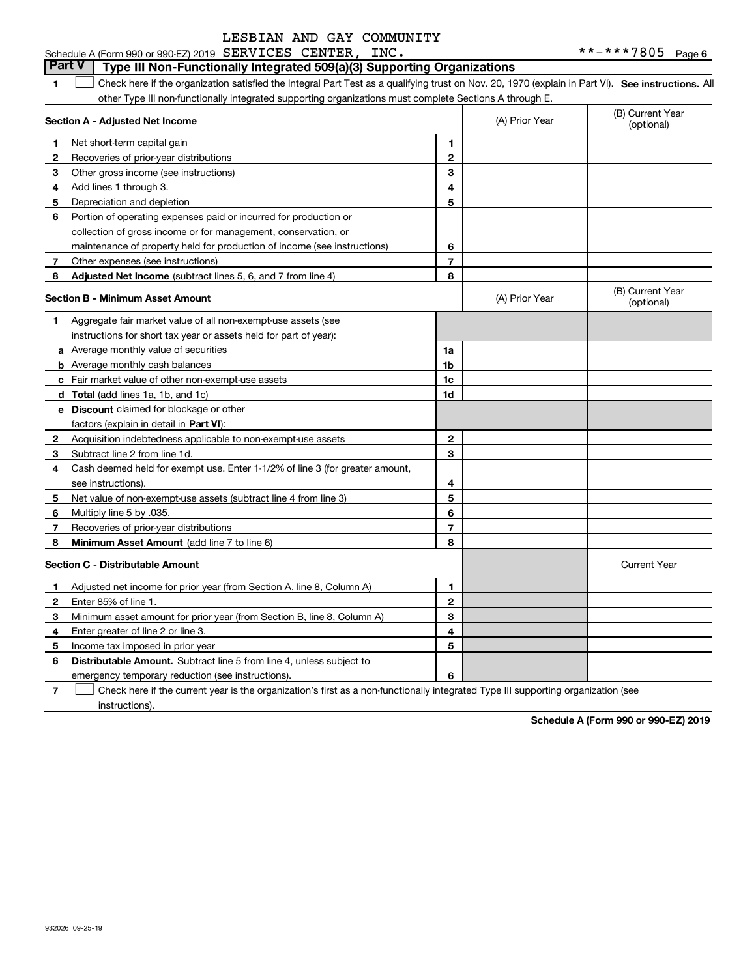## **Part V** | Type III Non-Functionally Integrated 509(a)(3) Supporting Organizations

**SEP 10. See instructions.** All antegral Part Test as a qualifying trust on Nov. 20, 1970 (explain in Part VI). See instructions. All other Type III non-functionally integrated supporting organizations must complete Sections A through E.  $\mathcal{L}^{\text{max}}$ 

|              | Section A - Adjusted Net Income                                              |                | (A) Prior Year | (B) Current Year<br>(optional) |
|--------------|------------------------------------------------------------------------------|----------------|----------------|--------------------------------|
| 1            | Net short-term capital gain                                                  | 1              |                |                                |
| 2            | Recoveries of prior-year distributions                                       | $\mathbf{2}$   |                |                                |
| 3            | Other gross income (see instructions)                                        | 3              |                |                                |
| 4            | Add lines 1 through 3.                                                       | 4              |                |                                |
| 5            | Depreciation and depletion                                                   | 5              |                |                                |
| 6            | Portion of operating expenses paid or incurred for production or             |                |                |                                |
|              | collection of gross income or for management, conservation, or               |                |                |                                |
|              | maintenance of property held for production of income (see instructions)     | 6              |                |                                |
| $7^{\circ}$  | Other expenses (see instructions)                                            | $\overline{7}$ |                |                                |
| 8            | <b>Adjusted Net Income</b> (subtract lines 5, 6, and 7 from line 4)          | 8              |                |                                |
|              | <b>Section B - Minimum Asset Amount</b>                                      |                | (A) Prior Year | (B) Current Year<br>(optional) |
| 1            | Aggregate fair market value of all non-exempt-use assets (see                |                |                |                                |
|              | instructions for short tax year or assets held for part of year):            |                |                |                                |
|              | a Average monthly value of securities                                        | 1a             |                |                                |
|              | <b>b</b> Average monthly cash balances                                       | 1 <sub>b</sub> |                |                                |
|              | c Fair market value of other non-exempt-use assets                           | 1c             |                |                                |
|              | d Total (add lines 1a, 1b, and 1c)                                           | 1d             |                |                                |
|              | e Discount claimed for blockage or other                                     |                |                |                                |
|              | factors (explain in detail in Part VI):                                      |                |                |                                |
| $\mathbf{2}$ | Acquisition indebtedness applicable to non-exempt-use assets                 | $\mathbf{2}$   |                |                                |
| 3            | Subtract line 2 from line 1d.                                                | 3              |                |                                |
| 4            | Cash deemed held for exempt use. Enter 1-1/2% of line 3 (for greater amount, |                |                |                                |
|              | see instructions).                                                           | 4              |                |                                |
| 5            | Net value of non-exempt-use assets (subtract line 4 from line 3)             | 5              |                |                                |
| 6            | Multiply line 5 by .035.                                                     | 6              |                |                                |
| 7            | Recoveries of prior-year distributions                                       | $\overline{7}$ |                |                                |
| 8            | Minimum Asset Amount (add line 7 to line 6)                                  | 8              |                |                                |
|              | <b>Section C - Distributable Amount</b>                                      |                |                | <b>Current Year</b>            |
| 1            | Adjusted net income for prior year (from Section A, line 8, Column A)        | 1              |                |                                |
| $\mathbf{2}$ | Enter 85% of line 1.                                                         | $\mathbf{2}$   |                |                                |
| 3            | Minimum asset amount for prior year (from Section B, line 8, Column A)       | 3              |                |                                |
| 4            | Enter greater of line 2 or line 3.                                           | 4              |                |                                |
| 5            | Income tax imposed in prior year                                             | 5              |                |                                |
| 6            | <b>Distributable Amount.</b> Subtract line 5 from line 4, unless subject to  |                |                |                                |
|              | emergency temporary reduction (see instructions).                            | 6              |                |                                |

**7**Check here if the current year is the organization's first as a non-functionally integrated Type III supporting organization (see instructions).

**Schedule A (Form 990 or 990-EZ) 2019**

**1**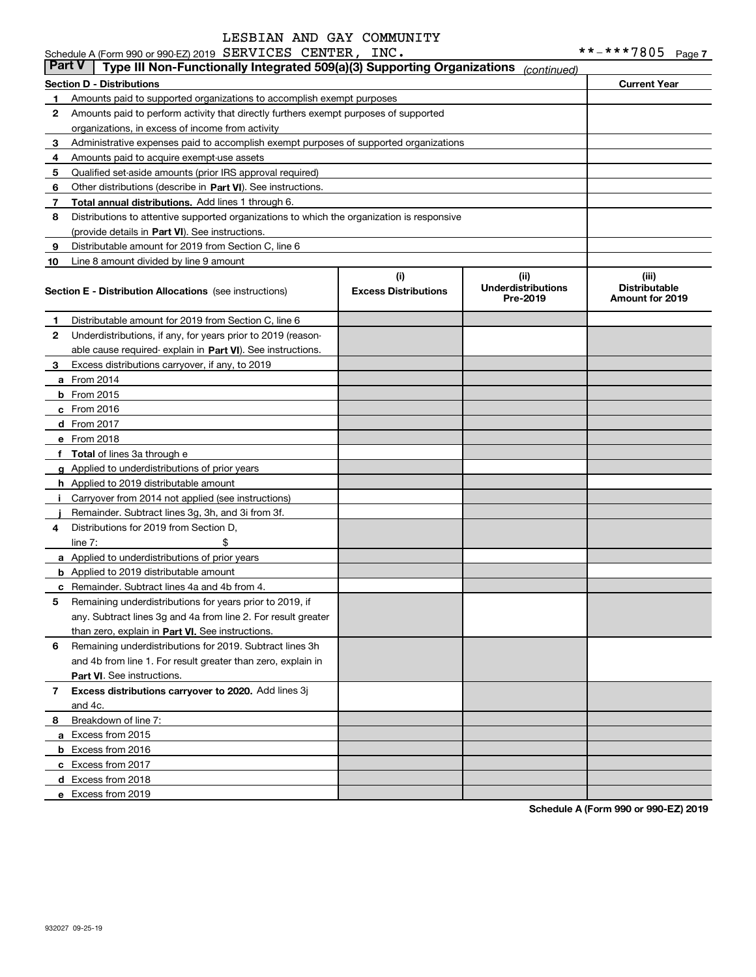|               | Schedule A (Form 990 or 990-EZ) 2019 SERVICES CENTER,                                      | INC.                               |                                               |                                                         |  |
|---------------|--------------------------------------------------------------------------------------------|------------------------------------|-----------------------------------------------|---------------------------------------------------------|--|
| <b>Part V</b> | Type III Non-Functionally Integrated 509(a)(3) Supporting Organizations                    |                                    | (continued)                                   |                                                         |  |
|               | <b>Section D - Distributions</b>                                                           |                                    |                                               | <b>Current Year</b>                                     |  |
| 1.            | Amounts paid to supported organizations to accomplish exempt purposes                      |                                    |                                               |                                                         |  |
| 2             | Amounts paid to perform activity that directly furthers exempt purposes of supported       |                                    |                                               |                                                         |  |
|               | organizations, in excess of income from activity                                           |                                    |                                               |                                                         |  |
| 3             | Administrative expenses paid to accomplish exempt purposes of supported organizations      |                                    |                                               |                                                         |  |
| 4             | Amounts paid to acquire exempt-use assets                                                  |                                    |                                               |                                                         |  |
| 5             | Qualified set-aside amounts (prior IRS approval required)                                  |                                    |                                               |                                                         |  |
| 6             | Other distributions (describe in Part VI). See instructions.                               |                                    |                                               |                                                         |  |
| 7             | Total annual distributions. Add lines 1 through 6.                                         |                                    |                                               |                                                         |  |
| 8             | Distributions to attentive supported organizations to which the organization is responsive |                                    |                                               |                                                         |  |
|               | (provide details in Part VI). See instructions.                                            |                                    |                                               |                                                         |  |
| 9             | Distributable amount for 2019 from Section C, line 6                                       |                                    |                                               |                                                         |  |
| 10            | Line 8 amount divided by line 9 amount                                                     |                                    |                                               |                                                         |  |
|               | <b>Section E - Distribution Allocations</b> (see instructions)                             | (i)<br><b>Excess Distributions</b> | (ii)<br><b>Underdistributions</b><br>Pre-2019 | (iii)<br><b>Distributable</b><br><b>Amount for 2019</b> |  |
| 1             | Distributable amount for 2019 from Section C, line 6                                       |                                    |                                               |                                                         |  |
| 2             | Underdistributions, if any, for years prior to 2019 (reason-                               |                                    |                                               |                                                         |  |
|               | able cause required-explain in Part VI). See instructions.                                 |                                    |                                               |                                                         |  |
| 3             | Excess distributions carryover, if any, to 2019                                            |                                    |                                               |                                                         |  |
|               | <b>a</b> From 2014                                                                         |                                    |                                               |                                                         |  |
|               | <b>b</b> From 2015                                                                         |                                    |                                               |                                                         |  |
|               | $c$ From 2016                                                                              |                                    |                                               |                                                         |  |
|               | d From 2017                                                                                |                                    |                                               |                                                         |  |
|               | e From 2018                                                                                |                                    |                                               |                                                         |  |
|               | f Total of lines 3a through e                                                              |                                    |                                               |                                                         |  |
|               | g Applied to underdistributions of prior years                                             |                                    |                                               |                                                         |  |
|               | <b>h</b> Applied to 2019 distributable amount                                              |                                    |                                               |                                                         |  |
| Ť             | Carryover from 2014 not applied (see instructions)                                         |                                    |                                               |                                                         |  |
|               | Remainder. Subtract lines 3g, 3h, and 3i from 3f.                                          |                                    |                                               |                                                         |  |
| 4             | Distributions for 2019 from Section D.                                                     |                                    |                                               |                                                         |  |
|               | \$<br>line $7:$                                                                            |                                    |                                               |                                                         |  |
|               | a Applied to underdistributions of prior years                                             |                                    |                                               |                                                         |  |
|               | <b>b</b> Applied to 2019 distributable amount                                              |                                    |                                               |                                                         |  |
|               | <b>c</b> Remainder. Subtract lines 4a and 4b from 4.                                       |                                    |                                               |                                                         |  |
|               | Remaining underdistributions for years prior to 2019, if                                   |                                    |                                               |                                                         |  |
|               | any. Subtract lines 3g and 4a from line 2. For result greater                              |                                    |                                               |                                                         |  |
|               | than zero, explain in Part VI. See instructions.                                           |                                    |                                               |                                                         |  |
| 6             | Remaining underdistributions for 2019. Subtract lines 3h                                   |                                    |                                               |                                                         |  |
|               | and 4b from line 1. For result greater than zero, explain in                               |                                    |                                               |                                                         |  |
|               | Part VI. See instructions.                                                                 |                                    |                                               |                                                         |  |
| 7             | Excess distributions carryover to 2020. Add lines 3j                                       |                                    |                                               |                                                         |  |
|               | and 4c.                                                                                    |                                    |                                               |                                                         |  |
| 8             | Breakdown of line 7:                                                                       |                                    |                                               |                                                         |  |
|               | a Excess from 2015                                                                         |                                    |                                               |                                                         |  |
|               | <b>b</b> Excess from 2016                                                                  |                                    |                                               |                                                         |  |
|               | c Excess from 2017                                                                         |                                    |                                               |                                                         |  |
|               | d Excess from 2018                                                                         |                                    |                                               |                                                         |  |
|               | e Excess from 2019                                                                         |                                    |                                               |                                                         |  |
|               |                                                                                            |                                    |                                               |                                                         |  |

**Schedule A (Form 990 or 990-EZ) 2019**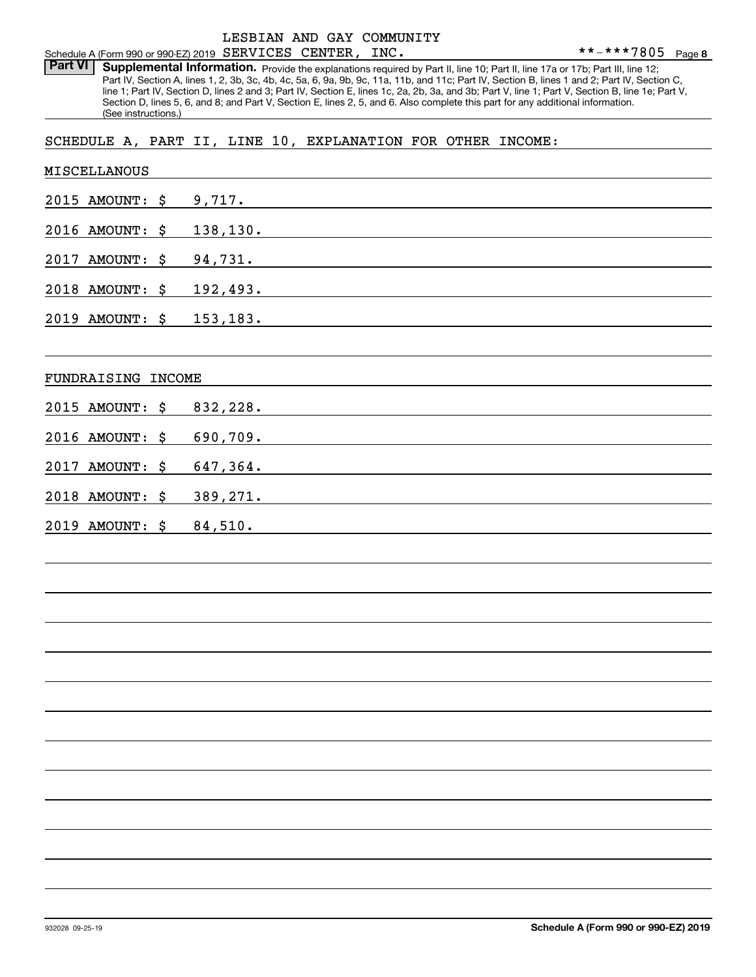Part VI | Supplemental Information. Provide the explanations required by Part II, line 10; Part II, line 17a or 17b; Part III, line 12; Part IV, Section A, lines 1, 2, 3b, 3c, 4b, 4c, 5a, 6, 9a, 9b, 9c, 11a, 11b, and 11c; Part IV, Section B, lines 1 and 2; Part IV, Section C, line 1; Part IV, Section D, lines 2 and 3; Part IV, Section E, lines 1c, 2a, 2b, 3a, and 3b; Part V, line 1; Part V, Section B, line 1e; Part V, Section D, lines 5, 6, and 8; and Part V, Section E, lines 2, 5, and 6. Also complete this part for any additional information. (See instructions.)

## SCHEDULE A, PART II, LINE 10, EXPLANATION FOR OTHER INCOME:

| MISCELLANOUS       |                 |  |  |
|--------------------|-----------------|--|--|
| 2015 AMOUNT: \$    | 9,717.          |  |  |
| 2016 AMOUNT: \$    | 138,130.        |  |  |
| 2017 AMOUNT: \$    | 94,731.         |  |  |
| 2018 AMOUNT: \$    | 192,493.        |  |  |
| 2019 AMOUNT: \$    | <u>153,183.</u> |  |  |
|                    |                 |  |  |
| FUNDRAISING INCOME |                 |  |  |
| 2015 AMOUNT: \$    | 832,228.        |  |  |
| 2016 AMOUNT: \$    | 690,709.        |  |  |
| 2017 AMOUNT: \$    | 647,364.        |  |  |
| 2018 AMOUNT: \$    | 389, 271.       |  |  |
| 2019 AMOUNT: \$    | 84,510.         |  |  |
|                    |                 |  |  |
|                    |                 |  |  |
|                    |                 |  |  |
|                    |                 |  |  |
|                    |                 |  |  |
|                    |                 |  |  |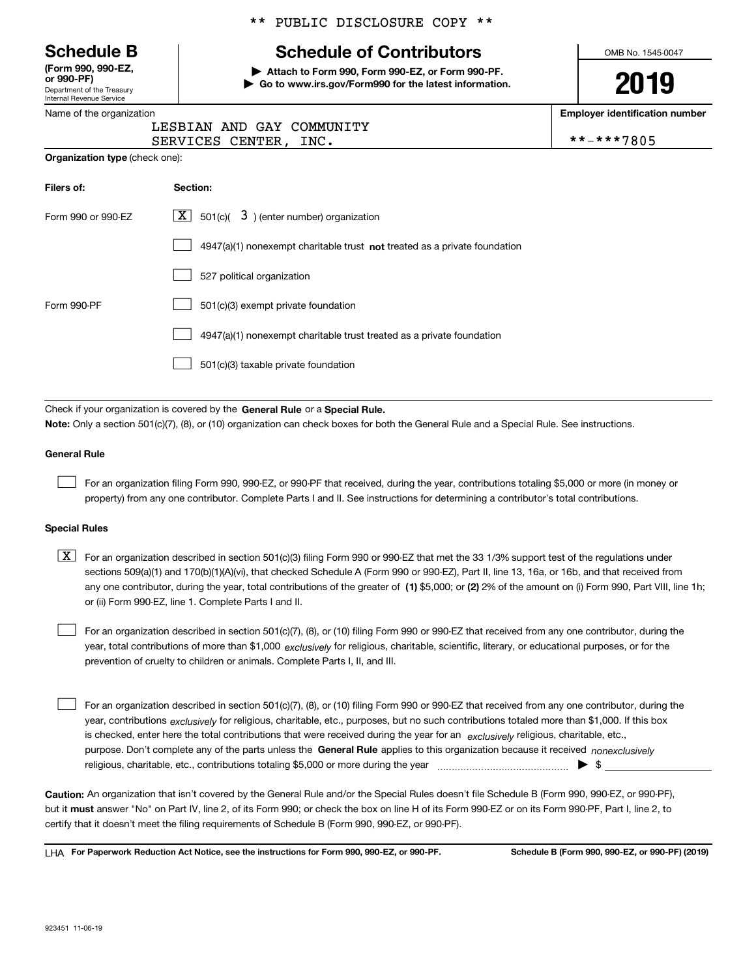Department of the Treasury Internal Revenue Service **(Form 990, 990-EZ, or 990-PF)**

Name of the organization

## \*\* PUBLIC DISCLOSURE COPY \*\*

# **Schedule B Schedule of Contributors**

**| Attach to Form 990, Form 990-EZ, or Form 990-PF. | Go to www.irs.gov/Form990 for the latest information.** OMB No. 1545-0047

**2019**

**Employer identification number**

|                                       | LESBIAN AND GAY COMMUNITY<br>SERVICES CENTER,<br>INC.                                                                                                                                                                     |  |  |  |  |
|---------------------------------------|---------------------------------------------------------------------------------------------------------------------------------------------------------------------------------------------------------------------------|--|--|--|--|
| <b>Organization type (check one):</b> |                                                                                                                                                                                                                           |  |  |  |  |
| Filers of:                            | Section:                                                                                                                                                                                                                  |  |  |  |  |
| Form 990 or 990-EZ                    | $ \mathbf{X} $ 501(c)( 3) (enter number) organization                                                                                                                                                                     |  |  |  |  |
|                                       | 4947(a)(1) nonexempt charitable trust not treated as a private foundation                                                                                                                                                 |  |  |  |  |
|                                       | 527 political organization                                                                                                                                                                                                |  |  |  |  |
| Form 990-PF                           | 501(c)(3) exempt private foundation                                                                                                                                                                                       |  |  |  |  |
|                                       | 4947(a)(1) nonexempt charitable trust treated as a private foundation                                                                                                                                                     |  |  |  |  |
|                                       | 501(c)(3) taxable private foundation                                                                                                                                                                                      |  |  |  |  |
|                                       |                                                                                                                                                                                                                           |  |  |  |  |
|                                       | Check if your organization is covered by the General Rule or a Special Rule.<br>Note: Only a section 501(c)(7), (8), or (10) organization can check boxes for both the General Rule and a Special Rule. See instructions. |  |  |  |  |
| <b>General Rule</b>                   |                                                                                                                                                                                                                           |  |  |  |  |

For an organization filing Form 990, 990-EZ, or 990-PF that received, during the year, contributions totaling \$5,000 or more (in money or property) from any one contributor. Complete Parts I and II. See instructions for determining a contributor's total contributions.

#### **Special Rules**

 $\mathcal{L}^{\text{max}}$ 

any one contributor, during the year, total contributions of the greater of  $\,$  (1) \$5,000; or **(2)** 2% of the amount on (i) Form 990, Part VIII, line 1h;  $\boxed{\textbf{X}}$  For an organization described in section 501(c)(3) filing Form 990 or 990-EZ that met the 33 1/3% support test of the regulations under sections 509(a)(1) and 170(b)(1)(A)(vi), that checked Schedule A (Form 990 or 990-EZ), Part II, line 13, 16a, or 16b, and that received from or (ii) Form 990-EZ, line 1. Complete Parts I and II.

year, total contributions of more than \$1,000 *exclusively* for religious, charitable, scientific, literary, or educational purposes, or for the For an organization described in section 501(c)(7), (8), or (10) filing Form 990 or 990-EZ that received from any one contributor, during the prevention of cruelty to children or animals. Complete Parts I, II, and III.  $\mathcal{L}^{\text{max}}$ 

purpose. Don't complete any of the parts unless the **General Rule** applies to this organization because it received *nonexclusively* year, contributions <sub>exclusively</sub> for religious, charitable, etc., purposes, but no such contributions totaled more than \$1,000. If this box is checked, enter here the total contributions that were received during the year for an  $\;$ exclusively religious, charitable, etc., For an organization described in section 501(c)(7), (8), or (10) filing Form 990 or 990-EZ that received from any one contributor, during the religious, charitable, etc., contributions totaling \$5,000 or more during the year  $\Box$ — $\Box$   $\Box$  $\mathcal{L}^{\text{max}}$ 

**Caution:**  An organization that isn't covered by the General Rule and/or the Special Rules doesn't file Schedule B (Form 990, 990-EZ, or 990-PF),  **must** but it answer "No" on Part IV, line 2, of its Form 990; or check the box on line H of its Form 990-EZ or on its Form 990-PF, Part I, line 2, to certify that it doesn't meet the filing requirements of Schedule B (Form 990, 990-EZ, or 990-PF).

**For Paperwork Reduction Act Notice, see the instructions for Form 990, 990-EZ, or 990-PF. Schedule B (Form 990, 990-EZ, or 990-PF) (2019)** LHA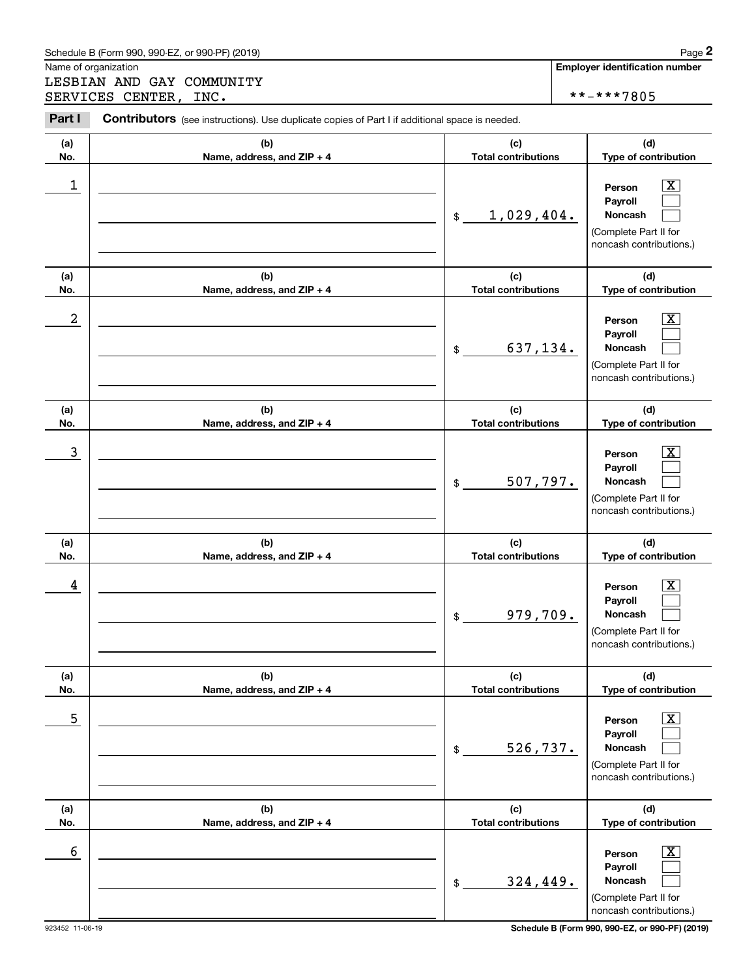## Schedule B (Form 990, 990-EZ, or 990-PF) (2019) **Page 2** Page 2

Name of organization

LESBIAN AND GAY COMMUNITY SERVICES CENTER, INC.  $* * * * 7805$ 

**Employer identification number**

**(c) Total contributions**

**(a) No.(b) Name, address, and ZIP + 4** Contributors (see instructions). Use duplicate copies of Part I if additional space is needed. Chedule B (Form 990, 990-EZ, or 990-PF) (2019)<br> **2Page 2**<br> **2PART AND GAY COMMUNITY**<br> **2PART I** Contributors (see instructions). Use duplicate copies of Part I if additional space is needed.<br>
2PART I Contributors (see inst

| 1                |                                   | 1,029,404.<br>$$\mathbb{S}$$      | $\overline{\texttt{x}}$<br>Person<br>Payroll<br>Noncash<br>(Complete Part II for<br>noncash contributions.) |
|------------------|-----------------------------------|-----------------------------------|-------------------------------------------------------------------------------------------------------------|
| (a)<br>No.       | (b)<br>Name, address, and ZIP + 4 | (c)<br><b>Total contributions</b> | (d)<br>Type of contribution                                                                                 |
| $\boldsymbol{2}$ |                                   | 637,134.<br>$$\mathbb{S}$$        | $\overline{\texttt{X}}$<br>Person<br>Payroll<br>Noncash<br>(Complete Part II for<br>noncash contributions.) |
| (a)<br>No.       | (b)<br>Name, address, and ZIP + 4 | (c)<br><b>Total contributions</b> | (d)<br>Type of contribution                                                                                 |
| 3                |                                   | 507,797.<br>$$\mathbb{S}$$        | $\overline{\texttt{X}}$<br>Person<br>Payroll<br>Noncash<br>(Complete Part II for<br>noncash contributions.) |
| (a)<br>No.       | (b)<br>Name, address, and ZIP + 4 | (c)<br><b>Total contributions</b> | (d)<br>Type of contribution                                                                                 |
| 4                |                                   | 979,709.<br>\$                    | $\overline{\texttt{X}}$<br>Person<br>Payroll<br>Noncash<br>(Complete Part II for<br>noncash contributions.) |
| (a)<br>No.       | (b)<br>Name, address, and ZIP + 4 | (c)<br><b>Total contributions</b> | (d)<br>Type of contribution                                                                                 |
| 5                |                                   | 526,737.<br>\$                    | $\boxed{\text{X}}$<br>Person<br>Payroll<br>Noncash<br>(Complete Part II for<br>noncash contributions.)      |
| (a)<br>No.       | (b)<br>Name, address, and ZIP + 4 | (c)<br><b>Total contributions</b> | (d)<br>Type of contribution                                                                                 |
| 6                |                                   | 324,449.<br>\$                    | $\boxed{\text{X}}$<br>Person<br>Payroll<br>Noncash<br>(Complete Part II for<br>noncash contributions.)      |

**(d) Type of contribution**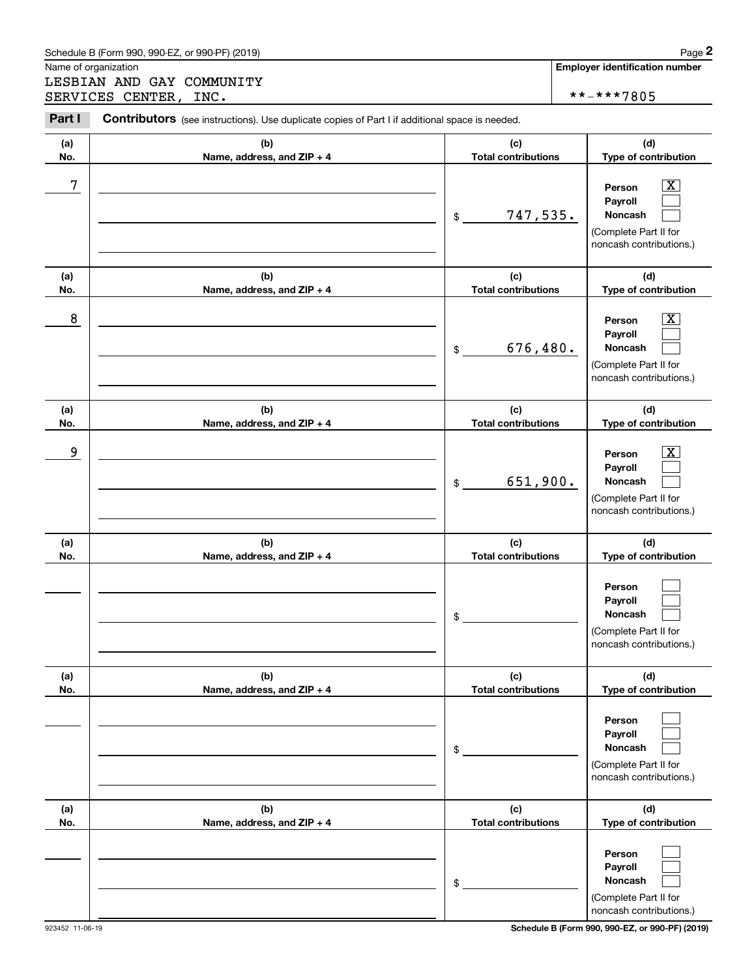## Schedule B (Form 990, 990-EZ, or 990-PF) (2019) **Page 2** Page 2

Name of organization

LESBIAN AND GAY COMMUNITY

**Employer identification number**

Contributors (see instructions). Use duplicate copies of Part I if additional space is needed. Chedule B (Form 990, 990-EZ, or 990-PF) (2019)<br> **2Page 2**<br> **2PART AND GAY COMMUNITY**<br> **2PART I** Contributors (see instructions). Use duplicate copies of Part I if additional space is needed.<br>
2PART I Contributors (see inst SERVICES CENTER, INC.  $****7805$ 

| (a)        | (b)                                 | (c)                               | (d)                                                                                    |
|------------|-------------------------------------|-----------------------------------|----------------------------------------------------------------------------------------|
| No.        | Name, address, and ZIP + 4          | <b>Total contributions</b>        | Type of contribution                                                                   |
| 7          |                                     | 747,535.<br>\$                    | Person<br>x.<br>Payroll<br>Noncash<br>(Complete Part II for<br>noncash contributions.) |
| (a)<br>No. | (b)<br>Name, address, and ZIP + 4   | (c)<br><b>Total contributions</b> | (d)<br>Type of contribution                                                            |
| 8          |                                     | 676,480.<br>\$                    | Person<br>Payroll<br>Noncash<br>(Complete Part II for<br>noncash contributions.)       |
| (a)<br>No. | (b)<br>Name, address, and ZIP + 4   | (c)<br><b>Total contributions</b> | (d)<br>Type of contribution                                                            |
| 9          |                                     | 651,900.<br>\$                    | Person<br>Payroll<br>Noncash<br>(Complete Part II for<br>noncash contributions.)       |
| (a)<br>No. | (b)<br>Name, address, and ZIP + 4   | (c)<br><b>Total contributions</b> | (d)<br>Type of contribution                                                            |
|            |                                     | \$                                | Person<br>Payroll<br>Noncash<br>(Complete Part II for<br>noncash contributions.)       |
| (a)<br>No. | (b)<br>Name, address, and $ZIP + 4$ | (c)<br><b>Total contributions</b> | (d)<br>Type of contribution                                                            |
|            |                                     | \$                                | Person<br>Payroll<br>Noncash<br>(Complete Part II for<br>noncash contributions.)       |
| (a)<br>No. | (b)<br>Name, address, and ZIP + 4   | (c)<br><b>Total contributions</b> | (d)<br>Type of contribution                                                            |
|            |                                     | \$                                | Person<br>Payroll<br>Noncash<br>(Complete Part II for<br>noncash contributions.)       |

923452 11-06-19 **Schedule B (Form 990, 990-EZ, or 990-PF) (2019)**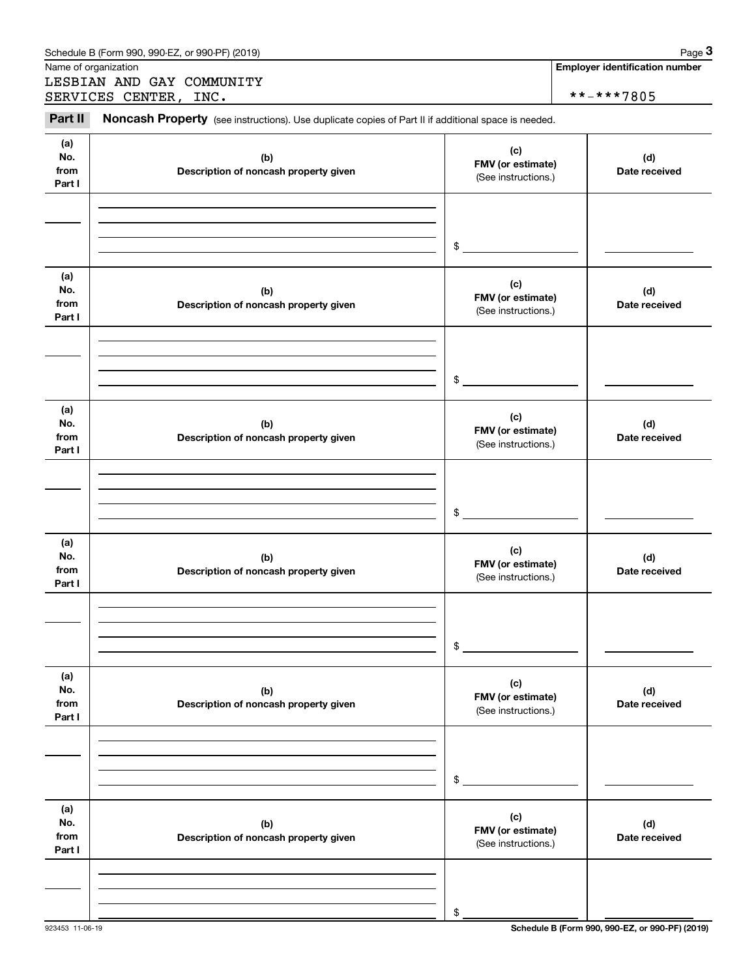## Schedule B (Form 990, 990-EZ, or 990-PF) (2019) Schedule B (Form 990, 990-EZ, or 990-PF) (2019)

Name of organization

LESBIAN AND GAY COMMUNITY SERVICES CENTER, INC.  $\vert$  \*\*-\*\*\*7805

#### **(a)No.fromPart I (c)FMV (or estimate) (b) Description of noncash property given (d) Date received (a)No.fromPart I (c) FMV (or estimate) (b) Description of noncash property given (d) Date received (a)No.fromPart I (c)FMV (or estimate) (b) Description of noncash property given (d) Date received (a) No.fromPart I (c) FMV (or estimate) (b)Description of noncash property given (d)Date received (a) No.fromPart I (c) FMV (or estimate) (b) Description of noncash property given (d) Date received (a) No.fromPart I (c)FMV (or estimate) (b)Description of noncash property given (d)Date received** (see instructions). Use duplicate copies of Part II if additional space is needed.<br> **2Part II Noncash Property** (see instructions). Use duplicate copies of Part II if additional space is needed.<br>
3Part II **Noncash Proper** (See instructions.) \$(See instructions.) \$(See instructions.) \$(See instructions.) \$(See instructions.) \$(See instructions.) \$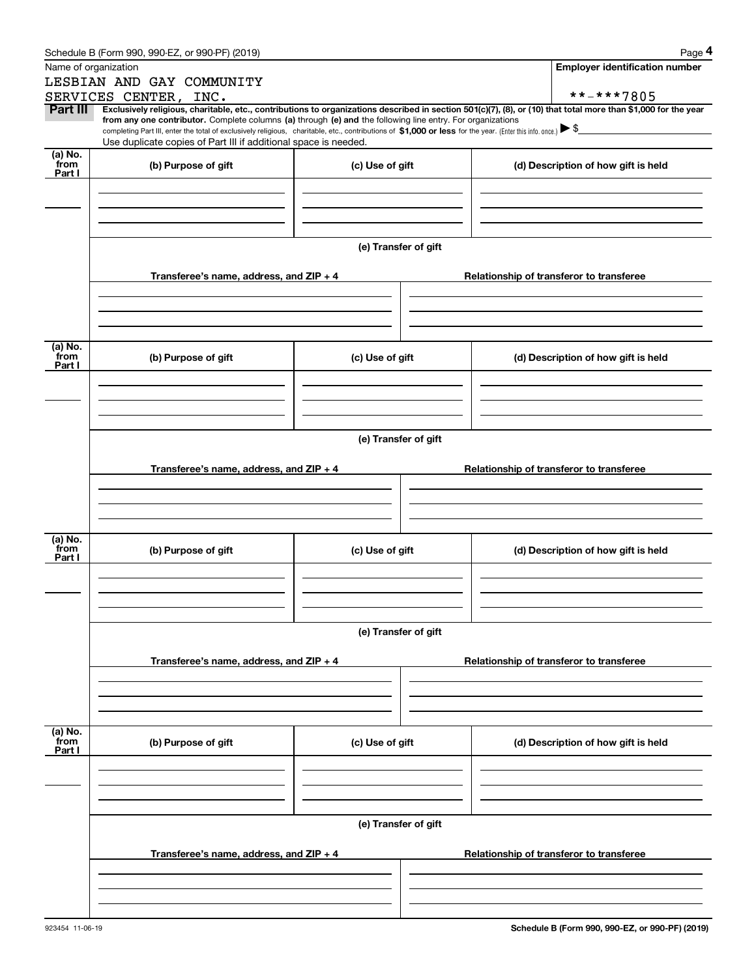|                           | Schedule B (Form 990, 990-EZ, or 990-PF) (2019)                                                                                                                                                                                                      |                      | Page 4                                                                                                                                                         |  |  |  |  |  |
|---------------------------|------------------------------------------------------------------------------------------------------------------------------------------------------------------------------------------------------------------------------------------------------|----------------------|----------------------------------------------------------------------------------------------------------------------------------------------------------------|--|--|--|--|--|
|                           | Name of organization                                                                                                                                                                                                                                 |                      | <b>Employer identification number</b>                                                                                                                          |  |  |  |  |  |
|                           | LESBIAN AND GAY COMMUNITY                                                                                                                                                                                                                            |                      |                                                                                                                                                                |  |  |  |  |  |
| Part III                  | SERVICES CENTER, INC.                                                                                                                                                                                                                                |                      | **-***7805                                                                                                                                                     |  |  |  |  |  |
|                           | from any one contributor. Complete columns (a) through (e) and the following line entry. For organizations                                                                                                                                           |                      | Exclusively religious, charitable, etc., contributions to organizations described in section 501(c)(7), (8), or (10) that total more than \$1,000 for the year |  |  |  |  |  |
|                           | completing Part III, enter the total of exclusively religious, charitable, etc., contributions of \$1,000 or less for the year. (Enter this info. once.) $\blacktriangleright$ \$<br>Use duplicate copies of Part III if additional space is needed. |                      |                                                                                                                                                                |  |  |  |  |  |
| (a) No.                   |                                                                                                                                                                                                                                                      |                      |                                                                                                                                                                |  |  |  |  |  |
| from<br>Part I            | (b) Purpose of gift                                                                                                                                                                                                                                  | (c) Use of gift      | (d) Description of how gift is held                                                                                                                            |  |  |  |  |  |
|                           |                                                                                                                                                                                                                                                      |                      |                                                                                                                                                                |  |  |  |  |  |
|                           |                                                                                                                                                                                                                                                      |                      |                                                                                                                                                                |  |  |  |  |  |
|                           |                                                                                                                                                                                                                                                      |                      |                                                                                                                                                                |  |  |  |  |  |
|                           |                                                                                                                                                                                                                                                      |                      |                                                                                                                                                                |  |  |  |  |  |
|                           |                                                                                                                                                                                                                                                      | (e) Transfer of gift |                                                                                                                                                                |  |  |  |  |  |
|                           | Transferee's name, address, and ZIP + 4                                                                                                                                                                                                              |                      | Relationship of transferor to transferee                                                                                                                       |  |  |  |  |  |
|                           |                                                                                                                                                                                                                                                      |                      |                                                                                                                                                                |  |  |  |  |  |
|                           |                                                                                                                                                                                                                                                      |                      |                                                                                                                                                                |  |  |  |  |  |
|                           |                                                                                                                                                                                                                                                      |                      |                                                                                                                                                                |  |  |  |  |  |
| (a) No.                   |                                                                                                                                                                                                                                                      |                      |                                                                                                                                                                |  |  |  |  |  |
| from                      | (b) Purpose of gift                                                                                                                                                                                                                                  | (c) Use of gift      | (d) Description of how gift is held                                                                                                                            |  |  |  |  |  |
| Part I                    |                                                                                                                                                                                                                                                      |                      |                                                                                                                                                                |  |  |  |  |  |
|                           |                                                                                                                                                                                                                                                      |                      |                                                                                                                                                                |  |  |  |  |  |
|                           |                                                                                                                                                                                                                                                      |                      |                                                                                                                                                                |  |  |  |  |  |
|                           |                                                                                                                                                                                                                                                      |                      |                                                                                                                                                                |  |  |  |  |  |
|                           | (e) Transfer of gift                                                                                                                                                                                                                                 |                      |                                                                                                                                                                |  |  |  |  |  |
|                           |                                                                                                                                                                                                                                                      |                      | Relationship of transferor to transferee                                                                                                                       |  |  |  |  |  |
|                           | Transferee's name, address, and $ZIP + 4$                                                                                                                                                                                                            |                      |                                                                                                                                                                |  |  |  |  |  |
|                           |                                                                                                                                                                                                                                                      |                      |                                                                                                                                                                |  |  |  |  |  |
|                           |                                                                                                                                                                                                                                                      |                      |                                                                                                                                                                |  |  |  |  |  |
| (a) No.                   |                                                                                                                                                                                                                                                      |                      |                                                                                                                                                                |  |  |  |  |  |
| from<br>Part I            | (b) Purpose of gift                                                                                                                                                                                                                                  | (c) Use of gift      | (d) Description of how gift is held                                                                                                                            |  |  |  |  |  |
|                           |                                                                                                                                                                                                                                                      |                      |                                                                                                                                                                |  |  |  |  |  |
|                           |                                                                                                                                                                                                                                                      |                      |                                                                                                                                                                |  |  |  |  |  |
|                           |                                                                                                                                                                                                                                                      |                      |                                                                                                                                                                |  |  |  |  |  |
|                           |                                                                                                                                                                                                                                                      |                      |                                                                                                                                                                |  |  |  |  |  |
|                           | (e) Transfer of gift                                                                                                                                                                                                                                 |                      |                                                                                                                                                                |  |  |  |  |  |
|                           | Transferee's name, address, and $ZIP + 4$                                                                                                                                                                                                            |                      | Relationship of transferor to transferee                                                                                                                       |  |  |  |  |  |
|                           |                                                                                                                                                                                                                                                      |                      |                                                                                                                                                                |  |  |  |  |  |
|                           |                                                                                                                                                                                                                                                      |                      |                                                                                                                                                                |  |  |  |  |  |
|                           |                                                                                                                                                                                                                                                      |                      |                                                                                                                                                                |  |  |  |  |  |
|                           |                                                                                                                                                                                                                                                      |                      |                                                                                                                                                                |  |  |  |  |  |
| (a) No.<br>from<br>Part I | (b) Purpose of gift                                                                                                                                                                                                                                  | (c) Use of gift      | (d) Description of how gift is held                                                                                                                            |  |  |  |  |  |
|                           |                                                                                                                                                                                                                                                      |                      |                                                                                                                                                                |  |  |  |  |  |
|                           |                                                                                                                                                                                                                                                      |                      |                                                                                                                                                                |  |  |  |  |  |
|                           |                                                                                                                                                                                                                                                      |                      |                                                                                                                                                                |  |  |  |  |  |
|                           |                                                                                                                                                                                                                                                      |                      |                                                                                                                                                                |  |  |  |  |  |
|                           |                                                                                                                                                                                                                                                      | (e) Transfer of gift |                                                                                                                                                                |  |  |  |  |  |
|                           | Transferee's name, address, and $ZIP + 4$                                                                                                                                                                                                            |                      | Relationship of transferor to transferee                                                                                                                       |  |  |  |  |  |
|                           |                                                                                                                                                                                                                                                      |                      |                                                                                                                                                                |  |  |  |  |  |
|                           |                                                                                                                                                                                                                                                      |                      |                                                                                                                                                                |  |  |  |  |  |
|                           |                                                                                                                                                                                                                                                      |                      |                                                                                                                                                                |  |  |  |  |  |
|                           |                                                                                                                                                                                                                                                      |                      |                                                                                                                                                                |  |  |  |  |  |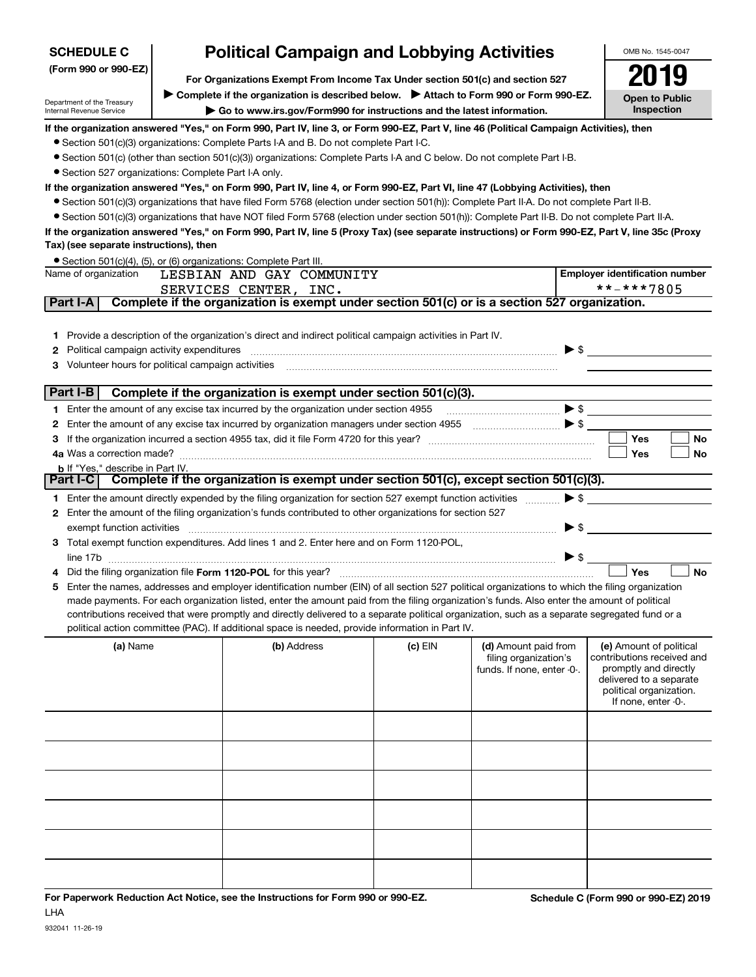| <b>Political Campaign and Lobbying Activities</b><br><b>SCHEDULE C</b>                                                                                                   |                                                                                                                                                                                                                    |                                                                                                                                                  | OMB No. 1545-0047 |                                                                             |                          |                                                                                                                                                             |  |  |
|--------------------------------------------------------------------------------------------------------------------------------------------------------------------------|--------------------------------------------------------------------------------------------------------------------------------------------------------------------------------------------------------------------|--------------------------------------------------------------------------------------------------------------------------------------------------|-------------------|-----------------------------------------------------------------------------|--------------------------|-------------------------------------------------------------------------------------------------------------------------------------------------------------|--|--|
| (Form 990 or 990-EZ)                                                                                                                                                     |                                                                                                                                                                                                                    |                                                                                                                                                  |                   | 2019                                                                        |                          |                                                                                                                                                             |  |  |
| For Organizations Exempt From Income Tax Under section 501(c) and section 527<br>► Complete if the organization is described below. ► Attach to Form 990 or Form 990-EZ. |                                                                                                                                                                                                                    |                                                                                                                                                  |                   |                                                                             |                          |                                                                                                                                                             |  |  |
| Department of the Treasury                                                                                                                                               |                                                                                                                                                                                                                    | <b>Open to Public</b><br>Inspection                                                                                                              |                   |                                                                             |                          |                                                                                                                                                             |  |  |
| Internal Revenue Service                                                                                                                                                 |                                                                                                                                                                                                                    | Go to www.irs.gov/Form990 for instructions and the latest information.                                                                           |                   |                                                                             |                          |                                                                                                                                                             |  |  |
|                                                                                                                                                                          |                                                                                                                                                                                                                    | If the organization answered "Yes," on Form 990, Part IV, line 3, or Form 990-EZ, Part V, line 46 (Political Campaign Activities), then          |                   |                                                                             |                          |                                                                                                                                                             |  |  |
|                                                                                                                                                                          | • Section 501(c)(3) organizations: Complete Parts I-A and B. Do not complete Part I-C.<br>• Section 501(c) (other than section 501(c)(3)) organizations: Complete Parts I-A and C below. Do not complete Part I-B. |                                                                                                                                                  |                   |                                                                             |                          |                                                                                                                                                             |  |  |
| • Section 527 organizations: Complete Part I-A only.                                                                                                                     |                                                                                                                                                                                                                    |                                                                                                                                                  |                   |                                                                             |                          |                                                                                                                                                             |  |  |
|                                                                                                                                                                          |                                                                                                                                                                                                                    | If the organization answered "Yes," on Form 990, Part IV, line 4, or Form 990-EZ, Part VI, line 47 (Lobbying Activities), then                   |                   |                                                                             |                          |                                                                                                                                                             |  |  |
|                                                                                                                                                                          |                                                                                                                                                                                                                    | • Section 501(c)(3) organizations that have filed Form 5768 (election under section 501(h)): Complete Part II-A. Do not complete Part II-B.      |                   |                                                                             |                          |                                                                                                                                                             |  |  |
|                                                                                                                                                                          |                                                                                                                                                                                                                    | • Section 501(c)(3) organizations that have NOT filed Form 5768 (election under section 501(h)): Complete Part II-B. Do not complete Part II-A.  |                   |                                                                             |                          |                                                                                                                                                             |  |  |
|                                                                                                                                                                          |                                                                                                                                                                                                                    | If the organization answered "Yes," on Form 990, Part IV, line 5 (Proxy Tax) (see separate instructions) or Form 990-EZ, Part V, line 35c (Proxy |                   |                                                                             |                          |                                                                                                                                                             |  |  |
| Tax) (see separate instructions), then                                                                                                                                   |                                                                                                                                                                                                                    |                                                                                                                                                  |                   |                                                                             |                          |                                                                                                                                                             |  |  |
|                                                                                                                                                                          |                                                                                                                                                                                                                    | • Section 501(c)(4), (5), or (6) organizations: Complete Part III.                                                                               |                   |                                                                             |                          |                                                                                                                                                             |  |  |
| Name of organization                                                                                                                                                     |                                                                                                                                                                                                                    | LESBIAN AND GAY COMMUNITY                                                                                                                        |                   |                                                                             |                          | <b>Employer identification number</b>                                                                                                                       |  |  |
|                                                                                                                                                                          |                                                                                                                                                                                                                    | SERVICES CENTER, INC.                                                                                                                            |                   |                                                                             |                          | **-***7805                                                                                                                                                  |  |  |
| Part I-A                                                                                                                                                                 |                                                                                                                                                                                                                    | Complete if the organization is exempt under section 501(c) or is a section 527 organization.                                                    |                   |                                                                             |                          |                                                                                                                                                             |  |  |
|                                                                                                                                                                          |                                                                                                                                                                                                                    |                                                                                                                                                  |                   |                                                                             |                          |                                                                                                                                                             |  |  |
| 1.                                                                                                                                                                       |                                                                                                                                                                                                                    | Provide a description of the organization's direct and indirect political campaign activities in Part IV.                                        |                   |                                                                             |                          |                                                                                                                                                             |  |  |
| Political campaign activity expenditures                                                                                                                                 |                                                                                                                                                                                                                    |                                                                                                                                                  |                   |                                                                             |                          | $\triangleright$ \$                                                                                                                                         |  |  |
| З                                                                                                                                                                        |                                                                                                                                                                                                                    |                                                                                                                                                  |                   |                                                                             |                          |                                                                                                                                                             |  |  |
| Part I-B                                                                                                                                                                 |                                                                                                                                                                                                                    | Complete if the organization is exempt under section 501(c)(3).                                                                                  |                   |                                                                             |                          |                                                                                                                                                             |  |  |
| 1.                                                                                                                                                                       |                                                                                                                                                                                                                    |                                                                                                                                                  |                   |                                                                             |                          |                                                                                                                                                             |  |  |
| 2                                                                                                                                                                        |                                                                                                                                                                                                                    |                                                                                                                                                  |                   |                                                                             |                          |                                                                                                                                                             |  |  |
| З                                                                                                                                                                        |                                                                                                                                                                                                                    |                                                                                                                                                  |                   |                                                                             |                          | Yes<br>No                                                                                                                                                   |  |  |
|                                                                                                                                                                          |                                                                                                                                                                                                                    |                                                                                                                                                  |                   |                                                                             |                          | <b>Yes</b><br><b>No</b>                                                                                                                                     |  |  |
| <b>b</b> If "Yes," describe in Part IV.                                                                                                                                  |                                                                                                                                                                                                                    |                                                                                                                                                  |                   |                                                                             |                          |                                                                                                                                                             |  |  |
| Part I-C                                                                                                                                                                 |                                                                                                                                                                                                                    | Complete if the organization is exempt under section 501(c), except section 501(c)(3).                                                           |                   |                                                                             |                          |                                                                                                                                                             |  |  |
|                                                                                                                                                                          |                                                                                                                                                                                                                    | 1 Enter the amount directly expended by the filing organization for section 527 exempt function activities                                       |                   |                                                                             | $\blacktriangleright$ \$ |                                                                                                                                                             |  |  |
| 2                                                                                                                                                                        |                                                                                                                                                                                                                    | Enter the amount of the filing organization's funds contributed to other organizations for section 527                                           |                   |                                                                             |                          |                                                                                                                                                             |  |  |
| exempt function activities                                                                                                                                               |                                                                                                                                                                                                                    |                                                                                                                                                  |                   |                                                                             | $\blacktriangleright$ \$ |                                                                                                                                                             |  |  |
| 3.                                                                                                                                                                       |                                                                                                                                                                                                                    | Total exempt function expenditures. Add lines 1 and 2. Enter here and on Form 1120-POL,                                                          |                   |                                                                             | $\blacktriangleright$ \$ |                                                                                                                                                             |  |  |
|                                                                                                                                                                          |                                                                                                                                                                                                                    |                                                                                                                                                  |                   |                                                                             |                          | <b>Yes</b><br><b>No</b>                                                                                                                                     |  |  |
|                                                                                                                                                                          |                                                                                                                                                                                                                    | Enter the names, addresses and employer identification number (EIN) of all section 527 political organizations to which the filing organization  |                   |                                                                             |                          |                                                                                                                                                             |  |  |
|                                                                                                                                                                          |                                                                                                                                                                                                                    | made payments. For each organization listed, enter the amount paid from the filing organization's funds. Also enter the amount of political      |                   |                                                                             |                          |                                                                                                                                                             |  |  |
|                                                                                                                                                                          |                                                                                                                                                                                                                    | contributions received that were promptly and directly delivered to a separate political organization, such as a separate segregated fund or a   |                   |                                                                             |                          |                                                                                                                                                             |  |  |
|                                                                                                                                                                          |                                                                                                                                                                                                                    | political action committee (PAC). If additional space is needed, provide information in Part IV.                                                 |                   |                                                                             |                          |                                                                                                                                                             |  |  |
| (a) Name                                                                                                                                                                 |                                                                                                                                                                                                                    | (b) Address                                                                                                                                      | $(c)$ EIN         | (d) Amount paid from<br>filing organization's<br>funds. If none, enter -0-. |                          | (e) Amount of political<br>contributions received and<br>promptly and directly<br>delivered to a separate<br>political organization.<br>If none, enter -0-. |  |  |
|                                                                                                                                                                          |                                                                                                                                                                                                                    |                                                                                                                                                  |                   |                                                                             |                          |                                                                                                                                                             |  |  |
|                                                                                                                                                                          |                                                                                                                                                                                                                    |                                                                                                                                                  |                   |                                                                             |                          |                                                                                                                                                             |  |  |
|                                                                                                                                                                          |                                                                                                                                                                                                                    |                                                                                                                                                  |                   |                                                                             |                          |                                                                                                                                                             |  |  |
|                                                                                                                                                                          |                                                                                                                                                                                                                    |                                                                                                                                                  |                   |                                                                             |                          |                                                                                                                                                             |  |  |
|                                                                                                                                                                          |                                                                                                                                                                                                                    |                                                                                                                                                  |                   |                                                                             |                          |                                                                                                                                                             |  |  |
|                                                                                                                                                                          |                                                                                                                                                                                                                    |                                                                                                                                                  |                   |                                                                             |                          |                                                                                                                                                             |  |  |
|                                                                                                                                                                          |                                                                                                                                                                                                                    |                                                                                                                                                  |                   |                                                                             |                          |                                                                                                                                                             |  |  |
|                                                                                                                                                                          |                                                                                                                                                                                                                    |                                                                                                                                                  |                   |                                                                             |                          |                                                                                                                                                             |  |  |
|                                                                                                                                                                          |                                                                                                                                                                                                                    |                                                                                                                                                  |                   |                                                                             |                          |                                                                                                                                                             |  |  |
|                                                                                                                                                                          |                                                                                                                                                                                                                    |                                                                                                                                                  |                   |                                                                             |                          |                                                                                                                                                             |  |  |

## **For Paperwork Reduction Act Notice, see the Instructions for Form 990 or 990-EZ. Schedule C (Form 990 or 990-EZ) 2019** LHA

 $\mathbf{L}$ 

 $\blacksquare$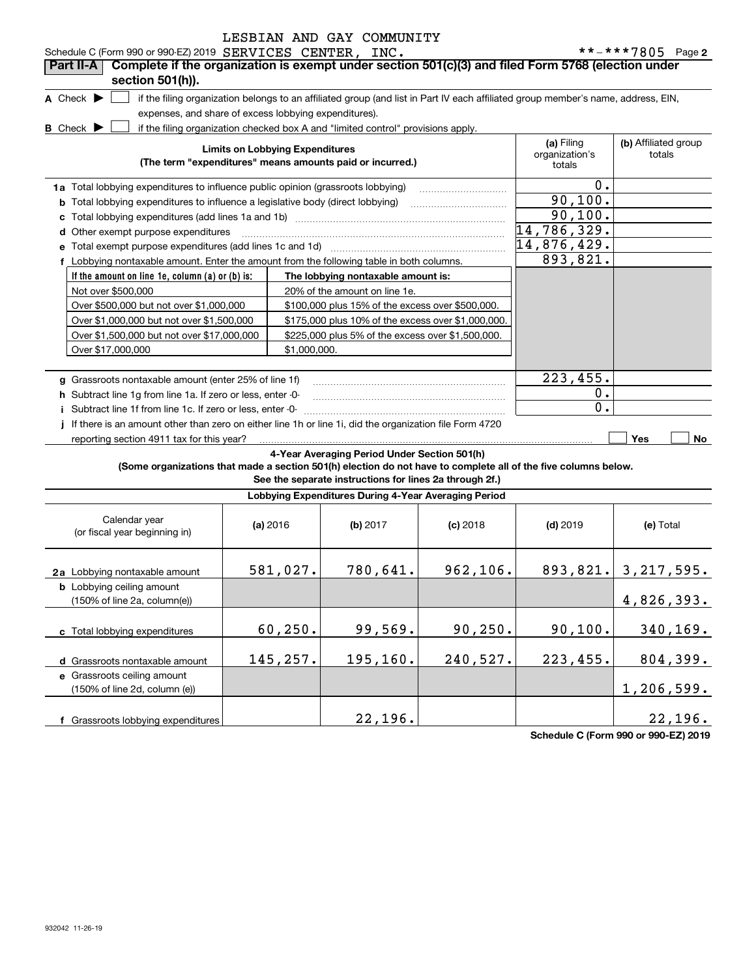| Schedule C (Form 990 or 990-EZ) 2019 SERVICES CENTER, INC.<br>Complete if the organization is exempt under section 501(c)(3) and filed Form 5768 (election under<br>Part II-A |                                                                                                     | LESBIAN AND GAY COMMUNITY                                                                                                         |            |                     | **-***7805 Page 2        |  |  |  |
|-------------------------------------------------------------------------------------------------------------------------------------------------------------------------------|-----------------------------------------------------------------------------------------------------|-----------------------------------------------------------------------------------------------------------------------------------|------------|---------------------|--------------------------|--|--|--|
| section 501(h)).<br>A Check $\blacktriangleright$                                                                                                                             |                                                                                                     | if the filing organization belongs to an affiliated group (and list in Part IV each affiliated group member's name, address, EIN, |            |                     |                          |  |  |  |
|                                                                                                                                                                               | expenses, and share of excess lobbying expenditures).                                               |                                                                                                                                   |            |                     |                          |  |  |  |
| <b>B</b> Check $\blacktriangleright$                                                                                                                                          |                                                                                                     | if the filing organization checked box A and "limited control" provisions apply.                                                  |            |                     |                          |  |  |  |
|                                                                                                                                                                               | <b>Limits on Lobbying Expenditures</b><br>(The term "expenditures" means amounts paid or incurred.) |                                                                                                                                   |            |                     |                          |  |  |  |
|                                                                                                                                                                               | 1a Total lobbying expenditures to influence public opinion (grassroots lobbying)                    |                                                                                                                                   |            |                     |                          |  |  |  |
| <b>b</b> Total lobbying expenditures to influence a legislative body (direct lobbying)                                                                                        |                                                                                                     |                                                                                                                                   |            | 90,100.             |                          |  |  |  |
|                                                                                                                                                                               |                                                                                                     |                                                                                                                                   |            | 90,100.             |                          |  |  |  |
| Other exempt purpose expenditures                                                                                                                                             |                                                                                                     |                                                                                                                                   |            | 14,786,329.         |                          |  |  |  |
|                                                                                                                                                                               |                                                                                                     |                                                                                                                                   |            | <u>14,876,429.</u>  |                          |  |  |  |
| f Lobbying nontaxable amount. Enter the amount from the following table in both columns.                                                                                      |                                                                                                     |                                                                                                                                   |            | 893,821.            |                          |  |  |  |
| If the amount on line 1e, column $(a)$ or $(b)$ is:                                                                                                                           |                                                                                                     | The lobbying nontaxable amount is:<br>20% of the amount on line 1e.                                                               |            |                     |                          |  |  |  |
| Not over \$500,000                                                                                                                                                            |                                                                                                     |                                                                                                                                   |            |                     |                          |  |  |  |
| Over \$500,000 but not over \$1,000,000                                                                                                                                       |                                                                                                     | \$100,000 plus 15% of the excess over \$500,000.                                                                                  |            |                     |                          |  |  |  |
| Over \$1,000,000 but not over \$1,500,000                                                                                                                                     |                                                                                                     | \$175,000 plus 10% of the excess over \$1,000,000.                                                                                |            |                     |                          |  |  |  |
| Over \$1,500,000 but not over \$17,000,000                                                                                                                                    |                                                                                                     | \$225,000 plus 5% of the excess over \$1,500,000.                                                                                 |            |                     |                          |  |  |  |
| Over \$17,000,000                                                                                                                                                             | \$1,000,000.                                                                                        |                                                                                                                                   |            |                     |                          |  |  |  |
|                                                                                                                                                                               |                                                                                                     |                                                                                                                                   |            |                     |                          |  |  |  |
| g Grassroots nontaxable amount (enter 25% of line 1f)                                                                                                                         |                                                                                                     |                                                                                                                                   |            | 223, 455.           |                          |  |  |  |
| h Subtract line 1g from line 1a. If zero or less, enter -0-                                                                                                                   |                                                                                                     |                                                                                                                                   |            | 0.<br>$\mathbf 0$ . |                          |  |  |  |
| i Subtract line 1f from line 1c. If zero or less, enter -0-                                                                                                                   |                                                                                                     |                                                                                                                                   |            |                     |                          |  |  |  |
| If there is an amount other than zero on either line 1h or line 1i, did the organization file Form 4720<br>reporting section 4911 tax for this year?                          |                                                                                                     |                                                                                                                                   |            |                     | <b>Yes</b><br>No         |  |  |  |
| (Some organizations that made a section 501(h) election do not have to complete all of the five columns below.                                                                |                                                                                                     | 4-Year Averaging Period Under Section 501(h)<br>See the separate instructions for lines 2a through 2f.)                           |            |                     |                          |  |  |  |
|                                                                                                                                                                               |                                                                                                     | Lobbying Expenditures During 4-Year Averaging Period                                                                              |            |                     |                          |  |  |  |
| Calendar year<br>(or fiscal year beginning in)                                                                                                                                | (a) 2016                                                                                            | (b) $2017$                                                                                                                        | $(c)$ 2018 | $(d)$ 2019          | (e) Total                |  |  |  |
| 2a Lobbying nontaxable amount                                                                                                                                                 | 581,027.                                                                                            | 780,641.                                                                                                                          | 962,106.   |                     | 893, 821.   3, 217, 595. |  |  |  |
| <b>b</b> Lobbying ceiling amount<br>(150% of line 2a, column(e))                                                                                                              |                                                                                                     |                                                                                                                                   |            |                     | 4,826,393.               |  |  |  |
| c Total lobbying expenditures                                                                                                                                                 | 60, 250.                                                                                            | 99,569.                                                                                                                           | 90, 250.   | 90, 100.            | 340, 169.                |  |  |  |
| d Grassroots nontaxable amount                                                                                                                                                | 145,257.                                                                                            | 195, 160.                                                                                                                         | 240,527.   | 223,455.            | 804,399.                 |  |  |  |
| e Grassroots ceiling amount                                                                                                                                                   |                                                                                                     |                                                                                                                                   |            |                     |                          |  |  |  |
| (150% of line 2d, column (e))                                                                                                                                                 |                                                                                                     |                                                                                                                                   |            |                     | 1,206,599.               |  |  |  |
| f Grassroots lobbying expenditures                                                                                                                                            |                                                                                                     | 22,196.                                                                                                                           |            |                     | 22,196.                  |  |  |  |

**Schedule C (Form 990 or 990-EZ) 2019**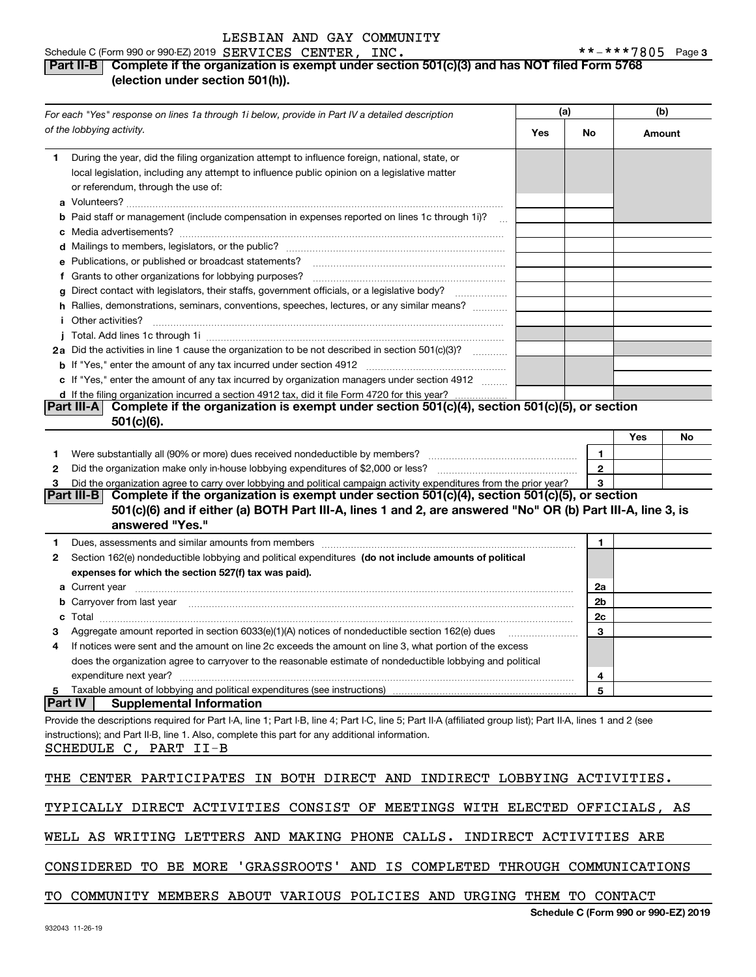#### Schedule C (Form 990 or 990-EZ) 2019  $SERNICES$   $\hbox{CRNTER}$ ,  $\hbox{INC.}$   $\hbox{NCC.}$   $\hbox{NCM.}$   $\hbox{NCM.}$   $\hbox{NCM.}$   $\hbox{NCM.}$

## **Part II-B Complete if the organization is exempt under section 501(c)(3) and has NOT filed Form 5768 (election under section 501(h)).**

**3**

| For each "Yes" response on lines 1a through 1i below, provide in Part IV a detailed description                                                                                                                                     | (a)                     |              | (b)    |                                      |
|-------------------------------------------------------------------------------------------------------------------------------------------------------------------------------------------------------------------------------------|-------------------------|--------------|--------|--------------------------------------|
| of the lobbying activity.                                                                                                                                                                                                           | Yes                     | No           | Amount |                                      |
| During the year, did the filing organization attempt to influence foreign, national, state, or<br>1.                                                                                                                                |                         |              |        |                                      |
| local legislation, including any attempt to influence public opinion on a legislative matter                                                                                                                                        |                         |              |        |                                      |
| or referendum, through the use of:                                                                                                                                                                                                  |                         |              |        |                                      |
|                                                                                                                                                                                                                                     |                         |              |        |                                      |
| Paid staff or management (include compensation in expenses reported on lines 1c through 1i)?                                                                                                                                        |                         |              |        |                                      |
|                                                                                                                                                                                                                                     |                         |              |        |                                      |
|                                                                                                                                                                                                                                     |                         |              |        |                                      |
| e Publications, or published or broadcast statements?                                                                                                                                                                               |                         |              |        |                                      |
| f Grants to other organizations for lobbying purposes?                                                                                                                                                                              |                         |              |        |                                      |
| Direct contact with legislators, their staffs, government officials, or a legislative body?<br>g                                                                                                                                    |                         |              |        |                                      |
| h Rallies, demonstrations, seminars, conventions, speeches, lectures, or any similar means?                                                                                                                                         |                         |              |        |                                      |
| <i>i</i> Other activities?                                                                                                                                                                                                          |                         |              |        |                                      |
|                                                                                                                                                                                                                                     |                         |              |        |                                      |
| 2a Did the activities in line 1 cause the organization to be not described in section 501(c)(3)?                                                                                                                                    |                         |              |        |                                      |
|                                                                                                                                                                                                                                     |                         |              |        |                                      |
| c If "Yes," enter the amount of any tax incurred by organization managers under section 4912                                                                                                                                        |                         |              |        |                                      |
| d If the filing organization incurred a section 4912 tax, did it file Form 4720 for this year?                                                                                                                                      |                         |              |        |                                      |
| Complete if the organization is exempt under section 501(c)(4), section 501(c)(5), or section<br><b>Part III-A</b><br>$501(c)(6)$ .                                                                                                 |                         |              |        |                                      |
|                                                                                                                                                                                                                                     |                         |              | Yes    | No                                   |
| Were substantially all (90% or more) dues received nondeductible by members?<br>1                                                                                                                                                   |                         | 1            |        |                                      |
| 2                                                                                                                                                                                                                                   |                         | $\mathbf{2}$ |        |                                      |
| Did the organization agree to carry over lobbying and political campaign activity expenditures from the prior year?<br>3                                                                                                            |                         | 3            |        |                                      |
| Complete if the organization is exempt under section 501(c)(4), section 501(c)(5), or section<br><b>Part III-B</b>                                                                                                                  |                         |              |        |                                      |
| 501(c)(6) and if either (a) BOTH Part III-A, lines 1 and 2, are answered "No" OR (b) Part III-A, line 3, is                                                                                                                         |                         |              |        |                                      |
| answered "Yes."                                                                                                                                                                                                                     |                         |              |        |                                      |
| Dues, assessments and similar amounts from members [111] matter continuum matter and similar and similar amounts from members [11] matter continuum matter and similar amounts from members [11] matter and similar and simila<br>1 |                         | 1            |        |                                      |
| Section 162(e) nondeductible lobbying and political expenditures (do not include amounts of political<br>2                                                                                                                          |                         |              |        |                                      |
| expenses for which the section 527(f) tax was paid).                                                                                                                                                                                |                         |              |        |                                      |
| <b>a</b> Current year                                                                                                                                                                                                               |                         | 2a           |        |                                      |
|                                                                                                                                                                                                                                     |                         | 2b           |        |                                      |
| c                                                                                                                                                                                                                                   |                         | 2c           |        |                                      |
| Aggregate amount reported in section $6033(e)(1)(A)$ notices of nondeductible section $162(e)$ dues<br>з                                                                                                                            |                         | 3            |        |                                      |
| If notices were sent and the amount on line 2c exceeds the amount on line 3, what portion of the excess<br>4                                                                                                                        |                         |              |        |                                      |
| does the organization agree to carryover to the reasonable estimate of nondeductible lobbying and political                                                                                                                         |                         |              |        |                                      |
| expenditure next year?                                                                                                                                                                                                              |                         | 4            |        |                                      |
| Taxable amount of lobbying and political expenditures (see instructions)<br>5<br><b>Part IV</b>                                                                                                                                     |                         | 5            |        |                                      |
| <b>Supplemental Information</b>                                                                                                                                                                                                     |                         |              |        |                                      |
| Provide the descriptions required for Part I-A, line 1; Part I-B, line 4; Part I-C, line 5; Part II-A (affiliated group list); Part II-A, lines 1 and 2 (see                                                                        |                         |              |        |                                      |
| instructions); and Part II-B, line 1. Also, complete this part for any additional information.<br>SCHEDULE C, PART II-B                                                                                                             |                         |              |        |                                      |
|                                                                                                                                                                                                                                     |                         |              |        |                                      |
| CENTER PARTICIPATES IN BOTH DIRECT AND INDIRECT LOBBYING ACTIVITIES.<br>THE                                                                                                                                                         |                         |              |        |                                      |
| TYPICALLY DIRECT ACTIVITIES CONSIST OF MEETINGS WITH ELECTED OFFICIALS, AS                                                                                                                                                          |                         |              |        |                                      |
|                                                                                                                                                                                                                                     |                         |              |        |                                      |
| WELL AS WRITING LETTERS AND MAKING PHONE CALLS.                                                                                                                                                                                     | INDIRECT ACTIVITIES ARE |              |        |                                      |
| 'GRASSROOTS'<br>CONSIDERED TO BE MORE<br>AND IS COMPLETED THROUGH COMMUNICATIONS                                                                                                                                                    |                         |              |        |                                      |
| COMMUNITY MEMBERS ABOUT VARIOUS POLICIES AND URGING THEM TO CONTACT<br>TOI                                                                                                                                                          |                         |              |        |                                      |
|                                                                                                                                                                                                                                     |                         |              |        | Schedule C (Form 990 or 990-EZ) 2019 |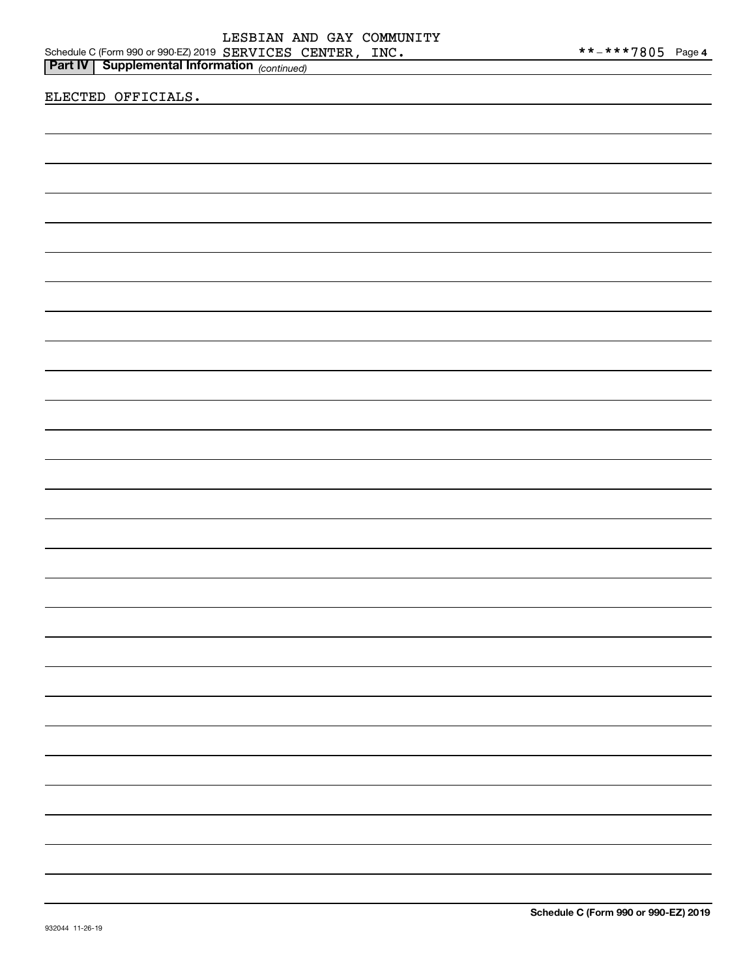| ELECTED OFFICIALS. |
|--------------------|
|                    |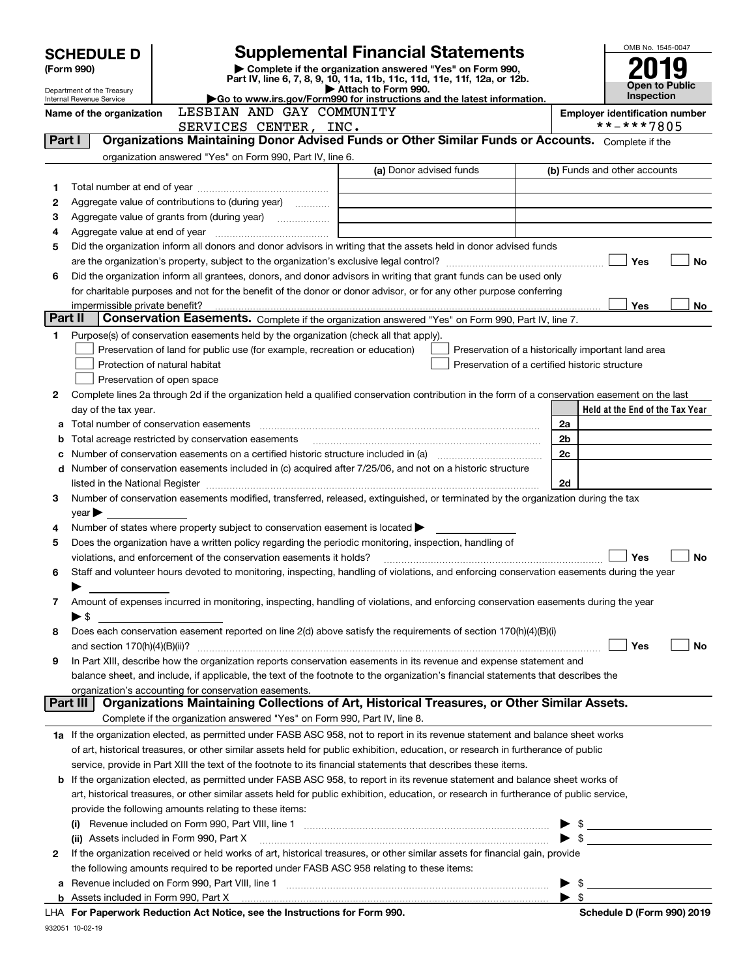|         | <b>Supplemental Financial Statements</b><br><b>SCHEDULE D</b>                                                    |                                                                                                        |                                                                                                                                                |  | OMB No. 1545-0047        |                                                     |  |  |
|---------|------------------------------------------------------------------------------------------------------------------|--------------------------------------------------------------------------------------------------------|------------------------------------------------------------------------------------------------------------------------------------------------|--|--------------------------|-----------------------------------------------------|--|--|
|         | (Form 990)                                                                                                       |                                                                                                        | Complete if the organization answered "Yes" on Form 990,<br>Part IV, line 6, 7, 8, 9, 10, 11a, 11b, 11c, 11d, 11e, 11f, 12a, or 12b.           |  |                          |                                                     |  |  |
|         | Department of the Treasury                                                                                       |                                                                                                        | Attach to Form 990.                                                                                                                            |  |                          | <b>Open to Public</b><br><b>Inspection</b>          |  |  |
|         | Internal Revenue Service                                                                                         | LESBIAN AND GAY COMMUNITY                                                                              | Go to www.irs.gov/Form990 for instructions and the latest information.                                                                         |  |                          |                                                     |  |  |
|         | Name of the organization                                                                                         | SERVICES CENTER, INC.                                                                                  |                                                                                                                                                |  |                          | <b>Employer identification number</b><br>**-***7805 |  |  |
| Part I  |                                                                                                                  |                                                                                                        | Organizations Maintaining Donor Advised Funds or Other Similar Funds or Accounts. Complete if the                                              |  |                          |                                                     |  |  |
|         |                                                                                                                  | organization answered "Yes" on Form 990, Part IV, line 6.                                              |                                                                                                                                                |  |                          |                                                     |  |  |
|         |                                                                                                                  |                                                                                                        | (a) Donor advised funds                                                                                                                        |  |                          | (b) Funds and other accounts                        |  |  |
| 1       |                                                                                                                  |                                                                                                        |                                                                                                                                                |  |                          |                                                     |  |  |
| 2       |                                                                                                                  | Aggregate value of contributions to (during year) <i>mimimizion</i>                                    |                                                                                                                                                |  |                          |                                                     |  |  |
| 3       |                                                                                                                  |                                                                                                        |                                                                                                                                                |  |                          |                                                     |  |  |
| 4       |                                                                                                                  |                                                                                                        |                                                                                                                                                |  |                          |                                                     |  |  |
| 5       | Did the organization inform all donors and donor advisors in writing that the assets held in donor advised funds |                                                                                                        |                                                                                                                                                |  |                          |                                                     |  |  |
|         |                                                                                                                  |                                                                                                        |                                                                                                                                                |  |                          | Yes<br><b>No</b>                                    |  |  |
| 6       |                                                                                                                  |                                                                                                        | Did the organization inform all grantees, donors, and donor advisors in writing that grant funds can be used only                              |  |                          |                                                     |  |  |
|         |                                                                                                                  |                                                                                                        | for charitable purposes and not for the benefit of the donor or donor advisor, or for any other purpose conferring                             |  |                          |                                                     |  |  |
|         |                                                                                                                  |                                                                                                        |                                                                                                                                                |  |                          | Yes<br>No                                           |  |  |
| Part II |                                                                                                                  |                                                                                                        | Conservation Easements. Complete if the organization answered "Yes" on Form 990, Part IV, line 7.                                              |  |                          |                                                     |  |  |
| 1       |                                                                                                                  | Purpose(s) of conservation easements held by the organization (check all that apply).                  |                                                                                                                                                |  |                          |                                                     |  |  |
|         |                                                                                                                  | Preservation of land for public use (for example, recreation or education)                             | Preservation of a historically important land area                                                                                             |  |                          |                                                     |  |  |
|         |                                                                                                                  | Protection of natural habitat                                                                          | Preservation of a certified historic structure                                                                                                 |  |                          |                                                     |  |  |
|         |                                                                                                                  | Preservation of open space                                                                             |                                                                                                                                                |  |                          |                                                     |  |  |
| 2       |                                                                                                                  |                                                                                                        | Complete lines 2a through 2d if the organization held a qualified conservation contribution in the form of a conservation easement on the last |  |                          |                                                     |  |  |
|         | day of the tax year.                                                                                             |                                                                                                        |                                                                                                                                                |  |                          | Held at the End of the Tax Year                     |  |  |
| а       |                                                                                                                  | Total number of conservation easements                                                                 |                                                                                                                                                |  | 2a<br>2 <sub>b</sub>     |                                                     |  |  |
|         |                                                                                                                  |                                                                                                        |                                                                                                                                                |  | 2 <sub>c</sub>           |                                                     |  |  |
|         | с<br>d Number of conservation easements included in (c) acquired after 7/25/06, and not on a historic structure  |                                                                                                        |                                                                                                                                                |  |                          |                                                     |  |  |
|         |                                                                                                                  |                                                                                                        |                                                                                                                                                |  | 2d                       |                                                     |  |  |
| 3       |                                                                                                                  |                                                                                                        | Number of conservation easements modified, transferred, released, extinguished, or terminated by the organization during the tax               |  |                          |                                                     |  |  |
|         | $year \blacktriangleright$                                                                                       |                                                                                                        |                                                                                                                                                |  |                          |                                                     |  |  |
| 4       |                                                                                                                  | Number of states where property subject to conservation easement is located $\blacktriangleright$      |                                                                                                                                                |  |                          |                                                     |  |  |
| 5       |                                                                                                                  | Does the organization have a written policy regarding the periodic monitoring, inspection, handling of |                                                                                                                                                |  |                          |                                                     |  |  |
|         |                                                                                                                  | violations, and enforcement of the conservation easements it holds?                                    |                                                                                                                                                |  |                          | Yes<br><b>No</b>                                    |  |  |
| 6       |                                                                                                                  |                                                                                                        | Staff and volunteer hours devoted to monitoring, inspecting, handling of violations, and enforcing conservation easements during the year      |  |                          |                                                     |  |  |
|         |                                                                                                                  |                                                                                                        |                                                                                                                                                |  |                          |                                                     |  |  |
| 7       |                                                                                                                  |                                                                                                        | Amount of expenses incurred in monitoring, inspecting, handling of violations, and enforcing conservation easements during the year            |  |                          |                                                     |  |  |
|         | ▶ \$                                                                                                             |                                                                                                        |                                                                                                                                                |  |                          |                                                     |  |  |
| 8       |                                                                                                                  |                                                                                                        | Does each conservation easement reported on line 2(d) above satisfy the requirements of section 170(h)(4)(B)(i)                                |  |                          |                                                     |  |  |
|         | and section 170(h)(4)(B)(ii)?                                                                                    |                                                                                                        |                                                                                                                                                |  |                          | Yes<br>No                                           |  |  |
| 9       |                                                                                                                  |                                                                                                        | In Part XIII, describe how the organization reports conservation easements in its revenue and expense statement and                            |  |                          |                                                     |  |  |
|         |                                                                                                                  | organization's accounting for conservation easements.                                                  | balance sheet, and include, if applicable, the text of the footnote to the organization's financial statements that describes the              |  |                          |                                                     |  |  |
|         | Part III                                                                                                         |                                                                                                        | Organizations Maintaining Collections of Art, Historical Treasures, or Other Similar Assets.                                                   |  |                          |                                                     |  |  |
|         |                                                                                                                  | Complete if the organization answered "Yes" on Form 990, Part IV, line 8.                              |                                                                                                                                                |  |                          |                                                     |  |  |
|         |                                                                                                                  |                                                                                                        | 1a If the organization elected, as permitted under FASB ASC 958, not to report in its revenue statement and balance sheet works                |  |                          |                                                     |  |  |
|         |                                                                                                                  |                                                                                                        | of art, historical treasures, or other similar assets held for public exhibition, education, or research in furtherance of public              |  |                          |                                                     |  |  |
|         |                                                                                                                  |                                                                                                        | service, provide in Part XIII the text of the footnote to its financial statements that describes these items.                                 |  |                          |                                                     |  |  |
|         |                                                                                                                  |                                                                                                        | <b>b</b> If the organization elected, as permitted under FASB ASC 958, to report in its revenue statement and balance sheet works of           |  |                          |                                                     |  |  |
|         |                                                                                                                  |                                                                                                        | art, historical treasures, or other similar assets held for public exhibition, education, or research in furtherance of public service,        |  |                          |                                                     |  |  |
|         |                                                                                                                  | provide the following amounts relating to these items:                                                 |                                                                                                                                                |  |                          |                                                     |  |  |
|         | $\blacktriangleright$ \$                                                                                         |                                                                                                        |                                                                                                                                                |  |                          |                                                     |  |  |
|         |                                                                                                                  | (ii) Assets included in Form 990, Part X                                                               |                                                                                                                                                |  | $\blacktriangleright$ \$ |                                                     |  |  |
| 2       |                                                                                                                  |                                                                                                        | If the organization received or held works of art, historical treasures, or other similar assets for financial gain, provide                   |  |                          |                                                     |  |  |
|         |                                                                                                                  | the following amounts required to be reported under FASB ASC 958 relating to these items:              |                                                                                                                                                |  |                          |                                                     |  |  |
|         |                                                                                                                  |                                                                                                        |                                                                                                                                                |  | $\blacktriangleright$ \$ |                                                     |  |  |
|         |                                                                                                                  |                                                                                                        |                                                                                                                                                |  | $\blacktriangleright$ \$ |                                                     |  |  |
|         |                                                                                                                  | <b>LHA, For Paperwork Reduction Act Notice, see the Instructions for Form 990</b>                      |                                                                                                                                                |  |                          | Schedule D (Form 990) 2019                          |  |  |

**For Paperwork Reduction Act Notice, see the Instructions for Form 990. Schedule D (Form 990) 2019** LHA

932051 10-02-19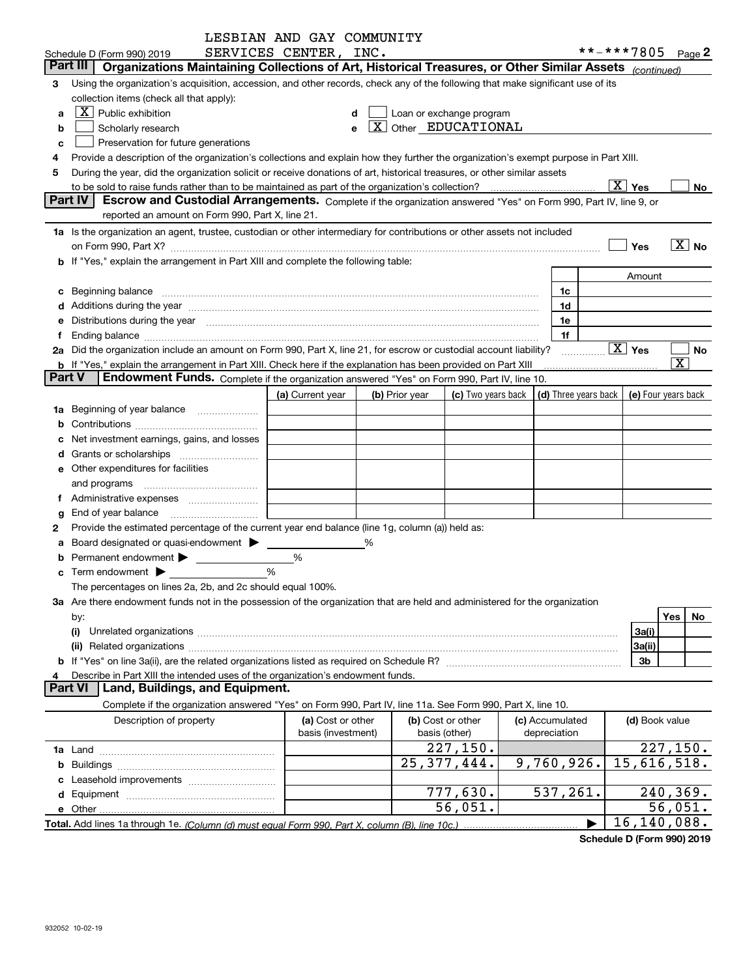|                                                                                    | LESBIAN AND GAY COMMUNITY                                                                                                                                                                                                      |                    |   |                |                                      |  |                       |                                                                 |                       |
|------------------------------------------------------------------------------------|--------------------------------------------------------------------------------------------------------------------------------------------------------------------------------------------------------------------------------|--------------------|---|----------------|--------------------------------------|--|-----------------------|-----------------------------------------------------------------|-----------------------|
|                                                                                    | SERVICES CENTER, INC.<br>Schedule D (Form 990) 2019                                                                                                                                                                            |                    |   |                |                                      |  |                       | **-***7805                                                      | Page $2$              |
| Part III                                                                           | Organizations Maintaining Collections of Art, Historical Treasures, or Other Similar Assets (continued)                                                                                                                        |                    |   |                |                                      |  |                       |                                                                 |                       |
| 3                                                                                  | Using the organization's acquisition, accession, and other records, check any of the following that make significant use of its                                                                                                |                    |   |                |                                      |  |                       |                                                                 |                       |
|                                                                                    | collection items (check all that apply):                                                                                                                                                                                       |                    |   |                |                                      |  |                       |                                                                 |                       |
| a                                                                                  | $\boxed{\text{X}}$ Public exhibition                                                                                                                                                                                           |                    | d |                | Loan or exchange program             |  |                       |                                                                 |                       |
| b                                                                                  | Scholarly research                                                                                                                                                                                                             |                    | e |                | $\boxed{\text{X}}$ Other EDUCATIONAL |  |                       |                                                                 |                       |
| c                                                                                  | Preservation for future generations                                                                                                                                                                                            |                    |   |                |                                      |  |                       |                                                                 |                       |
| 4                                                                                  | Provide a description of the organization's collections and explain how they further the organization's exempt purpose in Part XIII.                                                                                           |                    |   |                |                                      |  |                       |                                                                 |                       |
|                                                                                    | During the year, did the organization solicit or receive donations of art, historical treasures, or other similar assets<br>5                                                                                                  |                    |   |                |                                      |  |                       |                                                                 |                       |
|                                                                                    |                                                                                                                                                                                                                                |                    |   |                |                                      |  |                       | $\overline{X}$ Yes                                              | No                    |
|                                                                                    | Part IV<br>Escrow and Custodial Arrangements. Complete if the organization answered "Yes" on Form 990, Part IV, line 9, or                                                                                                     |                    |   |                |                                      |  |                       |                                                                 |                       |
|                                                                                    | reported an amount on Form 990, Part X, line 21.                                                                                                                                                                               |                    |   |                |                                      |  |                       |                                                                 |                       |
|                                                                                    |                                                                                                                                                                                                                                |                    |   |                |                                      |  |                       |                                                                 |                       |
|                                                                                    | 1a Is the organization an agent, trustee, custodian or other intermediary for contributions or other assets not included                                                                                                       |                    |   |                |                                      |  |                       |                                                                 | $\boxed{\text{X}}$ No |
|                                                                                    |                                                                                                                                                                                                                                |                    |   |                |                                      |  |                       | Yes                                                             |                       |
| b If "Yes," explain the arrangement in Part XIII and complete the following table: |                                                                                                                                                                                                                                |                    |   |                |                                      |  |                       |                                                                 |                       |
|                                                                                    |                                                                                                                                                                                                                                |                    |   |                |                                      |  |                       | Amount                                                          |                       |
|                                                                                    | c Beginning balance measurements and the contract of the contract of the contract of the contract of the contract of the contract of the contract of the contract of the contract of the contract of the contract of the contr |                    |   |                |                                      |  | 1c                    |                                                                 |                       |
|                                                                                    | d Additions during the year measurement contains and a container container and a container container and a container container and a container and a container container and a container container and a container container a |                    |   |                |                                      |  | 1d                    |                                                                 |                       |
| е                                                                                  | Distributions during the year manufactured and continuum and contract the year manufactured and contract the year                                                                                                              |                    |   |                |                                      |  | 1e                    |                                                                 |                       |
|                                                                                    |                                                                                                                                                                                                                                |                    |   |                |                                      |  | 1f                    |                                                                 |                       |
|                                                                                    | 2a Did the organization include an amount on Form 990, Part X, line 21, for escrow or custodial account liability?                                                                                                             |                    |   |                |                                      |  |                       | $\boxed{\text{X}}$ Yes                                          | No                    |
|                                                                                    | <b>b</b> If "Yes," explain the arrangement in Part XIII. Check here if the explanation has been provided on Part XIII                                                                                                          |                    |   |                |                                      |  |                       |                                                                 | $\overline{\text{X}}$ |
| <b>Part V</b>                                                                      | Endowment Funds. Complete if the organization answered "Yes" on Form 990, Part IV, line 10.                                                                                                                                    |                    |   |                |                                      |  |                       |                                                                 |                       |
|                                                                                    |                                                                                                                                                                                                                                | (a) Current year   |   | (b) Prior year |                                      |  |                       | (c) Two years back   (d) Three years back   (e) Four years back |                       |
| 1a                                                                                 | Beginning of year balance                                                                                                                                                                                                      |                    |   |                |                                      |  |                       |                                                                 |                       |
| b                                                                                  |                                                                                                                                                                                                                                |                    |   |                |                                      |  |                       |                                                                 |                       |
|                                                                                    | Net investment earnings, gains, and losses                                                                                                                                                                                     |                    |   |                |                                      |  |                       |                                                                 |                       |
| d                                                                                  |                                                                                                                                                                                                                                |                    |   |                |                                      |  |                       |                                                                 |                       |
|                                                                                    | <b>e</b> Other expenditures for facilities                                                                                                                                                                                     |                    |   |                |                                      |  |                       |                                                                 |                       |
|                                                                                    | and programs                                                                                                                                                                                                                   |                    |   |                |                                      |  |                       |                                                                 |                       |
| Ť.                                                                                 |                                                                                                                                                                                                                                |                    |   |                |                                      |  |                       |                                                                 |                       |
|                                                                                    | End of year balance                                                                                                                                                                                                            |                    |   |                |                                      |  |                       |                                                                 |                       |
| g                                                                                  | Provide the estimated percentage of the current year end balance (line 1g, column (a)) held as:                                                                                                                                |                    |   |                |                                      |  |                       |                                                                 |                       |
| 2                                                                                  |                                                                                                                                                                                                                                |                    |   |                |                                      |  |                       |                                                                 |                       |
| а                                                                                  | Board designated or quasi-endowment                                                                                                                                                                                            |                    | % |                |                                      |  |                       |                                                                 |                       |
| b                                                                                  | Permanent endowment                                                                                                                                                                                                            | %                  |   |                |                                      |  |                       |                                                                 |                       |
|                                                                                    | %<br>Term endowment $\blacktriangleright$                                                                                                                                                                                      |                    |   |                |                                      |  |                       |                                                                 |                       |
|                                                                                    | The percentages on lines 2a, 2b, and 2c should equal 100%.                                                                                                                                                                     |                    |   |                |                                      |  |                       |                                                                 |                       |
|                                                                                    | 3a Are there endowment funds not in the possession of the organization that are held and administered for the organization                                                                                                     |                    |   |                |                                      |  |                       |                                                                 |                       |
|                                                                                    | by:                                                                                                                                                                                                                            |                    |   |                |                                      |  |                       |                                                                 | Yes<br>No.            |
|                                                                                    | (i)                                                                                                                                                                                                                            |                    |   |                |                                      |  |                       | 3a(i)                                                           |                       |
|                                                                                    | (ii)                                                                                                                                                                                                                           |                    |   |                |                                      |  |                       | 3a(ii)                                                          |                       |
|                                                                                    |                                                                                                                                                                                                                                |                    |   |                |                                      |  |                       | 3b                                                              |                       |
|                                                                                    | Describe in Part XIII the intended uses of the organization's endowment funds.                                                                                                                                                 |                    |   |                |                                      |  |                       |                                                                 |                       |
|                                                                                    | Land, Buildings, and Equipment.<br><b>Part VI</b>                                                                                                                                                                              |                    |   |                |                                      |  |                       |                                                                 |                       |
|                                                                                    | Complete if the organization answered "Yes" on Form 990, Part IV, line 11a. See Form 990, Part X, line 10.                                                                                                                     |                    |   |                |                                      |  |                       |                                                                 |                       |
|                                                                                    | Description of property                                                                                                                                                                                                        | (a) Cost or other  |   |                | (b) Cost or other                    |  | (c) Accumulated       | (d) Book value                                                  |                       |
|                                                                                    |                                                                                                                                                                                                                                | basis (investment) |   |                | basis (other)                        |  | depreciation          |                                                                 |                       |
|                                                                                    |                                                                                                                                                                                                                                |                    |   |                | 227,150.                             |  |                       |                                                                 | 227,150.              |
|                                                                                    |                                                                                                                                                                                                                                |                    |   |                | 25, 377, 444.                        |  | 9,760,926.            | 15,616,518.                                                     |                       |
|                                                                                    |                                                                                                                                                                                                                                |                    |   |                |                                      |  |                       |                                                                 |                       |
|                                                                                    |                                                                                                                                                                                                                                |                    |   |                | 777,630.                             |  | 537, 261.             |                                                                 | 240,369.              |
|                                                                                    |                                                                                                                                                                                                                                |                    |   |                | 56,051.                              |  |                       |                                                                 | 56,051.               |
|                                                                                    |                                                                                                                                                                                                                                |                    |   |                |                                      |  | $\blacktriangleright$ | 16, 140, 088.                                                   |                       |
|                                                                                    |                                                                                                                                                                                                                                |                    |   |                |                                      |  |                       |                                                                 |                       |

**Schedule D (Form 990) 2019**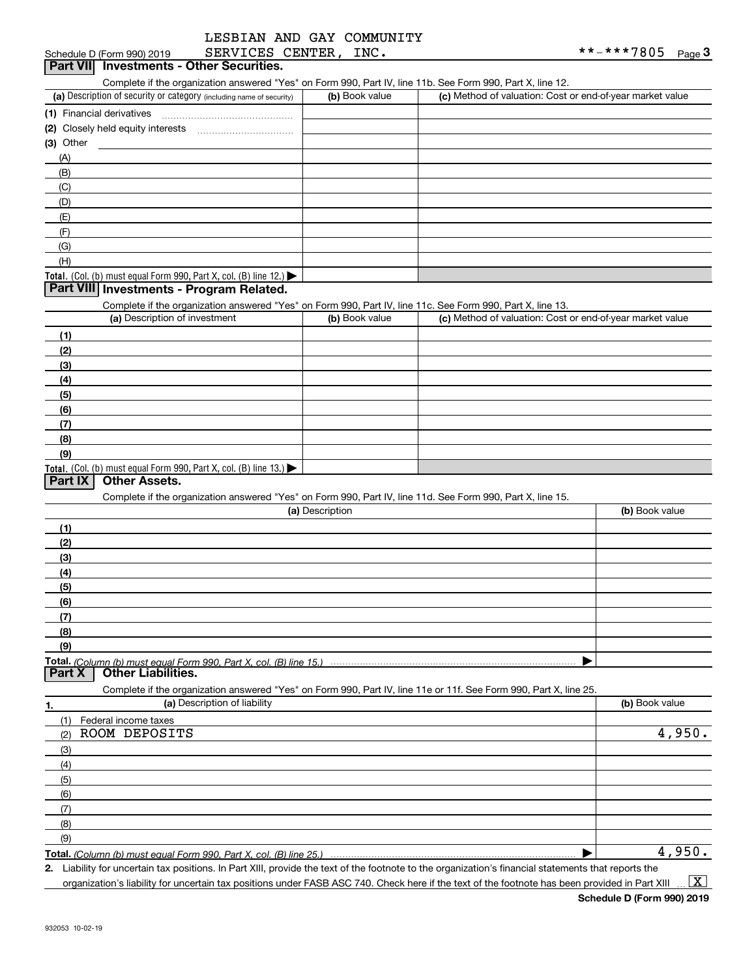|  | LESBIAN AND GAY COMMUNITY |  |
|--|---------------------------|--|
|  | <b>TIT</b>                |  |

#### Schedule D (Form 990) 2019 SERVICES CENTER, INC. \* \* – \* \* \* 7 8 0 5 Page **Schedule D (Form 990) 2019 SERVICES (Schedule D (Form 990) 2019 SERVICES**

Complete if the organization answered "Yes" on Form 990, Part IV, line 11b. See Form 990, Part X, line 12.

| (a) Description of security or category (including name of security)       | (b) Book value | (c) Method of valuation: Cost or end-of-year market value |
|----------------------------------------------------------------------------|----------------|-----------------------------------------------------------|
| (1) Financial derivatives                                                  |                |                                                           |
| (2) Closely held equity interests                                          |                |                                                           |
| $(3)$ Other                                                                |                |                                                           |
| (A)                                                                        |                |                                                           |
| (B)                                                                        |                |                                                           |
| (C)                                                                        |                |                                                           |
| (D)                                                                        |                |                                                           |
| (E)                                                                        |                |                                                           |
| (F)                                                                        |                |                                                           |
| (G)                                                                        |                |                                                           |
| (H)                                                                        |                |                                                           |
| <b>Total.</b> (Col. (b) must equal Form 990, Part X, col. (B) line $12$ .) |                |                                                           |

#### **Part VIII Investments - Program Related.**

Complete if the organization answered "Yes" on Form 990, Part IV, line 11c. See Form 990, Part X, line 13.

| (a) Description of investment                                                          | (b) Book value | (c) Method of valuation: Cost or end-of-year market value |
|----------------------------------------------------------------------------------------|----------------|-----------------------------------------------------------|
| (1)                                                                                    |                |                                                           |
| (2)                                                                                    |                |                                                           |
| $\frac{1}{2}$                                                                          |                |                                                           |
| (4)                                                                                    |                |                                                           |
| $\frac{1}{2}$                                                                          |                |                                                           |
| (6)                                                                                    |                |                                                           |
| $\sqrt{(7)}$                                                                           |                |                                                           |
| (8)                                                                                    |                |                                                           |
| (9)                                                                                    |                |                                                           |
| Total. (Col. (b) must equal Form 990, Part X, col. (B) line 13.) $\blacktriangleright$ |                |                                                           |

### **Part IX Other Assets.**

Complete if the organization answered "Yes" on Form 990, Part IV, line 11d. See Form 990, Part X, line 15.

| (a) Description                                                                                                   | (b) Book value |
|-------------------------------------------------------------------------------------------------------------------|----------------|
| (1)                                                                                                               |                |
| (2)                                                                                                               |                |
| (3)                                                                                                               |                |
| (4)                                                                                                               |                |
| (5)                                                                                                               |                |
| (6)                                                                                                               |                |
| (7)                                                                                                               |                |
| (8)                                                                                                               |                |
| (9)                                                                                                               |                |
| Total. (Column (b) must equal Form 990, Part X, col. (B) line 15.)<br>Other Liabilities.<br>Part $X$              |                |
| Complete if the organization answered "Yes" on Form 990, Part IV, line 11e or 11f. See Form 990, Part X, line 25. |                |
| (a) Description of liability<br>1.                                                                                | (b) Book value |

| (1) Federal income taxes |       |
|--------------------------|-------|
| (2) ROOM DEPOSITS        | 4,950 |
| (3)                      |       |
| (4)                      |       |
| (5)                      |       |
| (6)                      |       |
| (7)                      |       |
| (8)                      |       |
| (9)                      |       |
|                          |       |

**Total.**  *(Column (b) must equal Form 990, Part X, col. (B) line 25.)*

**2.** Liability for uncertain tax positions. In Part XIII, provide the text of the footnote to the organization's financial statements that reports the organization's liability for uncertain tax positions under FASB ASC 740. Check here if the text of the footnote has been provided in Part XIII  $\vert$  X  $\vert$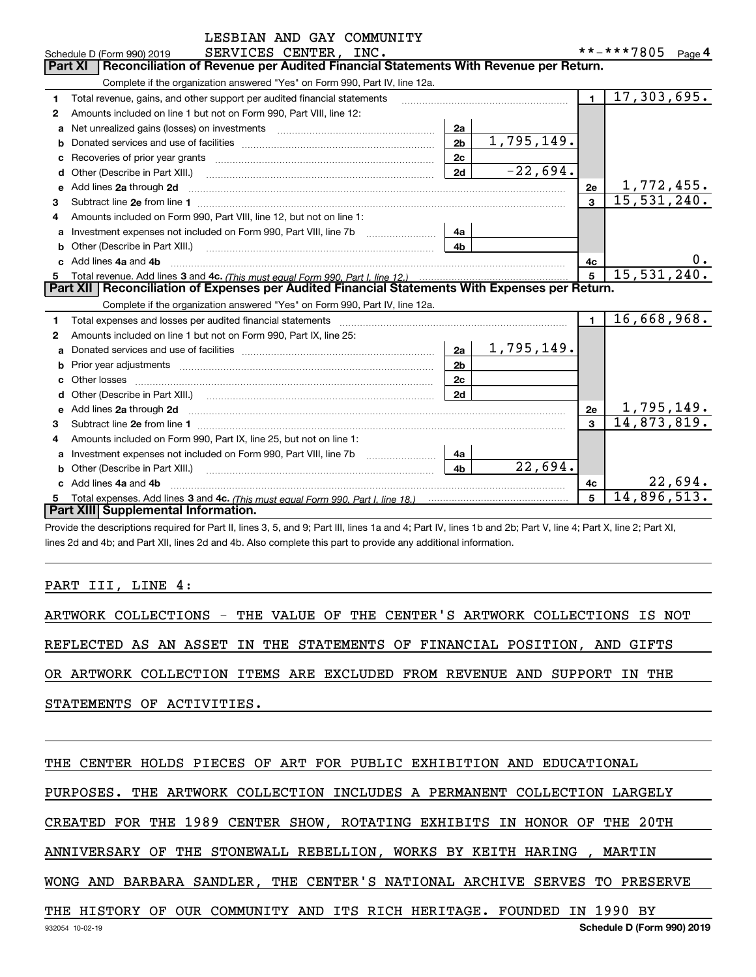|    | LESBIAN AND GAY COMMUNITY                                                                                                                                                                                                           |                |             |                |                           |  |
|----|-------------------------------------------------------------------------------------------------------------------------------------------------------------------------------------------------------------------------------------|----------------|-------------|----------------|---------------------------|--|
|    | SERVICES CENTER, INC.<br>Schedule D (Form 990) 2019                                                                                                                                                                                 |                |             |                | **-***7805 Page 4         |  |
|    | Reconciliation of Revenue per Audited Financial Statements With Revenue per Return.<br>Part XI                                                                                                                                      |                |             |                |                           |  |
|    | Complete if the organization answered "Yes" on Form 990, Part IV, line 12a.                                                                                                                                                         |                |             |                |                           |  |
| 1  | Total revenue, gains, and other support per audited financial statements                                                                                                                                                            |                |             | $\blacksquare$ | 17,303,695.               |  |
| 2  | Amounts included on line 1 but not on Form 990, Part VIII, line 12:                                                                                                                                                                 |                |             |                |                           |  |
| a  | Net unrealized gains (losses) on investments [11] matter contracts and the unrealized gains (losses) on investments                                                                                                                 | 2a             |             |                |                           |  |
| b  |                                                                                                                                                                                                                                     | 2 <sub>b</sub> | 1,795,149.  |                |                           |  |
|    |                                                                                                                                                                                                                                     | 2c             |             |                |                           |  |
| d  | Other (Describe in Part XIII.) <b>COLOGIST:</b> (2010)                                                                                                                                                                              | 2d             | $-22,694.$  |                |                           |  |
| e  | Add lines 2a through 2d                                                                                                                                                                                                             |                |             | 2e             | 1,772,455.                |  |
| 3  |                                                                                                                                                                                                                                     |                |             | $\mathbf{a}$   | 15,531,240.               |  |
| 4  | Amounts included on Form 990, Part VIII, line 12, but not on line 1:                                                                                                                                                                |                |             |                |                           |  |
| a  |                                                                                                                                                                                                                                     | 4a             |             |                |                           |  |
|    |                                                                                                                                                                                                                                     | 4b             |             |                |                           |  |
|    | Add lines 4a and 4b                                                                                                                                                                                                                 |                |             | 4c             | 0.                        |  |
| 5  |                                                                                                                                                                                                                                     |                | 15,531,240. |                |                           |  |
|    | Part XII   Reconciliation of Expenses per Audited Financial Statements With Expenses per Return.                                                                                                                                    |                |             |                |                           |  |
|    | Complete if the organization answered "Yes" on Form 990, Part IV, line 12a.                                                                                                                                                         |                |             |                |                           |  |
| 1. |                                                                                                                                                                                                                                     |                |             | $\blacksquare$ | $\overline{16,668,968}$ . |  |
| 2  | Amounts included on line 1 but not on Form 990, Part IX, line 25:                                                                                                                                                                   |                |             |                |                           |  |
| a  |                                                                                                                                                                                                                                     | 2a             | 1,795,149.  |                |                           |  |
|    | Prior year adjustments information and continuum and contact the contract of the contract of the contract of the contract of the contract of the contract of the contract of the contract of the contract of the contract of t      | 2 <sub>b</sub> |             |                |                           |  |
|    |                                                                                                                                                                                                                                     | 2c             |             |                |                           |  |
|    |                                                                                                                                                                                                                                     | 2d             |             |                |                           |  |
| e  | Add lines 2a through 2d <b>contained a contained a contained a contained a</b> contained a contained a contained a contained a contained a contained a contained a contained a contained a contained a contained a contained a cont |                |             | 2e             | 1,795,149.                |  |
| 3  |                                                                                                                                                                                                                                     |                |             | $\mathbf{a}$   | 14,873,819.               |  |
| 4  | Amounts included on Form 990, Part IX, line 25, but not on line 1:                                                                                                                                                                  |                |             |                |                           |  |
| a  |                                                                                                                                                                                                                                     | 4a             |             |                |                           |  |
|    | Other (Describe in Part XIII.) <b>Construction Contract Construction</b> Chern Construction Construction Construction                                                                                                               | 4 <sub>b</sub> | 22,694.     |                |                           |  |
|    | Add lines 4a and 4b                                                                                                                                                                                                                 |                |             | 4с             | 22,694.                   |  |
|    |                                                                                                                                                                                                                                     |                |             | 5              | 14,896,513.               |  |
|    | Part XIII Supplemental Information.                                                                                                                                                                                                 |                |             |                |                           |  |

Provide the descriptions required for Part II, lines 3, 5, and 9; Part III, lines 1a and 4; Part IV, lines 1b and 2b; Part V, line 4; Part X, line 2; Part XI, lines 2d and 4b; and Part XII, lines 2d and 4b. Also complete this part to provide any additional information.

## PART III, LINE 4:

ARTWORK COLLECTIONS - THE VALUE OF THE CENTER'S ARTWORK COLLECTIONS IS NOT REFLECTED AS AN ASSET IN THE STATEMENTS OF FINANCIAL POSITION, AND GIFTS OR ARTWORK COLLECTION ITEMS ARE EXCLUDED FROM REVENUE AND SUPPORT IN THE STATEMENTS OF ACTIVITIES.

THE CENTER HOLDS PIECES OF ART FOR PUBLIC EXHIBITION AND EDUCATIONAL

PURPOSES. THE ARTWORK COLLECTION INCLUDES A PERMANENT COLLECTION LARGELY

CREATED FOR THE 1989 CENTER SHOW, ROTATING EXHIBITS IN HONOR OF THE 20TH

ANNIVERSARY OF THE STONEWALL REBELLION, WORKS BY KEITH HARING , MARTIN

WONG AND BARBARA SANDLER, THE CENTER'S NATIONAL ARCHIVE SERVES TO PRESERVE

THE HISTORY OF OUR COMMUNITY AND ITS RICH HERITAGE. FOUNDED IN 1990 BY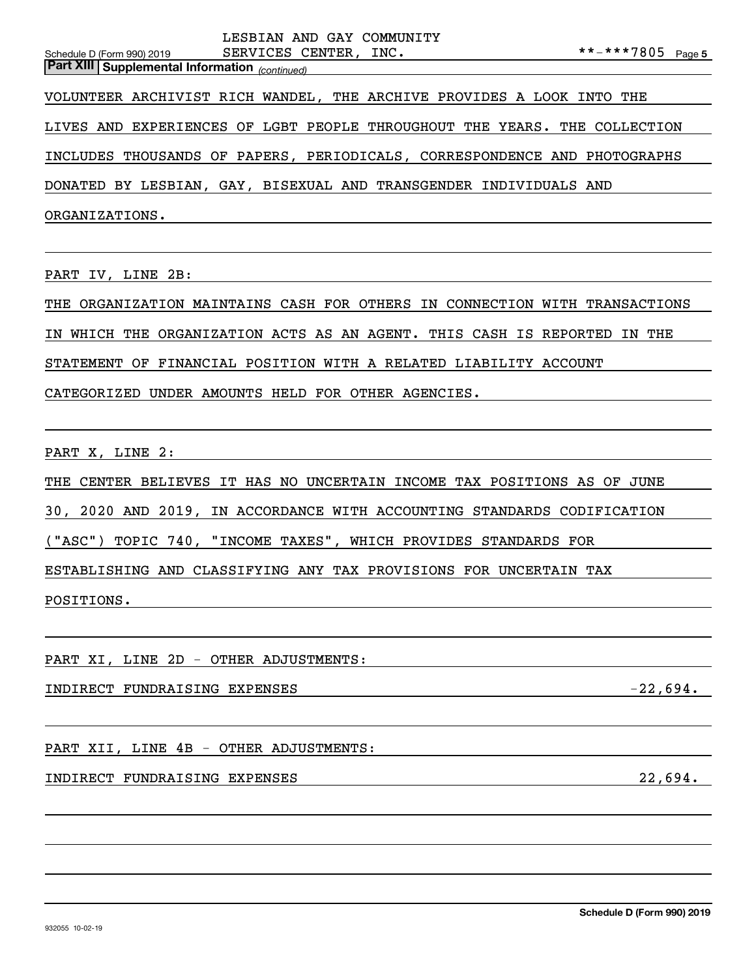| SERVICES CENTER, INC. *****7805 Page 5<br>Schedule D (Form 990) 2019       |            |
|----------------------------------------------------------------------------|------------|
| <b>Part XIII Supplemental Information</b> (continued)                      |            |
| VOLUNTEER ARCHIVIST RICH WANDEL, THE ARCHIVE PROVIDES A LOOK INTO THE      |            |
| LIVES AND EXPERIENCES OF LGBT PEOPLE THROUGHOUT THE YEARS. THE COLLECTION  |            |
| INCLUDES THOUSANDS OF PAPERS, PERIODICALS, CORRESPONDENCE AND PHOTOGRAPHS  |            |
| DONATED BY LESBIAN, GAY, BISEXUAL AND TRANSGENDER INDIVIDUALS AND          |            |
| ORGANIZATIONS.                                                             |            |
|                                                                            |            |
| PART IV, LINE 2B:                                                          |            |
| THE ORGANIZATION MAINTAINS CASH FOR OTHERS IN CONNECTION WITH TRANSACTIONS |            |
| IN WHICH THE ORGANIZATION ACTS AS AN AGENT. THIS CASH IS REPORTED IN THE   |            |
| STATEMENT OF FINANCIAL POSITION WITH A RELATED LIABILITY ACCOUNT           |            |
| CATEGORIZED UNDER AMOUNTS HELD FOR OTHER AGENCIES.                         |            |
|                                                                            |            |
| PART X, LINE 2:                                                            |            |
| THE CENTER BELIEVES IT HAS NO UNCERTAIN INCOME TAX POSITIONS AS OF JUNE    |            |
| 30, 2020 AND 2019, IN ACCORDANCE WITH ACCOUNTING STANDARDS CODIFICATION    |            |
| ("ASC") TOPIC 740, "INCOME TAXES", WHICH PROVIDES STANDARDS FOR            |            |
| ESTABLISHING AND CLASSIFYING ANY TAX PROVISIONS FOR UNCERTAIN TAX          |            |
| POSITIONS.                                                                 |            |
|                                                                            |            |
| PART XI, LINE 2D - OTHER ADJUSTMENTS:                                      |            |
| INDIRECT FUNDRAISING EXPENSES                                              | $-22,694.$ |
|                                                                            |            |
| PART XII, LINE 4B - OTHER ADJUSTMENTS:                                     |            |
| INDIRECT FUNDRAISING EXPENSES                                              | 22,694.    |
|                                                                            |            |
|                                                                            |            |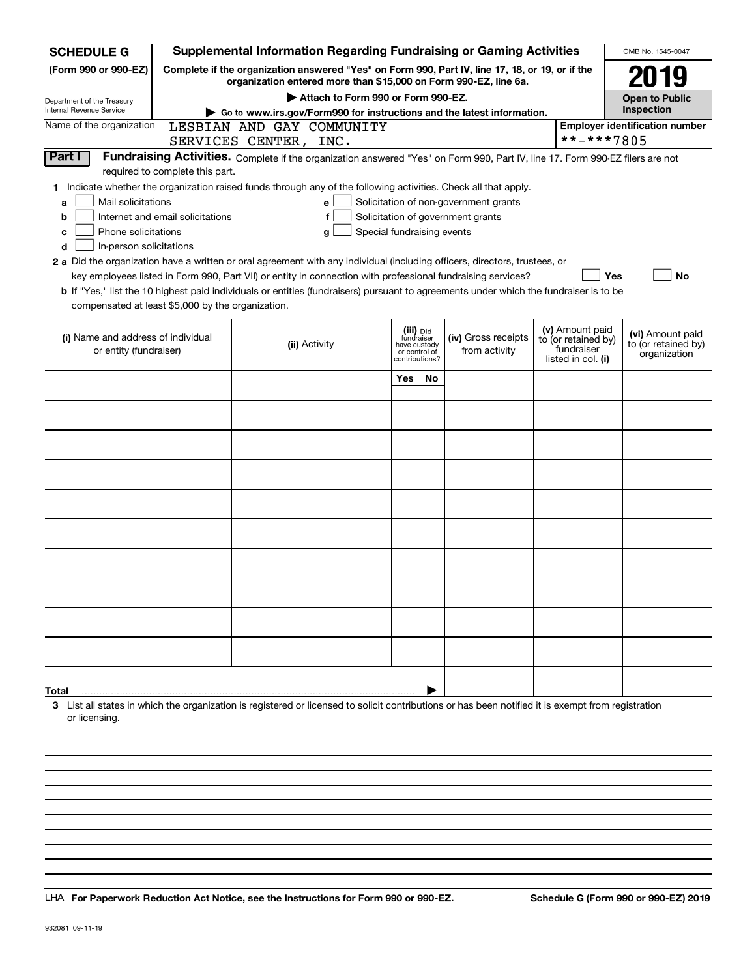| <b>SCHEDULE G</b>                                                                        |                                                                                                                                                                      | <b>Supplemental Information Regarding Fundraising or Gaming Activities</b>                                                                                                                                                                                                                                                                                                                                                                                                                                                  |                                                                        |                                                                            |                                                                            |                                                                            | OMB No. 1545-0047                                       |  |  |
|------------------------------------------------------------------------------------------|----------------------------------------------------------------------------------------------------------------------------------------------------------------------|-----------------------------------------------------------------------------------------------------------------------------------------------------------------------------------------------------------------------------------------------------------------------------------------------------------------------------------------------------------------------------------------------------------------------------------------------------------------------------------------------------------------------------|------------------------------------------------------------------------|----------------------------------------------------------------------------|----------------------------------------------------------------------------|----------------------------------------------------------------------------|---------------------------------------------------------|--|--|
| (Form 990 or 990-EZ)                                                                     |                                                                                                                                                                      | Complete if the organization answered "Yes" on Form 990, Part IV, line 17, 18, or 19, or if the<br>organization entered more than \$15,000 on Form 990-EZ, line 6a.                                                                                                                                                                                                                                                                                                                                                         | 2019                                                                   |                                                                            |                                                                            |                                                                            |                                                         |  |  |
| Department of the Treasury                                                               |                                                                                                                                                                      | Attach to Form 990 or Form 990-EZ.                                                                                                                                                                                                                                                                                                                                                                                                                                                                                          |                                                                        |                                                                            |                                                                            |                                                                            | <b>Open to Public</b><br>Inspection                     |  |  |
| Internal Revenue Service                                                                 |                                                                                                                                                                      |                                                                                                                                                                                                                                                                                                                                                                                                                                                                                                                             | Go to www.irs.gov/Form990 for instructions and the latest information. |                                                                            |                                                                            |                                                                            |                                                         |  |  |
| Name of the organization                                                                 |                                                                                                                                                                      | LESBIAN AND GAY COMMUNITY                                                                                                                                                                                                                                                                                                                                                                                                                                                                                                   |                                                                        |                                                                            |                                                                            |                                                                            | <b>Employer identification number</b>                   |  |  |
|                                                                                          | **-***7805<br>SERVICES CENTER, INC.<br>Fundraising Activities. Complete if the organization answered "Yes" on Form 990, Part IV, line 17. Form 990-EZ filers are not |                                                                                                                                                                                                                                                                                                                                                                                                                                                                                                                             |                                                                        |                                                                            |                                                                            |                                                                            |                                                         |  |  |
| Part I                                                                                   | required to complete this part.                                                                                                                                      |                                                                                                                                                                                                                                                                                                                                                                                                                                                                                                                             |                                                                        |                                                                            |                                                                            |                                                                            |                                                         |  |  |
| Mail solicitations<br>a<br>b<br>Phone solicitations<br>с<br>In-person solicitations<br>d | Internet and email solicitations                                                                                                                                     | 1 Indicate whether the organization raised funds through any of the following activities. Check all that apply.<br>е<br>f<br>g<br>2 a Did the organization have a written or oral agreement with any individual (including officers, directors, trustees, or<br>key employees listed in Form 990, Part VII) or entity in connection with professional fundraising services?<br><b>b</b> If "Yes," list the 10 highest paid individuals or entities (fundraisers) pursuant to agreements under which the fundraiser is to be | Special fundraising events                                             |                                                                            | Solicitation of non-government grants<br>Solicitation of government grants |                                                                            | Yes<br>No                                               |  |  |
| compensated at least \$5,000 by the organization.                                        |                                                                                                                                                                      |                                                                                                                                                                                                                                                                                                                                                                                                                                                                                                                             |                                                                        |                                                                            |                                                                            |                                                                            |                                                         |  |  |
| (i) Name and address of individual<br>or entity (fundraiser)                             |                                                                                                                                                                      | (ii) Activity                                                                                                                                                                                                                                                                                                                                                                                                                                                                                                               |                                                                        | (iii) Did<br>fundraiser<br>have custody<br>or control of<br>contributions? | (iv) Gross receipts<br>from activity                                       | (v) Amount paid<br>to (or retained by)<br>fundraiser<br>listed in col. (i) | (vi) Amount paid<br>to (or retained by)<br>organization |  |  |
|                                                                                          |                                                                                                                                                                      |                                                                                                                                                                                                                                                                                                                                                                                                                                                                                                                             | Yes                                                                    | No                                                                         |                                                                            |                                                                            |                                                         |  |  |
|                                                                                          |                                                                                                                                                                      |                                                                                                                                                                                                                                                                                                                                                                                                                                                                                                                             |                                                                        |                                                                            |                                                                            |                                                                            |                                                         |  |  |
|                                                                                          |                                                                                                                                                                      |                                                                                                                                                                                                                                                                                                                                                                                                                                                                                                                             |                                                                        |                                                                            |                                                                            |                                                                            |                                                         |  |  |
|                                                                                          |                                                                                                                                                                      |                                                                                                                                                                                                                                                                                                                                                                                                                                                                                                                             |                                                                        |                                                                            |                                                                            |                                                                            |                                                         |  |  |
|                                                                                          |                                                                                                                                                                      |                                                                                                                                                                                                                                                                                                                                                                                                                                                                                                                             |                                                                        |                                                                            |                                                                            |                                                                            |                                                         |  |  |
|                                                                                          |                                                                                                                                                                      |                                                                                                                                                                                                                                                                                                                                                                                                                                                                                                                             |                                                                        |                                                                            |                                                                            |                                                                            |                                                         |  |  |
|                                                                                          |                                                                                                                                                                      |                                                                                                                                                                                                                                                                                                                                                                                                                                                                                                                             |                                                                        |                                                                            |                                                                            |                                                                            |                                                         |  |  |
|                                                                                          |                                                                                                                                                                      |                                                                                                                                                                                                                                                                                                                                                                                                                                                                                                                             |                                                                        |                                                                            |                                                                            |                                                                            |                                                         |  |  |
|                                                                                          |                                                                                                                                                                      |                                                                                                                                                                                                                                                                                                                                                                                                                                                                                                                             |                                                                        |                                                                            |                                                                            |                                                                            |                                                         |  |  |
|                                                                                          |                                                                                                                                                                      |                                                                                                                                                                                                                                                                                                                                                                                                                                                                                                                             |                                                                        |                                                                            |                                                                            |                                                                            |                                                         |  |  |
| Total                                                                                    |                                                                                                                                                                      |                                                                                                                                                                                                                                                                                                                                                                                                                                                                                                                             |                                                                        |                                                                            |                                                                            |                                                                            |                                                         |  |  |
| or licensing.                                                                            |                                                                                                                                                                      | 3 List all states in which the organization is registered or licensed to solicit contributions or has been notified it is exempt from registration                                                                                                                                                                                                                                                                                                                                                                          |                                                                        |                                                                            |                                                                            |                                                                            |                                                         |  |  |
|                                                                                          |                                                                                                                                                                      |                                                                                                                                                                                                                                                                                                                                                                                                                                                                                                                             |                                                                        |                                                                            |                                                                            |                                                                            |                                                         |  |  |
|                                                                                          |                                                                                                                                                                      |                                                                                                                                                                                                                                                                                                                                                                                                                                                                                                                             |                                                                        |                                                                            |                                                                            |                                                                            |                                                         |  |  |
|                                                                                          |                                                                                                                                                                      |                                                                                                                                                                                                                                                                                                                                                                                                                                                                                                                             |                                                                        |                                                                            |                                                                            |                                                                            |                                                         |  |  |
|                                                                                          |                                                                                                                                                                      |                                                                                                                                                                                                                                                                                                                                                                                                                                                                                                                             |                                                                        |                                                                            |                                                                            |                                                                            |                                                         |  |  |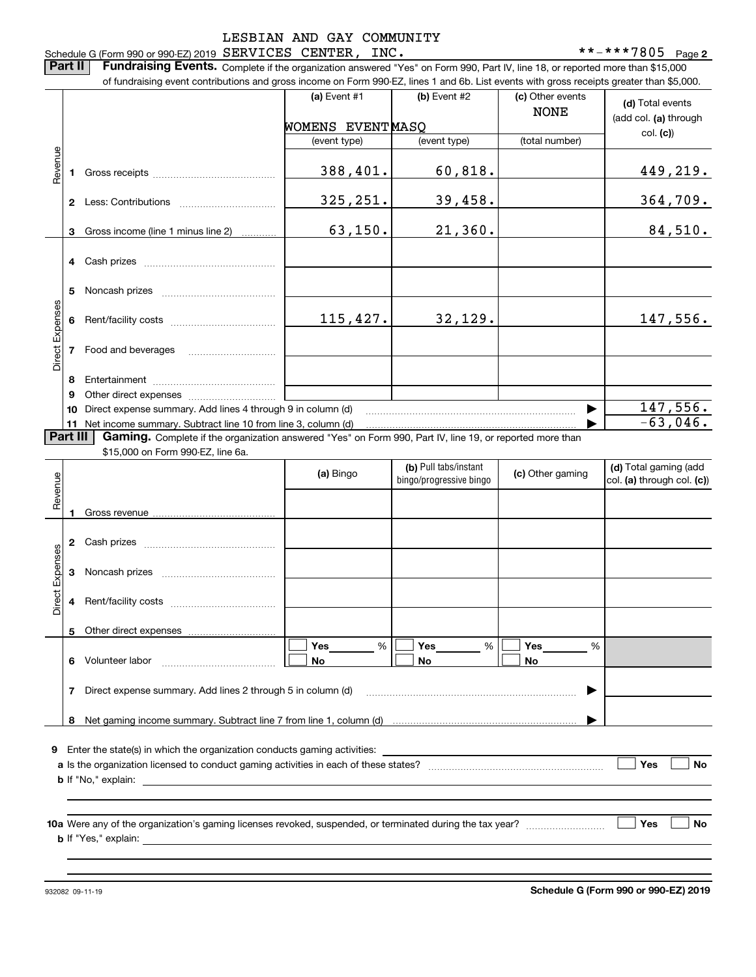#### Schedule G (Form 990 or 990-EZ) 2019  $\texttt{SERVICES}\quad \texttt{CBNTER}$  ,  $\texttt{INC.}$   $\texttt{[1]}$  ,  $\texttt{[1]}$  ,  $\texttt{[1]}$  ,  $\texttt{[1]}$  ,  $\texttt{[1]}$  ,  $\texttt{[1]}$  ,  $\texttt{[1]}$  ,  $\texttt{[1]}$  ,  $\texttt{[1]}$  ,  $\texttt{[1]}$  ,  $\texttt{[1]}$  ,  $\texttt{[1]}$  ,  $\texttt{[1]}$

**2**

**Part II** | Fundraising Events. Complete if the organization answered "Yes" on Form 990, Part IV, line 18, or reported more than \$15,000 of fundraising event contributions and gross income on Form 990-EZ, lines 1 and 6b. List events with gross receipts greater than \$5,000.

|                 |          | of fundraising event contributions and gross income on Form 990-EZ, lines 1 and 6b. List events with gross receipts greater than \$5,000. | (a) Event $#1$   | (b) Event #2                                     | (c) Other events |                                                     |
|-----------------|----------|-------------------------------------------------------------------------------------------------------------------------------------------|------------------|--------------------------------------------------|------------------|-----------------------------------------------------|
|                 |          |                                                                                                                                           |                  |                                                  | <b>NONE</b>      | (d) Total events                                    |
|                 |          |                                                                                                                                           | WOMENS EVENTMASQ |                                                  |                  | (add col. (a) through                               |
|                 |          |                                                                                                                                           | (event type)     | (event type)                                     | (total number)   | col. (c)                                            |
|                 |          |                                                                                                                                           |                  |                                                  |                  |                                                     |
| Revenue         |          |                                                                                                                                           | 388,401.         | 60,818.                                          |                  | 449,219.                                            |
|                 |          |                                                                                                                                           |                  |                                                  |                  |                                                     |
|                 |          |                                                                                                                                           | 325,251.         | 39,458.                                          |                  | 364,709.                                            |
|                 | 3        | Gross income (line 1 minus line 2)                                                                                                        | 63,150.          | 21,360.                                          |                  | 84,510.                                             |
|                 |          |                                                                                                                                           |                  |                                                  |                  |                                                     |
|                 |          |                                                                                                                                           |                  |                                                  |                  |                                                     |
|                 |          |                                                                                                                                           |                  |                                                  |                  |                                                     |
|                 | 5.       |                                                                                                                                           |                  |                                                  |                  |                                                     |
| Direct Expenses |          |                                                                                                                                           | 115,427.         | 32,129.                                          |                  | 147,556.                                            |
|                 |          |                                                                                                                                           |                  |                                                  |                  |                                                     |
|                 |          | 7 Food and beverages                                                                                                                      |                  |                                                  |                  |                                                     |
|                 |          |                                                                                                                                           |                  |                                                  |                  |                                                     |
|                 | 8        |                                                                                                                                           |                  |                                                  |                  |                                                     |
|                 | 9        |                                                                                                                                           |                  |                                                  |                  | 147,556.                                            |
|                 | 10       | Direct expense summary. Add lines 4 through 9 in column (d)<br>11 Net income summary. Subtract line 10 from line 3, column (d)            |                  |                                                  |                  | $-63,046.$                                          |
|                 | Part III | Gaming. Complete if the organization answered "Yes" on Form 990, Part IV, line 19, or reported more than                                  |                  |                                                  |                  |                                                     |
|                 |          | \$15,000 on Form 990-EZ, line 6a.                                                                                                         |                  |                                                  |                  |                                                     |
|                 |          |                                                                                                                                           | (a) Bingo        | (b) Pull tabs/instant<br>bingo/progressive bingo | (c) Other gaming | (d) Total gaming (add<br>col. (a) through col. (c)) |
| Revenue         |          |                                                                                                                                           |                  |                                                  |                  |                                                     |
|                 | 1        |                                                                                                                                           |                  |                                                  |                  |                                                     |
|                 |          |                                                                                                                                           |                  |                                                  |                  |                                                     |
|                 |          |                                                                                                                                           |                  |                                                  |                  |                                                     |
|                 |          |                                                                                                                                           |                  |                                                  |                  |                                                     |
| Direct Expenses | 3        |                                                                                                                                           |                  |                                                  |                  |                                                     |
|                 |          |                                                                                                                                           |                  |                                                  |                  |                                                     |
|                 |          |                                                                                                                                           |                  |                                                  |                  |                                                     |
|                 |          | 5 Other direct expenses                                                                                                                   |                  |                                                  |                  |                                                     |
|                 |          |                                                                                                                                           | %<br>Yes         | $\%$<br>Yes                                      | Yes<br>%         |                                                     |
|                 | 6        | Volunteer labor                                                                                                                           | No               | No                                               | No               |                                                     |
|                 |          | 7 Direct expense summary. Add lines 2 through 5 in column (d)                                                                             |                  |                                                  |                  |                                                     |
|                 |          |                                                                                                                                           |                  |                                                  |                  |                                                     |
|                 | 8        |                                                                                                                                           |                  |                                                  |                  |                                                     |
|                 |          |                                                                                                                                           |                  |                                                  |                  |                                                     |
| 9               |          | Enter the state(s) in which the organization conducts gaming activities:                                                                  |                  |                                                  |                  |                                                     |
|                 |          |                                                                                                                                           |                  |                                                  |                  | Yes<br><b>No</b>                                    |
|                 |          | <b>b</b> If "No," explain:                                                                                                                |                  |                                                  |                  |                                                     |
|                 |          |                                                                                                                                           |                  |                                                  |                  |                                                     |
|                 |          |                                                                                                                                           |                  |                                                  |                  |                                                     |
|                 |          |                                                                                                                                           |                  |                                                  |                  | Yes<br>No                                           |

932082 09-11-19

**Schedule G (Form 990 or 990-EZ) 2019**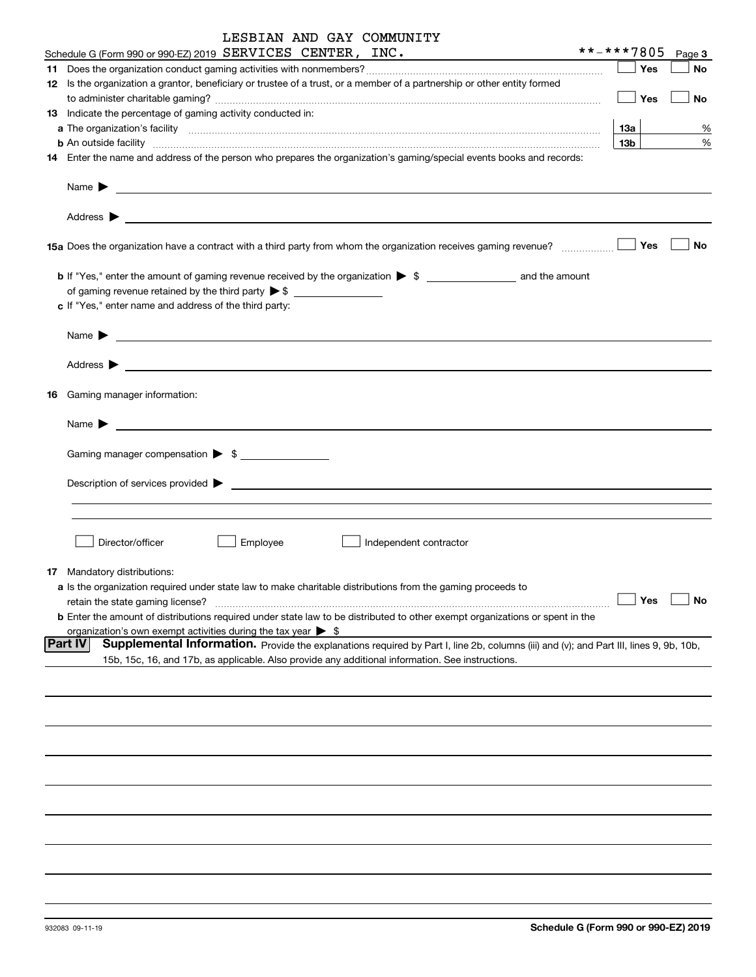|  |  |  | LESBIAN AND GAY COMMUNITY |
|--|--|--|---------------------------|
|--|--|--|---------------------------|

|     | Schedule G (Form 990 or 990-EZ) 2019 SERVICES CENTER, INC.                                                                                                                                                                                            | **-***7805      | Page 3    |
|-----|-------------------------------------------------------------------------------------------------------------------------------------------------------------------------------------------------------------------------------------------------------|-----------------|-----------|
| 11. |                                                                                                                                                                                                                                                       | Yes             | No        |
|     | 12 Is the organization a grantor, beneficiary or trustee of a trust, or a member of a partnership or other entity formed                                                                                                                              |                 |           |
|     |                                                                                                                                                                                                                                                       | Yes             | No        |
|     | 13 Indicate the percentage of gaming activity conducted in:                                                                                                                                                                                           |                 |           |
|     |                                                                                                                                                                                                                                                       | <b>13a</b>      | %         |
|     | <b>b</b> An outside facility <i>www.communicality www.communicality.communicality www.communicality www.communicality.com</i>                                                                                                                         | 13 <sub>b</sub> | %         |
|     | 14 Enter the name and address of the person who prepares the organization's gaming/special events books and records:                                                                                                                                  |                 |           |
|     |                                                                                                                                                                                                                                                       |                 |           |
|     |                                                                                                                                                                                                                                                       |                 |           |
|     |                                                                                                                                                                                                                                                       | Yes             | No        |
|     |                                                                                                                                                                                                                                                       |                 |           |
|     |                                                                                                                                                                                                                                                       |                 |           |
|     | c If "Yes," enter name and address of the third party:                                                                                                                                                                                                |                 |           |
|     | Name $\blacktriangleright$ $\lrcorner$                                                                                                                                                                                                                |                 |           |
|     |                                                                                                                                                                                                                                                       |                 |           |
|     | 16 Gaming manager information:                                                                                                                                                                                                                        |                 |           |
|     | Name $\blacktriangleright$ $\lrcorner$                                                                                                                                                                                                                |                 |           |
|     | Gaming manager compensation > \$                                                                                                                                                                                                                      |                 |           |
|     | $Description of services provided$ $\triangleright$                                                                                                                                                                                                   |                 |           |
|     |                                                                                                                                                                                                                                                       |                 |           |
|     | Director/officer<br>Employee<br>Independent contractor                                                                                                                                                                                                |                 |           |
|     | <b>17</b> Mandatory distributions:                                                                                                                                                                                                                    |                 |           |
|     | a Is the organization required under state law to make charitable distributions from the gaming proceeds to                                                                                                                                           | $\Box$ Yes      | $\Box$ No |
|     | retain the state gaming license?<br><b>b</b> Enter the amount of distributions required under state law to be distributed to other exempt organizations or spent in the                                                                               |                 |           |
|     | organization's own exempt activities during the tax year $\triangleright$ \$                                                                                                                                                                          |                 |           |
|     | Part IV<br>Supplemental Information. Provide the explanations required by Part I, line 2b, columns (iii) and (v); and Part III, lines 9, 9b, 10b,<br>15b, 15c, 16, and 17b, as applicable. Also provide any additional information. See instructions. |                 |           |
|     |                                                                                                                                                                                                                                                       |                 |           |
|     |                                                                                                                                                                                                                                                       |                 |           |
|     |                                                                                                                                                                                                                                                       |                 |           |
|     |                                                                                                                                                                                                                                                       |                 |           |
|     |                                                                                                                                                                                                                                                       |                 |           |
|     |                                                                                                                                                                                                                                                       |                 |           |
|     |                                                                                                                                                                                                                                                       |                 |           |
|     |                                                                                                                                                                                                                                                       |                 |           |
|     |                                                                                                                                                                                                                                                       |                 |           |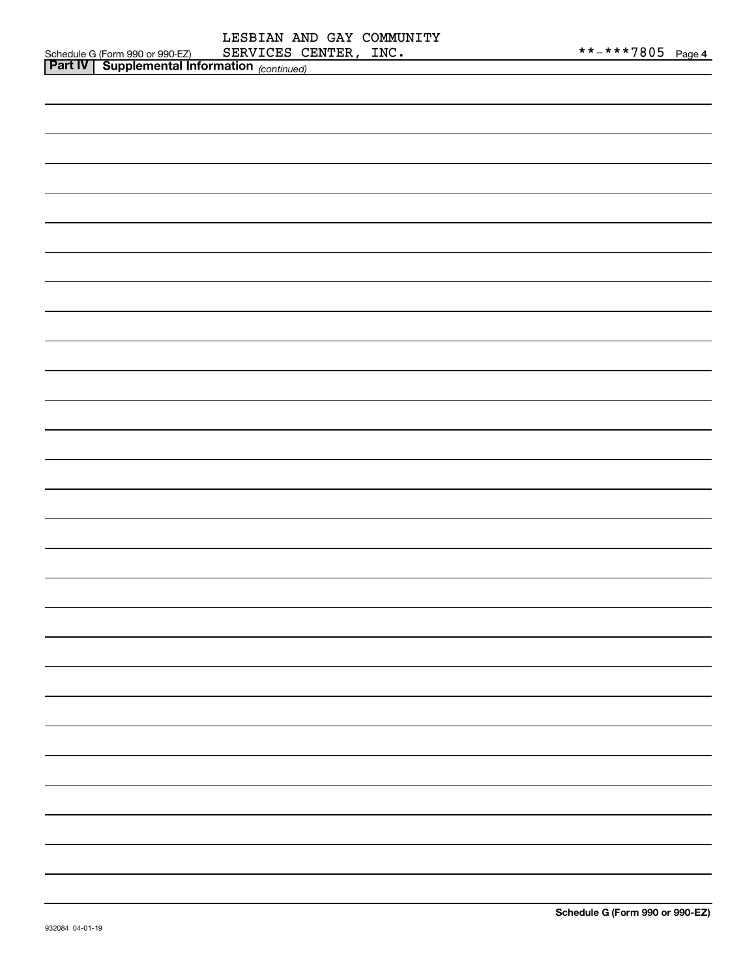|                                                                                  | LESBIAN AND GAY COMMUNITY |  |
|----------------------------------------------------------------------------------|---------------------------|--|
| Schedule G (Form 990 or 990-EZ)                                                  | INC.<br>SERVICES CENTER.  |  |
| $\mathbf{B}$ and $\mathbf{A}$ and $\mathbf{B}$ and $\mathbf{A}$ and $\mathbf{B}$ |                           |  |

| <b>Part IV   Supplemental Information</b> (continued) |
|-------------------------------------------------------|
|                                                       |
|                                                       |
|                                                       |
|                                                       |
|                                                       |
|                                                       |
|                                                       |
|                                                       |
|                                                       |
|                                                       |
|                                                       |
|                                                       |
|                                                       |
|                                                       |
|                                                       |
|                                                       |
|                                                       |
|                                                       |
|                                                       |
|                                                       |
|                                                       |
|                                                       |
|                                                       |
|                                                       |
|                                                       |
|                                                       |
|                                                       |
|                                                       |
|                                                       |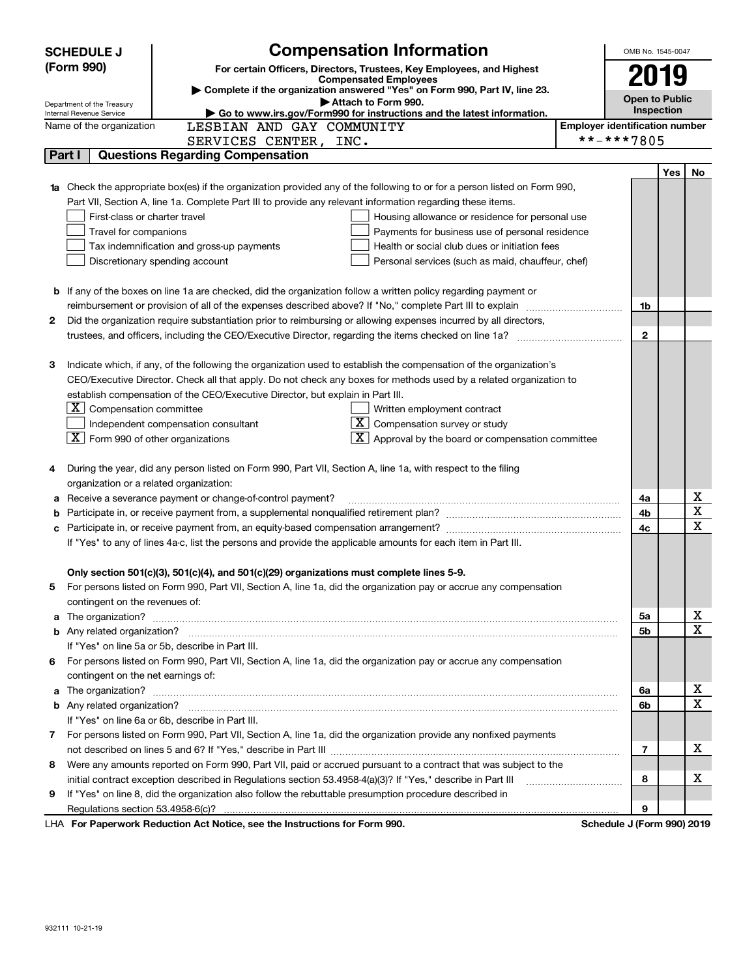| <b>SCHEDULE J</b>                                                                                                                |                                                                                                             | <b>Compensation Information</b>                                                                                                                                                                                                      |                                       | OMB No. 1545-0047 |                       |             |
|----------------------------------------------------------------------------------------------------------------------------------|-------------------------------------------------------------------------------------------------------------|--------------------------------------------------------------------------------------------------------------------------------------------------------------------------------------------------------------------------------------|---------------------------------------|-------------------|-----------------------|-------------|
| (Form 990)                                                                                                                       |                                                                                                             | For certain Officers, Directors, Trustees, Key Employees, and Highest                                                                                                                                                                |                                       |                   |                       |             |
|                                                                                                                                  |                                                                                                             | <b>Compensated Employees</b>                                                                                                                                                                                                         |                                       | 2019              |                       |             |
|                                                                                                                                  | Complete if the organization answered "Yes" on Form 990, Part IV, line 23.<br>Attach to Form 990.           |                                                                                                                                                                                                                                      |                                       |                   | <b>Open to Public</b> |             |
| Department of the Treasury<br>Go to www.irs.gov/Form990 for instructions and the latest information.<br>Internal Revenue Service |                                                                                                             |                                                                                                                                                                                                                                      |                                       | Inspection        |                       |             |
|                                                                                                                                  | Name of the organization                                                                                    | LESBIAN AND GAY COMMUNITY                                                                                                                                                                                                            | <b>Employer identification number</b> |                   |                       |             |
|                                                                                                                                  |                                                                                                             | SERVICES CENTER, INC.                                                                                                                                                                                                                | **-***7805                            |                   |                       |             |
| Part I                                                                                                                           |                                                                                                             | <b>Questions Regarding Compensation</b>                                                                                                                                                                                              |                                       |                   |                       |             |
|                                                                                                                                  |                                                                                                             |                                                                                                                                                                                                                                      |                                       |                   | Yes                   | No          |
|                                                                                                                                  |                                                                                                             | 1a Check the appropriate box(es) if the organization provided any of the following to or for a person listed on Form 990,                                                                                                            |                                       |                   |                       |             |
|                                                                                                                                  |                                                                                                             | Part VII, Section A, line 1a. Complete Part III to provide any relevant information regarding these items.                                                                                                                           |                                       |                   |                       |             |
|                                                                                                                                  | First-class or charter travel                                                                               | Housing allowance or residence for personal use                                                                                                                                                                                      |                                       |                   |                       |             |
|                                                                                                                                  | Travel for companions                                                                                       | Payments for business use of personal residence                                                                                                                                                                                      |                                       |                   |                       |             |
|                                                                                                                                  |                                                                                                             | Tax indemnification and gross-up payments<br>Health or social club dues or initiation fees                                                                                                                                           |                                       |                   |                       |             |
|                                                                                                                                  |                                                                                                             | Discretionary spending account<br>Personal services (such as maid, chauffeur, chef)                                                                                                                                                  |                                       |                   |                       |             |
|                                                                                                                                  |                                                                                                             |                                                                                                                                                                                                                                      |                                       |                   |                       |             |
|                                                                                                                                  |                                                                                                             | <b>b</b> If any of the boxes on line 1a are checked, did the organization follow a written policy regarding payment or                                                                                                               |                                       |                   |                       |             |
|                                                                                                                                  |                                                                                                             |                                                                                                                                                                                                                                      |                                       | 1b                |                       |             |
| 2                                                                                                                                |                                                                                                             | Did the organization require substantiation prior to reimbursing or allowing expenses incurred by all directors,                                                                                                                     |                                       |                   |                       |             |
|                                                                                                                                  |                                                                                                             |                                                                                                                                                                                                                                      |                                       | $\mathbf 2$       |                       |             |
| З                                                                                                                                |                                                                                                             | Indicate which, if any, of the following the organization used to establish the compensation of the organization's                                                                                                                   |                                       |                   |                       |             |
|                                                                                                                                  |                                                                                                             | CEO/Executive Director. Check all that apply. Do not check any boxes for methods used by a related organization to                                                                                                                   |                                       |                   |                       |             |
|                                                                                                                                  |                                                                                                             | establish compensation of the CEO/Executive Director, but explain in Part III.                                                                                                                                                       |                                       |                   |                       |             |
|                                                                                                                                  | $ \mathbf{X} $ Compensation committee                                                                       | Written employment contract                                                                                                                                                                                                          |                                       |                   |                       |             |
|                                                                                                                                  |                                                                                                             | $X$ Compensation survey or study<br>Independent compensation consultant                                                                                                                                                              |                                       |                   |                       |             |
|                                                                                                                                  | $\boxed{\textbf{X}}$ Form 990 of other organizations                                                        | $\mathbf{X}$ Approval by the board or compensation committee                                                                                                                                                                         |                                       |                   |                       |             |
|                                                                                                                                  |                                                                                                             |                                                                                                                                                                                                                                      |                                       |                   |                       |             |
| 4                                                                                                                                |                                                                                                             | During the year, did any person listed on Form 990, Part VII, Section A, line 1a, with respect to the filing                                                                                                                         |                                       |                   |                       |             |
|                                                                                                                                  | organization or a related organization:                                                                     |                                                                                                                                                                                                                                      |                                       |                   |                       |             |
| а                                                                                                                                |                                                                                                             | Receive a severance payment or change-of-control payment?                                                                                                                                                                            |                                       | 4a                |                       | x           |
| b                                                                                                                                |                                                                                                             |                                                                                                                                                                                                                                      |                                       | 4b                |                       | $\mathbf X$ |
| с                                                                                                                                |                                                                                                             |                                                                                                                                                                                                                                      |                                       | 4c                |                       | $\mathbf X$ |
| If "Yes" to any of lines 4a-c, list the persons and provide the applicable amounts for each item in Part III.                    |                                                                                                             |                                                                                                                                                                                                                                      |                                       |                   |                       |             |
|                                                                                                                                  |                                                                                                             |                                                                                                                                                                                                                                      |                                       |                   |                       |             |
|                                                                                                                                  |                                                                                                             | Only section 501(c)(3), 501(c)(4), and 501(c)(29) organizations must complete lines 5-9.                                                                                                                                             |                                       |                   |                       |             |
|                                                                                                                                  |                                                                                                             | For persons listed on Form 990, Part VII, Section A, line 1a, did the organization pay or accrue any compensation                                                                                                                    |                                       |                   |                       |             |
|                                                                                                                                  | contingent on the revenues of:                                                                              |                                                                                                                                                                                                                                      |                                       |                   |                       |             |
|                                                                                                                                  |                                                                                                             | a The organization? <b>Entitled Strategies and Strategies and Strategies and Strategies and Strategies and Strategies and Strategies and Strategies and Strategies and Strategies and Strategies and Strategies and Strategies a</b> |                                       | 5a                |                       | х           |
|                                                                                                                                  |                                                                                                             |                                                                                                                                                                                                                                      |                                       | 5b                |                       | х           |
|                                                                                                                                  |                                                                                                             | If "Yes" on line 5a or 5b, describe in Part III.                                                                                                                                                                                     |                                       |                   |                       |             |
| 6.                                                                                                                               |                                                                                                             | For persons listed on Form 990, Part VII, Section A, line 1a, did the organization pay or accrue any compensation                                                                                                                    |                                       |                   |                       |             |
|                                                                                                                                  | contingent on the net earnings of:                                                                          |                                                                                                                                                                                                                                      |                                       |                   |                       |             |
|                                                                                                                                  |                                                                                                             | a The organization? <b>Entitled Strategies and Strategies and Strategies and Strategies and Strategies and Strategies and Strategies and Strategies and Strategies and Strategies and Strategies and Strategies and Strategies a</b> |                                       | 6a                |                       | х           |
|                                                                                                                                  |                                                                                                             |                                                                                                                                                                                                                                      |                                       | 6b                |                       | X           |
|                                                                                                                                  |                                                                                                             | If "Yes" on line 6a or 6b, describe in Part III.                                                                                                                                                                                     |                                       |                   |                       |             |
|                                                                                                                                  |                                                                                                             | 7 For persons listed on Form 990, Part VII, Section A, line 1a, did the organization provide any nonfixed payments                                                                                                                   |                                       |                   |                       |             |
|                                                                                                                                  |                                                                                                             |                                                                                                                                                                                                                                      |                                       | 7                 |                       | х           |
| 8                                                                                                                                |                                                                                                             | Were any amounts reported on Form 990, Part VII, paid or accrued pursuant to a contract that was subject to the                                                                                                                      |                                       | 8                 |                       |             |
|                                                                                                                                  | initial contract exception described in Regulations section 53.4958-4(a)(3)? If "Yes," describe in Part III |                                                                                                                                                                                                                                      |                                       |                   |                       | х           |
| 9                                                                                                                                |                                                                                                             | If "Yes" on line 8, did the organization also follow the rebuttable presumption procedure described in                                                                                                                               |                                       |                   |                       |             |
|                                                                                                                                  |                                                                                                             |                                                                                                                                                                                                                                      |                                       | 9                 |                       |             |
|                                                                                                                                  |                                                                                                             | LHA For Paperwork Reduction Act Notice, see the Instructions for Form 990.                                                                                                                                                           | Schedule J (Form 990) 2019            |                   |                       |             |

932111 10-21-19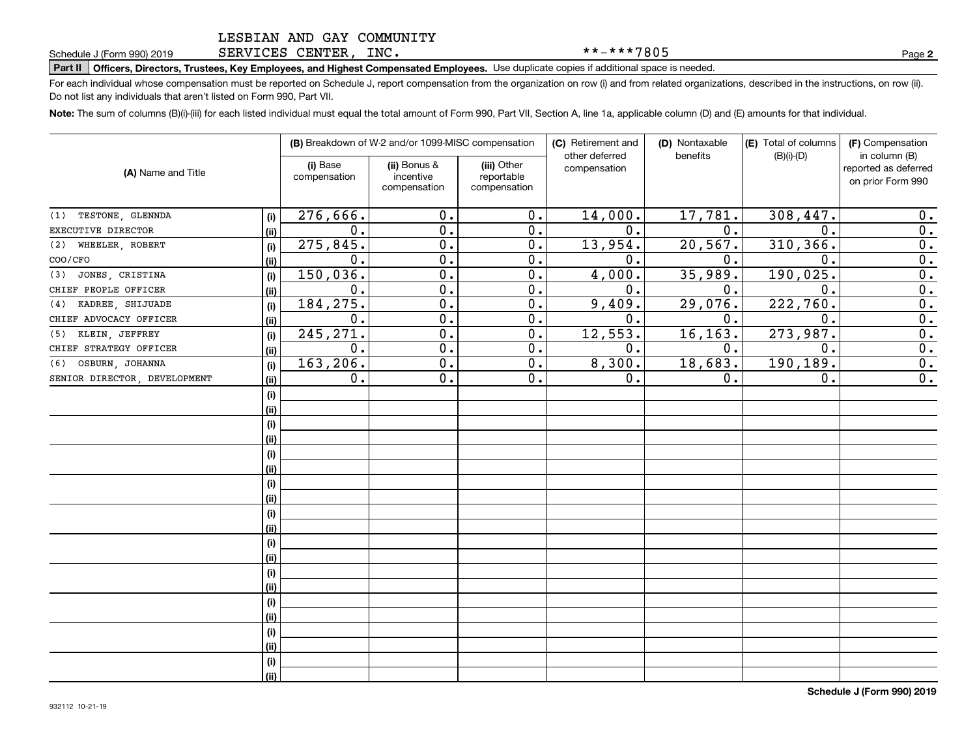SERVICES CENTER, INC.

**Part II Officers, Directors, Trustees, Key Employees, and Highest Compensated Employees.**  Schedule J (Form 990) 2019 Page Use duplicate copies if additional space is needed.

For each individual whose compensation must be reported on Schedule J, report compensation from the organization on row (i) and from related organizations, described in the instructions, on row (ii). Do not list any individuals that aren't listed on Form 990, Part VII.

**Note:**  The sum of columns (B)(i)-(iii) for each listed individual must equal the total amount of Form 990, Part VII, Section A, line 1a, applicable column (D) and (E) amounts for that individual.

| (A) Name and Title           |      |                          | (B) Breakdown of W-2 and/or 1099-MISC compensation |                                           | (C) Retirement and<br>other deferred | (D) Nontaxable<br>benefits | (E) Total of columns<br>$(B)(i)-(D)$ | (F) Compensation<br>in column (B)         |  |
|------------------------------|------|--------------------------|----------------------------------------------------|-------------------------------------------|--------------------------------------|----------------------------|--------------------------------------|-------------------------------------------|--|
|                              |      | (i) Base<br>compensation | (ii) Bonus &<br>incentive<br>compensation          | (iii) Other<br>reportable<br>compensation | compensation                         |                            |                                      | reported as deferred<br>on prior Form 990 |  |
| TESTONE, GLENNDA<br>(1)      | (i)  | 276,666.                 | $0$ .                                              | 0.                                        | 14,000.                              | 17,781.                    | 308,447.                             | 0.                                        |  |
| EXECUTIVE DIRECTOR           | (ii) | 0.                       | 0.                                                 | 0.                                        | 0.                                   | 0.                         | $\mathbf 0$ .                        | $\overline{0}$ .                          |  |
| WHEELER, ROBERT<br>(2)       | (i)  | 275,845.                 | $\overline{0}$ .                                   | 0.                                        | 13,954.                              | 20, 567.                   | 310,366.                             | $\overline{0}$ .                          |  |
| COO/CFO                      | (ii) | 0.                       | 0.                                                 | 0.                                        | 0.                                   | $\mathbf 0$ .              | $\mathbf 0$ .                        | $\overline{0}$ .                          |  |
| JONES, CRISTINA<br>(3)       | (i)  | 150,036.                 | 0.                                                 | 0.                                        | 4,000.                               | 35,989.                    | 190,025.                             | $\overline{0}$ .                          |  |
| CHIEF PEOPLE OFFICER         | (ii) | 0.                       | 0.                                                 | $0$ .                                     | 0.                                   | 0.                         | $\mathbf 0$ .                        | $\overline{0}$ .                          |  |
| KADREE, SHIJUADE<br>(4)      | (i)  | 184, 275.                | 0.                                                 | 0.                                        | 9,409.                               | 29,076.                    | 222,760.                             | $\mathbf 0$ .                             |  |
| CHIEF ADVOCACY OFFICER       | (ii) | 0.                       | 0.                                                 | 0.                                        | $\mathbf 0$ .                        | 0.                         | 0.                                   | 0.                                        |  |
| KLEIN, JEFFREY<br>(5)        | (i)  | 245, 271.                | $\overline{0}$ .                                   | $\overline{0}$ .                          | 12,553.                              | 16, 163.                   | 273,987.                             | $\overline{0}$ .                          |  |
| CHIEF STRATEGY OFFICER       | (ii) | $\overline{0}$ .         | $\overline{0}$ .                                   | $\overline{0}$ .                          | 0.                                   | 0.                         | $\mathbf 0$ .                        | $\overline{0}$ .                          |  |
| OSBURN, JOHANNA<br>(6)       | (i)  | 163, 206.                | $\overline{0}$ .                                   | $\overline{0}$ .                          | 8,300.                               | 18,683.                    | 190, 189.                            | $\overline{0}$ .                          |  |
| SENIOR DIRECTOR, DEVELOPMENT | (ii) | 0.                       | $\overline{0}$ .                                   | $\overline{0}$ .                          | 0.                                   | 0.                         | 0.                                   | $\overline{0}$ .                          |  |
|                              | (i)  |                          |                                                    |                                           |                                      |                            |                                      |                                           |  |
|                              | (ii) |                          |                                                    |                                           |                                      |                            |                                      |                                           |  |
|                              | (i)  |                          |                                                    |                                           |                                      |                            |                                      |                                           |  |
|                              | (ii) |                          |                                                    |                                           |                                      |                            |                                      |                                           |  |
|                              | (i)  |                          |                                                    |                                           |                                      |                            |                                      |                                           |  |
|                              | (ii) |                          |                                                    |                                           |                                      |                            |                                      |                                           |  |
|                              | (i)  |                          |                                                    |                                           |                                      |                            |                                      |                                           |  |
|                              | (ii) |                          |                                                    |                                           |                                      |                            |                                      |                                           |  |
|                              | (i)  |                          |                                                    |                                           |                                      |                            |                                      |                                           |  |
|                              | (ii) |                          |                                                    |                                           |                                      |                            |                                      |                                           |  |
|                              | (i)  |                          |                                                    |                                           |                                      |                            |                                      |                                           |  |
|                              | (ii) |                          |                                                    |                                           |                                      |                            |                                      |                                           |  |
|                              | (i)  |                          |                                                    |                                           |                                      |                            |                                      |                                           |  |
|                              | (ii) |                          |                                                    |                                           |                                      |                            |                                      |                                           |  |
|                              | (i)  |                          |                                                    |                                           |                                      |                            |                                      |                                           |  |
|                              | (ii) |                          |                                                    |                                           |                                      |                            |                                      |                                           |  |
|                              | (i)  |                          |                                                    |                                           |                                      |                            |                                      |                                           |  |
|                              | (ii) |                          |                                                    |                                           |                                      |                            |                                      |                                           |  |
|                              | (i)  |                          |                                                    |                                           |                                      |                            |                                      |                                           |  |
|                              | (ii) |                          |                                                    |                                           |                                      |                            |                                      |                                           |  |

**2**

\*\*-\*\*\*7805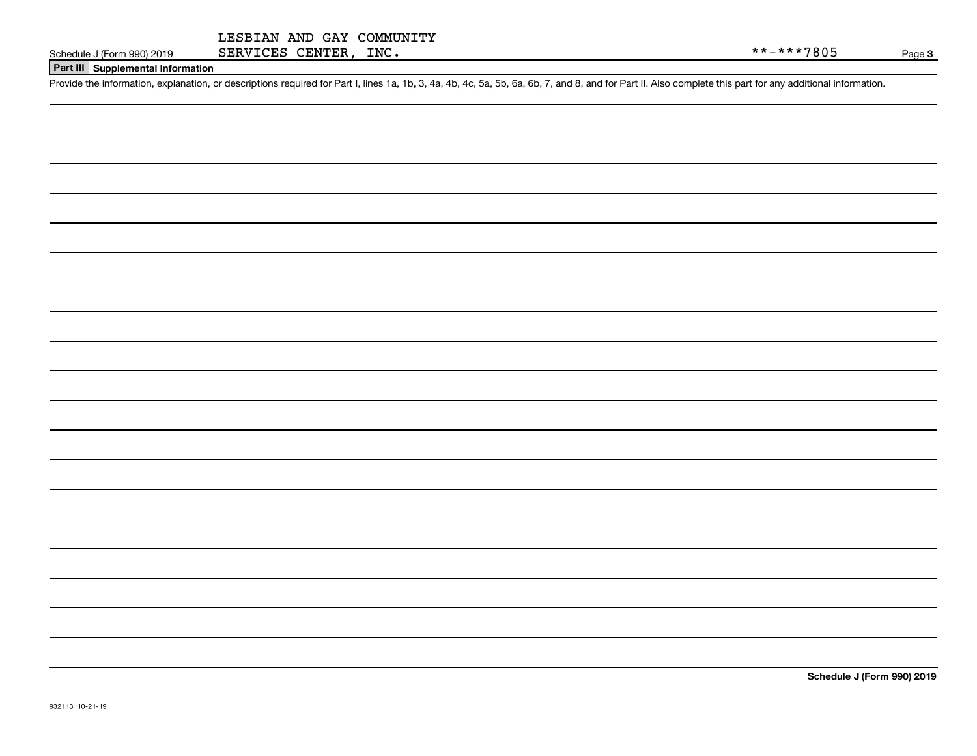|                       |  | LESBIAN AND GAY COMMUNITY |
|-----------------------|--|---------------------------|
| SERVICES CENTER, INC. |  |                           |

## **Part III Supplemental Information**

Schedule J (Form 990) 2019 SERVICES CENTER, INC.<br>Part III Supplemental Information<br>Provide the information, explanation, or descriptions required for Part I, lines 1a, 1b, 3, 4a, 4b, 4c, 5a, 5b, 6a, 6b, 7, and 8, and for P

**Schedule J (Form 990) 2019**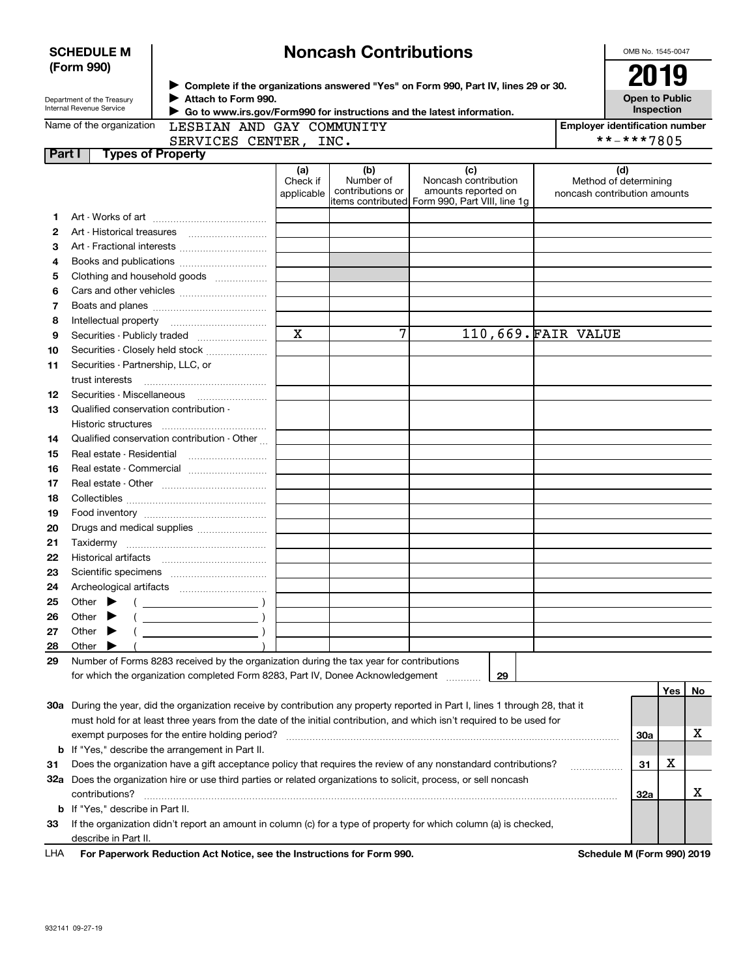| <b>SCHEDULE M</b>                                 |                                                                                                                       |                                                                                                                                |                 | <b>Noncash Contributions</b> |                                                                                      |                     | OMB No. 1545-0047                     |            |    |
|---------------------------------------------------|-----------------------------------------------------------------------------------------------------------------------|--------------------------------------------------------------------------------------------------------------------------------|-----------------|------------------------------|--------------------------------------------------------------------------------------|---------------------|---------------------------------------|------------|----|
| (Form 990)                                        |                                                                                                                       |                                                                                                                                |                 |                              |                                                                                      |                     |                                       |            |    |
|                                                   |                                                                                                                       |                                                                                                                                |                 |                              | > Complete if the organizations answered "Yes" on Form 990, Part IV, lines 29 or 30. |                     | 2019                                  |            |    |
| Attach to Form 990.<br>Department of the Treasury |                                                                                                                       |                                                                                                                                |                 |                              |                                                                                      |                     | <b>Open to Public</b>                 |            |    |
|                                                   | Internal Revenue Service<br>Go to www.irs.gov/Form990 for instructions and the latest information.                    |                                                                                                                                |                 |                              |                                                                                      |                     |                                       | Inspection |    |
|                                                   | Name of the organization                                                                                              | LESBIAN AND GAY COMMUNITY                                                                                                      |                 |                              |                                                                                      |                     | <b>Employer identification number</b> |            |    |
|                                                   |                                                                                                                       | SERVICES CENTER, INC.                                                                                                          |                 |                              |                                                                                      |                     | **-***7805                            |            |    |
| Part I                                            |                                                                                                                       | <b>Types of Property</b>                                                                                                       |                 |                              |                                                                                      |                     |                                       |            |    |
|                                                   |                                                                                                                       |                                                                                                                                | (a)<br>Check if | (b)<br>Number of             | (c)<br>Noncash contribution                                                          |                     | (d)<br>Method of determining          |            |    |
|                                                   |                                                                                                                       |                                                                                                                                | applicable      | contributions or             | amounts reported on                                                                  |                     | noncash contribution amounts          |            |    |
|                                                   |                                                                                                                       |                                                                                                                                |                 |                              | items contributed Form 990, Part VIII, line 1q                                       |                     |                                       |            |    |
| 1                                                 |                                                                                                                       |                                                                                                                                |                 |                              |                                                                                      |                     |                                       |            |    |
| 2                                                 |                                                                                                                       |                                                                                                                                |                 |                              |                                                                                      |                     |                                       |            |    |
| з                                                 |                                                                                                                       |                                                                                                                                |                 |                              |                                                                                      |                     |                                       |            |    |
| 4                                                 |                                                                                                                       |                                                                                                                                |                 |                              |                                                                                      |                     |                                       |            |    |
| 5                                                 |                                                                                                                       | Clothing and household goods                                                                                                   |                 |                              |                                                                                      |                     |                                       |            |    |
| 6                                                 |                                                                                                                       |                                                                                                                                |                 |                              |                                                                                      |                     |                                       |            |    |
| 7                                                 |                                                                                                                       |                                                                                                                                |                 |                              |                                                                                      |                     |                                       |            |    |
| 8                                                 |                                                                                                                       |                                                                                                                                | X               | 7                            |                                                                                      | 110,669. FAIR VALUE |                                       |            |    |
| 9                                                 |                                                                                                                       |                                                                                                                                |                 |                              |                                                                                      |                     |                                       |            |    |
| 10<br>11                                          | Securities - Partnership, LLC, or                                                                                     | Securities - Closely held stock                                                                                                |                 |                              |                                                                                      |                     |                                       |            |    |
|                                                   | trust interests                                                                                                       |                                                                                                                                |                 |                              |                                                                                      |                     |                                       |            |    |
| 12                                                |                                                                                                                       |                                                                                                                                |                 |                              |                                                                                      |                     |                                       |            |    |
| 13                                                |                                                                                                                       | Qualified conservation contribution -                                                                                          |                 |                              |                                                                                      |                     |                                       |            |    |
|                                                   | Historic structures                                                                                                   |                                                                                                                                |                 |                              |                                                                                      |                     |                                       |            |    |
| 14                                                |                                                                                                                       | <br>Qualified conservation contribution - Other                                                                                |                 |                              |                                                                                      |                     |                                       |            |    |
| 15                                                |                                                                                                                       | Real estate - Residential                                                                                                      |                 |                              |                                                                                      |                     |                                       |            |    |
| 16                                                |                                                                                                                       | Real estate - Commercial                                                                                                       |                 |                              |                                                                                      |                     |                                       |            |    |
| 17                                                |                                                                                                                       |                                                                                                                                |                 |                              |                                                                                      |                     |                                       |            |    |
| 18                                                |                                                                                                                       |                                                                                                                                |                 |                              |                                                                                      |                     |                                       |            |    |
| 19                                                |                                                                                                                       |                                                                                                                                |                 |                              |                                                                                      |                     |                                       |            |    |
| 20                                                |                                                                                                                       | Drugs and medical supplies                                                                                                     |                 |                              |                                                                                      |                     |                                       |            |    |
| 21                                                |                                                                                                                       |                                                                                                                                |                 |                              |                                                                                      |                     |                                       |            |    |
| 22                                                |                                                                                                                       |                                                                                                                                |                 |                              |                                                                                      |                     |                                       |            |    |
| 23                                                |                                                                                                                       |                                                                                                                                |                 |                              |                                                                                      |                     |                                       |            |    |
| 24                                                |                                                                                                                       |                                                                                                                                |                 |                              |                                                                                      |                     |                                       |            |    |
| 25                                                | Other                                                                                                                 |                                                                                                                                |                 |                              |                                                                                      |                     |                                       |            |    |
| 26                                                | Other                                                                                                                 |                                                                                                                                |                 |                              |                                                                                      |                     |                                       |            |    |
| 27                                                | Other $\blacktriangleright$                                                                                           |                                                                                                                                |                 |                              |                                                                                      |                     |                                       |            |    |
| 28                                                | Other                                                                                                                 |                                                                                                                                |                 |                              |                                                                                      |                     |                                       |            |    |
| 29                                                |                                                                                                                       | Number of Forms 8283 received by the organization during the tax year for contributions                                        |                 |                              |                                                                                      |                     |                                       |            |    |
|                                                   |                                                                                                                       | for which the organization completed Form 8283, Part IV, Donee Acknowledgement                                                 |                 |                              | 29                                                                                   |                     |                                       |            |    |
|                                                   |                                                                                                                       |                                                                                                                                |                 |                              |                                                                                      |                     |                                       | Yes        | No |
|                                                   |                                                                                                                       | 30a During the year, did the organization receive by contribution any property reported in Part I, lines 1 through 28, that it |                 |                              |                                                                                      |                     |                                       |            |    |
|                                                   | must hold for at least three years from the date of the initial contribution, and which isn't required to be used for |                                                                                                                                |                 |                              |                                                                                      |                     |                                       |            |    |
|                                                   | exempt purposes for the entire holding period?                                                                        |                                                                                                                                |                 |                              |                                                                                      | 30a                 |                                       | х          |    |
|                                                   | <b>b</b> If "Yes," describe the arrangement in Part II.                                                               |                                                                                                                                |                 |                              |                                                                                      |                     |                                       |            |    |
| 31                                                | Does the organization have a gift acceptance policy that requires the review of any nonstandard contributions?<br>.   |                                                                                                                                |                 |                              |                                                                                      |                     | 31                                    | х          |    |
|                                                   | 32a Does the organization hire or use third parties or related organizations to solicit, process, or sell noncash     |                                                                                                                                |                 |                              |                                                                                      |                     |                                       |            |    |
|                                                   | contributions?                                                                                                        |                                                                                                                                |                 |                              |                                                                                      | 32a                 |                                       | х          |    |
|                                                   | <b>b</b> If "Yes," describe in Part II.                                                                               |                                                                                                                                |                 |                              |                                                                                      |                     |                                       |            |    |
| 33                                                | If the organization didn't report an amount in column (c) for a type of property for which column (a) is checked,     |                                                                                                                                |                 |                              |                                                                                      |                     |                                       |            |    |
|                                                   | describe in Part II.                                                                                                  |                                                                                                                                |                 |                              |                                                                                      |                     |                                       |            |    |
| LHA                                               |                                                                                                                       | For Paperwork Reduction Act Notice, see the Instructions for Form 990.                                                         |                 |                              |                                                                                      |                     | Schedule M (Form 990) 2019            |            |    |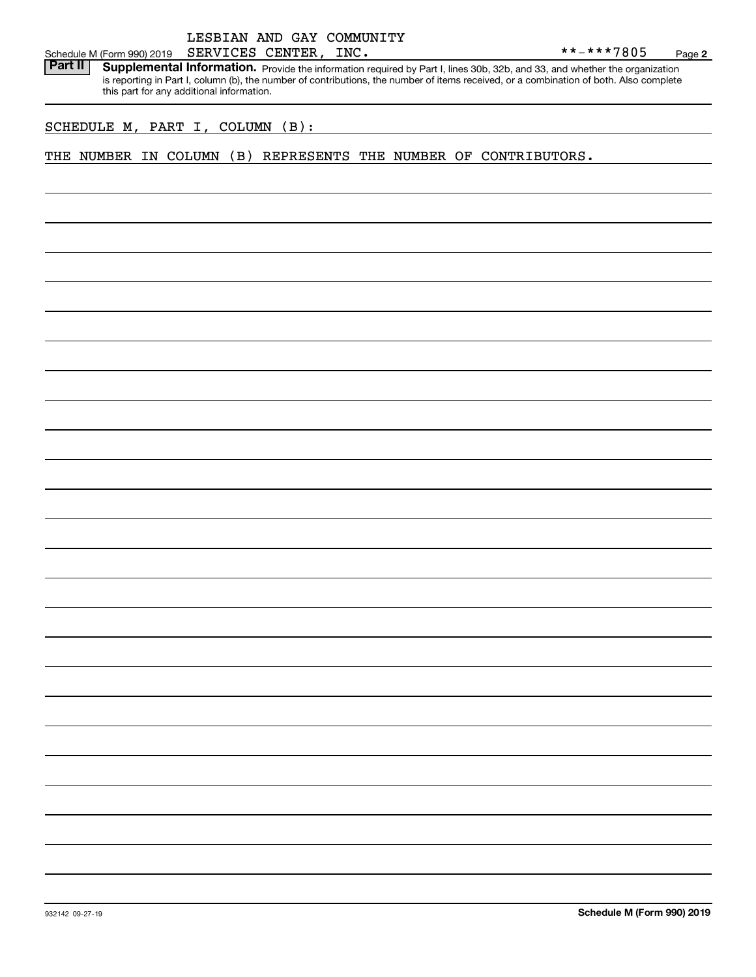**2** Schedule M (Form 990) 2019  ${\tt SERVICES}$   ${\tt CENTER}$  ,  ${\tt INC.}$   ${\tt A}$  ,  ${\tt A}$  ,  ${\tt A}$  ,  ${\tt A}$  ,  ${\tt A}$  ,  ${\tt A}$  ,  ${\tt A}$ 

Part II | Supplemental Information. Provide the information required by Part I, lines 30b, 32b, and 33, and whether the organization is reporting in Part I, column (b), the number of contributions, the number of items received, or a combination of both. Also complete this part for any additional information.

## SCHEDULE M, PART I, COLUMN (B):

THE NUMBER IN COLUMN (B) REPRESENTS THE NUMBER OF CONTRIBUTORS.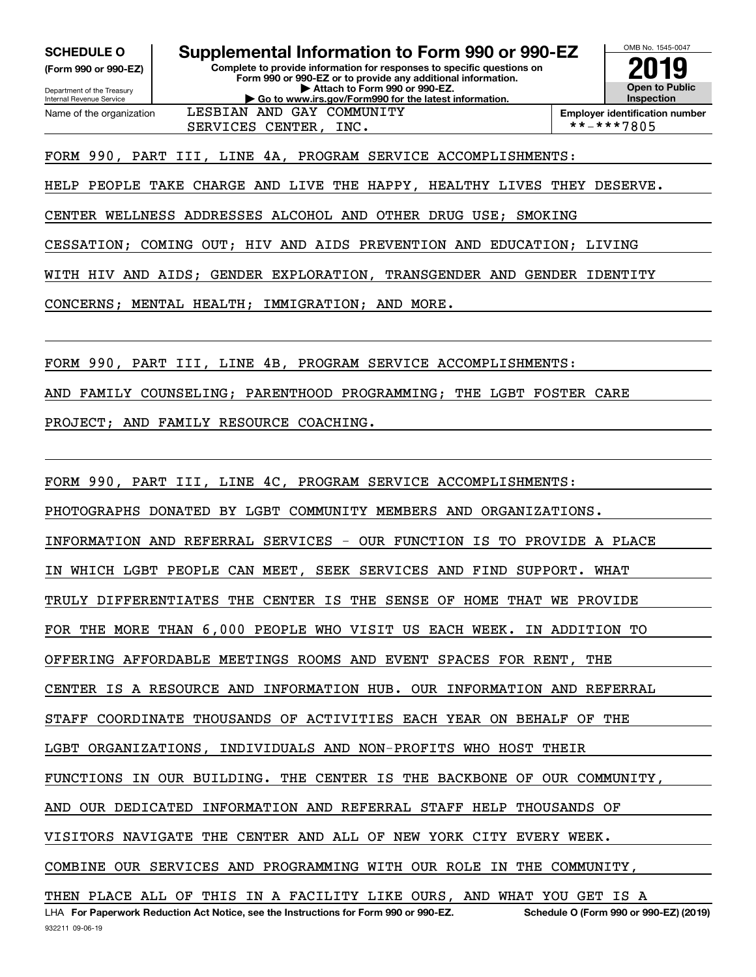**(Form 990 or 990-EZ)**

Department of the Treasury Internal Revenue Service Name of the organization

#### **Complete to provide information for responses to specific questions on Form 990 or 990-EZ or to provide any additional information. | Attach to Form 990 or 990-EZ. | Go to www.irs.gov/Form990 for the latest information. SCHEDULE O Supplemental Information to Form 990 or 990-EZ**



**Employer identification number**<br>\*\*-\*\*\*7805

FORM 990, PART III, LINE 4A, PROGRAM SERVICE ACCOMPLISHMENTS:

SERVICES CENTER, INC. LESBIAN AND GAY COMMUNITY

HELP PEOPLE TAKE CHARGE AND LIVE THE HAPPY, HEALTHY LIVES THEY DESERVE.

CENTER WELLNESS ADDRESSES ALCOHOL AND OTHER DRUG USE; SMOKING

CESSATION; COMING OUT; HIV AND AIDS PREVENTION AND EDUCATION; LIVING

WITH HIV AND AIDS; GENDER EXPLORATION, TRANSGENDER AND GENDER IDENTITY

CONCERNS; MENTAL HEALTH; IMMIGRATION; AND MORE.

FORM 990, PART III, LINE 4B, PROGRAM SERVICE ACCOMPLISHMENTS:

AND FAMILY COUNSELING; PARENTHOOD PROGRAMMING; THE LGBT FOSTER CARE

PROJECT; AND FAMILY RESOURCE COACHING.

LHA For Paperwork Reduction Act Notice, see the Instructions for Form 990 or 990-EZ. Schedule O (Form 990 or 990-EZ) (2019) FORM 990, PART III, LINE 4C, PROGRAM SERVICE ACCOMPLISHMENTS: PHOTOGRAPHS DONATED BY LGBT COMMUNITY MEMBERS AND ORGANIZATIONS. INFORMATION AND REFERRAL SERVICES - OUR FUNCTION IS TO PROVIDE A PLACE IN WHICH LGBT PEOPLE CAN MEET, SEEK SERVICES AND FIND SUPPORT. WHAT TRULY DIFFERENTIATES THE CENTER IS THE SENSE OF HOME THAT WE PROVIDE FOR THE MORE THAN 6,000 PEOPLE WHO VISIT US EACH WEEK. IN ADDITION TO OFFERING AFFORDABLE MEETINGS ROOMS AND EVENT SPACES FOR RENT, THE CENTER IS A RESOURCE AND INFORMATION HUB. OUR INFORMATION AND REFERRAL STAFF COORDINATE THOUSANDS OF ACTIVITIES EACH YEAR ON BEHALF OF THE LGBT ORGANIZATIONS, INDIVIDUALS AND NON-PROFITS WHO HOST THEIR FUNCTIONS IN OUR BUILDING. THE CENTER IS THE BACKBONE OF OUR COMMUNITY, AND OUR DEDICATED INFORMATION AND REFERRAL STAFF HELP THOUSANDS OF VISITORS NAVIGATE THE CENTER AND ALL OF NEW YORK CITY EVERY WEEK. COMBINE OUR SERVICES AND PROGRAMMING WITH OUR ROLE IN THE COMMUNITY, THEN PLACE ALL OF THIS IN A FACILITY LIKE OURS, AND WHAT YOU GET IS A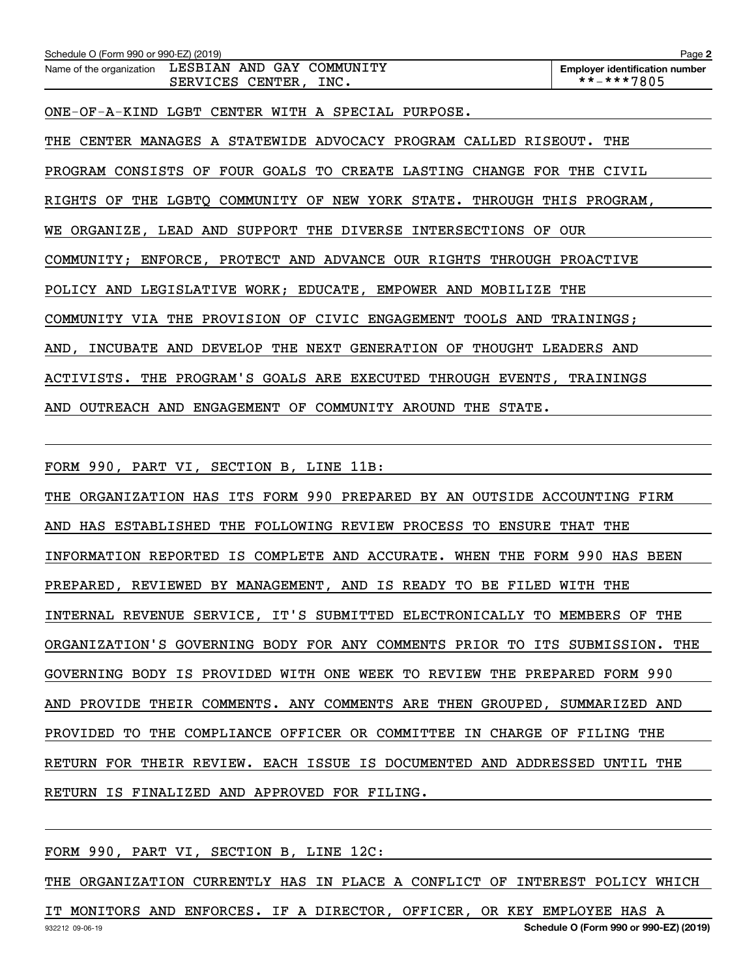**2Employer identification number**<br>\*\*-\*\*\*7805 Schedule O (Form 990 or 990-EZ) (2019) Page Name of the organization LESBIAN AND GAY COMMUNITY ONE-OF-A-KIND LGBT CENTER WITH A SPECIAL PURPOSE. THE CENTER MANAGES A STATEWIDE ADVOCACY PROGRAM CALLED RISEOUT. THE PROGRAM CONSISTS OF FOUR GOALS TO CREATE LASTING CHANGE FOR THE CIVIL RIGHTS OF THE LGBTQ COMMUNITY OF NEW YORK STATE. THROUGH THIS PROGRAM, WE ORGANIZE, LEAD AND SUPPORT THE DIVERSE INTERSECTIONS OF OUR COMMUNITY; ENFORCE, PROTECT AND ADVANCE OUR RIGHTS THROUGH PROACTIVE POLICY AND LEGISLATIVE WORK; EDUCATE, EMPOWER AND MOBILIZE THE COMMUNITY VIA THE PROVISION OF CIVIC ENGAGEMENT TOOLS AND TRAININGS; AND, INCUBATE AND DEVELOP THE NEXT GENERATION OF THOUGHT LEADERS AND ACTIVISTS. THE PROGRAM'S GOALS ARE EXECUTED THROUGH EVENTS, TRAININGS AND OUTREACH AND ENGAGEMENT OF COMMUNITY AROUND THE STATE. SERVICES CENTER, INC.

FORM 990, PART VI, SECTION B, LINE 11B:

THE ORGANIZATION HAS ITS FORM 990 PREPARED BY AN OUTSIDE ACCOUNTING FIRM AND HAS ESTABLISHED THE FOLLOWING REVIEW PROCESS TO ENSURE THAT THE INFORMATION REPORTED IS COMPLETE AND ACCURATE. WHEN THE FORM 990 HAS BEEN PREPARED, REVIEWED BY MANAGEMENT, AND IS READY TO BE FILED WITH THE INTERNAL REVENUE SERVICE, IT'S SUBMITTED ELECTRONICALLY TO MEMBERS OF THE ORGANIZATION'S GOVERNING BODY FOR ANY COMMENTS PRIOR TO ITS SUBMISSION. THE GOVERNING BODY IS PROVIDED WITH ONE WEEK TO REVIEW THE PREPARED FORM 990 AND PROVIDE THEIR COMMENTS. ANY COMMENTS ARE THEN GROUPED, SUMMARIZED AND PROVIDED TO THE COMPLIANCE OFFICER OR COMMITTEE IN CHARGE OF FILING THE RETURN FOR THEIR REVIEW. EACH ISSUE IS DOCUMENTED AND ADDRESSED UNTIL THE RETURN IS FINALIZED AND APPROVED FOR FILING.

FORM 990, PART VI, SECTION B, LINE 12C: THE ORGANIZATION CURRENTLY HAS IN PLACE A CONFLICT OF INTEREST POLICY WHICH IT MONITORS AND ENFORCES. IF A DIRECTOR, OFFICER, OR KEY EMPLOYEE HAS A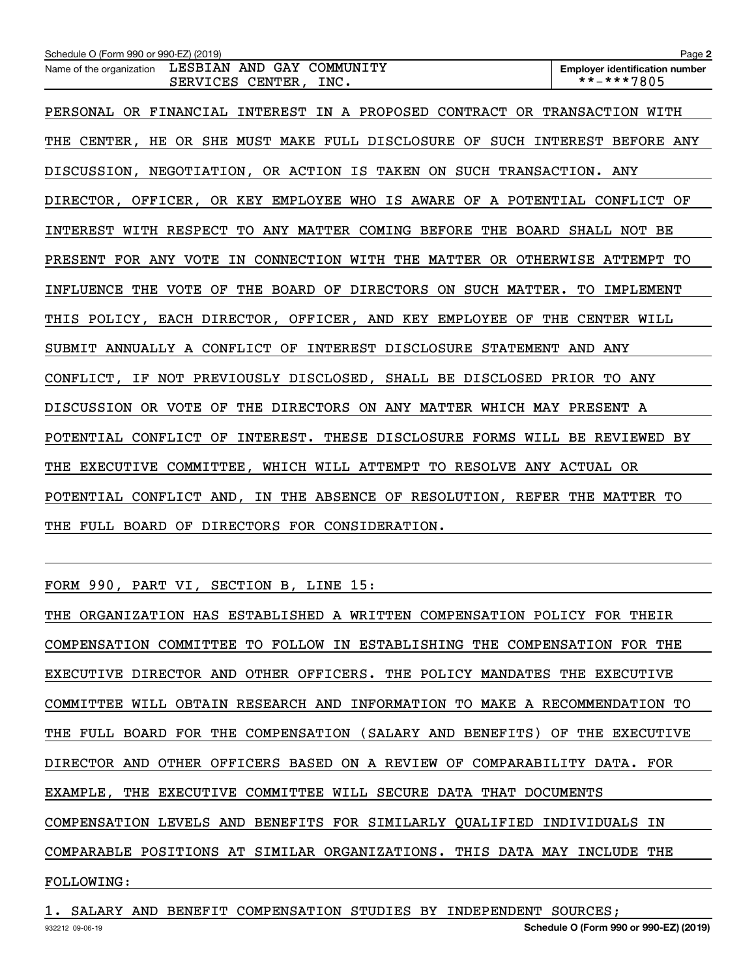| Schedule O (Form 990 or 990-EZ) (2019)                                      | Page 2                                              |
|-----------------------------------------------------------------------------|-----------------------------------------------------|
| Name of the organization LESBIAN AND GAY COMMUNITY<br>SERVICES CENTER, INC. | <b>Emplover identification number</b><br>**-***7805 |
| PERSONAL OR FINANCIAL INTEREST IN A PROPOSED CONTRACT OR TRANSACTION WITH   |                                                     |
| THE CENTER, HE OR SHE MUST MAKE FULL DISCLOSURE OF SUCH INTEREST BEFORE ANY |                                                     |
| DISCUSSION, NEGOTIATION, OR ACTION IS TAKEN ON SUCH TRANSACTION. ANY        |                                                     |
| DIRECTOR, OFFICER, OR KEY EMPLOYEE WHO IS AWARE OF A POTENTIAL CONFLICT OF  |                                                     |
| INTEREST WITH RESPECT TO ANY MATTER COMING BEFORE THE BOARD SHALL NOT BE    |                                                     |
| PRESENT FOR ANY VOTE IN CONNECTION WITH THE MATTER OR OTHERWISE ATTEMPT TO  |                                                     |
| INFLUENCE THE VOTE OF THE BOARD OF DIRECTORS ON SUCH MATTER. TO IMPLEMENT   |                                                     |
| THIS POLICY, EACH DIRECTOR, OFFICER, AND KEY EMPLOYEE OF THE CENTER WILL    |                                                     |
| SUBMIT ANNUALLY A CONFLICT OF INTEREST DISCLOSURE STATEMENT AND ANY         |                                                     |
| CONFLICT, IF NOT PREVIOUSLY DISCLOSED, SHALL BE DISCLOSED PRIOR TO ANY      |                                                     |
| DISCUSSION OR VOTE OF THE DIRECTORS ON ANY MATTER WHICH MAY PRESENT A       |                                                     |
| POTENTIAL CONFLICT OF INTEREST. THESE DISCLOSURE FORMS WILL BE REVIEWED BY  |                                                     |
| EXECUTIVE COMMITTEE, WHICH WILL ATTEMPT TO RESOLVE ANY ACTUAL OR<br>THE     |                                                     |
| POTENTIAL CONFLICT AND, IN THE ABSENCE OF RESOLUTION, REFER THE MATTER TO   |                                                     |
| THE FULL BOARD OF DIRECTORS FOR CONSIDERATION.                              |                                                     |

FORM 990, PART VI, SECTION B, LINE 15:

THE ORGANIZATION HAS ESTABLISHED A WRITTEN COMPENSATION POLICY FOR THEIR COMPENSATION COMMITTEE TO FOLLOW IN ESTABLISHING THE COMPENSATION FOR THE EXECUTIVE DIRECTOR AND OTHER OFFICERS. THE POLICY MANDATES THE EXECUTIVE COMMITTEE WILL OBTAIN RESEARCH AND INFORMATION TO MAKE A RECOMMENDATION TO THE FULL BOARD FOR THE COMPENSATION (SALARY AND BENEFITS) OF THE EXECUTIVE DIRECTOR AND OTHER OFFICERS BASED ON A REVIEW OF COMPARABILITY DATA. FOR EXAMPLE, THE EXECUTIVE COMMITTEE WILL SECURE DATA THAT DOCUMENTS COMPENSATION LEVELS AND BENEFITS FOR SIMILARLY QUALIFIED INDIVIDUALS IN COMPARABLE POSITIONS AT SIMILAR ORGANIZATIONS. THIS DATA MAY INCLUDE THE FOLLOWING:

932212 09-06-19 1. SALARY AND BENEFIT COMPENSATION STUDIES BY INDEPENDENT SOURCES;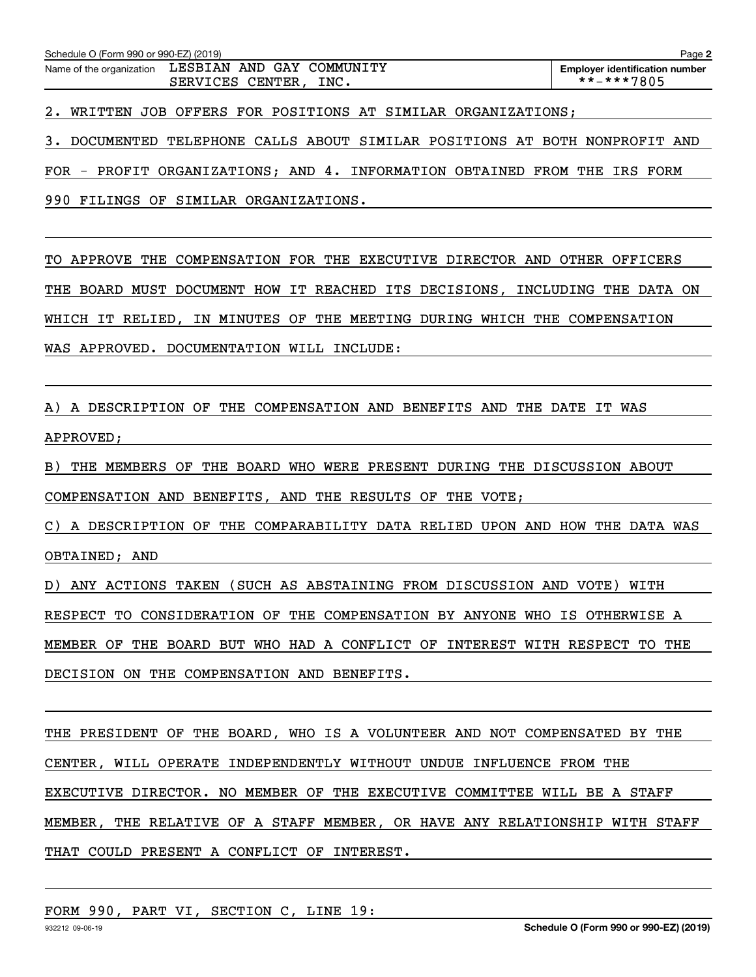2. WRITTEN JOB OFFERS FOR POSITIONS AT SIMILAR ORGANIZATIONS;

3. DOCUMENTED TELEPHONE CALLS ABOUT SIMILAR POSITIONS AT BOTH NONPROFIT AND

FOR - PROFIT ORGANIZATIONS; AND 4. INFORMATION OBTAINED FROM THE IRS FORM

990 FILINGS OF SIMILAR ORGANIZATIONS.

TO APPROVE THE COMPENSATION FOR THE EXECUTIVE DIRECTOR AND OTHER OFFICERS THE BOARD MUST DOCUMENT HOW IT REACHED ITS DECISIONS, INCLUDING THE DATA ON WHICH IT RELIED, IN MINUTES OF THE MEETING DURING WHICH THE COMPENSATION WAS APPROVED. DOCUMENTATION WILL INCLUDE:

A) A DESCRIPTION OF THE COMPENSATION AND BENEFITS AND THE DATE IT WAS APPROVED;

B) THE MEMBERS OF THE BOARD WHO WERE PRESENT DURING THE DISCUSSION ABOUT COMPENSATION AND BENEFITS, AND THE RESULTS OF THE VOTE;

C) A DESCRIPTION OF THE COMPARABILITY DATA RELIED UPON AND HOW THE DATA WAS OBTAINED; AND

D) ANY ACTIONS TAKEN (SUCH AS ABSTAINING FROM DISCUSSION AND VOTE) WITH RESPECT TO CONSIDERATION OF THE COMPENSATION BY ANYONE WHO IS OTHERWISE A MEMBER OF THE BOARD BUT WHO HAD A CONFLICT OF INTEREST WITH RESPECT TO THE DECISION ON THE COMPENSATION AND BENEFITS.

THE PRESIDENT OF THE BOARD, WHO IS A VOLUNTEER AND NOT COMPENSATED BY THE CENTER, WILL OPERATE INDEPENDENTLY WITHOUT UNDUE INFLUENCE FROM THE EXECUTIVE DIRECTOR. NO MEMBER OF THE EXECUTIVE COMMITTEE WILL BE A STAFF MEMBER, THE RELATIVE OF A STAFF MEMBER, OR HAVE ANY RELATIONSHIP WITH STAFF THAT COULD PRESENT A CONFLICT OF INTEREST.

FORM 990, PART VI, SECTION C, LINE 19: